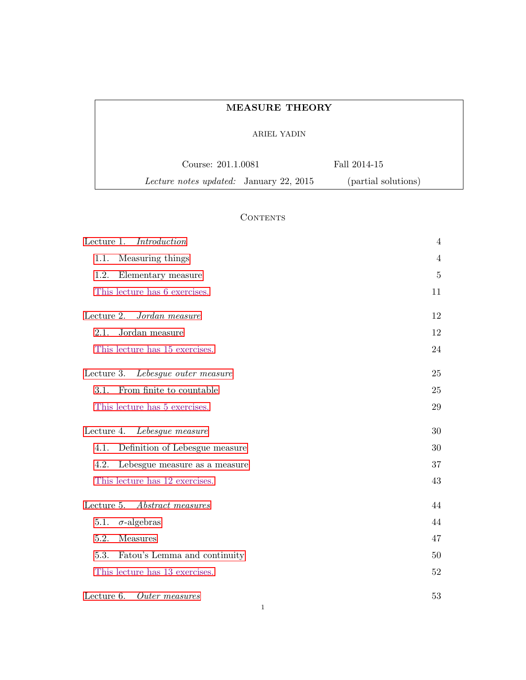| <b>MEASURE THEORY</b>                          |                     |  |
|------------------------------------------------|---------------------|--|
| ARIEL YADIN                                    |                     |  |
| Course: 201.1.0081                             | Fall 2014-15        |  |
| <i>Lecture notes updated:</i> January 22, 2015 | (partial solutions) |  |

# **CONTENTS**

| Lecture 1.<br>Introduction             | 4              |
|----------------------------------------|----------------|
| 1.1.<br>Measuring things               | $\overline{4}$ |
| 1.2.<br>Elementary measure             | $5\,$          |
| This lecture has 6 exercises.          | 11             |
| Lecture 2.<br>Jordan measure           | 12             |
| 2.1.<br>Jordan measure                 | 12             |
| This lecture has 15 exercises.         | 24             |
| Lecture 3. Lebesgue outer measure      | 25             |
| From finite to countable<br>3.1.       | 25             |
| This lecture has 5 exercises.          | 29             |
| Lecture 4. Lebesgue measure            | 30             |
| 4.1.<br>Definition of Lebesgue measure | 30             |
| 4.2.<br>Lebesgue measure as a measure  | 37             |
| This lecture has 12 exercises.         | 43             |
| Lecture 5.<br>Abstract measures        | 44             |
| 5.1.<br>$\sigma$ -algebras             | 44             |
| 5.2.<br>Measures                       | 47             |
| 5.3.<br>Fatou's Lemma and continuity   | 50             |
| This lecture has 13 exercises.         | 52             |
| Lecture 6.<br>Outer measures           | 53             |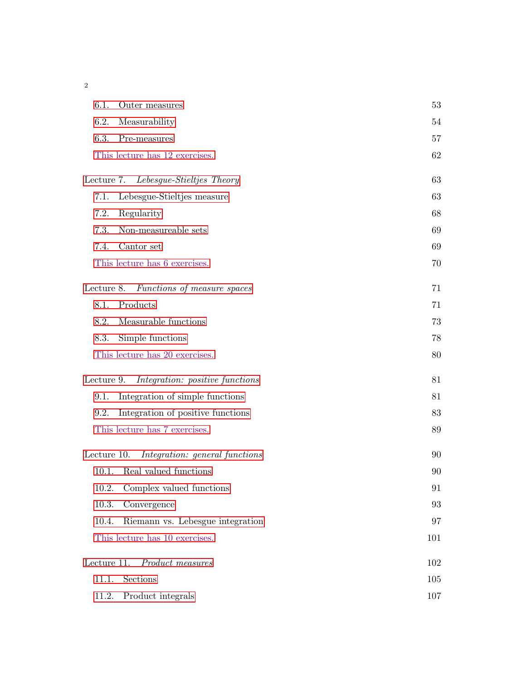2

| 6.1.        | Outer measures                         | 53  |
|-------------|----------------------------------------|-----|
| 6.2.        | Measurability                          | 54  |
| 6.3.        | Pre-measures                           | 57  |
|             | This lecture has 12 exercises.         | 62  |
|             | Lecture 7. Lebesgue-Stieltjes Theory   | 63  |
| 7.1.        | Lebesgue-Stieltjes measure             | 63  |
| 7.2.        | Regularity                             | 68  |
| 7.3.        | Non-measureable sets                   | 69  |
| 7.4.        | Cantor set                             | 69  |
|             | This lecture has 6 exercises.          | 70  |
|             | Lecture 8. Functions of measure spaces | 71  |
| 8.1.        | Products                               | 71  |
| 8.2.        | Measurable functions                   | 73  |
| 8.3.        | Simple functions                       | 78  |
|             | This lecture has 20 exercises.         | 80  |
| Lecture 9.  | Integration: positive functions        | 81  |
| 9.1.        | Integration of simple functions        | 81  |
| 9.2.        | Integration of positive functions      | 83  |
|             | This lecture has 7 exercises.          | 89  |
| Lecture 10. | Integration: general functions         | 90  |
| 10.1.       | Real valued functions                  | 90  |
| 10.2.       | Complex valued functions               | 91  |
| 10.3.       | Convergence                            | 93  |
| 10.4.       | Riemann vs. Lebesgue integration       | 97  |
|             | This lecture has 10 exercises.         | 101 |
|             | Lecture 11. Product measures           | 102 |
| 11.1.       | Sections                               | 105 |
| 11.2.       | Product integrals                      | 107 |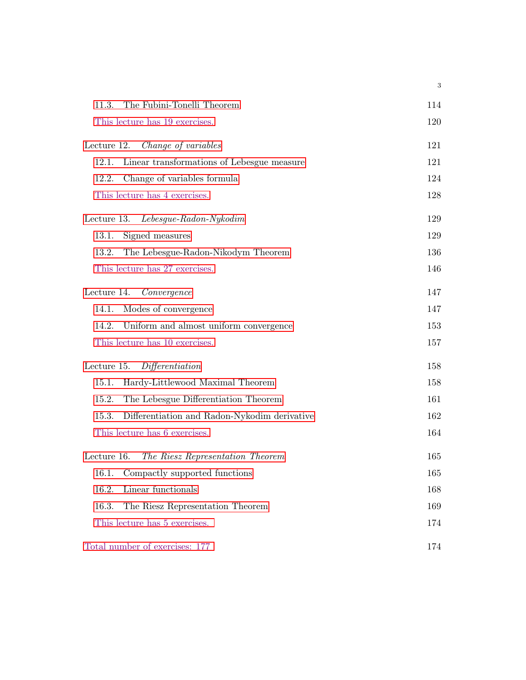<span id="page-2-0"></span>

| The Fubini-Tonelli Theorem<br>11.3.                   | 114 |
|-------------------------------------------------------|-----|
| This lecture has 19 exercises.                        | 120 |
| Change of variables<br>Lecture 12.                    | 121 |
| Linear transformations of Lebesgue measure<br>12.1.   | 121 |
| Change of variables formula<br>12.2.                  | 124 |
| This lecture has 4 exercises.                         | 128 |
| Lecture 13.<br>$Lebesgue-Radon-Nykodim$               | 129 |
| Signed measures<br>13.1.                              | 129 |
| 13.2.<br>The Lebesgue-Radon-Nikodym Theorem           | 136 |
| This lecture has 27 exercises.                        | 146 |
| Lecture 14. Convergence                               | 147 |
| Modes of convergence<br>14.1.                         | 147 |
| Uniform and almost uniform convergence<br>14.2.       | 153 |
| This lecture has 10 exercises.                        | 157 |
| Differentiation<br>Lecture 15.                        | 158 |
| Hardy-Littlewood Maximal Theorem<br>15.1.             | 158 |
| The Lebesgue Differentiation Theorem<br>15.2.         | 161 |
| Differentiation and Radon-Nykodim derivative<br>15.3. | 162 |
| This lecture has 6 exercises.                         | 164 |
| The Riesz Representation Theorem<br>Lecture 16.       | 165 |
| Compactly supported functions<br>16.1.                | 165 |
| Linear functionals<br>16.2.                           | 168 |
| The Riesz Representation Theorem<br>16.3.             | 169 |
| This lecture has 5 exercises.                         | 174 |
| Total number of exercises: 177                        | 174 |

3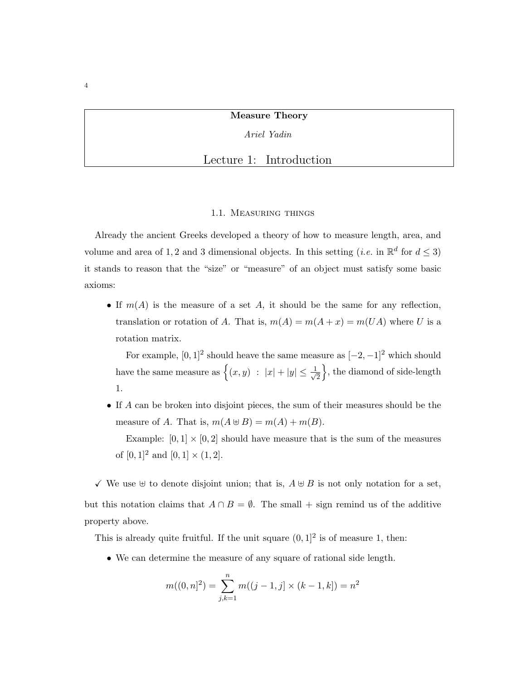Ariel Yadin

Lecture 1: Introduction

#### 1.1. Measuring things

<span id="page-3-0"></span>Already the ancient Greeks developed a theory of how to measure length, area, and volume and area of 1, 2 and 3 dimensional objects. In this setting (*i.e.* in  $\mathbb{R}^d$  for  $d \leq 3$ ) it stands to reason that the "size" or "measure" of an object must satisfy some basic axioms:

• If  $m(A)$  is the measure of a set A, it should be the same for any reflection, translation or rotation of A. That is,  $m(A) = m(A + x) = m(UA)$  where U is a rotation matrix.

For example,  $[0,1]^2$  should heave the same measure as  $[-2,-1]^2$  which should have the same measure as  $\{(x, y) : |x| + |y| \leq \frac{1}{\sqrt{2\pi}}\}$ 2  $\},$  the diamond of side-length 1.

• If A can be broken into disjoint pieces, the sum of their measures should be the measure of A. That is,  $m(A \oplus B) = m(A) + m(B)$ .

Example:  $[0, 1] \times [0, 2]$  should have measure that is the sum of the measures of  $[0, 1]^2$  and  $[0, 1] \times (1, 2]$ .

 $\checkmark$  We use  $\checkmark$  to denote disjoint union; that is,  $A \checkmark B$  is not only notation for a set, but this notation claims that  $A \cap B = \emptyset$ . The small + sign remind us of the additive property above.

This is already quite fruitful. If the unit square  $(0,1]^2$  is of measure 1, then:

• We can determine the measure of any square of rational side length.

$$
m((0, n]^2) = \sum_{j,k=1}^{n} m((j-1, j] \times (k-1, k]) = n^2
$$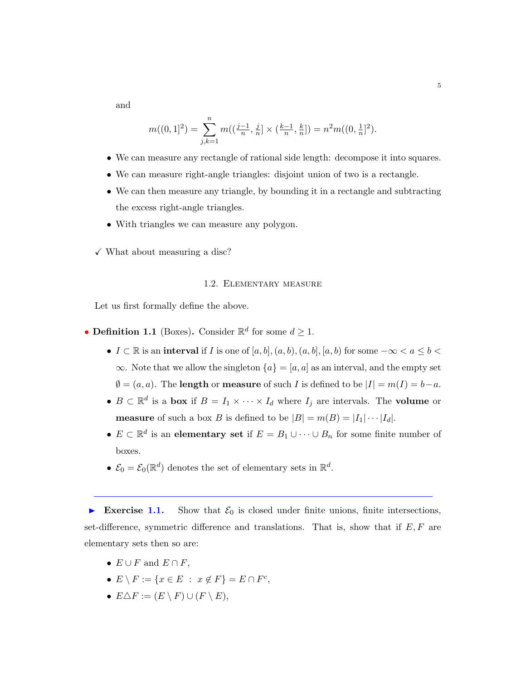and

$$
m((0,1]^2) = \sum_{j,k=1}^n m((\frac{j-1}{n},\frac{j}{n}] \times (\frac{k-1}{n},\frac{k}{n}]) = n^2 m((0,\frac{1}{n}]^2).
$$

- We can measure any rectangle of rational side length: decompose it into squares.
- We can measure right-angle triangles: disjoint union of two is a rectangle.
- We can then measure any triangle, by bounding it in a rectangle and subtracting the excess right-angle triangles.
- With triangles we can measure any polygon.

<span id="page-4-0"></span> $\checkmark$  What about measuring a disc?

# 1.2. Elementary measure

Let us first formally define the above.

- **Definition 1.1** (Boxes). Consider  $\mathbb{R}^d$  for some  $d \geq 1$ .
	- $I \subset \mathbb{R}$  is an interval if I is one of  $[a, b], (a, b), (a, b], [a, b)$  for some  $-\infty < a \leq b <$  $\infty$ . Note that we allow the singleton  $\{a\} = [a, a]$  as an interval, and the empty set  $\emptyset = (a, a)$ . The **length** or **measure** of such *I* is defined to be  $|I| = m(I) = b - a$ .
	- $B \subset \mathbb{R}^d$  is a box if  $B = I_1 \times \cdots \times I_d$  where  $I_j$  are intervals. The volume or **measure** of such a box B is defined to be  $|B| = m(B) = |I_1| \cdots |I_d|$ .
	- $E \subset \mathbb{R}^d$  is an elementary set if  $E = B_1 \cup \cdots \cup B_n$  for some finite number of boxes.
	- $\mathcal{E}_0 = \mathcal{E}_0(\mathbb{R}^d)$  denotes the set of elementary sets in  $\mathbb{R}^d$ .

Exercise 1.1. Show that  $\mathcal{E}_0$  is closed under finite unions, finite intersections, set-difference, symmetric difference and translations. That is, show that if  $E, F$  are elementary sets then so are:

- $E \cup F$  and  $E \cap F$ ,
- $E \setminus F := \{ x \in E : x \notin F \} = E \cap F^c,$
- $E\Delta F := (E \setminus F) \cup (F \setminus E),$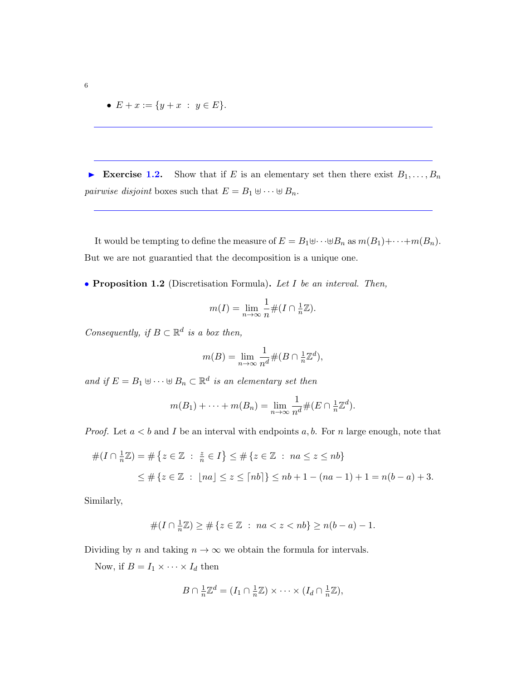•  $E + x := \{y + x : y \in E\}.$ 

Exercise 1.2. Show that if E is an elementary set then there exist  $B_1, \ldots, B_n$ *pairwise disjoint* boxes such that  $E = B_1 \oplus \cdots \oplus B_n$ .

It would be tempting to define the measure of  $E = B_1 \oplus \cdots \oplus B_n$  as  $m(B_1) + \cdots + m(B_n)$ . But we are not guarantied that the decomposition is a unique one.

• Proposition 1.2 (Discretisation Formula). Let I be an interval. Then,

$$
m(I) = \lim_{n \to \infty} \frac{1}{n} \#(I \cap \frac{1}{n}\mathbb{Z}).
$$

Consequently, if  $B \subset \mathbb{R}^d$  is a box then,

$$
m(B) = \lim_{n \to \infty} \frac{1}{n^d} \#(B \cap \frac{1}{n} \mathbb{Z}^d),
$$

and if  $E = B_1 \uplus \cdots \uplus B_n \subset \mathbb{R}^d$  is an elementary set then

$$
m(B_1) + \cdots + m(B_n) = \lim_{n \to \infty} \frac{1}{n^d} \#(E \cap \frac{1}{n} \mathbb{Z}^d).
$$

*Proof.* Let  $a < b$  and I be an interval with endpoints a, b. For n large enough, note that

$$
#(I \cap \frac{1}{n}\mathbb{Z}) = #\{z \in \mathbb{Z} : \frac{z}{n} \in I\} \le #\{z \in \mathbb{Z} : na \le z \le nb\}
$$
  

$$
\le #\{z \in \mathbb{Z} : \lfloor na \rfloor \le z \le \lceil nb \rceil\} \le nb + 1 - (na - 1) + 1 = n(b - a) + 3.
$$

Similarly,

$$
#(I \cap \frac{1}{n}\mathbb{Z}) \ge #\{z \in \mathbb{Z} : na < z < nb\} \ge n(b-a) - 1.
$$

Dividing by n and taking  $n \to \infty$  we obtain the formula for intervals.

Now, if  $B = I_1 \times \cdots \times I_d$  then

$$
B \cap \frac{1}{n}\mathbb{Z}^d = (I_1 \cap \frac{1}{n}\mathbb{Z}) \times \cdots \times (I_d \cap \frac{1}{n}\mathbb{Z}),
$$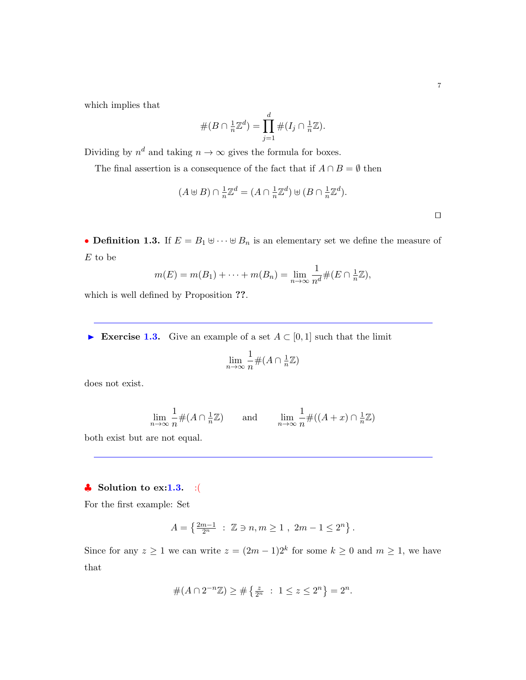which implies that

$$
#(B \cap \frac{1}{n}\mathbb{Z}^d) = \prod_{j=1}^d #(I_j \cap \frac{1}{n}\mathbb{Z}).
$$

Dividing by  $n^d$  and taking  $n \to \infty$  gives the formula for boxes.

The final assertion is a consequence of the fact that if  $A \cap B = \emptyset$  then

$$
(A \oplus B) \cap \frac{1}{n}\mathbb{Z}^d = (A \cap \frac{1}{n}\mathbb{Z}^d) \oplus (B \cap \frac{1}{n}\mathbb{Z}^d).
$$

• Definition 1.3. If  $E = B_1 \oplus \cdots \oplus B_n$  is an elementary set we define the measure of  $E$  to be

$$
m(E) = m(B_1) + \cdots + m(B_n) = \lim_{n \to \infty} \frac{1}{n^d} \#(E \cap \frac{1}{n}\mathbb{Z}),
$$

which is well defined by Proposition ??.

Exercise 1.3. Give an example of a set  $A \subset [0,1]$  such that the limit

$$
\lim_{n \to \infty} \frac{1}{n} \#(A \cap \frac{1}{n}\mathbb{Z})
$$

does not exist.

$$
\lim_{n \to \infty} \frac{1}{n} \#(A \cap \frac{1}{n}\mathbb{Z}) \qquad \text{and} \qquad \lim_{n \to \infty} \frac{1}{n} \#((A+x) \cap \frac{1}{n}\mathbb{Z})
$$

both exist but are not equal.

# $\bullet$  Solution to ex:1.3. :(

For the first example: Set

$$
A = \left\{ \tfrac{2m-1}{2^n} \ : \ \mathbb{Z} \ni n,m \geq 1 \ , \ 2m-1 \leq 2^n \right\}.
$$

Since for any  $z \ge 1$  we can write  $z = (2m - 1)2^k$  for some  $k \ge 0$  and  $m \ge 1$ , we have that

$$
#(A \cap 2^{-n}\mathbb{Z}) \ge #\left\{\frac{z}{2^n} : 1 \le z \le 2^n\right\} = 2^n.
$$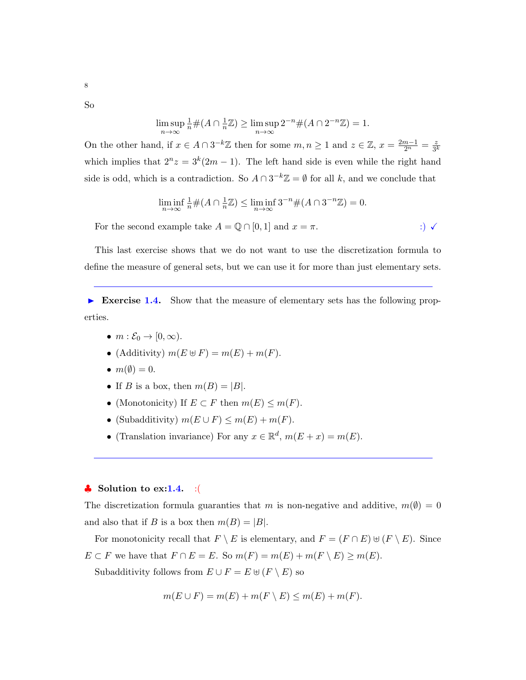So

$$
\limsup_{n \to \infty} \frac{1}{n} \#(A \cap \frac{1}{n}\mathbb{Z}) \ge \limsup_{n \to \infty} 2^{-n} \#(A \cap 2^{-n}\mathbb{Z}) = 1.
$$

On the other hand, if  $x \in A \cap 3^{-k} \mathbb{Z}$  then for some  $m, n \geq 1$  and  $z \in \mathbb{Z}$ ,  $x = \frac{2m-1}{2^n} = \frac{z}{3^l}$  $3^k$ which implies that  $2^{n}z = 3^{k}(2m - 1)$ . The left hand side is even while the right hand side is odd, which is a contradiction. So  $A \cap 3^{-k}\mathbb{Z} = \emptyset$  for all k, and we conclude that

$$
\liminf_{n \to \infty} \frac{1}{n} \#(A \cap \frac{1}{n}\mathbb{Z}) \le \liminf_{n \to \infty} 3^{-n} \#(A \cap 3^{-n}\mathbb{Z}) = 0.
$$

For the second example take  $A = \mathbb{Q} \cap [0,1]$  and  $x = \pi$ . :)  $\checkmark$ 

This last exercise shows that we do not want to use the discretization formula to define the measure of general sets, but we can use it for more than just elementary sets.

Exercise 1.4. Show that the measure of elementary sets has the following properties.

- $m : \mathcal{E}_0 \to [0, \infty)$ .
- (Additivity)  $m(E \oplus F) = m(E) + m(F)$ .
- $m(\emptyset) = 0$ .
- If B is a box, then  $m(B) = |B|$ .
- (Monotonicity) If  $E \subset F$  then  $m(E) \le m(F)$ .
- (Subadditivity)  $m(E \cup F) \le m(E) + m(F)$ .
- (Translation invariance) For any  $x \in \mathbb{R}^d$ ,  $m(E+x) = m(E)$ .

## $\bullet$  Solution to ex:1.4. :(

The discretization formula guaranties that m is non-negative and additive,  $m(\emptyset) = 0$ and also that if B is a box then  $m(B) = |B|$ .

For monotonicity recall that  $F \setminus E$  is elementary, and  $F = (F \cap E) \cup (F \setminus E)$ . Since  $E \subset F$  we have that  $F \cap E = E$ . So  $m(F) = m(E) + m(F \setminus E) \ge m(E)$ .

Subadditivity follows from  $E \cup F = E \oplus (F \setminus E)$  so

$$
m(E \cup F) = m(E) + m(F \setminus E) \le m(E) + m(F).
$$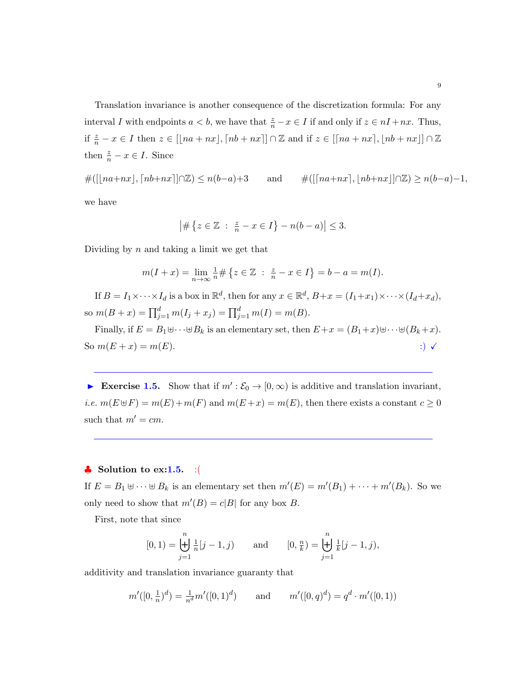Translation invariance is another consequence of the discretization formula: For any interval I with endpoints  $a < b$ , we have that  $\frac{z}{n} - x \in I$  if and only if  $z \in nI + nx$ . Thus, if  $\frac{z}{n} - x \in I$  then  $z \in [\lfloor na + nx \rfloor, \lceil nb + nx \rceil] \cap \mathbb{Z}$  and if  $z \in [\lceil na + nx \rceil, \lfloor nb + nx \rfloor] \cap \mathbb{Z}$ then  $\frac{z}{n} - x \in I$ . Since

 $\#([|na+nx|, [nb+nx]| \cap \mathbb{Z}) \leq n(b-a)+3$  and  $\#([[na+nx], |nb+nx]| \cap \mathbb{Z}) \geq n(b-a)-1,$ 

we have

$$
\left| \# \{ z \in \mathbb{Z} \ : \ \frac{z}{n} - x \in I \} - n(b - a) \right| \leq 3.
$$

Dividing by  $n$  and taking a limit we get that

$$
m(I+x) = \lim_{n \to \infty} \frac{1}{n} \# \{ z \in \mathbb{Z} : \frac{z}{n} - x \in I \} = b - a = m(I).
$$

If  $B = I_1 \times \cdots \times I_d$  is a box in  $\mathbb{R}^d$ , then for any  $x \in \mathbb{R}^d$ ,  $B + x = (I_1 + x_1) \times \cdots \times (I_d + x_d)$ , so  $m(B+x) = \prod_{j=1}^{d} m(I_j + x_j) = \prod_{j=1}^{d} m(I) = m(B)$ .

Finally, if  $E = B_1 \oplus \cdots \oplus B_k$  is an elementary set, then  $E + x = (B_1 + x) \oplus \cdots \oplus (B_k + x)$ . So  $m(E + x) = m(E)$ . :)  $\checkmark$ 

Exercise 1.5. Show that if  $m': \mathcal{E}_0 \to [0, \infty)$  is additive and translation invariant, *i.e.*  $m(E \oplus F) = m(E) + m(F)$  and  $m(E + x) = m(E)$ , then there exists a constant  $c \ge 0$ such that  $m' = cm$ .

# $\bullet$  Solution to ex:1.5. :(

If  $E = B_1 \oplus \cdots \oplus B_k$  is an elementary set then  $m'(E) = m'(B_1) + \cdots + m'(B_k)$ . So we only need to show that  $m'(B) = c|B|$  for any box B.

First, note that since

$$
[0,1) = \biguplus_{j=1}^{n} \frac{1}{n} [j-1,j] \quad \text{and} \quad [0,\frac{n}{k}) = \biguplus_{j=1}^{n} \frac{1}{k} [j-1,j],
$$

additivity and translation invariance guaranty that

$$
m'([0, \frac{1}{n})^d) = \frac{1}{n^d}m'([0, 1)^d)
$$
 and  $m'([0, q)^d) = q^d \cdot m'([0, 1))$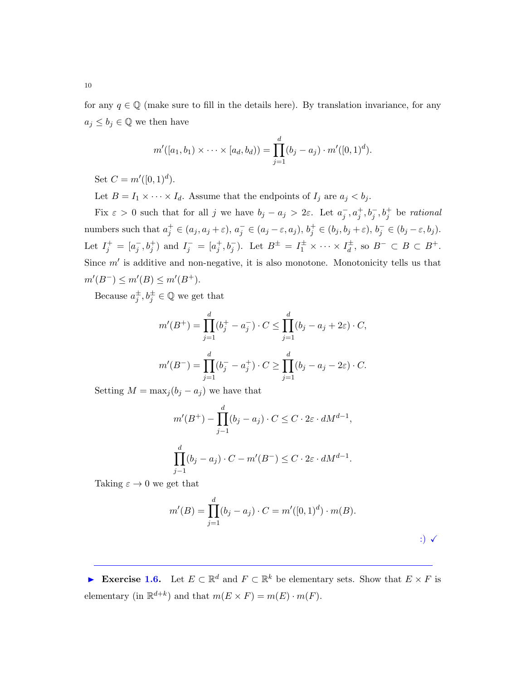for any  $q \in \mathbb{Q}$  (make sure to fill in the details here). By translation invariance, for any  $a_j \leq b_j \in \mathbb{Q}$  we then have

$$
m'([a_1, b_1) \times \cdots \times [a_d, b_d)) = \prod_{j=1}^d (b_j - a_j) \cdot m'([0, 1)^d).
$$

Set  $C = m'([0, 1)^d)$ .

Let  $B = I_1 \times \cdots \times I_d$ . Assume that the endpoints of  $I_j$  are  $a_j < b_j$ .

Fix  $\varepsilon > 0$  such that for all j we have  $b_j - a_j > 2\varepsilon$ . Let  $a_j^-, a_j^+, b_j^-, b_j^+$  be rational numbers such that  $a_j^+ \in (a_j, a_j + \varepsilon), a_j^- \in (a_j - \varepsilon, a_j), b_j^+ \in (b_j, b_j + \varepsilon), b_j^- \in (b_j - \varepsilon, b_j).$ Let  $I_j^+ = [a_j^-, b_j^+]$  and  $I_j^- = [a_j^+, b_j^-)$ . Let  $B^{\pm} = I_1^{\pm} \times \cdots \times I_d^{\pm}$ , so  $B^- \subset B \subset B^+$ . Since  $m'$  is additive and non-negative, it is also monotone. Monotonicity tells us that  $m'(B^-) \le m'(B) \le m'(B^+).$ 

Because  $a_j^{\pm}, b_j^{\pm} \in \mathbb{Q}$  we get that

$$
m'(B^{+}) = \prod_{j=1}^{d} (b_j^{+} - a_j^{-}) \cdot C \le \prod_{j=1}^{d} (b_j - a_j + 2\varepsilon) \cdot C,
$$
  

$$
m'(B^{-}) = \prod_{j=1}^{d} (b_j^{-} - a_j^{+}) \cdot C \ge \prod_{j=1}^{d} (b_j - a_j - 2\varepsilon) \cdot C.
$$

Setting  $M = \max_i (b_i - a_i)$  we have that

$$
m'(B^+) - \prod_{j-1}^d (b_j - a_j) \cdot C \le C \cdot 2\varepsilon \cdot dM^{d-1},
$$
  

$$
\prod_{j-1}^d (b_j - a_j) \cdot C - m'(B^-) \le C \cdot 2\varepsilon \cdot dM^{d-1}.
$$

Taking  $\varepsilon \to 0$  we get that

$$
m'(B) = \prod_{j=1}^{d} (b_j - a_j) \cdot C = m'([0,1)^d) \cdot m(B).
$$
  
 
$$
\therefore \quad \checkmark
$$

<span id="page-9-0"></span>Exercise 1.6. Let  $E \subset \mathbb{R}^d$  and  $F \subset \mathbb{R}^k$  be elementary sets. Show that  $E \times F$  is elementary (in  $\mathbb{R}^{d+k}$ ) and that  $m(E \times F) = m(E) \cdot m(F)$ .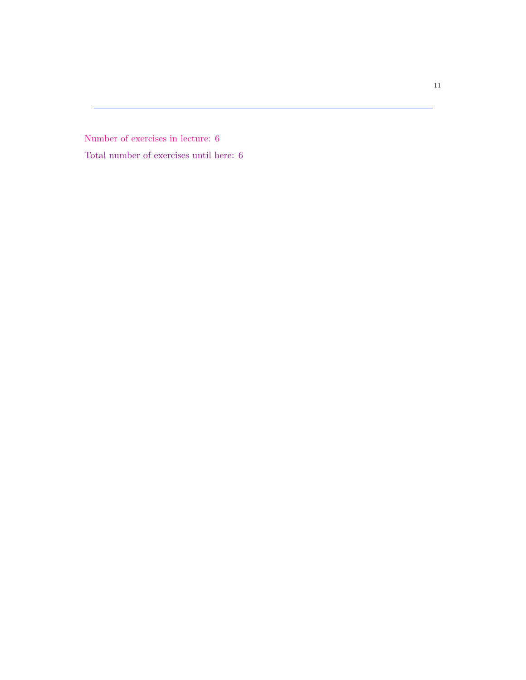<span id="page-10-0"></span>Number of exercises in lecture: 6 Total number of exercises until here: 6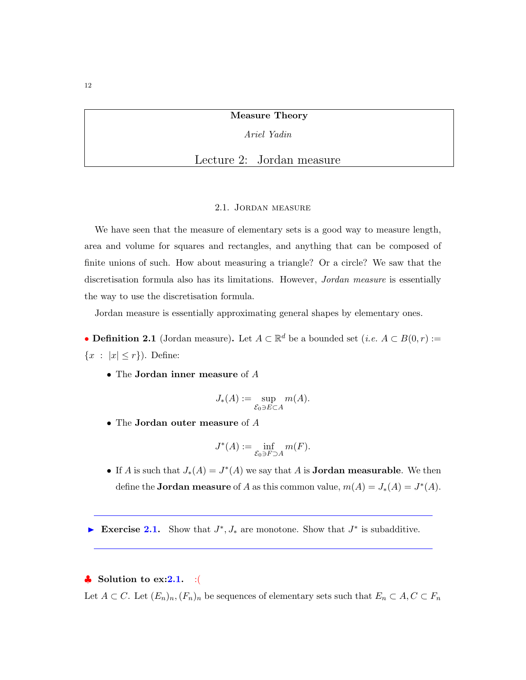Measure Theory

Ariel Yadin

Lecture 2: Jordan measure

#### 2.1. Jordan measure

<span id="page-11-0"></span>We have seen that the measure of elementary sets is a good way to measure length, area and volume for squares and rectangles, and anything that can be composed of finite unions of such. How about measuring a triangle? Or a circle? We saw that the discretisation formula also has its limitations. However, *Jordan measure* is essentially the way to use the discretisation formula.

Jordan measure is essentially approximating general shapes by elementary ones.

• **Definition 2.1** (Jordan measure). Let  $A \subset \mathbb{R}^d$  be a bounded set  $(i.e. A \subset B(0,r) :=$  ${x : |x| \leq r}$ . Define:

• The Jordan inner measure of A

$$
J_*(A) := \sup_{\mathcal{E}_0 \ni E \subset A} m(A).
$$

• The Jordan outer measure of A

$$
J^*(A) := \inf_{\mathcal{E}_0 \ni F \supset A} m(F).
$$

• If A is such that  $J_*(A) = J^*(A)$  we say that A is **Jordan measurable**. We then define the **Jordan measure** of A as this common value,  $m(A) = J_*(A) = J^*(A)$ .

Exercise 2.1. Show that  $J^*$ ,  $J_*$  are monotone. Show that  $J^*$  is subadditive.

# $\clubsuit$  Solution to ex:2.1. :

Let  $A \subset C$ . Let  $(E_n)_n$ ,  $(F_n)_n$  be sequences of elementary sets such that  $E_n \subset A, C \subset F_n$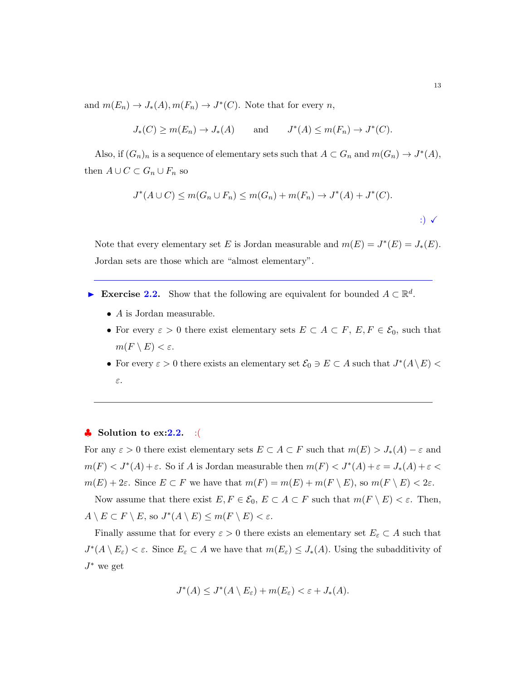and  $m(E_n) \to J_*(A), m(F_n) \to J^*(C)$ . Note that for every n,

$$
J_*(C) \ge m(E_n) \to J_*(A)
$$
 and  $J^*(A) \le m(F_n) \to J^*(C)$ .

Also, if  $(G_n)_n$  is a sequence of elementary sets such that  $A \subset G_n$  and  $m(G_n) \to J^*(A)$ , then  $A \cup C \subset G_n \cup F_n$  so

$$
J^*(A \cup C) \le m(G_n \cup F_n) \le m(G_n) + m(F_n) \to J^*(A) + J^*(C).
$$
  

$$
\therefore \qquad \qquad \therefore
$$

Note that every elementary set E is Jordan measurable and  $m(E) = J^*(E) = J_*(E)$ . Jordan sets are those which are "almost elementary".

- Exercise 2.2. Show that the following are equivalent for bounded  $A \subset \mathbb{R}^d$ .
	- $\bullet$  A is Jordan measurable.
	- For every  $\varepsilon > 0$  there exist elementary sets  $E \subset A \subset F$ ,  $E, F \in \mathcal{E}_0$ , such that  $m(F \setminus E) < \varepsilon$ .
	- For every  $\varepsilon > 0$  there exists an elementary set  $\mathcal{E}_0 \ni E \subset A$  such that  $J^*(A \setminus E) <$ ε.

#### $\bullet$  Solution to ex:2.2. :(

For any  $\varepsilon > 0$  there exist elementary sets  $E \subset A \subset F$  such that  $m(E) > J_*(A) - \varepsilon$  and  $m(F) < J^*(A) + \varepsilon$ . So if A is Jordan measurable then  $m(F) < J^*(A) + \varepsilon = J_*(A) + \varepsilon <$  $m(E) + 2\varepsilon$ . Since  $E \subset F$  we have that  $m(F) = m(E) + m(F \setminus E)$ , so  $m(F \setminus E) < 2\varepsilon$ .

Now assume that there exist  $E, F \in \mathcal{E}_0$ ,  $E \subset A \subset F$  such that  $m(F \setminus E) < \varepsilon$ . Then,  $A \setminus E \subset F \setminus E$ , so  $J^*(A \setminus E) \le m(F \setminus E) < \varepsilon$ .

Finally assume that for every  $\varepsilon > 0$  there exists an elementary set  $E_{\varepsilon} \subset A$  such that  $J^*(A \setminus E_\varepsilon) < \varepsilon$ . Since  $E_\varepsilon \subset A$  we have that  $m(E_\varepsilon) \leq J_*(A)$ . Using the subadditivity of  $J^*$  we get

$$
J^*(A) \leq J^*(A \setminus E_{\varepsilon}) + m(E_{\varepsilon}) < \varepsilon + J_*(A).
$$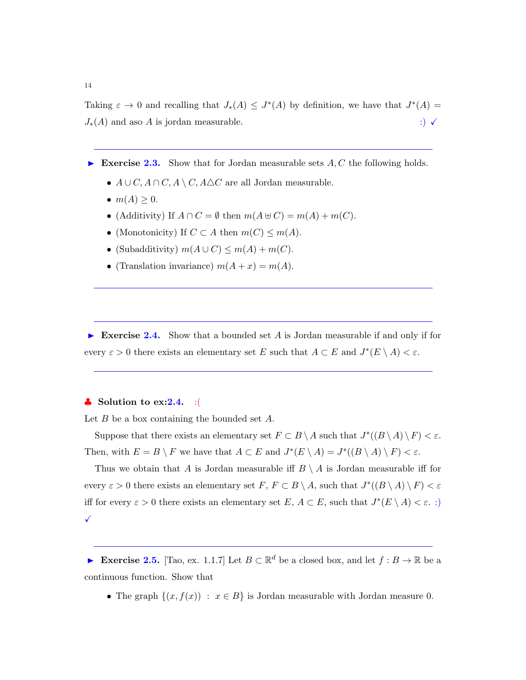Taking  $\varepsilon \to 0$  and recalling that  $J_*(A) \leq J^*(A)$  by definition, we have that  $J^*(A) =$  $J_*(A)$  and aso A is jordan measurable.  $\hspace{1.5cm}$  :)  $\checkmark$ 

- Exercise 2.3. Show that for Jordan measurable sets  $A, C$  the following holds.
	- $A \cup C$ ,  $A \cap C$ ,  $A \setminus C$ ,  $A \triangle C$  are all Jordan measurable.
	- $m(A) \geq 0$ .
	- (Additivity) If  $A \cap C = \emptyset$  then  $m(A \oplus C) = m(A) + m(C)$ .
	- (Monotonicity) If  $C \subset A$  then  $m(C) \leq m(A)$ .
	- (Subadditivity)  $m(A\cup C) \leq m(A) + m(C)$ .
	- (Translation invariance)  $m(A+x) = m(A)$ .

Exercise 2.4. Show that a bounded set A is Jordan measurable if and only if for every  $\varepsilon > 0$  there exists an elementary set E such that  $A \subset E$  and  $J^*(E \setminus A) < \varepsilon$ .

### $\bullet$  Solution to ex: 2.4. : (

Let  $B$  be a box containing the bounded set  $A$ .

Suppose that there exists an elementary set  $F \subset B \setminus A$  such that  $J^*(B \setminus A) \setminus F) < \varepsilon$ . Then, with  $E = B \setminus F$  we have that  $A \subset E$  and  $J^*(E \setminus A) = J^*((B \setminus A) \setminus F) < \varepsilon$ .

Thus we obtain that A is Jordan measurable iff  $B \setminus A$  is Jordan measurable iff for every  $\varepsilon > 0$  there exists an elementary set  $F, F \subset B \setminus A$ , such that  $J^*(B \setminus A) \setminus F) < \varepsilon$ iff for every  $\varepsilon > 0$  there exists an elementary set  $E, A \subset E$ , such that  $J^*(E \setminus A) < \varepsilon$ . :)  $\checkmark$ 

Exercise 2.5. [Tao, ex. 1.1.7] Let  $B \subset \mathbb{R}^d$  be a closed box, and let  $f : B \to \mathbb{R}$  be a continuous function. Show that

• The graph  $\{(x, f(x)) : x \in B\}$  is Jordan measurable with Jordan measure 0.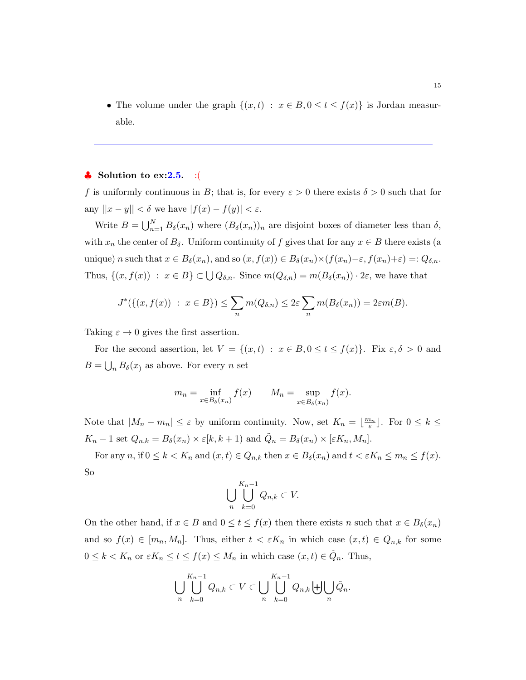• The volume under the graph  $\{(x,t) : x \in B, 0 \le t \le f(x)\}\)$  is Jordan measurable.

#### $\bullet$  Solution to ex:2.5. :(

f is uniformly continuous in B; that is, for every  $\varepsilon > 0$  there exists  $\delta > 0$  such that for any  $||x - y|| < \delta$  we have  $|f(x) - f(y)| < \varepsilon$ .

Write  $B = \bigcup_{n=1}^{N} B_{\delta}(x_n)$  where  $(B_{\delta}(x_n))_n$  are disjoint boxes of diameter less than  $\delta$ , with  $x_n$  the center of  $B_\delta$ . Uniform continuity of f gives that for any  $x \in B$  there exists (a unique) n such that  $x \in B_\delta(x_n)$ , and so  $(x, f(x)) \in B_\delta(x_n) \times (f(x_n) - \varepsilon, f(x_n) + \varepsilon) =: Q_{\delta,n}$ . Thus,  $\{(x, f(x)) : x \in B\} \subset \bigcup Q_{\delta,n}$ . Since  $m(Q_{\delta,n}) = m(B_{\delta}(x_n)) \cdot 2\varepsilon$ , we have that

$$
J^*(\{(x, f(x)) : x \in B\}) \le \sum_n m(Q_{\delta,n}) \le 2\varepsilon \sum_n m(B_{\delta}(x_n)) = 2\varepsilon m(B).
$$

Taking  $\varepsilon \to 0$  gives the first assertion.

For the second assertion, let  $V = \{(x, t) : x \in B, 0 \le t \le f(x)\}\$ . Fix  $\varepsilon, \delta > 0$  and  $B = \bigcup_n B_\delta(x)$  as above. For every *n* set

$$
m_n = \inf_{x \in B_\delta(x_n)} f(x) \qquad M_n = \sup_{x \in B_\delta(x_n)} f(x).
$$

Note that  $|M_n - m_n| \leq \varepsilon$  by uniform continuity. Now, set  $K_n = \lfloor \frac{m_n}{\varepsilon} \rfloor$ . For  $0 \leq k \leq$  $K_n - 1$  set  $Q_{n,k} = B_\delta(x_n) \times \varepsilon[k, k+1)$  and  $\tilde{Q}_n = B_\delta(x_n) \times [\varepsilon K_n, M_n].$ 

For any n, if  $0 \le k < K_n$  and  $(x, t) \in Q_{n,k}$  then  $x \in B_\delta(x_n)$  and  $t < \varepsilon K_n \le m_n \le f(x)$ . So

$$
\bigcup_{n}\bigcup_{k=0}^{K_n-1} Q_{n,k} \subset V.
$$

On the other hand, if  $x \in B$  and  $0 \le t \le f(x)$  then there exists n such that  $x \in B_\delta(x_n)$ and so  $f(x) \in [m_n, M_n]$ . Thus, either  $t < \varepsilon K_n$  in which case  $(x, t) \in Q_{n,k}$  for some  $0 \leq k < K_n$  or  $\varepsilon K_n \leq t \leq f(x) \leq M_n$  in which case  $(x, t) \in \tilde{Q}_n$ . Thus,

$$
\bigcup_{n} \bigcup_{k=0}^{K_n-1} Q_{n,k} \subset V \subset \bigcup_{n} \bigcup_{k=0}^{K_n-1} Q_{n,k} \biguplus \bigcup_{n} \tilde{Q}_n.
$$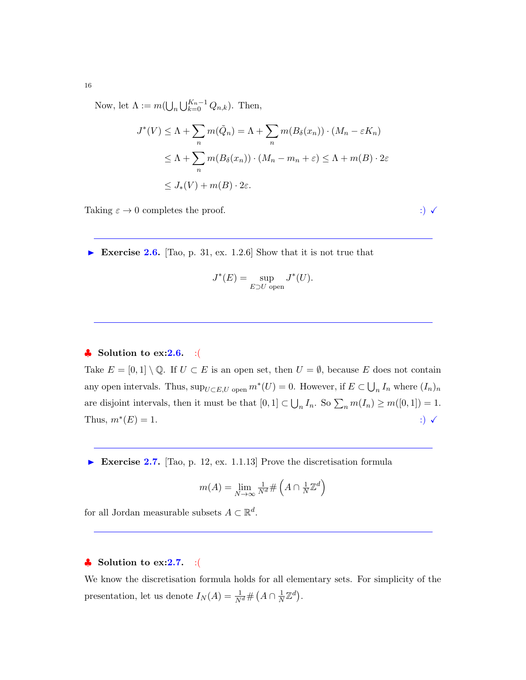Now, let  $\Lambda := m(\bigcup_n \bigcup_{k=0}^{K_n-1} Q_{n,k}).$  Then,

$$
J^*(V) \le \Lambda + \sum_n m(\tilde{Q}_n) = \Lambda + \sum_n m(B_\delta(x_n)) \cdot (M_n - \varepsilon K_n)
$$
  

$$
\le \Lambda + \sum_n m(B_\delta(x_n)) \cdot (M_n - m_n + \varepsilon) \le \Lambda + m(B) \cdot 2\varepsilon
$$
  

$$
\le J_*(V) + m(B) \cdot 2\varepsilon.
$$

Taking  $\varepsilon \to 0$  completes the proof. ::)  $\checkmark$ 

Exercise 2.6. [Tao, p. 31, ex. 1.2.6] Show that it is not true that

$$
J^*(E) = \sup_{E \supset U \text{ open}} J^*(U).
$$

# $\clubsuit$  Solution to ex:2.6. :(

Take  $E = [0,1] \setminus \mathbb{Q}$ . If  $U \subset E$  is an open set, then  $U = \emptyset$ , because E does not contain any open intervals. Thus,  $\sup_{U \subset E, U}$  open  $m^*(U) = 0$ . However, if  $E \subset \bigcup_n I_n$  where  $(I_n)_n$ are disjoint intervals, then it must be that  $[0,1] \subset \bigcup_n I_n$ . So  $\sum_n m(I_n) \ge m([0,1]) = 1$ . Thus,  $m^*(E) = 1$ .  $(E) = 1.$  :)  $\checkmark$ 

Exercise 2.7. [Tao, p. 12, ex. 1.1.13] Prove the discretisation formula

$$
m(A) = \lim_{N \to \infty} \frac{1}{N^d} \# \left( A \cap \frac{1}{N} \mathbb{Z}^d \right)
$$

for all Jordan measurable subsets  $A \subset \mathbb{R}^d$ .

# $\bullet$  Solution to ex:2.7. :(

We know the discretisation formula holds for all elementary sets. For simplicity of the presentation, let us denote  $I_N(A) = \frac{1}{N^d} \# (A \cap \frac{1}{N})$  $\frac{1}{N}\mathbb{Z}^d$ .

16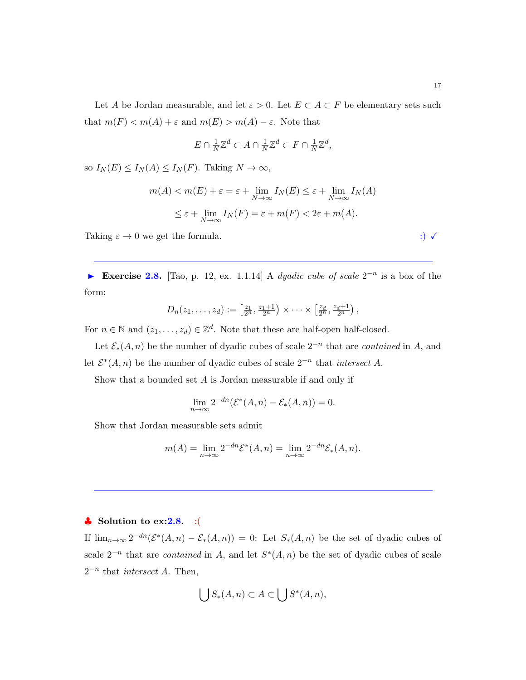Let A be Jordan measurable, and let  $\varepsilon > 0$ . Let  $E \subset A \subset F$  be elementary sets such that  $m(F) < m(A) + \varepsilon$  and  $m(E) > m(A) - \varepsilon$ . Note that

$$
E \cap \frac{1}{N} \mathbb{Z}^d \subset A \cap \frac{1}{N} \mathbb{Z}^d \subset F \cap \frac{1}{N} \mathbb{Z}^d,
$$

so  $I_N(E) \leq I_N(A) \leq I_N(F)$ . Taking  $N \to \infty$ ,

$$
m(A) < m(E) + \varepsilon = \varepsilon + \lim_{N \to \infty} I_N(E) \leq \varepsilon + \lim_{N \to \infty} I_N(A)
$$
\n
$$
\leq \varepsilon + \lim_{N \to \infty} I_N(F) = \varepsilon + m(F) < 2\varepsilon + m(A).
$$

Taking  $\varepsilon \to 0$  we get the formula. :)  $\checkmark$ 

► Exercise 2.8. [Tao, p. 12, ex. 1.1.14] A dyadic cube of scale  $2^{-n}$  is a box of the form:

$$
D_n(z_1,\ldots,z_d):=\left[\frac{z_1}{2^n},\frac{z_1+1}{2^n}\right)\times\cdots\times\left[\frac{z_d}{2^n},\frac{z_d+1}{2^n}\right),\,
$$

For  $n \in \mathbb{N}$  and  $(z_1, \ldots, z_d) \in \mathbb{Z}^d$ . Note that these are half-open half-closed.

Let  $\mathcal{E}_*(A,n)$  be the number of dyadic cubes of scale  $2^{-n}$  that are *contained* in A, and let  $\mathcal{E}^*(A,n)$  be the number of dyadic cubes of scale  $2^{-n}$  that *intersect* A.

Show that a bounded set  $A$  is Jordan measurable if and only if

$$
\lim_{n \to \infty} 2^{-dn} (\mathcal{E}^*(A, n) - \mathcal{E}_*(A, n)) = 0.
$$

Show that Jordan measurable sets admit

$$
m(A) = \lim_{n \to \infty} 2^{-dn} \mathcal{E}^*(A, n) = \lim_{n \to \infty} 2^{-dn} \mathcal{E}_*(A, n).
$$

## $\bullet$  Solution to ex:2.8. :(

If  $\lim_{n\to\infty} 2^{-dn}(\mathcal{E}^*(A,n)-\mathcal{E}_*(A,n))=0$ : Let  $S_*(A,n)$  be the set of dyadic cubes of scale  $2^{-n}$  that are *contained* in A, and let  $S^*(A,n)$  be the set of dyadic cubes of scale  $2^{-n}$  that *intersect A*. Then,

$$
\bigcup S_*(A, n) \subset A \subset \bigcup S^*(A, n),
$$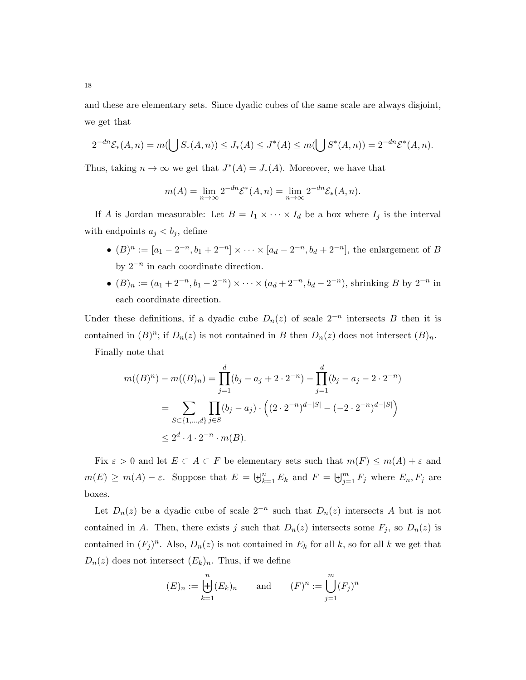and these are elementary sets. Since dyadic cubes of the same scale are always disjoint, we get that

$$
2^{-dn} \mathcal{E}_*(A, n) = m(\bigcup S_*(A, n)) \le J_*(A) \le J^*(A) \le m(\bigcup S^*(A, n)) = 2^{-dn} \mathcal{E}^*(A, n).
$$

Thus, taking  $n \to \infty$  we get that  $J^*(A) = J_*(A)$ . Moreover, we have that

$$
m(A) = \lim_{n \to \infty} 2^{-dn} \mathcal{E}^*(A, n) = \lim_{n \to \infty} 2^{-dn} \mathcal{E}_*(A, n).
$$

If A is Jordan measurable: Let  $B = I_1 \times \cdots \times I_d$  be a box where  $I_j$  is the interval with endpoints  $a_j < b_j$ , define

- $(B)^n := [a_1 2^{-n}, b_1 + 2^{-n}] \times \cdots \times [a_d 2^{-n}, b_d + 2^{-n}]$ , the enlargement of B by  $2^{-n}$  in each coordinate direction.
- $(B)_n := (a_1 + 2^{-n}, b_1 2^{-n}) \times \cdots \times (a_d + 2^{-n}, b_d 2^{-n})$ , shrinking B by  $2^{-n}$  in each coordinate direction.

Under these definitions, if a dyadic cube  $D_n(z)$  of scale  $2^{-n}$  intersects B then it is contained in  $(B)^n$ ; if  $D_n(z)$  is not contained in B then  $D_n(z)$  does not intersect  $(B)_n$ . Finally note that

$$
m((B)^n) - m((B)_n) = \prod_{j=1}^d (b_j - a_j + 2 \cdot 2^{-n}) - \prod_{j=1}^d (b_j - a_j - 2 \cdot 2^{-n})
$$
  
= 
$$
\sum_{S \subset \{1, \dots, d\}} \prod_{j \in S} (b_j - a_j) \cdot \left( (2 \cdot 2^{-n})^{d - |S|} - (-2 \cdot 2^{-n})^{d - |S|} \right)
$$
  

$$
\leq 2^d \cdot 4 \cdot 2^{-n} \cdot m(B).
$$

Fix  $\varepsilon > 0$  and let  $E \subset A \subset F$  be elementary sets such that  $m(F) \le m(A) + \varepsilon$  and  $m(E) \geq m(A) - \varepsilon$ . Suppose that  $E = \biguplus_{k=1}^{n} E_k$  and  $F = \biguplus_{j=1}^{m} F_j$  where  $E_n, F_j$  are boxes.

Let  $D_n(z)$  be a dyadic cube of scale  $2^{-n}$  such that  $D_n(z)$  intersects A but is not contained in A. Then, there exists j such that  $D_n(z)$  intersects some  $F_j$ , so  $D_n(z)$  is contained in  $(F_j)^n$ . Also,  $D_n(z)$  is not contained in  $E_k$  for all k, so for all k we get that  $D_n(z)$  does not intersect  $(E_k)_n$ . Thus, if we define

$$
(E)_n := \biguplus_{k=1}^n (E_k)_n \qquad \text{and} \qquad (F)^n := \bigcup_{j=1}^m (F_j)^n
$$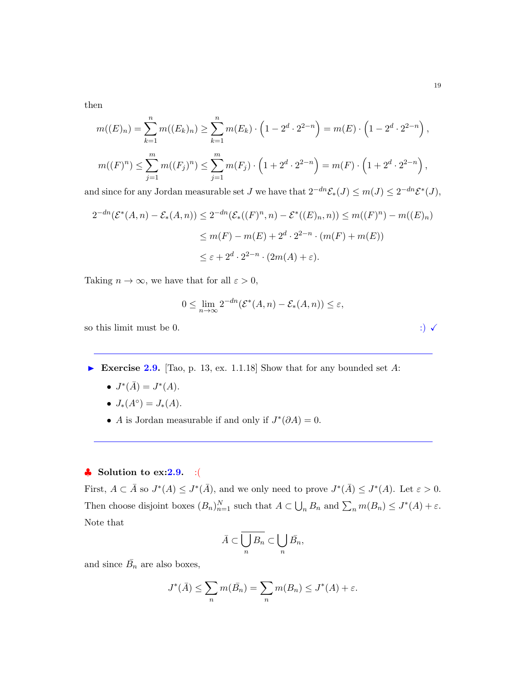then

$$
m((E)_n) = \sum_{k=1}^n m((E_k)_n) \ge \sum_{k=1}^n m(E_k) \cdot \left(1 - 2^d \cdot 2^{2-n}\right) = m(E) \cdot \left(1 - 2^d \cdot 2^{2-n}\right),
$$
  

$$
m((F)^n) \le \sum_{j=1}^m m((F_j)^n) \le \sum_{j=1}^m m(F_j) \cdot \left(1 + 2^d \cdot 2^{2-n}\right) = m(F) \cdot \left(1 + 2^d \cdot 2^{2-n}\right),
$$

and since for any Jordan measurable set J we have that  $2^{-dn} \mathcal{E}_*(J) \leq m(J) \leq 2^{-dn} \mathcal{E}^*(J)$ ,

$$
2^{-dn}(\mathcal{E}^*(A,n) - \mathcal{E}_*(A,n)) \le 2^{-dn}(\mathcal{E}_*((F)^n, n) - \mathcal{E}^*((E)_n, n)) \le m((F)^n) - m((E)_n)
$$
  

$$
\le m(F) - m(E) + 2^d \cdot 2^{2-n} \cdot (m(F) + m(E))
$$
  

$$
\le \varepsilon + 2^d \cdot 2^{2-n} \cdot (2m(A) + \varepsilon).
$$

Taking  $n \to \infty$ , we have that for all  $\varepsilon > 0$ ,

$$
0 \leq \lim_{n \to \infty} 2^{-dn} (\mathcal{E}^*(A, n) - \mathcal{E}_*(A, n)) \leq \varepsilon,
$$

so this limit must be 0.  $\hspace{1.5cm}$  :)  $\checkmark$ 

Exercise 2.9. [Tao, p. 13, ex. 1.1.18] Show that for any bounded set  $A$ :

- $J^*(\bar{A}) = J^*(A)$ .
- $J_*(A^{\circ}) = J_*(A)$ .
- A is Jordan measurable if and only if  $J^*(\partial A) = 0$ .

# $\bullet$  Solution to ex:2.9. :(

First,  $A \subset \overline{A}$  so  $J^*(A) \leq J^*(\overline{A})$ , and we only need to prove  $J^*(\overline{A}) \leq J^*(A)$ . Let  $\varepsilon > 0$ . Then choose disjoint boxes  $(B_n)_{n=1}^N$  such that  $A \subset \bigcup_n B_n$  and  $\sum_n m(B_n) \leq J^*(A) + \varepsilon$ . Note that

$$
\bar{A}\subset \overline{\bigcup_n B_n}\subset \bigcup_n \bar{B_n},
$$

and since  $\bar{B_n}$  are also boxes,

$$
J^*(\overline{A}) \le \sum_n m(\overline{B}_n) = \sum_n m(B_n) \le J^*(A) + \varepsilon.
$$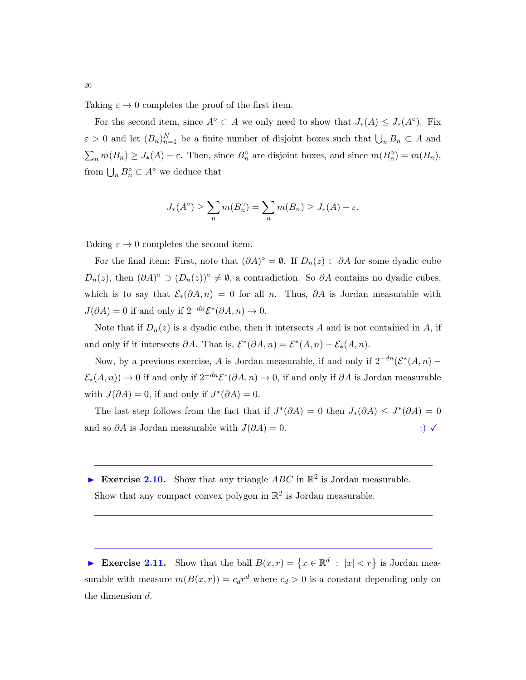Taking  $\varepsilon \to 0$  completes the proof of the first item.

For the second item, since  $A^{\circ} \subset A$  we only need to show that  $J_*(A) \leq J_*(A^{\circ})$ . Fix  $\varepsilon > 0$  and let  $(B_n)_{n=1}^N$  be a finite number of disjoint boxes such that  $\bigcup_n B_n \subset A$  and  $\sum_n m(B_n) \geq J_*(A) - \varepsilon$ . Then, since  $B_n^{\circ}$  are disjoint boxes, and since  $m(B_n^{\circ}) = m(B_n)$ , from  $\bigcup_n B_n^{\circ} \subset A^{\circ}$  we deduce that

$$
J_*(A^{\circ}) \ge \sum_n m(B_n^{\circ}) = \sum_n m(B_n) \ge J_*(A) - \varepsilon.
$$

Taking  $\varepsilon \to 0$  completes the second item.

For the final item: First, note that  $(\partial A)^{\circ} = \emptyset$ . If  $D_n(z) \subset \partial A$  for some dyadic cube  $D_n(z)$ , then  $(\partial A)^\circ \supset (D_n(z))^\circ \neq \emptyset$ , a contradiction. So  $\partial A$  contains no dyadic cubes, which is to say that  $\mathcal{E}_*(\partial A, n) = 0$  for all n. Thus,  $\partial A$  is Jordan measurable with  $J(\partial A) = 0$  if and only if  $2^{-dn} \mathcal{E}^*(\partial A, n) \to 0$ .

Note that if  $D_n(z)$  is a dyadic cube, then it intersects A and is not contained in A, if and only if it intersects  $\partial A$ . That is,  $\mathcal{E}^*(\partial A, n) = \mathcal{E}^*(A, n) - \mathcal{E}_*(A, n)$ .

Now, by a previous exercise, A is Jordan measurable, if and only if  $2^{-dn}(\mathcal{E}^*(A,n) \mathcal{E}_*(A,n)$  → 0 if and only if  $2^{-dn}\mathcal{E}^*(\partial A,n) \to 0$ , if and only if  $\partial A$  is Jordan measurable with  $J(\partial A) = 0$ , if and only if  $J^*(\partial A) = 0$ .

The last step follows from the fact that if  $J^*(\partial A) = 0$  then  $J_*(\partial A) \le J^*(\partial A) = 0$ and so  $\partial A$  is Jordan measurable with  $J(\partial A) = 0$ . :)  $\checkmark$ 

Exercise 2.10. Show that any triangle  $ABC$  in  $\mathbb{R}^2$  is Jordan measurable. Show that any compact convex polygon in  $\mathbb{R}^2$  is Jordan measurable.

Exercise 2.11. Show that the ball  $B(x,r) = \{x \in \mathbb{R}^d : |x| < r\}$  is Jordan measurable with measure  $m(B(x, r)) = c_d r^d$  where  $c_d > 0$  is a constant depending only on the dimension d.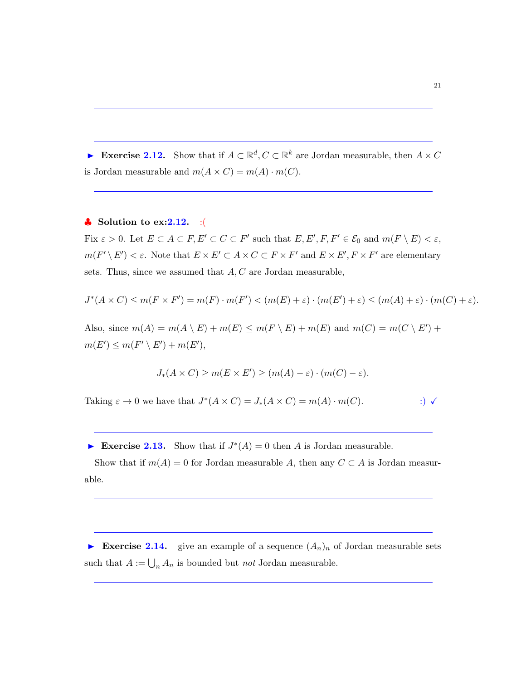Exercise 2.12. Show that if  $A \subset \mathbb{R}^d, C \subset \mathbb{R}^k$  are Jordan measurable, then  $A \times C$ is Jordan measurable and  $m(A \times C) = m(A) \cdot m(C)$ .

# $\bullet$  Solution to ex: 2.12. : (

Fix  $\varepsilon > 0$ . Let  $E \subset A \subset F, E' \subset C \subset F'$  such that  $E, E', F, F' \in \mathcal{E}_0$  and  $m(F \setminus E) < \varepsilon$ ,  $m(F' \setminus E') < \varepsilon$ . Note that  $E \times E' \subset A \times C \subset F \times F'$  and  $E \times E', F \times F'$  are elementary sets. Thus, since we assumed that  $A, C$  are Jordan measurable,

$$
J^*(A \times C) \le m(F \times F') = m(F) \cdot m(F') < (m(E) + \varepsilon) \cdot (m(E') + \varepsilon) \le (m(A) + \varepsilon) \cdot (m(C) + \varepsilon).
$$

Also, since  $m(A) = m(A \setminus E) + m(E) \le m(F \setminus E) + m(E)$  and  $m(C) = m(C \setminus E') +$  $m(E') \leq m(F' \setminus E') + m(E'),$ 

$$
J_*(A \times C) \ge m(E \times E') \ge (m(A) - \varepsilon) \cdot (m(C) - \varepsilon).
$$

Taking  $\varepsilon \to 0$  we have that  $J^*(A \times C) = J_*(A \times C) = m(A) \cdot m(C)$ . :)  $\checkmark$ 

Exercise 2.13. Show that if  $J^*(A) = 0$  then A is Jordan measurable.

Show that if  $m(A) = 0$  for Jordan measurable A, then any  $C \subset A$  is Jordan measurable.

Exercise 2.14. give an example of a sequence  $(A_n)_n$  of Jordan measurable sets such that  $A := \bigcup_n A_n$  is bounded but *not* Jordan measurable.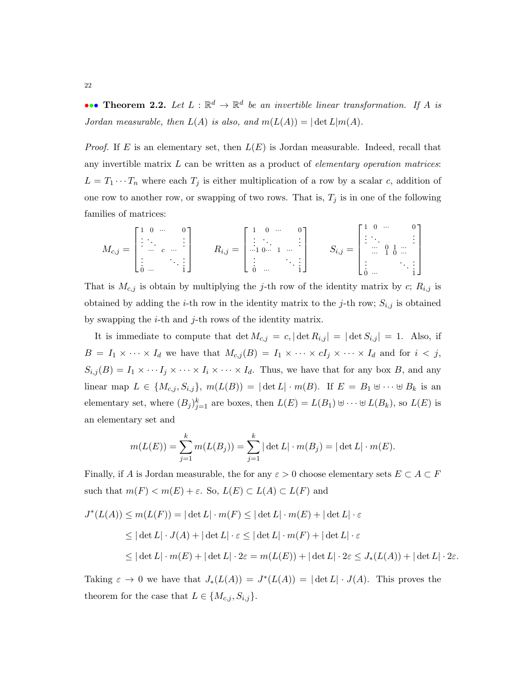••• Theorem 2.2. Let  $L : \mathbb{R}^d \to \mathbb{R}^d$  be an invertible linear transformation. If A is Jordan measurable, then  $L(A)$  is also, and  $m(L(A)) = |\det L|m(A)|$ .

*Proof.* If E is an elementary set, then  $L(E)$  is Jordan measurable. Indeed, recall that any invertible matrix  $L$  can be written as a product of *elementary operation matrices*:  $L = T_1 \cdots T_n$  where each  $T_j$  is either multiplication of a row by a scalar c, addition of one row to another row, or swapping of two rows. That is,  $T_j$  is in one of the following families of matrices:

$$
M_{c,j} = \begin{bmatrix} 1 & 0 & \cdots & 0 \\ \vdots & \ddots & & \vdots \\ \vdots & & \ddots & \vdots \\ \vdots & & & \ddots \\ 0 & \cdots & & & 1 \end{bmatrix} \qquad R_{i,j} = \begin{bmatrix} 1 & 0 & \cdots & 0 \\ \vdots & \ddots & & \vdots \\ \cdots & 1 & \cdots & \vdots \\ \vdots & & & \ddots \\ 0 & \cdots & & & 1 \end{bmatrix} \qquad S_{i,j} = \begin{bmatrix} 1 & 0 & \cdots & 0 \\ \vdots & \ddots & & \vdots \\ \cdots & 0 & 1 & \cdots \\ \vdots & & & \ddots \\ \vdots & & & & \vdots \\ 0 & \cdots & & & & 1 \end{bmatrix}
$$

That is  $M_{c,j}$  is obtain by multiplying the j-th row of the identity matrix by c;  $R_{i,j}$  is obtained by adding the *i*-th row in the identity matrix to the *j*-th row;  $S_{i,j}$  is obtained by swapping the  $i$ -th and  $j$ -th rows of the identity matrix.

It is immediate to compute that  $\det M_{c,j} = c, |\det R_{i,j}| = |\det S_{i,j}| = 1$ . Also, if  $B = I_1 \times \cdots \times I_d$  we have that  $M_{c,j}(B) = I_1 \times \cdots \times cI_j \times \cdots \times I_d$  and for  $i < j$ ,  $S_{i,j}(B) = I_1 \times \cdots I_j \times \cdots \times I_i \times \cdots \times I_d$ . Thus, we have that for any box B, and any linear map  $L \in \{M_{c,j}, S_{i,j}\}, m(L(B)) = |\det L| \cdot m(B)$ . If  $E = B_1 \uplus \cdots \uplus B_k$  is an elementary set, where  $(B_j)_{j=1}^k$  are boxes, then  $L(E) = L(B_1) \cup \cdots \cup L(B_k)$ , so  $L(E)$  is an elementary set and

$$
m(L(E)) = \sum_{j=1}^{k} m(L(B_j)) = \sum_{j=1}^{k} |\det L| \cdot m(B_j) = |\det L| \cdot m(E).
$$

Finally, if A is Jordan measurable, the for any  $\varepsilon > 0$  choose elementary sets  $E \subset A \subset F$ such that  $m(F) < m(E) + \varepsilon$ . So,  $L(E) \subset L(A) \subset L(F)$  and

$$
J^*(L(A)) \le m(L(F)) = |\det L| \cdot m(F) \le |\det L| \cdot m(E) + |\det L| \cdot \varepsilon
$$
  
\n
$$
\le |\det L| \cdot J(A) + |\det L| \cdot \varepsilon \le |\det L| \cdot m(F) + |\det L| \cdot \varepsilon
$$
  
\n
$$
\le |\det L| \cdot m(E) + |\det L| \cdot 2\varepsilon = m(L(E)) + |\det L| \cdot 2\varepsilon \le J_*(L(A)) + |\det L| \cdot 2\varepsilon.
$$

Taking  $\varepsilon \to 0$  we have that  $J_*(L(A)) = J^*(L(A)) = |\det L| \cdot J(A)$ . This proves the theorem for the case that  $L \in \{M_{c,j}, S_{i,j}\}.$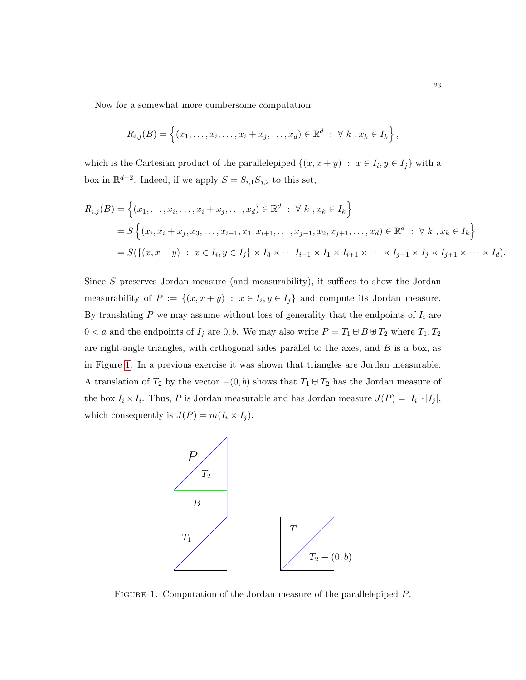Now for a somewhat more cumbersome computation:

$$
R_{i,j}(B) = \left\{ (x_1, \ldots, x_i, \ldots, x_i + x_j, \ldots, x_d) \in \mathbb{R}^d : \forall k , x_k \in I_k \right\},\
$$

which is the Cartesian product of the parallelepiped  $\{(x, x + y) : x \in I_i, y \in I_j\}$  with a box in  $\mathbb{R}^{d-2}$ . Indeed, if we apply  $S = S_{i,1}S_{j,2}$  to this set,

$$
R_{i,j}(B) = \left\{ (x_1, \ldots, x_i, \ldots, x_i + x_j, \ldots, x_d) \in \mathbb{R}^d : \forall k, x_k \in I_k \right\}
$$
  
=  $S \left\{ (x_i, x_i + x_j, x_3, \ldots, x_{i-1}, x_1, x_{i+1}, \ldots, x_{j-1}, x_2, x_{j+1}, \ldots, x_d) \in \mathbb{R}^d : \forall k, x_k \in I_k \right\}$   
=  $S(\left\{ (x, x + y) : x \in I_i, y \in I_j \right\} \times I_3 \times \cdots I_{i-1} \times I_1 \times I_{i+1} \times \cdots \times I_{j-1} \times I_j \times I_{j+1} \times \cdots \times I_d).$ 

Since S preserves Jordan measure (and measurability), it suffices to show the Jordan measurability of  $P := \{(x, x + y) : x \in I_i, y \in I_j\}$  and compute its Jordan measure. By translating  $P$  we may assume without loss of generality that the endpoints of  $I_i$  are  $0 < a$  and the endpoints of  $I_j$  are  $0, b$ . We may also write  $P = T_1 \uplus B \uplus T_2$  where  $T_1, T_2$ are right-angle triangles, with orthogonal sides parallel to the axes, and  $B$  is a box, as in Figure [1.](#page-22-0) In a previous exercise it was shown that triangles are Jordan measurable. A translation of  $T_2$  by the vector  $-(0, b)$  shows that  $T_1 \oplus T_2$  has the Jordan measure of the box  $I_i \times I_i$ . Thus, P is Jordan measurable and has Jordan measure  $J(P) = |I_i| \cdot |I_j|$ , which consequently is  $J(P) = m(I_i \times I_j)$ .



<span id="page-22-0"></span>FIGURE 1. Computation of the Jordan measure of the parallelepiped  $P$ .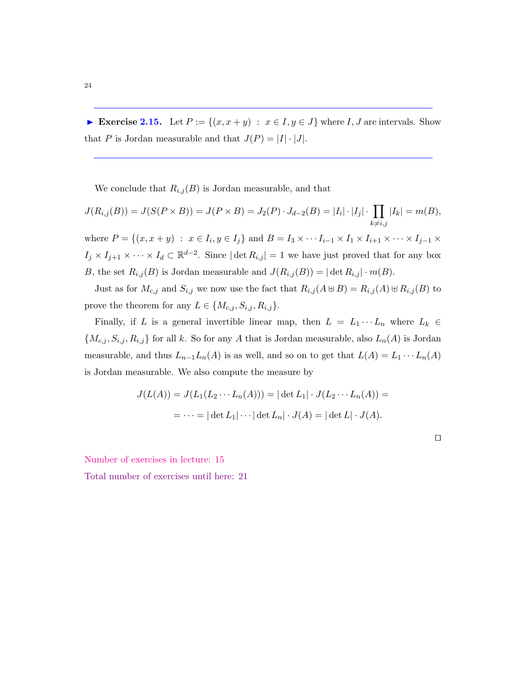<span id="page-23-0"></span>Exercise 2.15. Let  $P := \{(x, x + y) : x \in I, y \in J\}$  where I, J are intervals. Show that P is Jordan measurable and that  $J(P) = |I| \cdot |J|$ .

We conclude that  $R_{i,j}(B)$  is Jordan measurable, and that

$$
J(R_{i,j}(B)) = J(S(P \times B)) = J(P \times B) = J_2(P) \cdot J_{d-2}(B) = |I_i| \cdot |I_j| \cdot \prod_{k \neq i,j} |I_k| = m(B),
$$

where  $P = \{(x, x + y) : x \in I_i, y \in I_j\}$  and  $B = I_3 \times \cdots I_{i-1} \times I_1 \times I_{i+1} \times \cdots \times I_{j-1} \times I_j\}$  $I_j \times I_{j+1} \times \cdots \times I_d \subset \mathbb{R}^{d-2}$ . Since  $|\det R_{i,j}| = 1$  we have just proved that for any box B, the set  $R_{i,j}(B)$  is Jordan measurable and  $J(R_{i,j}(B)) = |\det R_{i,j}| \cdot m(B)$ .

Just as for  $M_{c,j}$  and  $S_{i,j}$  we now use the fact that  $R_{i,j} (A \uplus B) = R_{i,j} (A) \uplus R_{i,j} (B)$  to prove the theorem for any  $L \in \{M_{c,j}, S_{i,j}, R_{i,j}\}.$ 

Finally, if L is a general invertible linear map, then  $L = L_1 \cdots L_n$  where  $L_k \in$  ${M_{c,j, S_{i,j}, R_{i,j}}\}$  for all k. So for any A that is Jordan measurable, also  $L_n(A)$  is Jordan measurable, and thus  $L_{n-1}L_n(A)$  is as well, and so on to get that  $L(A) = L_1 \cdots L_n(A)$ is Jordan measurable. We also compute the measure by

$$
J(L(A)) = J(L_1(L_2 \cdots L_n(A))) = |\det L_1| \cdot J(L_2 \cdots L_n(A)) =
$$
  
= 
$$
\cdots = |\det L_1| \cdots |\det L_n| \cdot J(A) = |\det L| \cdot J(A).
$$

 $\Box$ 

Number of exercises in lecture: 15

<span id="page-23-1"></span>Total number of exercises until here: 21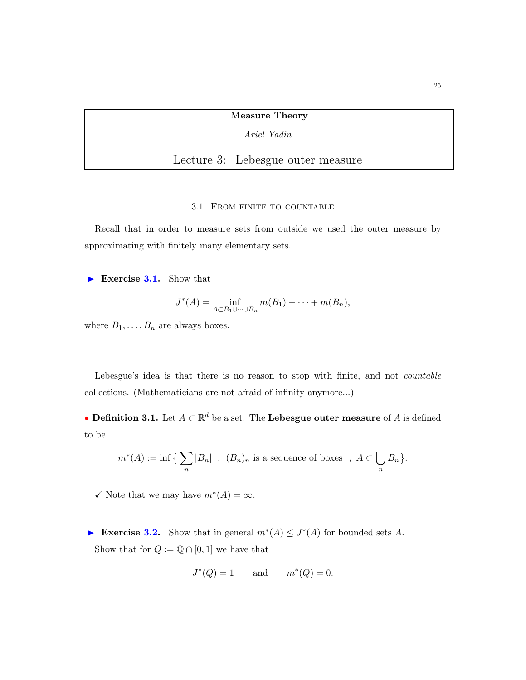#### Measure Theory

Ariel Yadin

Lecture 3: Lebesgue outer measure

#### 3.1. From finite to countable

<span id="page-24-0"></span>Recall that in order to measure sets from outside we used the outer measure by approximating with finitely many elementary sets.

Exercise 3.1. Show that

$$
J^*(A) = \inf_{A \subset B_1 \cup \dots \cup B_n} m(B_1) + \dots + m(B_n),
$$

where  $B_1, \ldots, B_n$  are always boxes.

Lebesgue's idea is that there is no reason to stop with finite, and not *countable* collections. (Mathematicians are not afraid of infinity anymore...)

• Definition 3.1. Let  $A \subset \mathbb{R}^d$  be a set. The Lebesgue outer measure of A is defined to be

$$
m^*(A) := \inf \big\{ \sum_n |B_n| \ : \ (B_n)_n \text{ is a sequence of boxes } , A \subset \bigcup_n B_n \big\}.
$$

 $\checkmark$  Note that we may have  $m^*(A) = \infty$ .

► Exercise 3.2. Show that in general  $m^*(A) \leq J^*(A)$  for bounded sets A. Show that for  $Q := \mathbb{Q} \cap [0,1]$  we have that

$$
J^*(Q) = 1 \qquad \text{and} \qquad m^*(Q) = 0.
$$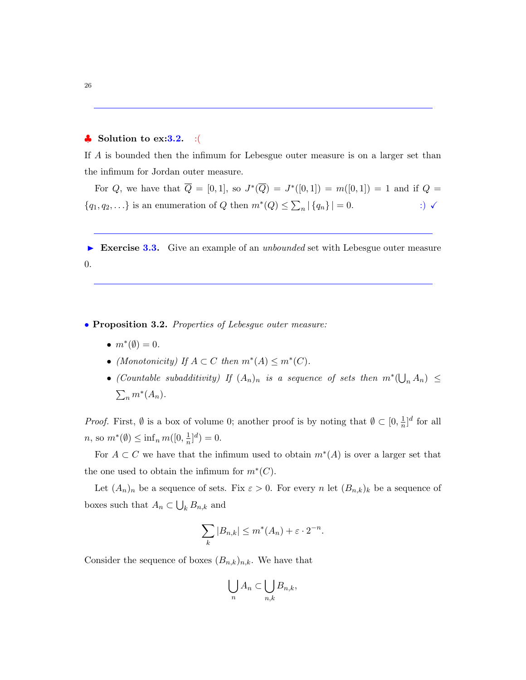# $\bullet$  Solution to ex: 3.2. : (

If A is bounded then the infimum for Lebesgue outer measure is on a larger set than the infimum for Jordan outer measure.

For Q, we have that  $Q = [0,1]$ , so  $J^*(Q) = J^*([0,1]) = m([0,1]) = 1$  and if  $Q =$  ${q_1, q_2,...}$  is an enumeration of Q then  $m^*(Q) \le \sum_n |\{q_n\}| = 0.$  :)  $\checkmark$ 

Exercise 3.3. Give an example of an unbounded set with Lebesgue outer measure 0.

• Proposition 3.2. Properties of Lebesgue outer measure:

- $m^*(\emptyset) = 0$ .
- (Monotonicity) If  $A \subset C$  then  $m^*(A) \leq m^*(C)$ .
- (Countable subadditivity) If  $(A_n)_n$  is a sequence of sets then  $m^*(\bigcup_n A_n) \leq$  $\sum_n m^*(A_n)$ .

*Proof.* First,  $\emptyset$  is a box of volume 0; another proof is by noting that  $\emptyset \subset [0, \frac{1}{n}]$  $\frac{1}{n}]$ <sup>d</sup> for all  $n, \text{ so } m^*(\emptyset) \leq \inf_n m([0, \frac{1}{n}$  $\frac{1}{n}]^d$ ) = 0.

For  $A \subset C$  we have that the infimum used to obtain  $m^*(A)$  is over a larger set that the one used to obtain the infimum for  $m^*(C)$ .

Let  $(A_n)_n$  be a sequence of sets. Fix  $\varepsilon > 0$ . For every n let  $(B_{n,k})_k$  be a sequence of boxes such that  $A_n \subset \bigcup_k B_{n,k}$  and

$$
\sum_{k} |B_{n,k}| \le m^*(A_n) + \varepsilon \cdot 2^{-n}.
$$

Consider the sequence of boxes  $(B_{n,k})_{n,k}$ . We have that

$$
\bigcup_n A_n \subset \bigcup_{n,k} B_{n,k},
$$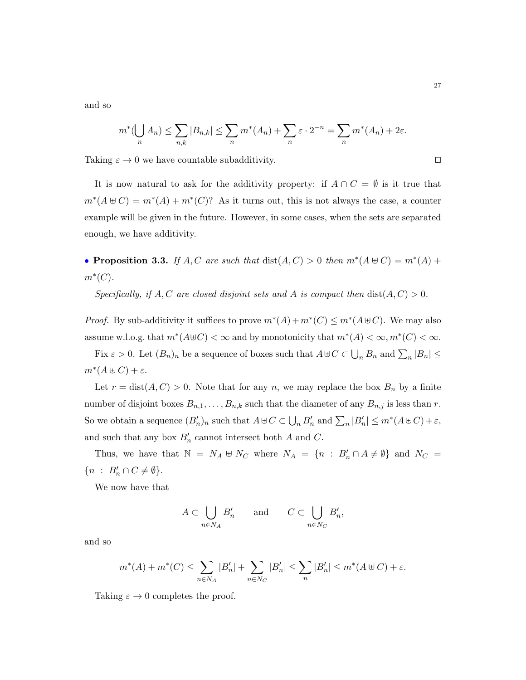and so

$$
m^*(\bigcup_n A_n) \le \sum_{n,k} |B_{n,k}| \le \sum_n m^*(A_n) + \sum_n \varepsilon \cdot 2^{-n} = \sum_n m^*(A_n) + 2\varepsilon.
$$

Taking  $\varepsilon \to 0$  we have countable subadditivity.

It is now natural to ask for the additivity property: if  $A \cap C = \emptyset$  is it true that  $m^*(A \oplus C) = m^*(A) + m^*(C)$ ? As it turns out, this is not always the case, a counter example will be given in the future. However, in some cases, when the sets are separated enough, we have additivity.

• Proposition 3.3. If  $A, C$  are such that  $dist(A, C) > 0$  then  $m^*(A \oplus C) = m^*(A) +$  $m^*(C)$ .

Specifically, if A, C are closed disjoint sets and A is compact then  $dist(A, C) > 0$ .

*Proof.* By sub-additivity it suffices to prove  $m^*(A) + m^*(C) \le m^*(A \oplus C)$ . We may also assume w.l.o.g. that  $m^*(A \oplus C) < \infty$  and by monotonicity that  $m^*(A) < \infty, m^*(C) < \infty$ . Fix  $\varepsilon > 0$ . Let  $(B_n)_n$  be a sequence of boxes such that  $A \cup C \subset \bigcup_n B_n$  and  $\sum_n |B_n| \le$ 

$$
m^*(A \uplus C) + \varepsilon.
$$

Let  $r = \text{dist}(A, C) > 0$ . Note that for any n, we may replace the box  $B_n$  by a finite number of disjoint boxes  $B_{n,1}, \ldots, B_{n,k}$  such that the diameter of any  $B_{n,j}$  is less than r. So we obtain a sequence  $(B'_n)_n$  such that  $A \oplus C \subset \bigcup_n B'_n$  and  $\sum_n |B'_n| \leq m^*(A \oplus C) + \varepsilon$ , and such that any box  $B'_n$  cannot intersect both A and C.

Thus, we have that  $\mathbb{N} = N_A \oplus N_C$  where  $N_A = \{n : B'_n \cap A \neq \emptyset\}$  and  $N_C =$  $\{n : B'_n \cap C \neq \emptyset\}.$ 

We now have that

$$
A \subset \bigcup_{n \in N_A} B'_n \quad \text{and} \quad C \subset \bigcup_{n \in N_C} B'_n,
$$

and so

$$
m^*(A)+m^*(C)\leq \sum_{n\in N_A} |B'_n|+\sum_{n\in N_C} |B'_n|\leq \sum_n |B'_n|\leq m^*(A\uplus C)+\varepsilon.
$$

Taking  $\varepsilon \to 0$  completes the proof.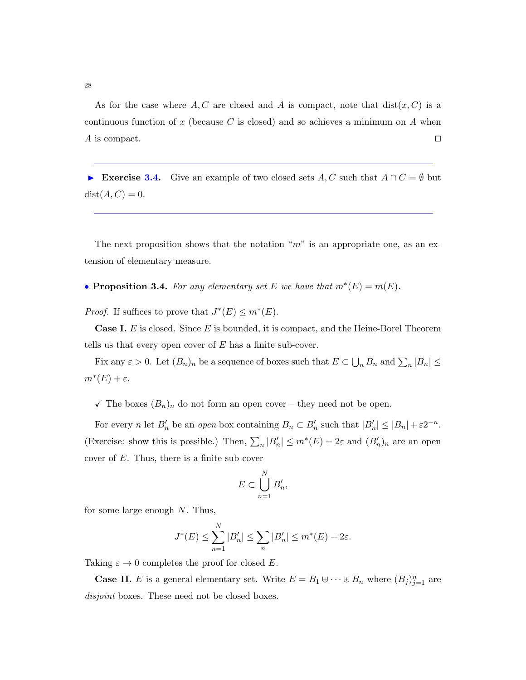As for the case where A, C are closed and A is compact, note that  $dist(x, C)$  is a continuous function of x (because C is closed) and so achieves a minimum on  $A$  when A is compact.  $\Box$ 

Exercise 3.4. Give an example of two closed sets A, C such that  $A \cap C = \emptyset$  but  $dist(A, C) = 0.$ 

The next proposition shows that the notation " $m$ " is an appropriate one, as an extension of elementary measure.

• **Proposition 3.4.** For any elementary set E we have that  $m^*(E) = m(E)$ .

*Proof.* If suffices to prove that  $J^*(E) \le m^*(E)$ .

**Case I.** E is closed. Since E is bounded, it is compact, and the Heine-Borel Theorem tells us that every open cover of  $E$  has a finite sub-cover.

Fix any  $\varepsilon > 0$ . Let  $(B_n)_n$  be a sequence of boxes such that  $E \subset \bigcup_n B_n$  and  $\sum_n |B_n| \le$  $m^*(E)+\varepsilon.$ 

 $\checkmark$  The boxes  $(B_n)_n$  do not form an open cover – they need not be open.

For every *n* let  $B'_n$  be an *open* box containing  $B_n \subset B'_n$  such that  $|B'_n| \leq |B_n| + \varepsilon 2^{-n}$ . (Exercise: show this is possible.) Then,  $\sum_n |B'_n| \leq m^*(E) + 2\varepsilon$  and  $(B'_n)_n$  are an open cover of  $E$ . Thus, there is a finite sub-cover

$$
E \subset \bigcup_{n=1}^N B'_n,
$$

for some large enough  $N$ . Thus,

$$
J^*(E) \le \sum_{n=1}^N |B'_n| \le \sum_n |B'_n| \le m^*(E) + 2\varepsilon.
$$

Taking  $\varepsilon \to 0$  completes the proof for closed E.

**Case II.** E is a general elementary set. Write  $E = B_1 \oplus \cdots \oplus B_n$  where  $(B_j)_{j=1}^n$  are disjoint boxes. These need not be closed boxes.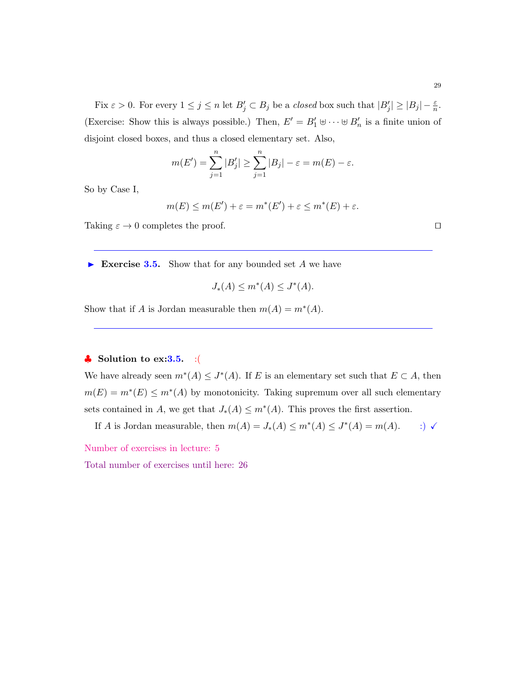Fix  $\varepsilon > 0$ . For every  $1 \leq j \leq n$  let  $B'_j \subset B_j$  be a *closed* box such that  $|B'_j| \geq |B_j| - \frac{\varepsilon}{n}$ . (Exercise: Show this is always possible.) Then,  $E' = B'_1 \oplus \cdots \oplus B'_n$  is a finite union of disjoint closed boxes, and thus a closed elementary set. Also,

$$
m(E') = \sum_{j=1}^{n} |B'_j| \ge \sum_{j=1}^{n} |B_j| - \varepsilon = m(E) - \varepsilon.
$$

So by Case I,

$$
m(E) \le m(E') + \varepsilon = m^*(E') + \varepsilon \le m^*(E) + \varepsilon.
$$

<span id="page-28-0"></span>Taking  $\varepsilon \to 0$  completes the proof.

Exercise 3.5. Show that for any bounded set  $A$  we have

$$
J_*(A) \le m^*(A) \le J^*(A).
$$

Show that if A is Jordan measurable then  $m(A) = m^*(A)$ .

# $\clubsuit$  Solution to ex: 3.5. : (

We have already seen  $m^*(A) \leq J^*(A)$ . If E is an elementary set such that  $E \subset A$ , then  $m(E) = m^*(E) \le m^*(A)$  by monotonicity. Taking supremum over all such elementary sets contained in A, we get that  $J_*(A) \leq m^*(A)$ . This proves the first assertion.

If A is Jordan measurable, then  $m(A) = J_*(A) \le m^*(A) \le J^*(A) = m(A)$ . :)  $\checkmark$ 

Number of exercises in lecture: 5

<span id="page-28-1"></span>Total number of exercises until here: 26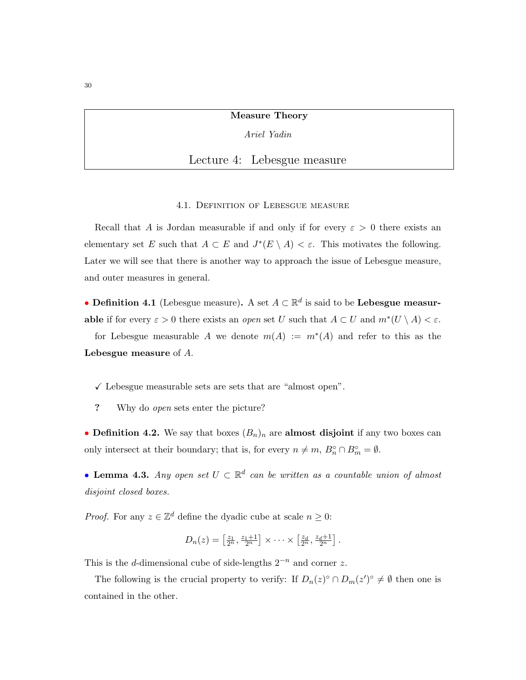Measure Theory

Ariel Yadin

Lecture 4: Lebesgue measure

4.1. Definition of Lebesgue measure

<span id="page-29-0"></span>Recall that A is Jordan measurable if and only if for every  $\varepsilon > 0$  there exists an elementary set E such that  $A \subset E$  and  $J^*(E \setminus A) < \varepsilon$ . This motivates the following. Later we will see that there is another way to approach the issue of Lebesgue measure, and outer measures in general.

• Definition 4.1 (Lebesgue measure). A set  $A \subset \mathbb{R}^d$  is said to be Lebesgue measurable if for every  $\varepsilon > 0$  there exists an *open* set U such that  $A \subset U$  and  $m^*(U \setminus A) < \varepsilon$ .

for Lebesgue measurable A we denote  $m(A) := m^*(A)$  and refer to this as the Lebesgue measure of A.

 $\checkmark$  Lebesgue measurable sets are sets that are "almost open".

? Why do open sets enter the picture?

• Definition 4.2. We say that boxes  $(B_n)_n$  are almost disjoint if any two boxes can only intersect at their boundary; that is, for every  $n \neq m$ ,  $B_n^{\circ} \cap B_m^{\circ} = \emptyset$ .

• Lemma 4.3. Any open set  $U \subset \mathbb{R}^d$  can be written as a countable union of almost disjoint closed boxes.

*Proof.* For any  $z \in \mathbb{Z}^d$  define the dyadic cube at scale  $n \geq 0$ :

$$
D_n(z) = \left[\frac{z_1}{2^n}, \frac{z_1+1}{2^n}\right] \times \cdots \times \left[\frac{z_d}{2^n}, \frac{z_d+1}{2^n}\right].
$$

This is the d-dimensional cube of side-lengths  $2^{-n}$  and corner z.

The following is the crucial property to verify: If  $D_n(z)^\circ \cap D_m(z')^\circ \neq \emptyset$  then one is contained in the other.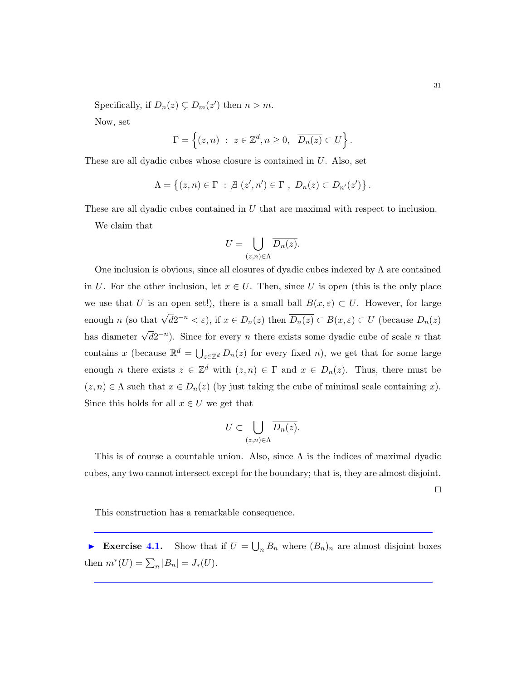Specifically, if  $D_n(z) \subsetneq D_m(z')$  then  $n > m$ .

Now, set

$$
\Gamma = \left\{ (z, n) : z \in \mathbb{Z}^d, n \ge 0, \overline{D_n(z)} \subset U \right\}.
$$

These are all dyadic cubes whose closure is contained in U. Also, set

$$
\Lambda = \left\{ (z, n) \in \Gamma \; : \; \mathcal{A} \left( z', n' \right) \in \Gamma \; , \; D_n(z) \subset D_{n'}(z') \right\}.
$$

These are all dyadic cubes contained in U that are maximal with respect to inclusion. We claim that

$$
U = \bigcup_{(z,n)\in \Lambda} \overline{D_n(z)}.
$$

One inclusion is obvious, since all closures of dyadic cubes indexed by  $\Lambda$  are contained in U. For the other inclusion, let  $x \in U$ . Then, since U is open (this is the only place we use that U is an open set!), there is a small ball  $B(x,\varepsilon) \subset U$ . However, for large enough n (so that  $\sqrt{d}2^{-n} < \varepsilon$ ), if  $x \in D_n(z)$  then  $\overline{D_n(z)} \subset B(x,\varepsilon) \subset U$  (because  $D_n(z)$ has diameter  $\sqrt{d}2^{-n}$ ). Since for every n there exists some dyadic cube of scale n that contains x (because  $\mathbb{R}^d = \bigcup_{z \in \mathbb{Z}^d} D_n(z)$  for every fixed n), we get that for some large enough *n* there exists  $z \in \mathbb{Z}^d$  with  $(z, n) \in \Gamma$  and  $x \in D_n(z)$ . Thus, there must be  $(z, n) \in \Lambda$  such that  $x \in D_n(z)$  (by just taking the cube of minimal scale containing x). Since this holds for all  $x \in U$  we get that

$$
U \subset \bigcup_{(z,n)\in\Lambda} \overline{D_n(z)}.
$$

This is of course a countable union. Also, since  $\Lambda$  is the indices of maximal dyadic cubes, any two cannot intersect except for the boundary; that is, they are almost disjoint.

 $\Box$ 

This construction has a remarkable consequence.

Exercise 4.1. Show that if  $U = \bigcup_n B_n$  where  $(B_n)_n$  are almost disjoint boxes then  $m^*(U) = \sum_n |B_n| = J_*(U)$ .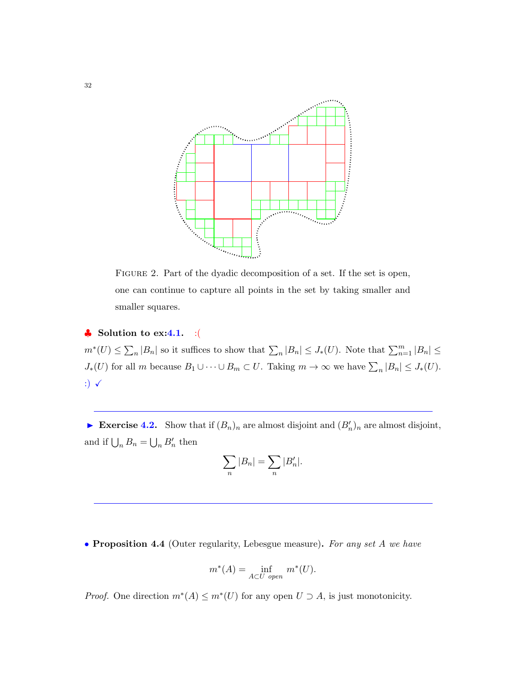

FIGURE 2. Part of the dyadic decomposition of a set. If the set is open, one can continue to capture all points in the set by taking smaller and smaller squares.

# $\clubsuit$  Solution to ex:4.1. :(

 $m^*(U) \leq \sum_n |B_n|$  so it suffices to show that  $\sum_n |B_n| \leq J_*(U)$ . Note that  $\sum_{n=1}^m |B_n| \leq$  $J_*(U)$  for all m because  $B_1 \cup \cdots \cup B_m \subset U$ . Taking  $m \to \infty$  we have  $\sum_n |B_n| \leq J_*(U)$ . :)  $\checkmark$ 

Exercise 4.2. Show that if  $(B_n)_n$  are almost disjoint and  $(B'_n)_n$  are almost disjoint, and if  $\bigcup_n B_n = \bigcup_n B'_n$  then

$$
\sum_{n} |B_n| = \sum_{n} |B'_n|.
$$

• Proposition 4.4 (Outer regularity, Lebesgue measure). For any set A we have

$$
m^*(A) = \inf_{A \subset U \text{ open}} m^*(U).
$$

*Proof.* One direction  $m^*(A) \le m^*(U)$  for any open  $U \supset A$ , is just monotonicity.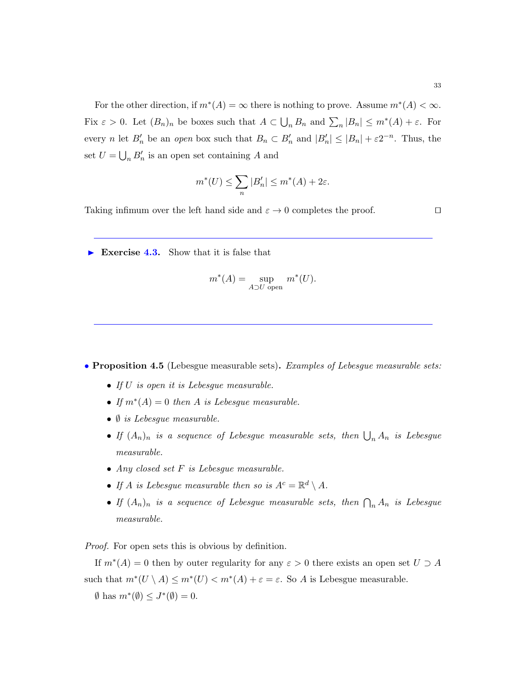For the other direction, if  $m^*(A) = \infty$  there is nothing to prove. Assume  $m^*(A) < \infty$ . Fix  $\varepsilon > 0$ . Let  $(B_n)_n$  be boxes such that  $A \subset \bigcup_n B_n$  and  $\sum_n |B_n| \leq m^*(A) + \varepsilon$ . For every *n* let  $B'_n$  be an open box such that  $B_n \subset B'_n$  and  $|B'_n| \leq |B_n| + \varepsilon 2^{-n}$ . Thus, the set  $U = \bigcup_n B_n'$  is an open set containing A and

$$
m^*(U) \le \sum_n |B'_n| \le m^*(A) + 2\varepsilon.
$$

Taking infimum over the left hand side and  $\varepsilon \to 0$  completes the proof.

Exercise 4.3. Show that it is false that

$$
m^*(A) = \sup_{A \supset U \text{ open}} m^*(U).
$$

• Proposition 4.5 (Lebesgue measurable sets). Examples of Lebesgue measurable sets:

- If U is open it is Lebesgue measurable.
- If  $m^*(A) = 0$  then A is Lebesgue measurable.
- $\bullet$   $\emptyset$  is Lebesgue measurable.
- If  $(A_n)_n$  is a sequence of Lebesgue measurable sets, then  $\bigcup_n A_n$  is Lebesgue measurable.
- Any closed set  $F$  is Lebesgue measurable.
- If A is Lebesgue measurable then so is  $A^c = \mathbb{R}^d \setminus A$ .
- If  $(A_n)_n$  is a sequence of Lebesgue measurable sets, then  $\bigcap_n A_n$  is Lebesgue measurable.

Proof. For open sets this is obvious by definition.

If  $m^*(A) = 0$  then by outer regularity for any  $\varepsilon > 0$  there exists an open set  $U \supset A$ such that  $m^*(U \setminus A) \le m^*(U) < m^*(A) + \varepsilon = \varepsilon$ . So A is Lebesgue measurable.  $\emptyset$  has  $m^*(\emptyset) \leq J^*(\emptyset) = 0$ .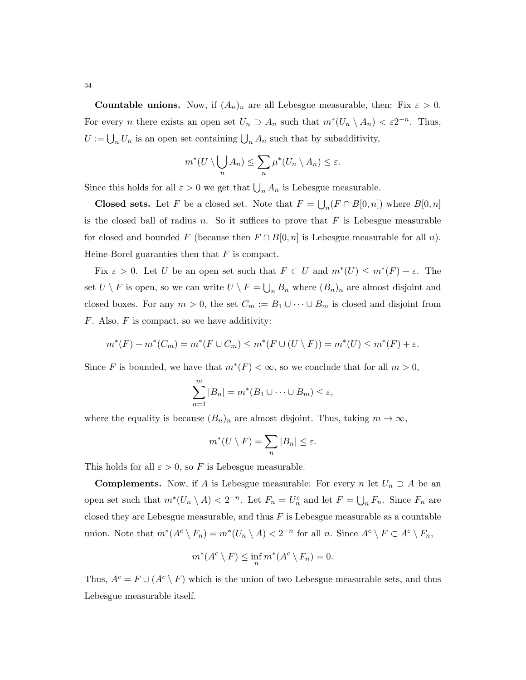**Countable unions.** Now, if  $(A_n)_n$  are all Lebesgue measurable, then: Fix  $\varepsilon > 0$ . For every *n* there exists an open set  $U_n \supset A_n$  such that  $m^*(U_n \setminus A_n) < \varepsilon 2^{-n}$ . Thus,  $U := \bigcup_n U_n$  is an open set containing  $\bigcup_n A_n$  such that by subadditivity,

$$
m^*(U\setminus \bigcup_n A_n)\leq \sum_n \mu^*(U_n\setminus A_n)\leq \varepsilon.
$$

Since this holds for all  $\varepsilon > 0$  we get that  $\bigcup_n A_n$  is Lebesgue measurable.

**Closed sets.** Let F be a closed set. Note that  $F = \bigcup_n (F \cap B[0, n])$  where  $B[0, n]$ is the closed ball of radius n. So it suffices to prove that  $F$  is Lebesgue measurable for closed and bounded F (because then  $F \cap B[0, n]$  is Lebesgue measurable for all n). Heine-Borel guaranties then that  $F$  is compact.

Fix  $\varepsilon > 0$ . Let U be an open set such that  $F \subset U$  and  $m^*(U) \leq m^*(F) + \varepsilon$ . The set  $U \setminus F$  is open, so we can write  $U \setminus F = \bigcup_n B_n$  where  $(B_n)_n$  are almost disjoint and closed boxes. For any  $m > 0$ , the set  $C_m := B_1 \cup \cdots \cup B_m$  is closed and disjoint from  $F.$  Also,  $F$  is compact, so we have additivity:

$$
m^*(F) + m^*(C_m) = m^*(F \cup C_m) \le m^*(F \cup (U \setminus F)) = m^*(U) \le m^*(F) + \varepsilon.
$$

Since F is bounded, we have that  $m^*(F) < \infty$ , so we conclude that for all  $m > 0$ ,

$$
\sum_{n=1}^{m} |B_n| = m^*(B_1 \cup \dots \cup B_m) \le \varepsilon,
$$

where the equality is because  $(B_n)_n$  are almost disjoint. Thus, taking  $m \to \infty$ ,

$$
m^*(U \setminus F) = \sum_n |B_n| \le \varepsilon.
$$

This holds for all  $\varepsilon > 0$ , so F is Lebesgue measurable.

**Complements.** Now, if A is Lebesgue measurable: For every n let  $U_n \supset A$  be an open set such that  $m^*(U_n \setminus A) < 2^{-n}$ . Let  $F_n = U_n^c$  and let  $F = \bigcup_n F_n$ . Since  $F_n$  are closed they are Lebesgue measurable, and thus  $F$  is Lebesgue measurable as a countable union. Note that  $m^*(A^c \setminus F_n) = m^*(U_n \setminus A) < 2^{-n}$  for all n. Since  $A^c \setminus F \subset A^c \setminus F_n$ ,

$$
m^*(A^c \setminus F) \le \inf_n m^*(A^c \setminus F_n) = 0.
$$

Thus,  $A^c = F \cup (A^c \setminus F)$  which is the union of two Lebesgue measurable sets, and thus Lebesgue measurable itself.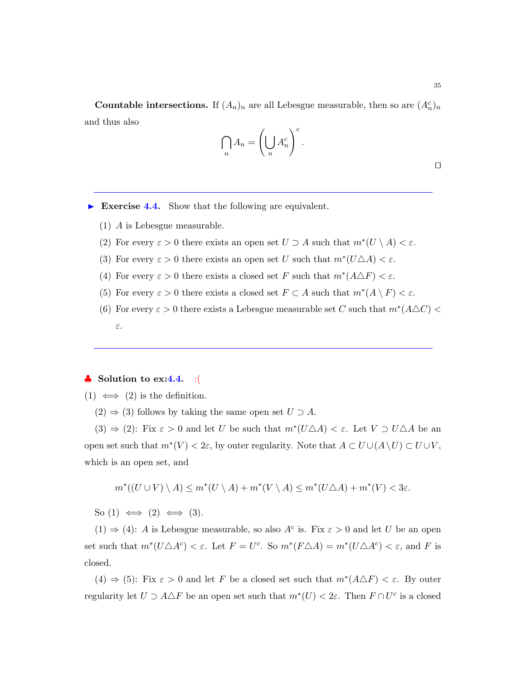**Countable intersections.** If  $(A_n)_n$  are all Lebesgue measurable, then so are  $(A_n^c)_n$ and thus also

$$
\bigcap_n A_n = \left(\bigcup_n A_n^c\right)^c.
$$

 $\Box$ 

- Exercise 4.4. Show that the following are equivalent.
	- (1) A is Lebesgue measurable.
	- (2) For every  $\varepsilon > 0$  there exists an open set  $U \supset A$  such that  $m^*(U \setminus A) < \varepsilon$ .
	- (3) For every  $\varepsilon > 0$  there exists an open set U such that  $m^*(U \triangle A) < \varepsilon$ .
	- (4) For every  $\varepsilon > 0$  there exists a closed set F such that  $m^*(A \triangle F) < \varepsilon$ .
	- (5) For every  $\varepsilon > 0$  there exists a closed set  $F \subset A$  such that  $m^*(A \setminus F) < \varepsilon$ .
	- (6) For every  $\varepsilon > 0$  there exists a Lebesgue measurable set C such that  $m^*(A \triangle C)$  < ε.

### $\bullet$  Solution to ex:4.4. :(

(1)  $\iff$  (2) is the definition.

 $(2) \Rightarrow (3)$  follows by taking the same open set  $U \supset A$ .

 $(3) \Rightarrow (2)$ : Fix  $\varepsilon > 0$  and let U be such that  $m^*(U \triangle A) < \varepsilon$ . Let  $V \supset U \triangle A$  be an open set such that  $m^*(V) < 2\varepsilon$ , by outer regularity. Note that  $A \subset U \cup (A \setminus U) \subset U \cup V$ , which is an open set, and

$$
m^*((U \cup V) \setminus A) \le m^*(U \setminus A) + m^*(V \setminus A) \le m^*(U \triangle A) + m^*(V) < 3\varepsilon.
$$

So  $(1) \iff (2) \iff (3)$ .

(1)  $\Rightarrow$  (4): A is Lebesgue measurable, so also A<sup>c</sup> is. Fix  $\varepsilon > 0$  and let U be an open set such that  $m^*(U \triangle A^c) < \varepsilon$ . Let  $F = U^c$ . So  $m^*(F \triangle A) = m^*(U \triangle A^c) < \varepsilon$ , and F is closed.

 $(4) \Rightarrow (5)$ : Fix  $\varepsilon > 0$  and let F be a closed set such that  $m^*(A \triangle F) < \varepsilon$ . By outer regularity let  $U \supset A \triangle F$  be an open set such that  $m^*(U) < 2\varepsilon$ . Then  $F \cap U^c$  is a closed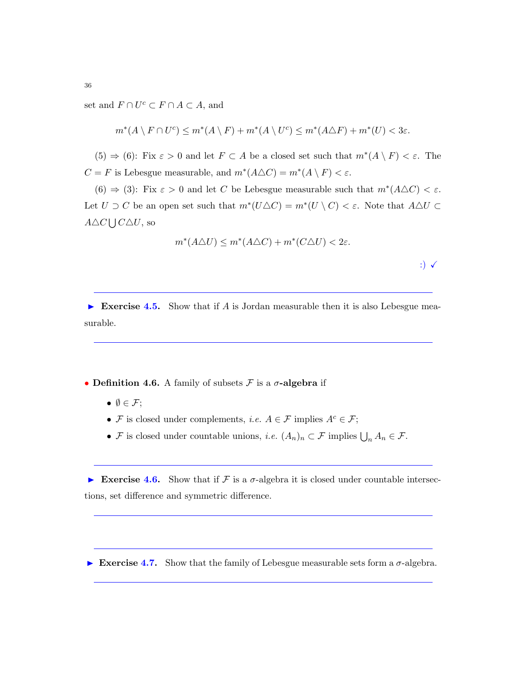set and  $F \cap U^c \subset F \cap A \subset A$ , and

$$
m^*(A \setminus F \cap U^c) \le m^*(A \setminus F) + m^*(A \setminus U^c) \le m^*(A \triangle F) + m^*(U) < 3\varepsilon.
$$

 $(5) \Rightarrow (6)$ : Fix  $\varepsilon > 0$  and let  $F \subset A$  be a closed set such that  $m^*(A \setminus F) < \varepsilon$ . The  $C = F$  is Lebesgue measurable, and  $m^*(A \triangle C) = m^*(A \setminus F) < \varepsilon$ .

 $(6) \Rightarrow (3)$ : Fix  $\varepsilon > 0$  and let C be Lebesgue measurable such that  $m^*(A \triangle C) < \varepsilon$ . Let  $U \supset C$  be an open set such that  $m^*(U \triangle C) = m^*(U \setminus C) < \varepsilon$ . Note that  $A \triangle U \subset$  $A \triangle C \bigcup C \triangle U$ , so

$$
m^*(A\triangle U) \le m^*(A\triangle C) + m^*(C\triangle U) < 2\varepsilon.
$$

:)  $\checkmark$ 

Exercise 4.5. Show that if A is Jordan measurable then it is also Lebesgue measurable.

- Definition 4.6. A family of subsets  $\mathcal F$  is a  $\sigma$ -algebra if
	- $\bullet \emptyset \in \mathcal{F}$ ;
	- F is closed under complements, *i.e.*  $A \in \mathcal{F}$  implies  $A^c \in \mathcal{F}$ ;
	- F is closed under countable unions, *i.e.*  $(A_n)_n \subset \mathcal{F}$  implies  $\bigcup_n A_n \in \mathcal{F}$ .

Exercise 4.6. Show that if F is a  $\sigma$ -algebra it is closed under countable intersections, set difference and symmetric difference.

Exercise 4.7. Show that the family of Lebesgue measurable sets form a  $\sigma$ -algebra.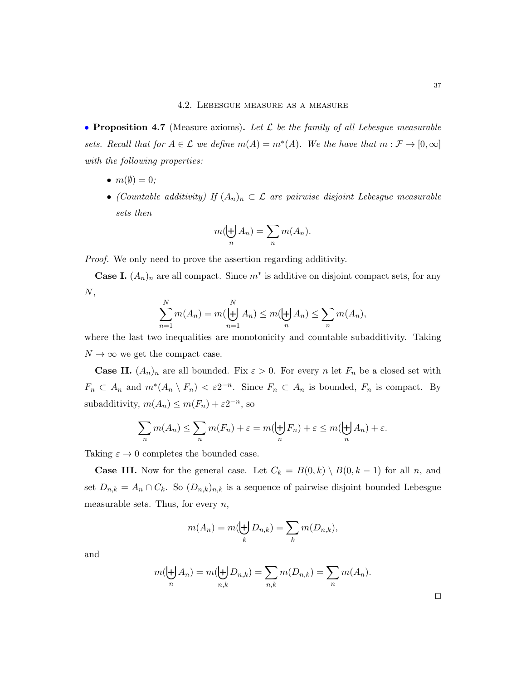### 4.2. Lebesgue measure as a measure

• Proposition 4.7 (Measure axioms). Let  $\mathcal L$  be the family of all Lebesgue measurable sets. Recall that for  $A \in \mathcal{L}$  we define  $m(A) = m^*(A)$ . We the have that  $m: \mathcal{F} \to [0, \infty]$ with the following properties:

- $m(\emptyset) = 0;$
- (Countable additivity) If  $(A_n)_n \subset \mathcal{L}$  are pairwise disjoint Lebesgue measurable sets then

$$
m(\biguplus_n A_n) = \sum_n m(A_n).
$$

Proof. We only need to prove the assertion regarding additivity.

**Case I.**  $(A_n)_n$  are all compact. Since  $m^*$  is additive on disjoint compact sets, for any N,

$$
\sum_{n=1}^{N} m(A_n) = m(\biguplus_{n=1}^{N} A_n) \le m(\biguplus_{n} A_n) \le \sum_{n} m(A_n),
$$

where the last two inequalities are monotonicity and countable subadditivity. Taking  $N \to \infty$  we get the compact case.

**Case II.**  $(A_n)_n$  are all bounded. Fix  $\varepsilon > 0$ . For every n let  $F_n$  be a closed set with  $F_n \subset A_n$  and  $m^*(A_n \setminus F_n) < \varepsilon 2^{-n}$ . Since  $F_n \subset A_n$  is bounded,  $F_n$  is compact. By subadditivity,  $m(A_n) \le m(F_n) + \varepsilon 2^{-n}$ , so

$$
\sum_n m(A_n) \le \sum_n m(F_n) + \varepsilon = m(\biguplus_n F_n) + \varepsilon \le m(\biguplus_n A_n) + \varepsilon.
$$

Taking  $\varepsilon \to 0$  completes the bounded case.

**Case III.** Now for the general case. Let  $C_k = B(0, k) \setminus B(0, k - 1)$  for all n, and set  $D_{n,k} = A_n \cap C_k$ . So  $(D_{n,k})_{n,k}$  is a sequence of pairwise disjoint bounded Lebesgue measurable sets. Thus, for every  $n$ ,

$$
m(A_n) = m(\biguplus_k D_{n,k}) = \sum_k m(D_{n,k}),
$$

and

$$
m(\biguplus_n A_n) = m(\biguplus_{n,k} D_{n,k}) = \sum_{n,k} m(D_{n,k}) = \sum_n m(A_n).
$$

37

 $\Box$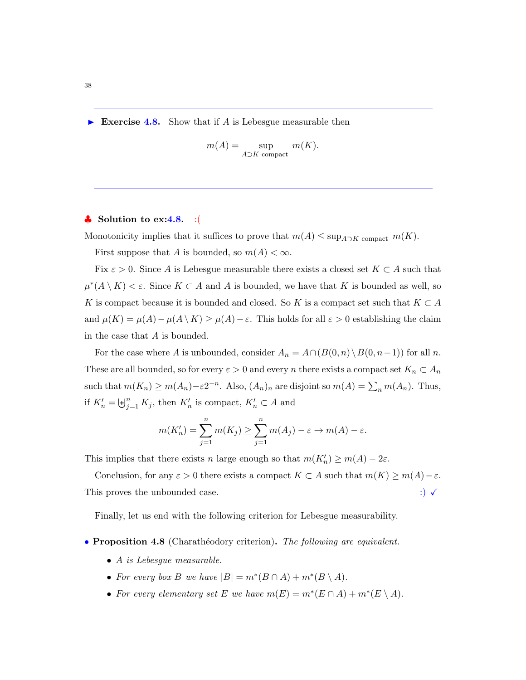Exercise 4.8. Show that if A is Lebesgue measurable then

$$
m(A) = \sup_{A \supset K \text{ compact}} m(K).
$$

## $\bullet$  Solution to ex:4.8. :

Monotonicity implies that it suffices to prove that  $m(A) \leq \sup_{A \supset K}$  compact  $m(K)$ .

First suppose that A is bounded, so  $m(A) < \infty$ .

Fix  $\varepsilon > 0$ . Since A is Lebesgue measurable there exists a closed set  $K \subset A$  such that  $\mu^*(A \setminus K) < \varepsilon$ . Since  $K \subset A$  and A is bounded, we have that K is bounded as well, so K is compact because it is bounded and closed. So K is a compact set such that  $K \subset A$ and  $\mu(K) = \mu(A) - \mu(A \setminus K) \ge \mu(A) - \varepsilon$ . This holds for all  $\varepsilon > 0$  establishing the claim in the case that  $A$  is bounded.

For the case where A is unbounded, consider  $A_n = A \cap (B(0, n) \setminus B(0, n-1))$  for all n. These are all bounded, so for every  $\varepsilon > 0$  and every n there exists a compact set  $K_n \subset A_n$ such that  $m(K_n) \ge m(A_n) - \varepsilon 2^{-n}$ . Also,  $(A_n)_n$  are disjoint so  $m(A) = \sum_n m(A_n)$ . Thus, if  $K'_n = \biguplus_{j=1}^n K_j$ , then  $K'_n$  is compact,  $K'_n \subset A$  and

$$
m(K'_n) = \sum_{j=1}^n m(K_j) \ge \sum_{j=1}^n m(A_j) - \varepsilon \to m(A) - \varepsilon.
$$

This implies that there exists n large enough so that  $m(K'_n) \ge m(A) - 2\varepsilon$ .

Conclusion, for any  $\varepsilon > 0$  there exists a compact  $K \subset A$  such that  $m(K) \ge m(A) - \varepsilon$ . This proves the unbounded case.  $\hspace{1.5cm}$  :)  $\checkmark$ 

Finally, let us end with the following criterion for Lebesgue measurability.

• Proposition 4.8 (Charathéodory criterion). The following are equivalent.

- A is Lebesgue measurable.
- For every box B we have  $|B| = m^*(B \cap A) + m^*(B \setminus A)$ .
- For every elementary set E we have  $m(E) = m^*(E \cap A) + m^*(E \setminus A)$ .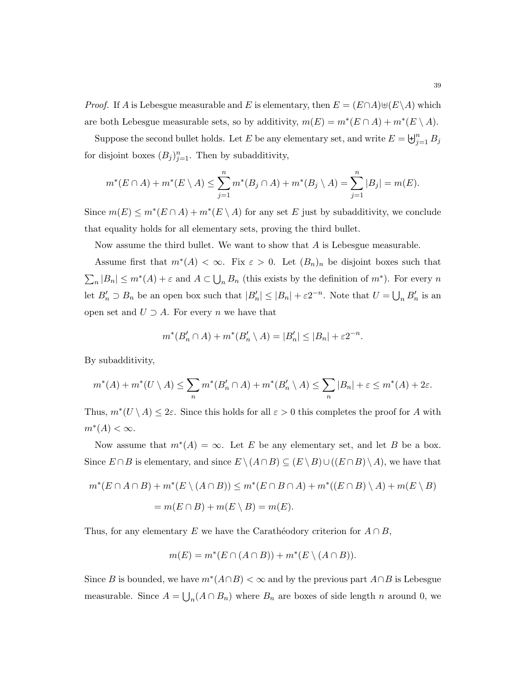*Proof.* If A is Lebesgue measurable and E is elementary, then  $E = (E \cap A) \cup (E \setminus A)$  which are both Lebesgue measurable sets, so by additivity,  $m(E) = m^*(E \cap A) + m^*(E \setminus A)$ .

Suppose the second bullet holds. Let E be any elementary set, and write  $E = \biguplus_{j=1}^{n} B_j$ for disjoint boxes  $(B_j)_{j=1}^n$ . Then by subadditivity,

$$
m^*(E \cap A) + m^*(E \setminus A) \le \sum_{j=1}^n m^*(B_j \cap A) + m^*(B_j \setminus A) = \sum_{j=1}^n |B_j| = m(E).
$$

Since  $m(E) \le m^*(E \cap A) + m^*(E \setminus A)$  for any set E just by subadditivity, we conclude that equality holds for all elementary sets, proving the third bullet.

Now assume the third bullet. We want to show that  $A$  is Lebesgue measurable.

Assume first that  $m^*(A) < \infty$ . Fix  $\varepsilon > 0$ . Let  $(B_n)_n$  be disjoint boxes such that  $\sum_{n} |B_n| \leq m^*(A) + \varepsilon$  and  $A \subset \bigcup_{n} B_n$  (this exists by the definition of  $m^*$ ). For every n let  $B'_n \supset B_n$  be an open box such that  $|B'_n| \leq |B_n| + \varepsilon 2^{-n}$ . Note that  $U = \bigcup_n B'_n$  is an open set and  $U \supset A$ . For every n we have that

$$
m^*(B'_n \cap A) + m^*(B'_n \setminus A) = |B'_n| \le |B_n| + \varepsilon 2^{-n}.
$$

By subadditivity,

$$
m^*(A) + m^*(U \setminus A) \le \sum_n m^*(B'_n \cap A) + m^*(B'_n \setminus A) \le \sum_n |B_n| + \varepsilon \le m^*(A) + 2\varepsilon.
$$

Thus,  $m^*(U \setminus A) \leq 2\varepsilon$ . Since this holds for all  $\varepsilon > 0$  this completes the proof for A with  $m^*(A) < \infty$ .

Now assume that  $m^*(A) = \infty$ . Let E be any elementary set, and let B be a box. Since  $E \cap B$  is elementary, and since  $E \setminus (A \cap B) \subseteq (E \setminus B) \cup ((E \cap B) \setminus A)$ , we have that

$$
m^*(E \cap A \cap B) + m^*(E \setminus (A \cap B)) \le m^*(E \cap B \cap A) + m^*((E \cap B) \setminus A) + m(E \setminus B)
$$
  
=  $m(E \cap B) + m(E \setminus B) = m(E).$ 

Thus, for any elementary E we have the Carathéodory criterion for  $A \cap B$ ,

$$
m(E) = m^*(E \cap (A \cap B)) + m^*(E \setminus (A \cap B)).
$$

Since B is bounded, we have  $m^*(A \cap B) < \infty$  and by the previous part  $A \cap B$  is Lebesgue measurable. Since  $A = \bigcup_n (A \cap B_n)$  where  $B_n$  are boxes of side length n around 0, we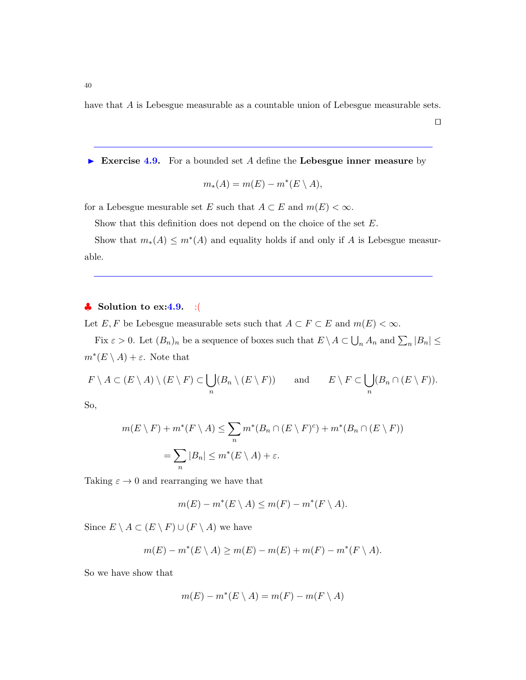have that A is Lebesgue measurable as a countable union of Lebesgue measurable sets.

 $\Box$ 

Exercise 4.9. For a bounded set A define the Lebesgue inner measure by

$$
m_*(A) = m(E) - m^*(E \setminus A),
$$

for a Lebesgue mesurable set E such that  $A \subset E$  and  $m(E) < \infty$ .

Show that this definition does not depend on the choice of the set  $E$ .

Show that  $m_*(A) \leq m^*(A)$  and equality holds if and only if A is Lebesgue measurable.

# $\bullet$  Solution to ex:4.9. :(

Let  $E, F$  be Lebesgue measurable sets such that  $A \subset F \subset E$  and  $m(E) < \infty$ .

Fix  $\varepsilon > 0$ . Let  $(B_n)_n$  be a sequence of boxes such that  $E \setminus A \subset \bigcup_n A_n$  and  $\sum_n |B_n| \le$  $m^*(E \setminus A) + \varepsilon$ . Note that

$$
F \setminus A \subset (E \setminus A) \setminus (E \setminus F) \subset \bigcup_n (B_n \setminus (E \setminus F)) \quad \text{and} \quad E \setminus F \subset \bigcup_n (B_n \cap (E \setminus F)).
$$

So,

$$
m(E \setminus F) + m^*(F \setminus A) \le \sum_n m^*(B_n \cap (E \setminus F)^c) + m^*(B_n \cap (E \setminus F))
$$
  
= 
$$
\sum_n |B_n| \le m^*(E \setminus A) + \varepsilon.
$$

Taking  $\varepsilon \to 0$  and rearranging we have that

$$
m(E) - m^*(E \setminus A) \le m(F) - m^*(F \setminus A).
$$

Since  $E \setminus A \subset (E \setminus F) \cup (F \setminus A)$  we have

$$
m(E) - m^*(E \setminus A) \ge m(E) - m(E) + m(F) - m^*(F \setminus A).
$$

So we have show that

$$
m(E) - m^*(E \setminus A) = m(F) - m(F \setminus A)
$$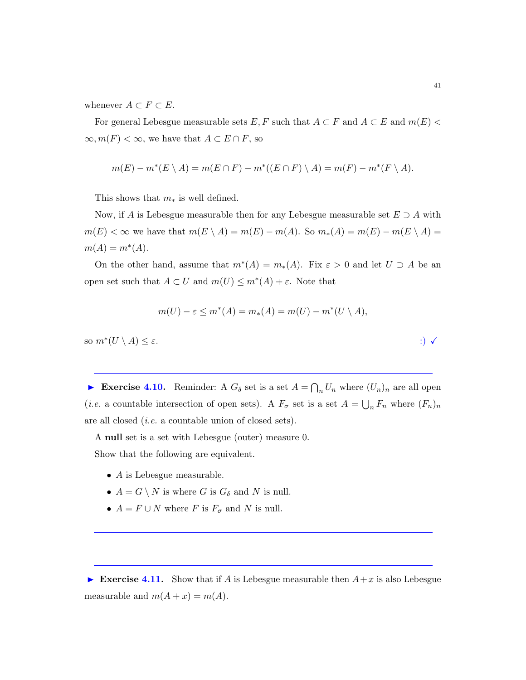whenever  $A \subset F \subset E$ .

For general Lebesgue measurable sets  $E, F$  such that  $A \subset F$  and  $A \subset E$  and  $m(E)$  $\infty, m(F) < \infty$ , we have that  $A \subset E \cap F$ , so

$$
m(E) - m^*(E \setminus A) = m(E \cap F) - m^*((E \cap F) \setminus A) = m(F) - m^*(F \setminus A).
$$

This shows that  $m_*$  is well defined.

Now, if A is Lebesgue measurable then for any Lebesgue measurable set  $E \supseteq A$  with  $m(E) < \infty$  we have that  $m(E \setminus A) = m(E) - m(A)$ . So  $m_*(A) = m(E) - m(E \setminus A) =$  $m(A) = m^*(A).$ 

On the other hand, assume that  $m^*(A) = m_*(A)$ . Fix  $\varepsilon > 0$  and let  $U \supset A$  be an open set such that  $A \subset U$  and  $m(U) \leq m^*(A) + \varepsilon$ . Note that

$$
m(U) - \varepsilon \le m^*(A) = m_*(A) = m(U) - m^*(U \setminus A),
$$

so  $m^*(U \setminus A) \leq \varepsilon$ . :)  $\checkmark$ 

Exercise 4.10. Reminder: A  $G_{\delta}$  set is a set  $A = \bigcap_n U_n$  where  $(U_n)_n$  are all open (*i.e.* a countable intersection of open sets). A  $F_{\sigma}$  set is a set  $A = \bigcup_n F_n$  where  $(F_n)_n$ are all closed (i.e. a countable union of closed sets).

A null set is a set with Lebesgue (outer) measure 0. Show that the following are equivalent.

- A is Lebesgue measurable.
- $\bullet$   $A = G \setminus N$  is where  $G$  is  $G_\delta$  and  $N$  is null.
- $A = F \cup N$  where F is  $F_{\sigma}$  and N is null.

Exercise 4.11. Show that if A is Lebesgue measurable then  $A+x$  is also Lebesgue measurable and  $m(A + x) = m(A)$ .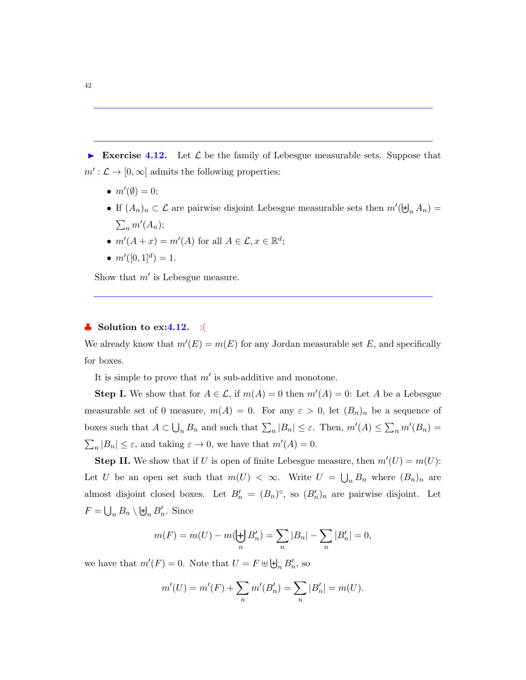Exercise 4.12. Let  $\mathcal L$  be the family of Lebesgue measurable sets. Suppose that  $m': \mathcal{L} \to [0, \infty]$  admits the following properties:

- $m'(\emptyset) = 0;$
- If  $(A_n)_n \subset \mathcal{L}$  are pairwise disjoint Lebesgue measurable sets then  $m'(\biguplus_n A_n) =$  $\sum_n m'(A_n);$
- $m'(A+x) = m'(A)$  for all  $A \in \mathcal{L}, x \in \mathbb{R}^d$ ;
- $m'([0, 1]^d) = 1.$

Show that  $m'$  is Lebesgue measure.

## $\bullet$  Solution to ex:4.12. : (

We already know that  $m'(E) = m(E)$  for any Jordan measurable set E, and specifically for boxes.

It is simple to prove that  $m'$  is sub-additive and monotone.

**Step I.** We show that for  $A \in \mathcal{L}$ , if  $m(A) = 0$  then  $m'(A) = 0$ : Let A be a Lebesgue measurable set of 0 measure,  $m(A) = 0$ . For any  $\varepsilon > 0$ , let  $(B_n)_n$  be a sequence of boxes such that  $A \subset \bigcup_n B_n$  and such that  $\sum_n |B_n| \leq \varepsilon$ . Then,  $m'(A) \leq \sum_n m'(B_n) =$  $\sum_{n} |B_n| \leq \varepsilon$ , and taking  $\varepsilon \to 0$ , we have that  $m'(A) = 0$ .

**Step II.** We show that if U is open of finite Lebesgue measure, then  $m'(U) = m(U)$ : Let U be an open set such that  $m(U) < \infty$ . Write  $U = \bigcup_n B_n$  where  $(B_n)_n$  are almost disjoint closed boxes. Let  $B'_n = (B_n)^\circ$ , so  $(B'_n)_n$  are pairwise disjoint. Let  $F = \bigcup_n B_n \setminus \biguplus_n B'_n$ . Since

$$
m(F) = m(U) - m(\biguplus_n B'_n) = \sum_n |B_n| - \sum_n |B'_n| = 0,
$$

we have that  $m'(F) = 0$ . Note that  $U = F \uplus \biguplus_n B'_n$ , so

$$
m'(U) = m'(F) + \sum_{n} m'(B'_n) = \sum_{n} |B'_n| = m(U).
$$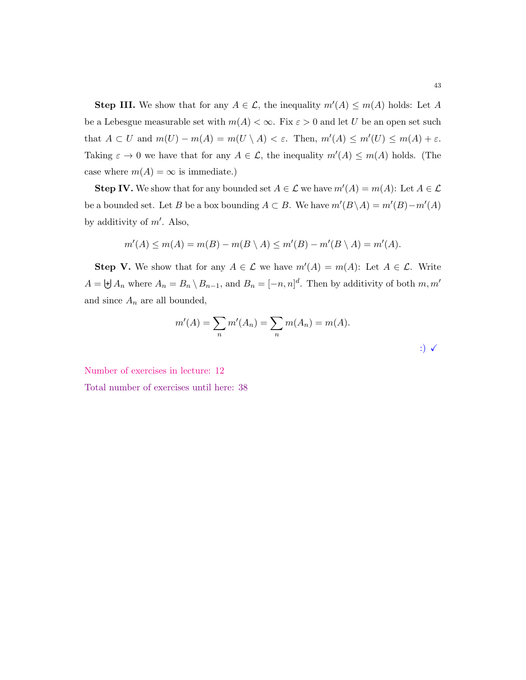**Step III.** We show that for any  $A \in \mathcal{L}$ , the inequality  $m'(A) \le m(A)$  holds: Let A be a Lebesgue measurable set with  $m(A) < \infty$ . Fix  $\varepsilon > 0$  and let U be an open set such that  $A \subset U$  and  $m(U) - m(A) = m(U \setminus A) < \varepsilon$ . Then,  $m'(A) \le m'(U) \le m(A) + \varepsilon$ . Taking  $\varepsilon \to 0$  we have that for any  $A \in \mathcal{L}$ , the inequality  $m'(A) \le m(A)$  holds. (The case where  $m(A) = \infty$  is immediate.)

**Step IV.** We show that for any bounded set  $A \in \mathcal{L}$  we have  $m'(A) = m(A)$ : Let  $A \in \mathcal{L}$ be a bounded set. Let B be a box bounding  $A \subset B$ . We have  $m'(B \setminus A) = m'(B) - m'(A)$ by additivity of  $m'$ . Also,

$$
m'(A) \le m(A) = m(B) - m(B \setminus A) \le m'(B) - m'(B \setminus A) = m'(A).
$$

**Step V.** We show that for any  $A \in \mathcal{L}$  we have  $m'(A) = m(A)$ : Let  $A \in \mathcal{L}$ . Write  $A = \biguplus A_n$  where  $A_n = B_n \setminus B_{n-1}$ , and  $B_n = [-n, n]^d$ . Then by additivity of both  $m, m'$ and since  $A_n$  are all bounded,

$$
m'(A) = \sum_{n} m'(A_n) = \sum_{n} m(A_n) = m(A).
$$
  
 
$$
\implies m'(A) = \sum_{n} m'(A_n) = m(A).
$$

Number of exercises in lecture: 12

Total number of exercises until here: 38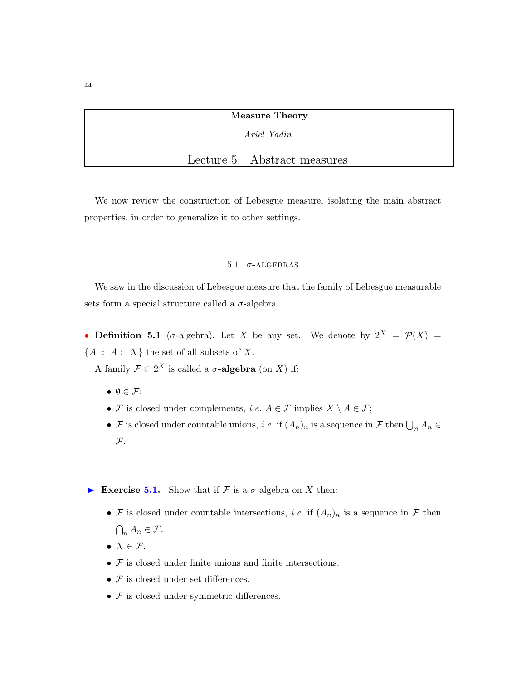Measure Theory

Ariel Yadin

# Lecture 5: Abstract measures

We now review the construction of Lebesgue measure, isolating the main abstract properties, in order to generalize it to other settings.

### 5.1.  $\sigma$ -ALGEBRAS

We saw in the discussion of Lebesgue measure that the family of Lebesgue measurable sets form a special structure called a  $\sigma$ -algebra.

• Definition 5.1 (σ-algebra). Let X be any set. We denote by  $2^X = \mathcal{P}(X) =$  ${A : A \subset X}$  the set of all subsets of X.

A family  $\mathcal{F} \subset 2^X$  is called a  $\sigma$ -algebra (on X) if:

- $\bullet \emptyset \in \mathcal{F};$
- F is closed under complements, *i.e.*  $A \in \mathcal{F}$  implies  $X \setminus A \in \mathcal{F}$ ;
- F is closed under countable unions, *i.e.* if  $(A_n)_n$  is a sequence in F then  $\bigcup_n A_n \in$  $\mathcal{F}$ .

Exercise 5.1. Show that if F is a  $\sigma$ -algebra on X then:

- F is closed under countable intersections, *i.e.* if  $(A_n)_n$  is a sequence in F then  $\bigcap_n A_n \in \mathcal{F}.$
- $X \in \mathcal{F}$ .
- $\bullet$   ${\mathcal F}$  is closed under finite unions and finite intersections.
- $\bullet$   ${\mathcal F}$  is closed under set differences.
- $F$  is closed under symmetric differences.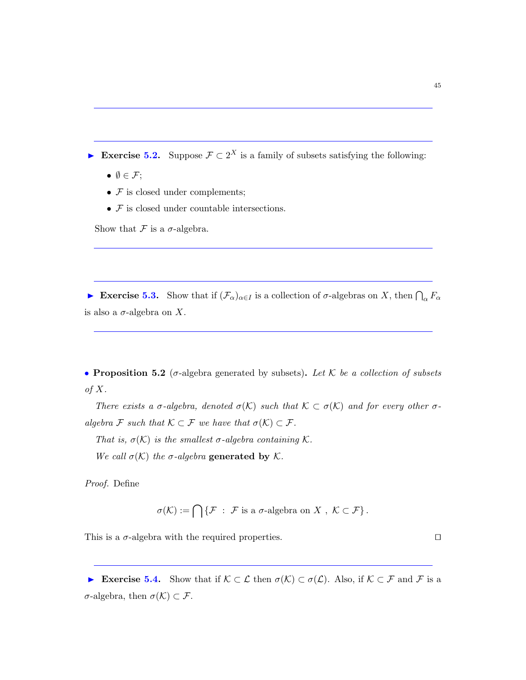Exercise 5.2. Suppose  $\mathcal{F} \subset 2^X$  is a family of subsets satisfying the following:

- $\emptyset \in \mathcal{F};$
- $F$  is closed under complements;
- $\bullet$   ${\mathcal F}$  is closed under countable intersections.

Show that  $\mathcal F$  is a  $\sigma$ -algebra.

Exercise 5.3. Show that if  $(\mathcal{F}_{\alpha})_{\alpha \in I}$  is a collection of  $\sigma$ -algebras on X, then  $\bigcap_{\alpha} F_{\alpha}$ is also a  $\sigma$ -algebra on X.

• Proposition 5.2 ( $\sigma$ -algebra generated by subsets). Let K be a collection of subsets of  $X$ .

There exists a  $\sigma$ -algebra, denoted  $\sigma(\mathcal{K})$  such that  $\mathcal{K} \subset \sigma(\mathcal{K})$  and for every other  $\sigma$ algebra F such that  $\mathcal{K} \subset \mathcal{F}$  we have that  $\sigma(\mathcal{K}) \subset \mathcal{F}$ .

That is,  $\sigma(\mathcal{K})$  is the smallest  $\sigma$ -algebra containing  $\mathcal{K}$ .

We call  $\sigma(\mathcal{K})$  the  $\sigma$ -algebra generated by  $\mathcal{K}$ .

Proof. Define

$$
\sigma(\mathcal{K}) := \bigcap \{ \mathcal{F} \; : \; \mathcal{F} \text{ is a } \sigma\text{-algebra on } X \; , \; \mathcal{K} \subset \mathcal{F} \} \, .
$$

This is a  $\sigma$ -algebra with the required properties.  $\Box$ 

Exercise 5.4. Show that if  $\mathcal{K} \subset \mathcal{L}$  then  $\sigma(\mathcal{K}) \subset \sigma(\mathcal{L})$ . Also, if  $\mathcal{K} \subset \mathcal{F}$  and  $\mathcal{F}$  is a σ-algebra, then σ(K) ⊂ F.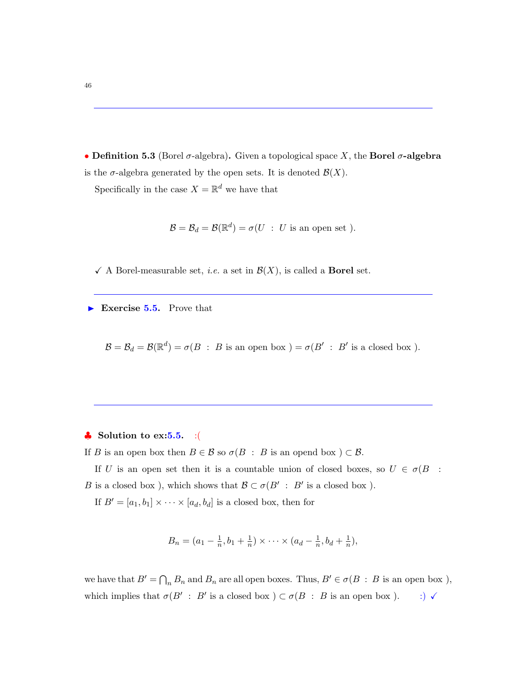• Definition 5.3 (Borel  $\sigma$ -algebra). Given a topological space X, the **Borel**  $\sigma$ **-algebra** is the  $\sigma$ -algebra generated by the open sets. It is denoted  $\mathcal{B}(X)$ .

Specifically in the case  $X = \mathbb{R}^d$  we have that

$$
\mathcal{B} = \mathcal{B}_d = \mathcal{B}(\mathbb{R}^d) = \sigma(U : U \text{ is an open set }).
$$

 $\checkmark$  A Borel-measurable set, *i.e.* a set in  $\mathcal{B}(X)$ , is called a **Borel** set.

Exercise 5.5. Prove that

 $\mathcal{B} = \mathcal{B}_d = \mathcal{B}(\mathbb{R}^d) = \sigma(B : B \text{ is an open box}) = \sigma(B' : B' \text{ is a closed box}).$ 

## $\bullet$  Solution to ex:5.5. :(

If B is an open box then  $B \in \mathcal{B}$  so  $\sigma(B : B$  is an opend box  $) \subset \mathcal{B}$ .

If U is an open set then it is a countable union of closed boxes, so  $U \in \sigma(B)$ : B is a closed box), which shows that  $\mathcal{B} \subset \sigma(B' : B'$  is a closed box).

If  $B' = [a_1, b_1] \times \cdots \times [a_d, b_d]$  is a closed box, then for

$$
B_n = (a_1 - \frac{1}{n}, b_1 + \frac{1}{n}) \times \cdots \times (a_d - \frac{1}{n}, b_d + \frac{1}{n}),
$$

we have that  $B' = \bigcap_n B_n$  and  $B_n$  are all open boxes. Thus,  $B' \in \sigma(B : B$  is an open box), which implies that  $\sigma(B' : B'$  is a closed box  $) \subset \sigma(B : B$  is an open box  $). \t\t :) \checkmark$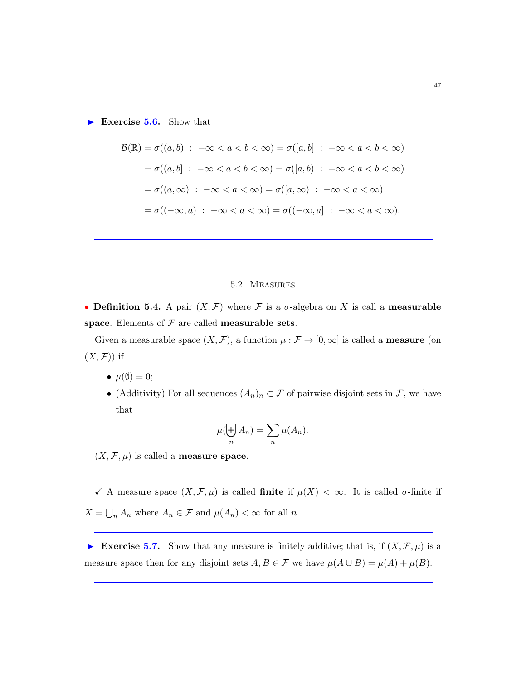Exercise 5.6. Show that

$$
\mathcal{B}(\mathbb{R}) = \sigma((a, b) : -\infty < a < b < \infty) = \sigma([a, b] : -\infty < a < b < \infty)
$$
\n
$$
= \sigma((a, b] : -\infty < a < b < \infty) = \sigma([a, b) : -\infty < a < b < \infty)
$$
\n
$$
= \sigma((a, \infty) : -\infty < a < \infty) = \sigma([a, \infty) : -\infty < a < \infty)
$$
\n
$$
= \sigma((-\infty, a) : -\infty < a < \infty) = \sigma((-\infty, a] : -\infty < a < \infty).
$$

## 5.2. Measures

• Definition 5.4. A pair  $(X, \mathcal{F})$  where  $\mathcal F$  is a  $\sigma$ -algebra on X is call a measurable space. Elements of  $\mathcal F$  are called measurable sets.

Given a measurable space  $(X, \mathcal{F})$ , a function  $\mu : \mathcal{F} \to [0, \infty]$  is called a **measure** (on  $(X,\mathcal{F})$  if

- $\mu(\emptyset) = 0;$
- (Additivity) For all sequences  $(A_n)_n \subset \mathcal{F}$  of pairwise disjoint sets in  $\mathcal{F}$ , we have that

$$
\mu(\biguplus_n A_n) = \sum_n \mu(A_n).
$$

 $(X, \mathcal{F}, \mu)$  is called a **measure space**.

 $\checkmark$  A measure space  $(X, \mathcal{F}, \mu)$  is called **finite** if  $\mu(X) < \infty$ . It is called  $\sigma$ -finite if  $X = \bigcup_n A_n$  where  $A_n \in \mathcal{F}$  and  $\mu(A_n) < \infty$  for all n.

Exercise 5.7. Show that any measure is finitely additive; that is, if  $(X, \mathcal{F}, \mu)$  is a measure space then for any disjoint sets  $A, B \in \mathcal{F}$  we have  $\mu(A \oplus B) = \mu(A) + \mu(B)$ .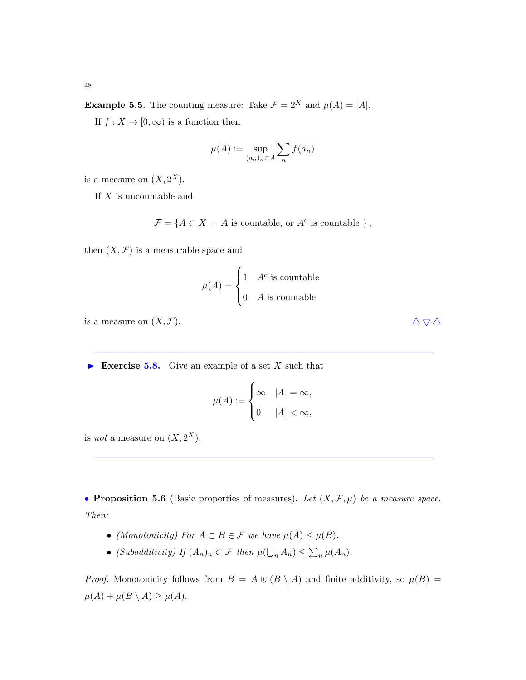**Example 5.5.** The counting measure: Take  $\mathcal{F} = 2^X$  and  $\mu(A) = |A|$ .

If  $f: X \to [0, \infty)$  is a function then

$$
\mu(A) := \sup_{(a_n)_n \subset A} \sum_n f(a_n)
$$

is a measure on  $(X, 2^X)$ .

If  $X$  is uncountable and

 $\mathcal{F} = \{ A \subset X : A \text{ is countable, or } A^c \text{ is countable } \},$ 

then  $(X, \mathcal{F})$  is a measurable space and

$$
\mu(A) = \begin{cases} 1 & A^c \text{ is countable} \\ 0 & A \text{ is countable} \end{cases}
$$

is a measure on  $(X, \mathcal{F})$ .  $\Delta \nabla \Delta$ 

Exercise 5.8. Give an example of a set X such that

$$
\mu(A) := \begin{cases} \infty & |A| = \infty, \\ 0 & |A| < \infty, \end{cases}
$$

is *not* a measure on  $(X, 2^X)$ .

• Proposition 5.6 (Basic properties of measures). Let  $(X, \mathcal{F}, \mu)$  be a measure space. Then:

- (Monotonicity) For  $A \subset B \in \mathcal{F}$  we have  $\mu(A) \leq \mu(B)$ .
- (Subadditivity) If  $(A_n)_n \subset \mathcal{F}$  then  $\mu(\bigcup_n A_n) \leq \sum_n \mu(A_n)$ .

*Proof.* Monotonicity follows from  $B = A \oplus (B \setminus A)$  and finite additivity, so  $\mu(B) =$  $\mu(A) + \mu(B \setminus A) \geq \mu(A).$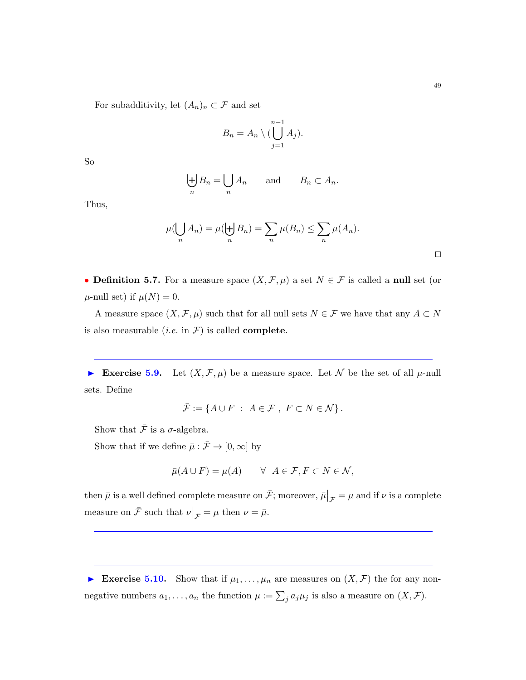$$
B_n = A_n \setminus (\bigcup_{j=1}^{n-1} A_j).
$$

So

$$
\biguplus_n B_n = \bigcup_n A_n \quad \text{and} \quad B_n \subset A_n.
$$

Thus,

$$
\mu(\bigcup_n A_n) = \mu(\biguplus_n B_n) = \sum_n \mu(B_n) \le \sum_n \mu(A_n).
$$

• Definition 5.7. For a measure space  $(X, \mathcal{F}, \mu)$  a set  $N \in \mathcal{F}$  is called a null set (or  $\mu$ -null set) if  $\mu(N) = 0$ .

A measure space  $(X, \mathcal{F}, \mu)$  such that for all null sets  $N \in \mathcal{F}$  we have that any  $A \subset N$ is also measurable (*i.e.* in  $\mathcal{F}$ ) is called **complete**.

Exercise 5.9. Let  $(X, \mathcal{F}, \mu)$  be a measure space. Let N be the set of all  $\mu$ -null sets. Define

$$
\bar{\mathcal{F}} := \{ A \cup F \ : \ A \in \mathcal{F} \ , \ F \subset N \in \mathcal{N} \} \, .
$$

Show that  $\bar{\mathcal{F}}$  is a  $\sigma$ -algebra.

Show that if we define  $\bar{\mu}: \bar{\mathcal{F}} \to [0,\infty]$  by

$$
\bar{\mu}(A \cup F) = \mu(A) \qquad \forall \ \ A \in \mathcal{F}, F \subset N \in \mathcal{N},
$$

then  $\bar{\mu}$  is a well defined complete measure on  $\bar{\mathcal{F}}$ ; moreover,  $\bar{\mu}\big|_{\mathcal{F}} = \mu$  and if  $\nu$  is a complete measure on  $\bar{\mathcal{F}}$  such that  $\nu|_{\mathcal{F}} = \mu$  then  $\nu = \bar{\mu}$ .

Exercise 5.10. Show that if  $\mu_1, \ldots, \mu_n$  are measures on  $(X, \mathcal{F})$  the for any nonnegative numbers  $a_1, \ldots, a_n$  the function  $\mu := \sum_j a_j \mu_j$  is also a measure on  $(X, \mathcal{F})$ .

 $\Box$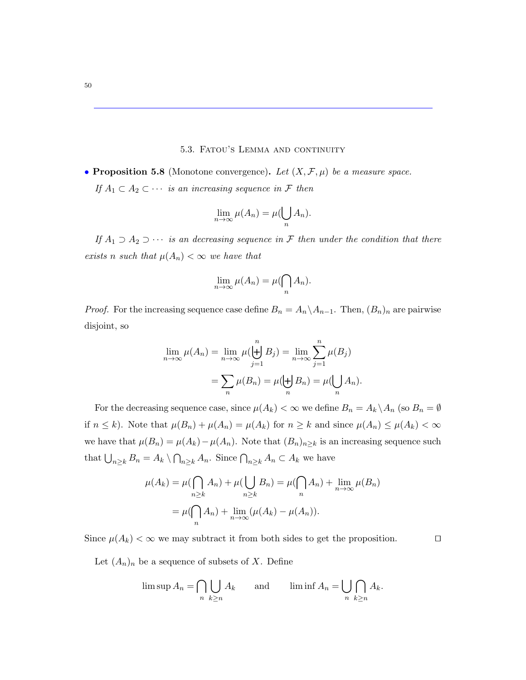#### 5.3. Fatou's Lemma and continuity

• Proposition 5.8 (Monotone convergence). Let  $(X, \mathcal{F}, \mu)$  be a measure space. If  $A_1 \subset A_2 \subset \cdots$  is an increasing sequence in F then

$$
\lim_{n \to \infty} \mu(A_n) = \mu(\bigcup_n A_n).
$$

If  $A_1 \supset A_2 \supset \cdots$  is an decreasing sequence in F then under the condition that there exists n such that  $\mu(A_n) < \infty$  we have that

$$
\lim_{n \to \infty} \mu(A_n) = \mu(\bigcap_n A_n).
$$

*Proof.* For the increasing sequence case define  $B_n = A_n \setminus A_{n-1}$ . Then,  $(B_n)_n$  are pairwise disjoint, so

$$
\lim_{n \to \infty} \mu(A_n) = \lim_{n \to \infty} \mu(\biguplus_{j=1}^n B_j) = \lim_{n \to \infty} \sum_{j=1}^n \mu(B_j)
$$

$$
= \sum_n \mu(B_n) = \mu(\biguplus_n B_n) = \mu(\bigcup_n A_n).
$$

For the decreasing sequence case, since  $\mu(A_k) < \infty$  we define  $B_n = A_k \setminus A_n$  (so  $B_n = \emptyset$ ) if  $n \leq k$ ). Note that  $\mu(B_n) + \mu(A_n) = \mu(A_k)$  for  $n \geq k$  and since  $\mu(A_n) \leq \mu(A_k) < \infty$ we have that  $\mu(B_n) = \mu(A_k) - \mu(A_n)$ . Note that  $(B_n)_{n \geq k}$  is an increasing sequence such that  $\bigcup_{n\geq k} B_n = A_k \setminus \bigcap_{n\geq k} A_n$ . Since  $\bigcap_{n\geq k} A_n \subset A_k$  we have

$$
\mu(A_k) = \mu\left(\bigcap_{n \ge k} A_n\right) + \mu\left(\bigcup_{n \ge k} B_n\right) = \mu\left(\bigcap_{n} A_n\right) + \lim_{n \to \infty} \mu(B_n)
$$

$$
= \mu\left(\bigcap_{n} A_n\right) + \lim_{n \to \infty} (\mu(A_k) - \mu(A_n)).
$$

Since  $\mu(A_k) < \infty$  we may subtract it from both sides to get the proposition.  $\square$ 

Let  $(A_n)_n$  be a sequence of subsets of X. Define

$$
\limsup A_n = \bigcap_{n} \bigcup_{k \ge n} A_k \quad \text{and} \quad \liminf A_n = \bigcup_{n} \bigcap_{k \ge n} A_k.
$$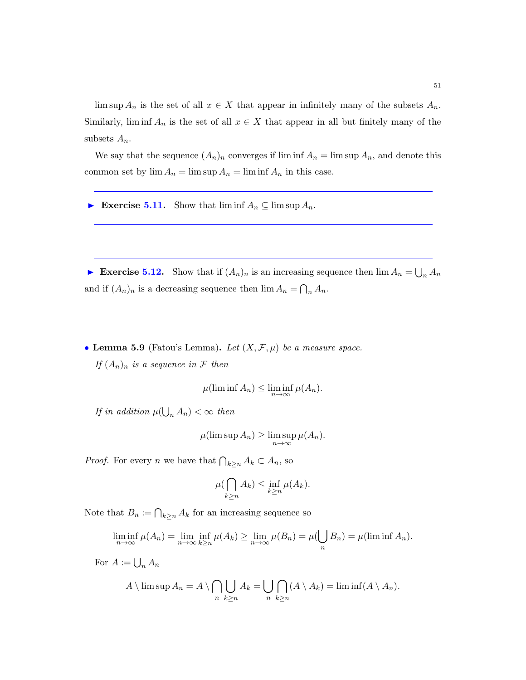lim sup  $A_n$  is the set of all  $x \in X$  that appear in infinitely many of the subsets  $A_n$ . Similarly, lim inf  $A_n$  is the set of all  $x \in X$  that appear in all but finitely many of the subsets  $A_n$ .

We say that the sequence  $(A_n)_n$  converges if  $\liminf A_n = \limsup A_n$ , and denote this common set by  $\lim A_n = \limsup A_n = \liminf A_n$  in this case.

Exercise 5.11. Show that  $\liminf A_n \subseteq \limsup A_n$ .

Exercise 5.12. Show that if  $(A_n)_n$  is an increasing sequence then  $\lim A_n = \bigcup_n A_n$ and if  $(A_n)_n$  is a decreasing sequence then  $\lim A_n = \bigcap_n A_n$ .

• Lemma 5.9 (Fatou's Lemma). Let  $(X, \mathcal{F}, \mu)$  be a measure space. If  $(A_n)_n$  is a sequence in F then

$$
\mu(\liminf A_n) \le \liminf_{n \to \infty} \mu(A_n).
$$

If in addition  $\mu(\bigcup_n A_n) < \infty$  then

$$
\mu(\limsup A_n) \ge \limsup_{n \to \infty} \mu(A_n).
$$

*Proof.* For every *n* we have that  $\bigcap_{k\geq n} A_k \subset A_n$ , so

$$
\mu(\bigcap_{k\geq n} A_k) \leq \inf_{k\geq n} \mu(A_k).
$$

Note that  $B_n := \bigcap_{k \geq n} A_k$  for an increasing sequence so

$$
\liminf_{n \to \infty} \mu(A_n) = \lim_{n \to \infty} \inf_{k \ge n} \mu(A_k) \ge \lim_{n \to \infty} \mu(B_n) = \mu(\bigcup_n B_n) = \mu(\liminf_{n} A_n).
$$

For  $A := \bigcup_n A_n$ 

$$
A \setminus \limsup A_n = A \setminus \bigcap_{n} \bigcup_{k \geq n} A_k = \bigcup_{n} \bigcap_{k \geq n} (A \setminus A_k) = \liminf (A \setminus A_n).
$$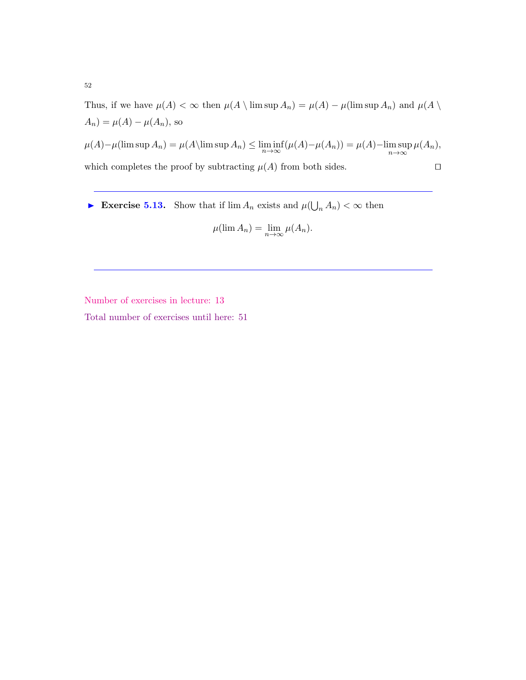Thus, if we have  $\mu(A) < \infty$  then  $\mu(A \setminus \limsup A_n) = \mu(A) - \mu(\limsup A_n)$  and  $\mu(A \setminus$  $A_n$ ) =  $\mu(A) - \mu(A_n)$ , so

 $\mu(A) - \mu(\limsup A_n) = \mu(A \setminus \limsup A_n) \leq \liminf_{n \to \infty} (\mu(A) - \mu(A_n)) = \mu(A) - \limsup_{n \to \infty}$  $\mu(A_n),$ which completes the proof by subtracting  $\mu(A)$  from both sides.  $\square$ 

Exercise 5.13. Show that if  $\lim A_n$  exists and  $\mu(\bigcup_n A_n) < \infty$  then

$$
\mu(\lim A_n) = \lim_{n \to \infty} \mu(A_n).
$$

Number of exercises in lecture: 13

Total number of exercises until here: 51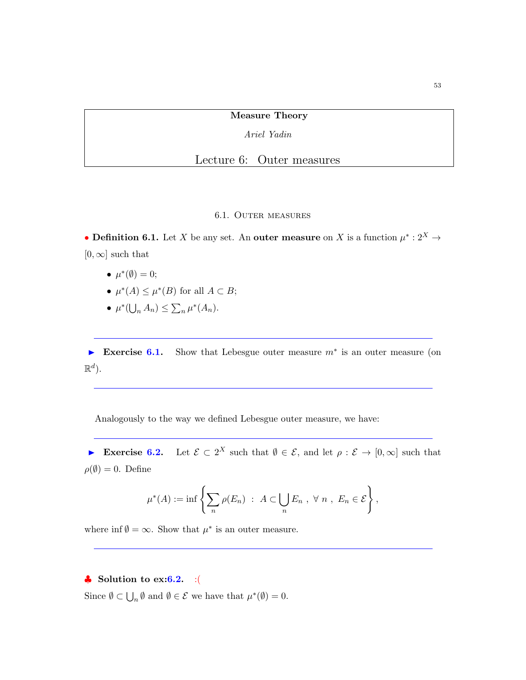Measure Theory

Ariel Yadin

Lecture 6: Outer measures

## 6.1. Outer measures

• Definition 6.1. Let X be any set. An outer measure on X is a function  $\mu^*: 2^X \to$  $[0, \infty]$  such that

- $\mu^*(\emptyset) = 0;$
- $\mu^*(A) \leq \mu^*(B)$  for all  $A \subset B$ ;
- $\mu^*(\bigcup_n A_n) \leq \sum_n \mu^*(A_n).$

Exercise 6.1. Show that Lebesgue outer measure  $m^*$  is an outer measure (on  $\mathbb{R}^d$ ).

Analogously to the way we defined Lebesgue outer measure, we have:

Exercise  $6.2$ . Let  $\mathcal{E} \subset 2^X$  such that  $\emptyset \in \mathcal{E}$ , and let  $\rho : \mathcal{E} \to [0, \infty]$  such that  $\rho(\emptyset) = 0$ . Define

$$
\mu^*(A) := \inf \left\{ \sum_n \rho(E_n) \ : \ A \subset \bigcup_n E_n , \ \forall \ n \ , \ E_n \in \mathcal{E} \right\},\
$$

where  $\inf \emptyset = \infty$ . Show that  $\mu^*$  is an outer measure.

## $\clubsuit$  Solution to ex: 6.2. : (

Since  $\emptyset \subset \bigcup_n \emptyset$  and  $\emptyset \in \mathcal{E}$  we have that  $\mu^*(\emptyset) = 0$ .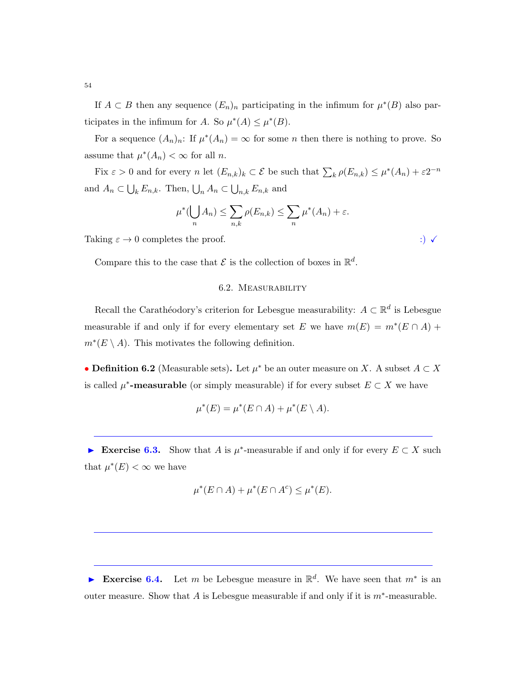If  $A \subset B$  then any sequence  $(E_n)_n$  participating in the infimum for  $\mu^*(B)$  also participates in the infimum for A. So  $\mu^*(A) \leq \mu^*(B)$ .

For a sequence  $(A_n)_n$ : If  $\mu^*(A_n) = \infty$  for some n then there is nothing to prove. So assume that  $\mu^*(A_n) < \infty$  for all *n*.

Fix  $\varepsilon > 0$  and for every n let  $(E_{n,k})_k \subset \mathcal{E}$  be such that  $\sum_k \rho(E_{n,k}) \leq \mu^*(A_n) + \varepsilon 2^{-n}$ and  $A_n \subset \bigcup_k E_{n,k}$ . Then,  $\bigcup_n A_n \subset \bigcup_{n,k} E_{n,k}$  and

$$
\mu^*(\bigcup_n A_n) \le \sum_{n,k} \rho(E_{n,k}) \le \sum_n \mu^*(A_n) + \varepsilon.
$$

Taking  $\varepsilon \to 0$  completes the proof. ::  $\sqrt{\frac{(\varepsilon + 1)^2}{2}}$ 

Compare this to the case that  $\mathcal E$  is the collection of boxes in  $\mathbb R^d$ .

## 6.2. Measurability

Recall the Carathéodory's criterion for Lebesgue measurability:  $A \subset \mathbb{R}^d$  is Lebesgue measurable if and only if for every elementary set E we have  $m(E) = m^*(E \cap A)$  +  $m^*(E \setminus A)$ . This motivates the following definition.

• **Definition 6.2** (Measurable sets). Let  $\mu^*$  be an outer measure on X. A subset  $A \subset X$ is called  $\mu^*$ -measurable (or simply measurable) if for every subset  $E \subset X$  we have

$$
\mu^*(E) = \mu^*(E \cap A) + \mu^*(E \setminus A).
$$

► Exercise 6.3. Show that A is  $\mu^*$ -measurable if and only if for every  $E \subset X$  such that  $\mu^*(E) < \infty$  we have

$$
\mu^*(E \cap A) + \mu^*(E \cap A^c) \le \mu^*(E).
$$

► Exercise 6.4. Let m be Lebesgue measure in  $\mathbb{R}^d$ . We have seen that  $m^*$  is an outer measure. Show that A is Lebesgue measurable if and only if it is  $m^*$ -measurable.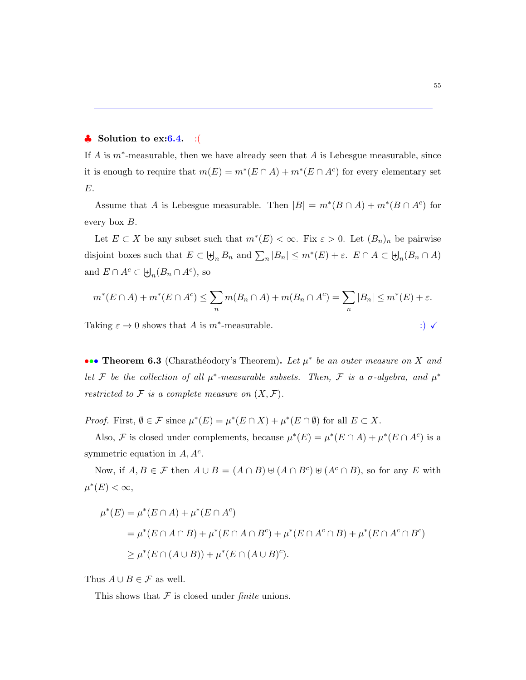## $\bullet$  Solution to ex: 6.4. : (

If A is  $m^*$ -measurable, then we have already seen that A is Lebesgue measurable, since it is enough to require that  $m(E) = m^*(E \cap A) + m^*(E \cap A^c)$  for every elementary set E.

Assume that A is Lebesgue measurable. Then  $|B| = m^*(B \cap A) + m^*(B \cap A^c)$  for every box B.

Let  $E \subset X$  be any subset such that  $m^*(E) < \infty$ . Fix  $\varepsilon > 0$ . Let  $(B_n)_n$  be pairwise disjoint boxes such that  $E \subset \biguplus_n B_n$  and  $\sum_n |B_n| \leq m^*(E) + \varepsilon$ .  $E \cap A \subset \biguplus_n (B_n \cap A)$ and  $E \cap A^c \subset \biguplus_n (B_n \cap A^c)$ , so

$$
m^*(E \cap A) + m^*(E \cap A^c) \le \sum_n m(B_n \cap A) + m(B_n \cap A^c) = \sum_n |B_n| \le m^*(E) + \varepsilon.
$$

Taking  $\varepsilon \to 0$  shows that A is  $m^*$ -measurable. :)  $\checkmark$ 

••• Theorem 6.3 (Charathéodory's Theorem). Let  $\mu^*$  be an outer measure on X and Let F be the collection of all  $\mu^*$ -measurable subsets. Then, F is a  $\sigma$ -algebra, and  $\mu^*$ restricted to  $\mathcal F$  is a complete measure on  $(X,\mathcal F)$ .

*Proof.* First,  $\emptyset \in \mathcal{F}$  since  $\mu^*(E) = \mu^*(E \cap X) + \mu^*(E \cap \emptyset)$  for all  $E \subset X$ .

Also, F is closed under complements, because  $\mu^*(E) = \mu^*(E \cap A) + \mu^*(E \cap A^c)$  is a symmetric equation in  $A, A^c$ .

Now, if  $A, B \in \mathcal{F}$  then  $A \cup B = (A \cap B) \cup (A \cap B^c) \cup (A^c \cap B)$ , so for any E with  $\mu^*(E) < \infty$ ,

$$
\mu^*(E) = \mu^*(E \cap A) + \mu^*(E \cap A^c)
$$
  
=  $\mu^*(E \cap A \cap B) + \mu^*(E \cap A \cap B^c) + \mu^*(E \cap A^c \cap B) + \mu^*(E \cap A^c \cap B^c)$   
 $\ge \mu^*(E \cap (A \cup B)) + \mu^*(E \cap (A \cup B)^c).$ 

Thus  $A \cup B \in \mathcal{F}$  as well.

This shows that  $\mathcal F$  is closed under *finite* unions.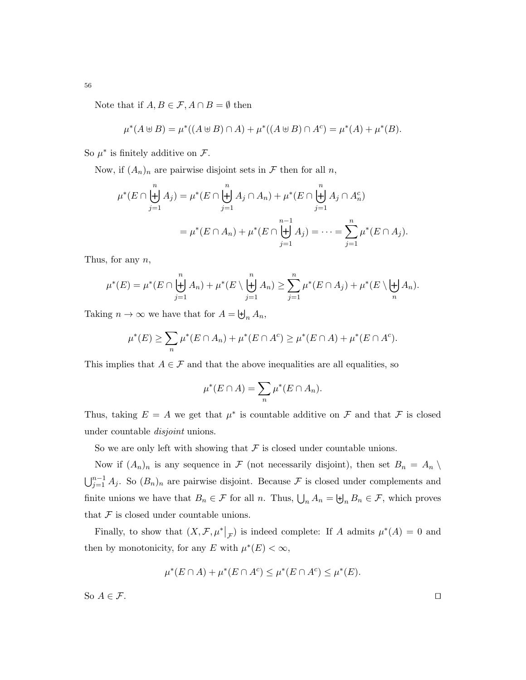Note that if  $A, B \in \mathcal{F}, A \cap B = \emptyset$  then

$$
\mu^*(A \uplus B) = \mu^*((A \uplus B) \cap A) + \mu^*((A \uplus B) \cap A^c) = \mu^*(A) + \mu^*(B).
$$

So  $\mu^*$  is finitely additive on  $\mathcal{F}$ .

Now, if  $(A_n)_n$  are pairwise disjoint sets in  $\mathcal F$  then for all  $n$ ,

$$
\mu^*(E \cap \biguplus_{j=1}^n A_j) = \mu^*(E \cap \biguplus_{j=1}^n A_j \cap A_n) + \mu^*(E \cap \biguplus_{j=1}^n A_j \cap A_n^c)
$$
  
= 
$$
\mu^*(E \cap A_n) + \mu^*(E \cap \biguplus_{j=1}^{n-1} A_j) = \dots = \sum_{j=1}^n \mu^*(E \cap A_j).
$$

Thus, for any  $n$ ,

$$
\mu^*(E) = \mu^*(E \cap \biguplus_{j=1}^n A_n) + \mu^*(E \setminus \biguplus_{j=1}^n A_n) \ge \sum_{j=1}^n \mu^*(E \cap A_j) + \mu^*(E \setminus \biguplus_n A_n).
$$

Taking  $n \to \infty$  we have that for  $A = \biguplus_n A_n$ ,

$$
\mu^*(E) \ge \sum_n \mu^*(E \cap A_n) + \mu^*(E \cap A^c) \ge \mu^*(E \cap A) + \mu^*(E \cap A^c).
$$

This implies that  $A \in \mathcal{F}$  and that the above inequalities are all equalities, so

$$
\mu^*(E \cap A) = \sum_n \mu^*(E \cap A_n).
$$

Thus, taking  $E = A$  we get that  $\mu^*$  is countable additive on  $\mathcal F$  and that  $\mathcal F$  is closed under countable disjoint unions.

So we are only left with showing that  $\mathcal F$  is closed under countable unions.

Now if  $(A_n)_n$  is any sequence in F (not necessarily disjoint), then set  $B_n = A_n \setminus$  $\bigcup_{j=1}^{n-1} A_j$ . So  $(B_n)_n$  are pairwise disjoint. Because F is closed under complements and finite unions we have that  $B_n \in \mathcal{F}$  for all n. Thus,  $\bigcup_n A_n = \biguplus_n B_n \in \mathcal{F}$ , which proves that  $\mathcal F$  is closed under countable unions.

Finally, to show that  $(X, \mathcal{F}, \mu^*|_{\mathcal{F}})$  is indeed complete: If A admits  $\mu^*(A) = 0$  and then by monotonicity, for any E with  $\mu^*(E) < \infty$ ,

$$
\mu^*(E \cap A) + \mu^*(E \cap A^c) \le \mu^*(E \cap A^c) \le \mu^*(E).
$$

So  $A \in \mathcal{F}$ .

56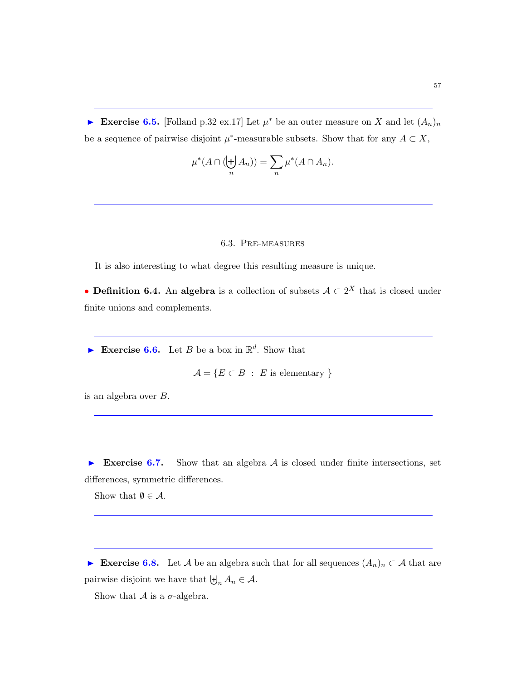► Exercise 6.5. [Folland p.32 ex.17] Let  $\mu^*$  be an outer measure on X and let  $(A_n)_n$ be a sequence of pairwise disjoint  $\mu^*$ -measurable subsets. Show that for any  $A \subset X$ ,

$$
\mu^*(A \cap (\biguplus_n A_n)) = \sum_n \mu^*(A \cap A_n).
$$

## 6.3. Pre-measures

It is also interesting to what degree this resulting measure is unique.

• **Definition 6.4.** An algebra is a collection of subsets  $A \subset 2^X$  that is closed under finite unions and complements.

Exercise 6.6. Let B be a box in  $\mathbb{R}^d$ . Show that

$$
\mathcal{A} = \{ E \subset B \; : \; E \text{ is elementary } \}
$$

is an algebra over B.

Exercise 6.7. Show that an algebra  $A$  is closed under finite intersections, set differences, symmetric differences.

Show that  $\emptyset \in \mathcal{A}$ .

Exercise 6.8. Let A be an algebra such that for all sequences  $(A_n)_n \subset A$  that are pairwise disjoint we have that  $\biguplus_n A_n \in \mathcal{A}$ .

Show that  $A$  is a  $\sigma$ -algebra.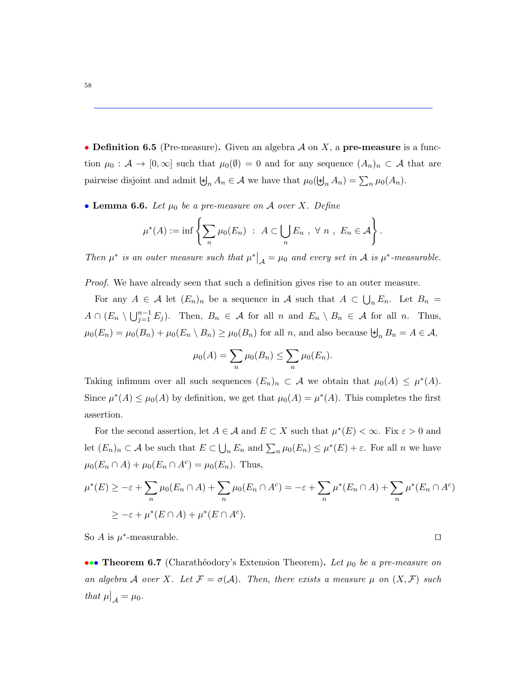• Definition 6.5 (Pre-measure). Given an algebra  $A$  on  $X$ , a pre-measure is a function  $\mu_0 : \mathcal{A} \to [0, \infty]$  such that  $\mu_0(\emptyset) = 0$  and for any sequence  $(A_n)_n \subset \mathcal{A}$  that are pairwise disjoint and admit  $\biguplus_n A_n \in \mathcal{A}$  we have that  $\mu_0(\biguplus_n A_n) = \sum_n \mu_0(A_n)$ .

<span id="page-57-0"></span>• Lemma 6.6. Let  $\mu_0$  be a pre-measure on A over X. Define

$$
\mu^*(A) := \inf \left\{ \sum_n \mu_0(E_n) \ : \ A \subset \bigcup_n E_n , \ \forall \ n \ , \ E_n \in \mathcal{A} \right\}.
$$

Then  $\mu^*$  is an outer measure such that  $\mu^*|_{\mathcal{A}} = \mu_0$  and every set in A is  $\mu^*$ -measurable.

Proof. We have already seen that such a definition gives rise to an outer measure.

For any  $A \in \mathcal{A}$  let  $(E_n)_n$  be a sequence in  $\mathcal{A}$  such that  $A \subset \bigcup_n E_n$ . Let  $B_n =$  $A \cap (E_n \setminus \bigcup_{j=1}^{n-1} E_j)$ . Then,  $B_n \in \mathcal{A}$  for all  $n$  and  $E_n \setminus B_n \in \mathcal{A}$  for all  $n$ . Thus,  $\mu_0(E_n) = \mu_0(B_n) + \mu_0(E_n \setminus B_n) \ge \mu_0(B_n)$  for all n, and also because  $\biguplus_n B_n = A \in \mathcal{A}$ ,

$$
\mu_0(A) = \sum_n \mu_0(B_n) \le \sum_n \mu_0(E_n).
$$

Taking infimum over all such sequences  $(E_n)_n \subset \mathcal{A}$  we obtain that  $\mu_0(A) \leq \mu^*(A)$ . Since  $\mu^*(A) \leq \mu_0(A)$  by definition, we get that  $\mu_0(A) = \mu^*(A)$ . This completes the first assertion.

For the second assertion, let  $A \in \mathcal{A}$  and  $E \subset X$  such that  $\mu^*(E) < \infty$ . Fix  $\varepsilon > 0$  and let  $(E_n)_n \subset \mathcal{A}$  be such that  $E \subset \bigcup_n E_n$  and  $\sum_n \mu_0(E_n) \leq \mu^*(E) + \varepsilon$ . For all n we have  $\mu_0(E_n \cap A) + \mu_0(E_n \cap A^c) = \mu_0(E_n)$ . Thus,

$$
\mu^*(E) \ge -\varepsilon + \sum_n \mu_0(E_n \cap A) + \sum_n \mu_0(E_n \cap A^c) = -\varepsilon + \sum_n \mu^*(E_n \cap A) + \sum_n \mu^*(E_n \cap A^c)
$$
  

$$
\ge -\varepsilon + \mu^*(E \cap A) + \mu^*(E \cap A^c).
$$

So A is  $\mu^*$ -measurable.

••• Theorem 6.7 (Charathéodory's Extension Theorem). Let  $\mu_0$  be a pre-measure on an algebra A over X. Let  $\mathcal{F} = \sigma(\mathcal{A})$ . Then, there exists a measure  $\mu$  on  $(X, \mathcal{F})$  such that  $\mu|_{\mathcal{A}} = \mu_0$ .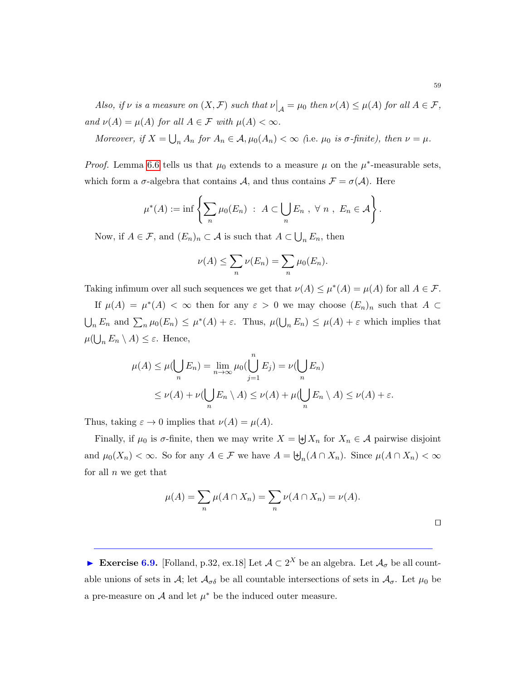Also, if  $\nu$  is a measure on  $(X, \mathcal{F})$  such that  $\nu|_{\mathcal{A}} = \mu_0$  then  $\nu(A) \leq \mu(A)$  for all  $A \in \mathcal{F}$ , and  $\nu(A) = \mu(A)$  for all  $A \in \mathcal{F}$  with  $\mu(A) < \infty$ .

Moreover, if  $X = \bigcup_n A_n$  for  $A_n \in \mathcal{A}, \mu_0(A_n) < \infty$  (i.e.  $\mu_0$  is  $\sigma$ -finite), then  $\nu = \mu$ .

*Proof.* Lemma [6.6](#page-57-0) tells us that  $\mu_0$  extends to a measure  $\mu$  on the  $\mu^*$ -measurable sets, which form a  $\sigma$ -algebra that contains A, and thus contains  $\mathcal{F} = \sigma(\mathcal{A})$ . Here

$$
\mu^*(A) := \inf \left\{ \sum_n \mu_0(E_n) \ : \ A \subset \bigcup_n E_n , \ \forall \ n \ , \ E_n \in \mathcal{A} \right\}.
$$

Now, if  $A \in \mathcal{F}$ , and  $(E_n)_n \subset \mathcal{A}$  is such that  $A \subset \bigcup_n E_n$ , then

$$
\nu(A) \leq \sum_n \nu(E_n) = \sum_n \mu_0(E_n).
$$

Taking infimum over all such sequences we get that  $\nu(A) \leq \mu^*(A) = \mu(A)$  for all  $A \in \mathcal{F}$ .

If  $\mu(A) = \mu^*(A) < \infty$  then for any  $\varepsilon > 0$  we may choose  $(E_n)_n$  such that  $A \subset$  $\bigcup_n E_n$  and  $\sum_n \mu_0(E_n) \leq \mu^*(A) + \varepsilon$ . Thus,  $\mu(\bigcup_n E_n) \leq \mu(A) + \varepsilon$  which implies that  $\mu(\bigcup_n E_n \setminus A) \leq \varepsilon$ . Hence,

$$
\mu(A) \le \mu(\bigcup_n E_n) = \lim_{n \to \infty} \mu_0(\bigcup_{j=1}^n E_j) = \nu(\bigcup_n E_n)
$$
  

$$
\le \nu(A) + \nu(\bigcup_n E_n \setminus A) \le \nu(A) + \mu(\bigcup_n E_n \setminus A) \le \nu(A) + \varepsilon.
$$

Thus, taking  $\varepsilon \to 0$  implies that  $\nu(A) = \mu(A)$ .

Finally, if  $\mu_0$  is  $\sigma$ -finite, then we may write  $X = \biguplus X_n$  for  $X_n \in \mathcal{A}$  pairwise disjoint and  $\mu_0(X_n) < \infty$ . So for any  $A \in \mathcal{F}$  we have  $A = \biguplus_n (A \cap X_n)$ . Since  $\mu(A \cap X_n) < \infty$ for all  $n$  we get that

$$
\mu(A) = \sum_{n} \mu(A \cap X_n) = \sum_{n} \nu(A \cap X_n) = \nu(A).
$$

Exercise 6.9. [Folland, p.32, ex.18] Let  $A \subset 2^X$  be an algebra. Let  $A_{\sigma}$  be all countable unions of sets in  $\mathcal{A}$ ; let  $\mathcal{A}_{\sigma\delta}$  be all countable intersections of sets in  $\mathcal{A}_{\sigma}$ . Let  $\mu_0$  be a pre-measure on  $A$  and let  $\mu^*$  be the induced outer measure.

 $\Box$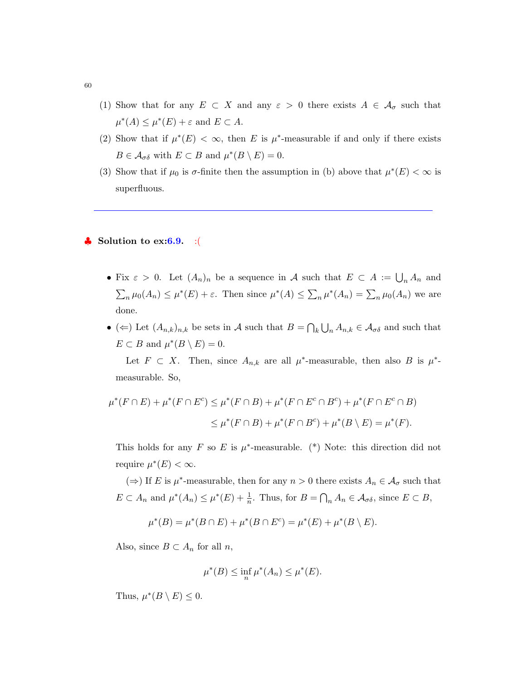- (1) Show that for any  $E \subset X$  and any  $\varepsilon > 0$  there exists  $A \in \mathcal{A}_{\sigma}$  such that  $\mu^*(A) \leq \mu^*(E) + \varepsilon$  and  $E \subset A$ .
- (2) Show that if  $\mu^*(E) < \infty$ , then E is  $\mu^*$ -measurable if and only if there exists  $B \in \mathcal{A}_{\sigma\delta}$  with  $E \subset B$  and  $\mu^*(B \setminus E) = 0$ .
- (3) Show that if  $\mu_0$  is  $\sigma$ -finite then the assumption in (b) above that  $\mu^*(E) < \infty$  is superfluous.

## $\bullet$  Solution to ex: 6.9. : (

- Fix  $\varepsilon > 0$ . Let  $(A_n)_n$  be a sequence in A such that  $E \subset A := \bigcup_n A_n$  and  $\sum_n \mu_0(A_n) \leq \mu^*(E) + \varepsilon$ . Then since  $\mu^*(A) \leq \sum_n \mu^*(A_n) = \sum_n \mu_0(A_n)$  we are done.
- ( $\Leftarrow$ ) Let  $(A_{n,k})_{n,k}$  be sets in A such that  $B = \bigcap_k \bigcup_n A_{n,k} \in \mathcal{A}_{\sigma\delta}$  and such that  $E \subset B$  and  $\mu^*(B \setminus E) = 0$ .

Let  $F \subset X$ . Then, since  $A_{n,k}$  are all  $\mu^*$ -measurable, then also B is  $\mu^*$ measurable. So,

$$
\mu^*(F \cap E) + \mu^*(F \cap E^c) \le \mu^*(F \cap B) + \mu^*(F \cap E^c \cap B^c) + \mu^*(F \cap E^c \cap B) \\
\le \mu^*(F \cap B) + \mu^*(F \cap B^c) + \mu^*(B \setminus E) = \mu^*(F).
$$

This holds for any F so E is  $\mu^*$ -measurable. (\*) Note: this direction did not require  $\mu^*(E) < \infty$ .

(⇒) If E is  $\mu^*$ -measurable, then for any  $n > 0$  there exists  $A_n \in \mathcal{A}_{\sigma}$  such that  $E \subset A_n$  and  $\mu^*(A_n) \leq \mu^*(E) + \frac{1}{n}$ . Thus, for  $B = \bigcap_n A_n \in \mathcal{A}_{\sigma\delta}$ , since  $E \subset B$ ,

$$
\mu^*(B) = \mu^*(B \cap E) + \mu^*(B \cap E^c) = \mu^*(E) + \mu^*(B \setminus E).
$$

Also, since  $B \subset A_n$  for all n,

$$
\mu^*(B) \le \inf_n \mu^*(A_n) \le \mu^*(E).
$$

Thus,  $\mu^*(B \setminus E) \leq 0$ .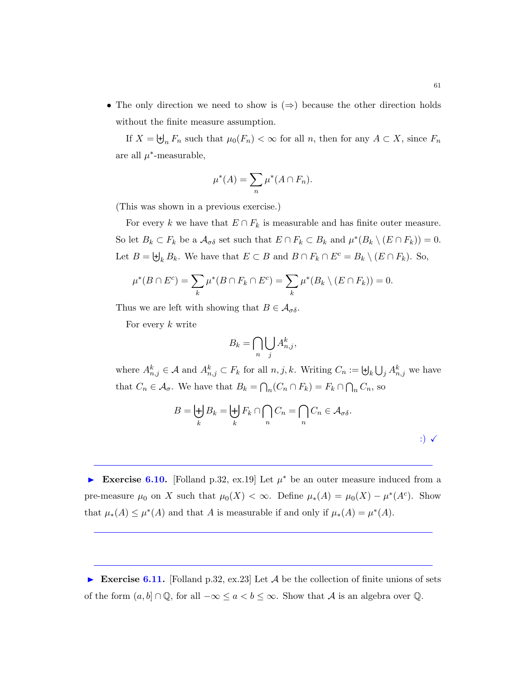• The only direction we need to show is  $(\Rightarrow)$  because the other direction holds without the finite measure assumption.

If  $X = \biguplus_n F_n$  such that  $\mu_0(F_n) < \infty$  for all n, then for any  $A \subset X$ , since  $F_n$ are all  $\mu^*$ -measurable,

$$
\mu^*(A) = \sum_n \mu^*(A \cap F_n).
$$

(This was shown in a previous exercise.)

For every k we have that  $E \cap F_k$  is measurable and has finite outer measure. So let  $B_k \subset F_k$  be a  $\mathcal{A}_{\sigma\delta}$  set such that  $E \cap F_k \subset B_k$  and  $\mu^*(B_k \setminus (E \cap F_k)) = 0$ . Let  $B = \biguplus_k B_k$ . We have that  $E \subset B$  and  $B \cap F_k \cap E^c = B_k \setminus (E \cap F_k)$ . So,

$$
\mu^*(B \cap E^c) = \sum_k \mu^*(B \cap F_k \cap E^c) = \sum_k \mu^*(B_k \setminus (E \cap F_k)) = 0.
$$

Thus we are left with showing that  $B \in \mathcal{A}_{\sigma\delta}$ .

For every  $k$  write

$$
B_k = \bigcap_n \bigcup_j A_{n,j}^k,
$$

where  $A_{n,j}^k \in \mathcal{A}$  and  $A_{n,j}^k \subset F_k$  for all  $n, j, k$ . Writing  $C_n := \biguplus_k \bigcup_j A_{n,j}^k$  we have that  $C_n \in \mathcal{A}_{\sigma}$ . We have that  $B_k = \bigcap_n (C_n \cap F_k) = F_k \cap \bigcap_n C_n$ , so

$$
B = \biguplus_k B_k = \biguplus_k F_k \cap \bigcap_n C_n = \bigcap_n C_n \in \mathcal{A}_{\sigma\delta}.
$$

► Exercise 6.10. [Folland p.32, ex.19] Let  $\mu^*$  be an outer measure induced from a pre-measure  $\mu_0$  on X such that  $\mu_0(X) < \infty$ . Define  $\mu_*(A) = \mu_0(X) - \mu^*(A^c)$ . Show that  $\mu_*(A) \leq \mu^*(A)$  and that A is measurable if and only if  $\mu_*(A) = \mu^*(A)$ .

Exercise 6.11. [Folland p.32, ex.23] Let  $A$  be the collection of finite unions of sets of the form  $(a, b] \cap \mathbb{Q}$ , for all  $-\infty \le a < b \le \infty$ . Show that A is an algebra over  $\mathbb{Q}$ .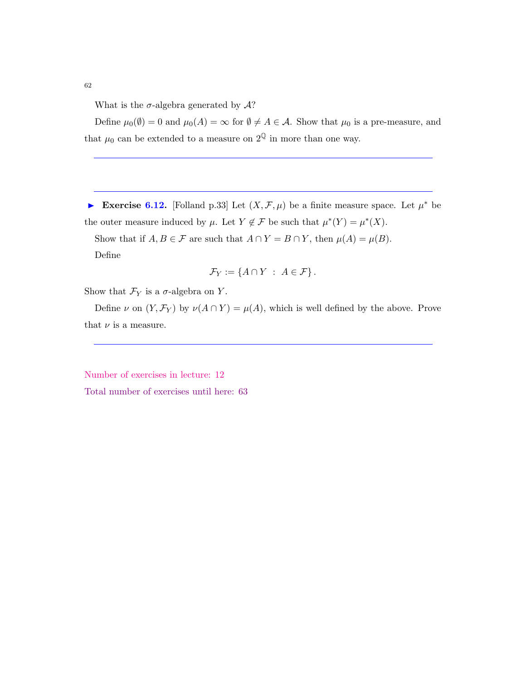62

What is the  $\sigma$ -algebra generated by  $\mathcal{A}$ ?

Define  $\mu_0(\emptyset) = 0$  and  $\mu_0(A) = \infty$  for  $\emptyset \neq A \in \mathcal{A}$ . Show that  $\mu_0$  is a pre-measure, and that  $\mu_0$  can be extended to a measure on  $2^{\mathbb{Q}}$  in more than one way.

► Exercise 6.12. [Folland p.33] Let  $(X, \mathcal{F}, \mu)$  be a finite measure space. Let  $\mu^*$  be the outer measure induced by  $\mu$ . Let  $Y \notin \mathcal{F}$  be such that  $\mu^*(Y) = \mu^*(X)$ .

Show that if  $A, B \in \mathcal{F}$  are such that  $A \cap Y = B \cap Y$ , then  $\mu(A) = \mu(B)$ . Define

$$
\mathcal{F}_Y := \{ A \cap Y \; : \; A \in \mathcal{F} \} \, .
$$

Show that  $\mathcal{F}_Y$  is a  $\sigma$ -algebra on Y.

Define  $\nu$  on  $(Y, \mathcal{F}_Y)$  by  $\nu(A \cap Y) = \mu(A)$ , which is well defined by the above. Prove that  $\nu$  is a measure.

Number of exercises in lecture: 12

Total number of exercises until here: 63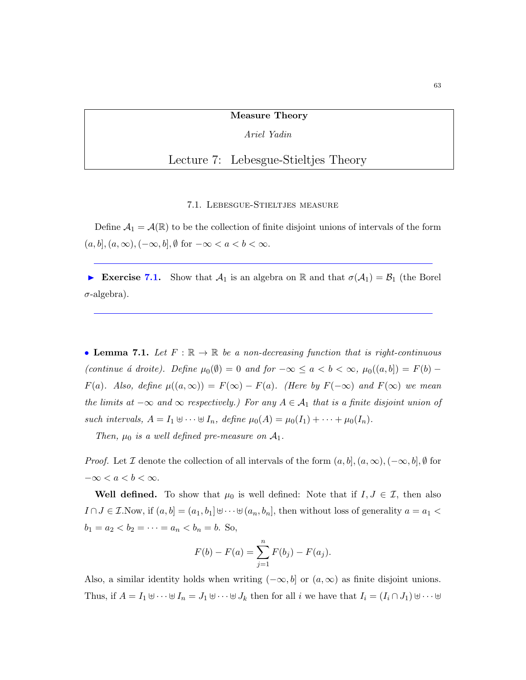#### Measure Theory

Ariel Yadin

# Lecture 7: Lebesgue-Stieltjes Theory

## 7.1. Lebesgue-Stieltjes measure

Define  $\mathcal{A}_1 = \mathcal{A}(\mathbb{R})$  to be the collection of finite disjoint unions of intervals of the form  $(a, b], (a, \infty), (-\infty, b], \emptyset$  for  $-\infty < a < b < \infty$ .

Exercise 7.1. Show that  $\mathcal{A}_1$  is an algebra on R and that  $\sigma(\mathcal{A}_1) = \mathcal{B}_1$  (the Borel  $\sigma$ -algebra).

<span id="page-62-0"></span>• Lemma 7.1. Let  $F : \mathbb{R} \to \mathbb{R}$  be a non-decreasing function that is right-continuous (continue *á* droite). Define  $\mu_0(\emptyset) = 0$  and for  $-\infty \le a < b < \infty$ ,  $\mu_0((a, b]) = F(b) F(a)$ . Also, define  $\mu((a,\infty)) = F(\infty) - F(a)$ . (Here by  $F(-\infty)$  and  $F(\infty)$  we mean the limits at  $-\infty$  and  $\infty$  respectively.) For any  $A \in \mathcal{A}_1$  that is a finite disjoint union of such intervals,  $A = I_1 \oplus \cdots \oplus I_n$ , define  $\mu_0(A) = \mu_0(I_1) + \cdots + \mu_0(I_n)$ .

Then,  $\mu_0$  is a well defined pre-measure on  $\mathcal{A}_1$ .

*Proof.* Let I denote the collection of all intervals of the form  $(a, b]$ ,  $(a, \infty)$ ,  $(-\infty, b]$ , Ø for  $-\infty < a < b < \infty$ .

Well defined. To show that  $\mu_0$  is well defined: Note that if  $I, J \in \mathcal{I}$ , then also  $I \cap J \in \mathcal{I}$ . Now, if  $(a, b] = (a_1, b_1] \cup \cdots \cup (a_n, b_n]$ , then without loss of generality  $a = a_1$  $b_1 = a_2 < b_2 = \cdots = a_n < b_n = b$ . So,

$$
F(b) - F(a) = \sum_{j=1}^{n} F(b_j) - F(a_j).
$$

Also, a similar identity holds when writing  $(-\infty, b]$  or  $(a, \infty)$  as finite disjoint unions. Thus, if  $A = I_1 \oplus \cdots \oplus I_n = J_1 \oplus \cdots \oplus J_k$  then for all i we have that  $I_i = (I_i \cap J_1) \oplus \cdots \oplus I_k$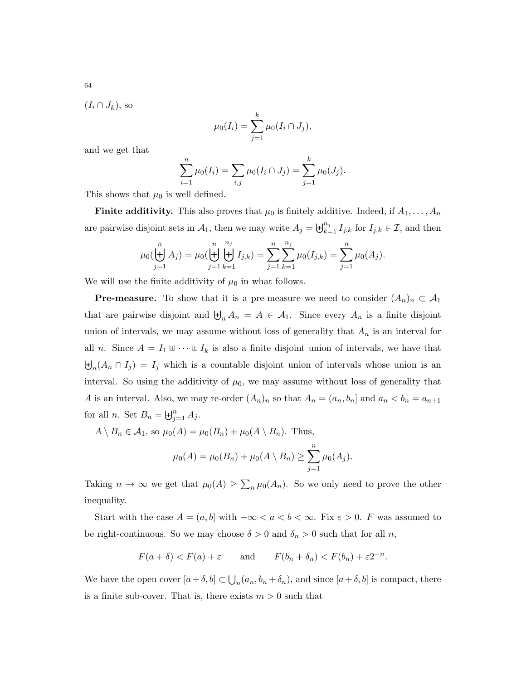$$
(I_i \cap J_k)
$$
, so

$$
\mu_0(I_i) = \sum_{j=1}^k \mu_0(I_i \cap J_j),
$$

and we get that

$$
\sum_{i=1}^{n} \mu_0(I_i) = \sum_{i,j} \mu_0(I_i \cap J_j) = \sum_{j=1}^{k} \mu_0(J_j).
$$

This shows that  $\mu_0$  is well defined.

**Finite additivity.** This also proves that  $\mu_0$  is finitely additive. Indeed, if  $A_1, \ldots, A_n$ are pairwise disjoint sets in  $A_1$ , then we may write  $A_j = \biguplus_{k=1}^{n_j} I_{j,k}$  for  $I_{j,k} \in \mathcal{I}$ , and then

$$
\mu_0(\biguplus_{j=1}^n A_j) = \mu_0(\biguplus_{j=1}^n \biguplus_{k=1}^{n_j} I_{j,k}) = \sum_{j=1}^n \sum_{k=1}^{n_j} \mu_0(I_{j,k}) = \sum_{j=1}^n \mu_0(A_j).
$$

We will use the finite additivity of  $\mu_0$  in what follows.

**Pre-measure.** To show that it is a pre-measure we need to consider  $(A_n)_n \subset A_1$ that are pairwise disjoint and  $\biguplus_n A_n = A \in \mathcal{A}_1$ . Since every  $A_n$  is a finite disjoint union of intervals, we may assume without loss of generality that  $A_n$  is an interval for all n. Since  $A = I_1 \oplus \cdots \oplus I_k$  is also a finite disjoint union of intervals, we have that  $\biguplus_n (A_n \cap I_j) = I_j$  which is a countable disjoint union of intervals whose union is an interval. So using the additivity of  $\mu_0$ , we may assume without loss of generality that A is an interval. Also, we may re-order  $(A_n)_n$  so that  $A_n = (a_n, b_n]$  and  $a_n < b_n = a_{n+1}$ for all *n*. Set  $B_n = \biguplus_{j=1}^n A_j$ .

 $A \setminus B_n \in \mathcal{A}_1$ , so  $\mu_0(A) = \mu_0(B_n) + \mu_0(A \setminus B_n)$ . Thus,

$$
\mu_0(A) = \mu_0(B_n) + \mu_0(A \setminus B_n) \ge \sum_{j=1}^n \mu_0(A_j).
$$

Taking  $n \to \infty$  we get that  $\mu_0(A) \geq \sum_n \mu_0(A_n)$ . So we only need to prove the other inequality.

Start with the case  $A = (a, b]$  with  $-\infty < a < b < \infty$ . Fix  $\varepsilon > 0$ . F was assumed to be right-continuous. So we may choose  $\delta > 0$  and  $\delta_n > 0$  such that for all n,

$$
F(a + \delta) < F(a) + \varepsilon
$$
 and  $F(b_n + \delta_n) < F(b_n) + \varepsilon 2^{-n}$ .

We have the open cover  $[a+\delta,b] \subset \bigcup_n (a_n, b_n + \delta_n)$ , and since  $[a+\delta,b]$  is compact, there is a finite sub-cover. That is, there exists  $m > 0$  such that

64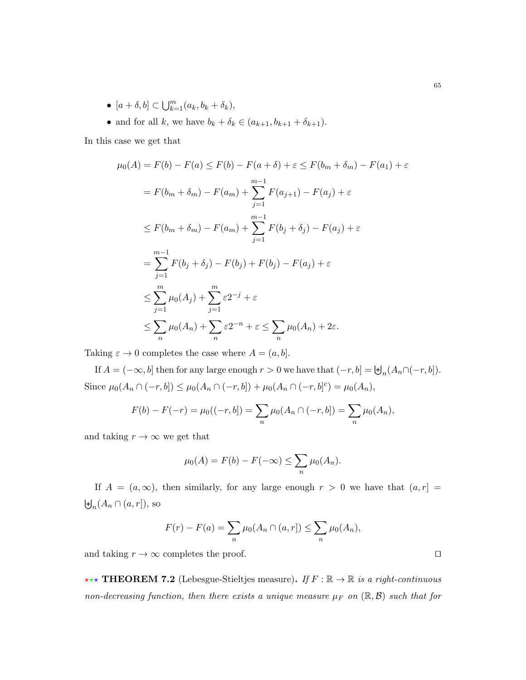- $[a + \delta, b] \subset \bigcup_{k=1}^{m} (a_k, b_k + \delta_k),$
- and for all k, we have  $b_k + \delta_k \in (a_{k+1}, b_{k+1} + \delta_{k+1}).$

In this case we get that

$$
\mu_0(A) = F(b) - F(a) \le F(b) - F(a + \delta) + \varepsilon \le F(b_m + \delta_m) - F(a_1) + \varepsilon
$$
  
\n
$$
= F(b_m + \delta_m) - F(a_m) + \sum_{j=1}^{m-1} F(a_{j+1}) - F(a_j) + \varepsilon
$$
  
\n
$$
\le F(b_m + \delta_m) - F(a_m) + \sum_{j=1}^{m-1} F(b_j + \delta_j) - F(a_j) + \varepsilon
$$
  
\n
$$
= \sum_{j=1}^{m-1} F(b_j + \delta_j) - F(b_j) + F(b_j) - F(a_j) + \varepsilon
$$
  
\n
$$
\le \sum_{j=1}^{m} \mu_0(A_j) + \sum_{j=1}^{m} \varepsilon 2^{-j} + \varepsilon
$$
  
\n
$$
\le \sum_{n} \mu_0(A_n) + \sum_{n} \varepsilon 2^{-n} + \varepsilon \le \sum_{n} \mu_0(A_n) + 2\varepsilon.
$$

Taking  $\varepsilon \to 0$  completes the case where  $A = (a, b]$ .

If  $A = (-\infty, b]$  then for any large enough  $r > 0$  we have that  $(-r, b] = \biguplus_n (A_n \cap (-r, b])$ . Since  $\mu_0(A_n \cap (-r, b]) \leq \mu_0(A_n \cap (-r, b]) + \mu_0(A_n \cap (-r, b]^c) = \mu_0(A_n),$ 

$$
F(b) - F(-r) = \mu_0((-r, b]) = \sum_n \mu_0(A_n \cap (-r, b]) = \sum_n \mu_0(A_n),
$$

and taking  $r \to \infty$  we get that

$$
\mu_0(A) = F(b) - F(-\infty) \le \sum_n \mu_0(A_n).
$$

If  $A = (a, \infty)$ , then similarly, for any large enough  $r > 0$  we have that  $(a, r] =$  $\biguplus_n (A_n \cap (a, r]),$  so

$$
F(r) - F(a) = \sum_{n} \mu_0(A_n \cap (a, r]) \le \sum_{n} \mu_0(A_n),
$$

and taking  $r \to \infty$  completes the proof.

\*\*\* THEOREM 7.2 (Lebesgue-Stieltjes measure). If  $F : \mathbb{R} \to \mathbb{R}$  is a right-continuous non-decreasing function, then there exists a unique measure  $\mu_F$  on  $(\mathbb{R}, \mathcal{B})$  such that for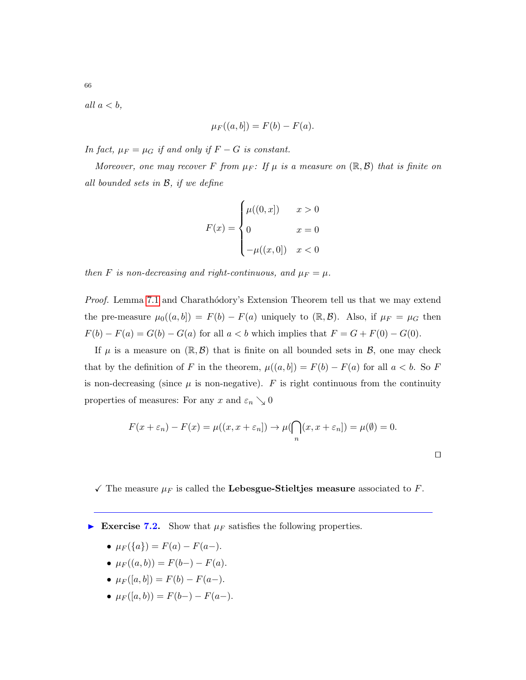all  $a < b$ ,

$$
\mu_F((a,b]) = F(b) - F(a).
$$

In fact,  $\mu_F = \mu_G$  if and only if  $F - G$  is constant.

Moreover, one may recover F from  $\mu_F$ : If  $\mu$  is a measure on  $(\mathbb{R}, \mathcal{B})$  that is finite on all bounded sets in B, if we define

$$
F(x) = \begin{cases} \mu((0, x]) & x > 0 \\ 0 & x = 0 \\ -\mu((x, 0]) & x < 0 \end{cases}
$$

then F is non-decreasing and right-continuous, and  $\mu_F = \mu$ .

Proof. Lemma [7.1](#page-62-0) and Charathodory's Extension Theorem tell us that we may extend the pre-measure  $\mu_0((a, b]) = F(b) - F(a)$  uniquely to  $(\mathbb{R}, \mathcal{B})$ . Also, if  $\mu_F = \mu_G$  then  $F(b) - F(a) = G(b) - G(a)$  for all  $a < b$  which implies that  $F = G + F(0) - G(0)$ .

If  $\mu$  is a measure on  $(\mathbb{R}, \mathcal{B})$  that is finite on all bounded sets in  $\mathcal{B}$ , one may check that by the definition of F in the theorem,  $\mu((a, b]) = F(b) - F(a)$  for all  $a < b$ . So F is non-decreasing (since  $\mu$  is non-negative).  $F$  is right continuous from the continuity properties of measures: For any x and  $\varepsilon_n \searrow 0$ 

$$
F(x + \varepsilon_n) - F(x) = \mu((x, x + \varepsilon_n]) \to \mu(\bigcap_n (x, x + \varepsilon_n]) = \mu(\emptyset) = 0.
$$

 $\Box$ 

 $\checkmark$  The measure  $\mu_F$  is called the Lebesgue-Stieltjes measure associated to F.

Exercise 7.2. Show that  $\mu_F$  satisfies the following properties.

• 
$$
\mu_F({a}) = F(a) - F(a-).
$$

- $\mu_F((a, b)) = F(b-) F(a)$ .
- $\mu_F([a, b]) = F(b) F(a-).$
- $\mu_F([a, b)) = F(b-) F(a-)$ .

66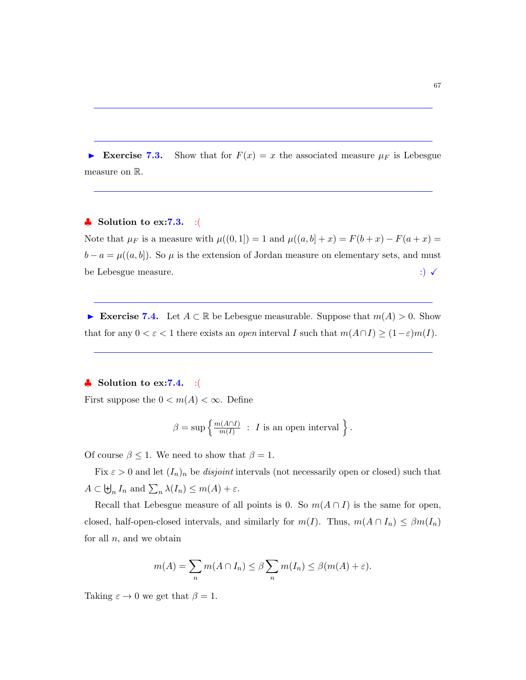Exercise 7.3. Show that for  $F(x) = x$  the associated measure  $\mu_F$  is Lebesgue measure on R.

# $\clubsuit$  Solution to ex:7.3. :(

Note that  $\mu_F$  is a measure with  $\mu((0, 1]) = 1$  and  $\mu((a, b] + x) = F(b + x) - F(a + x) =$  $b - a = \mu((a, b])$ . So  $\mu$  is the extension of Jordan measure on elementary sets, and must be Lebesgue measure.  $\qquad \qquad \vdots$ 

► Exercise 7.4. Let  $A \subset \mathbb{R}$  be Lebesgue measurable. Suppose that  $m(A) > 0$ . Show that for any  $0 < \varepsilon < 1$  there exists an *open* interval I such that  $m(A \cap I) \geq (1-\varepsilon)m(I)$ .

# $\bullet$  Solution to ex:7.4. :(

First suppose the  $0 < m(A) < \infty$ . Define

$$
\beta = \sup \left\{ \frac{m(A \cap I)}{m(I)} \ : \ I \text{ is an open interval} \right\}.
$$

Of course  $\beta \leq 1$ . We need to show that  $\beta = 1$ .

Fix  $\varepsilon > 0$  and let  $(I_n)_n$  be *disjoint* intervals (not necessarily open or closed) such that  $A \subset \biguplus_n I_n$  and  $\sum_n \lambda(I_n) \leq m(A) + \varepsilon$ .

Recall that Lebesgue measure of all points is 0. So  $m(A \cap I)$  is the same for open, closed, half-open-closed intervals, and similarly for  $m(I)$ . Thus,  $m(A \cap I_n) \leq \beta m(I_n)$ for all  $n$ , and we obtain

$$
m(A) = \sum_{n} m(A \cap I_n) \le \beta \sum_{n} m(I_n) \le \beta (m(A) + \varepsilon).
$$

Taking  $\varepsilon \to 0$  we get that  $\beta = 1$ .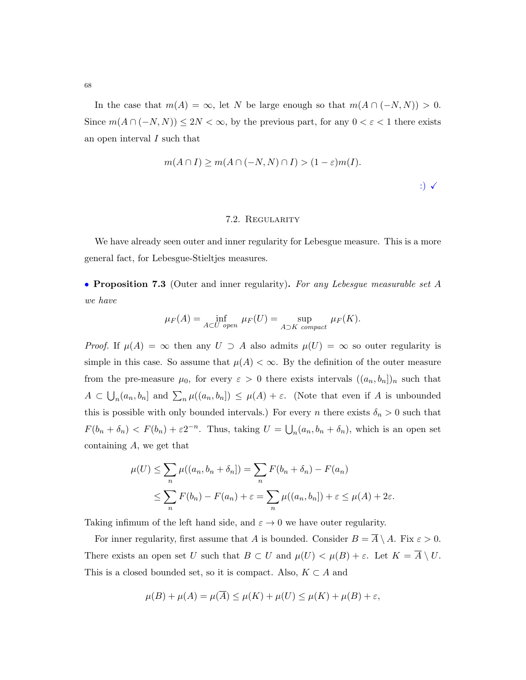In the case that  $m(A) = \infty$ , let N be large enough so that  $m(A \cap (-N, N)) > 0$ . Since  $m(A \cap (-N, N)) \leq 2N < \infty$ , by the previous part, for any  $0 < \varepsilon < 1$  there exists an open interval I such that

$$
m(A \cap I) \ge m(A \cap (-N, N) \cap I) > (1 - \varepsilon)m(I).
$$
  

$$
\qquad \qquad \therefore \qquad \qquad \vee
$$

#### 7.2. Regularity

We have already seen outer and inner regularity for Lebesgue measure. This is a more general fact, for Lebesgue-Stieltjes measures.

• Proposition 7.3 (Outer and inner regularity). For any Lebesgue measurable set A we have

$$
\mu_F(A) = \inf_{A \subset U \text{ open}} \mu_F(U) = \sup_{A \supset K \text{ compact}} \mu_F(K).
$$

*Proof.* If  $\mu(A) = \infty$  then any  $U \supset A$  also admits  $\mu(U) = \infty$  so outer regularity is simple in this case. So assume that  $\mu(A) < \infty$ . By the definition of the outer measure from the pre-measure  $\mu_0$ , for every  $\varepsilon > 0$  there exists intervals  $((a_n, b_n])_n$  such that  $A \subset \bigcup_n (a_n, b_n]$  and  $\sum_n \mu((a_n, b_n]) \leq \mu(A) + \varepsilon$ . (Note that even if A is unbounded this is possible with only bounded intervals.) For every n there exists  $\delta_n > 0$  such that  $F(b_n + \delta_n) < F(b_n) + \varepsilon 2^{-n}$ . Thus, taking  $U = \bigcup_n (a_n, b_n + \delta_n)$ , which is an open set containing A, we get that

$$
\mu(U) \leq \sum_{n} \mu((a_n, b_n + \delta_n]) = \sum_{n} F(b_n + \delta_n) - F(a_n)
$$
  

$$
\leq \sum_{n} F(b_n) - F(a_n) + \varepsilon = \sum_{n} \mu((a_n, b_n]) + \varepsilon \leq \mu(A) + 2\varepsilon.
$$

Taking infimum of the left hand side, and  $\varepsilon \to 0$  we have outer regularity.

For inner regularity, first assume that A is bounded. Consider  $B = \overline{A} \setminus A$ . Fix  $\varepsilon > 0$ . There exists an open set U such that  $B \subset U$  and  $\mu(U) < \mu(B) + \varepsilon$ . Let  $K = \overline{A} \setminus U$ . This is a closed bounded set, so it is compact. Also,  $K \subset A$  and

$$
\mu(B) + \mu(A) = \mu(\overline{A}) \le \mu(K) + \mu(U) \le \mu(K) + \mu(B) + \varepsilon,
$$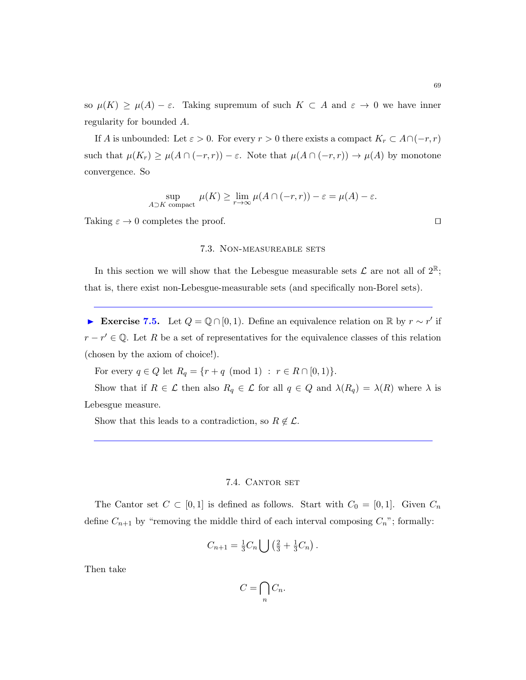so  $\mu(K) \geq \mu(A) - \varepsilon$ . Taking supremum of such  $K \subset A$  and  $\varepsilon \to 0$  we have inner regularity for bounded A.

If A is unbounded: Let  $\varepsilon > 0$ . For every  $r > 0$  there exists a compact  $K_r \subset A \cap (-r, r)$ such that  $\mu(K_r) \ge \mu(A \cap (-r, r)) - \varepsilon$ . Note that  $\mu(A \cap (-r, r)) \to \mu(A)$  by monotone convergence. So

$$
\sup_{A \supset K \text{ compact}} \mu(K) \ge \lim_{r \to \infty} \mu(A \cap (-r, r)) - \varepsilon = \mu(A) - \varepsilon.
$$

Taking  $\varepsilon \to 0$  completes the proof.

#### 7.3. Non-measureable sets

In this section we will show that the Lebesgue measurable sets  $\mathcal L$  are not all of  $2^{\mathbb R}$ ; that is, there exist non-Lebesgue-measurable sets (and specifically non-Borel sets).

► Exercise 7.5. Let  $Q = \mathbb{Q} \cap [0,1)$ . Define an equivalence relation on  $\mathbb{R}$  by  $r \sim r'$  if  $r - r' \in \mathbb{Q}$ . Let R be a set of representatives for the equivalence classes of this relation (chosen by the axiom of choice!).

For every  $q \in Q$  let  $R_q = \{r + q \pmod{1} : r \in R \cap [0, 1)\}.$ 

Show that if  $R \in \mathcal{L}$  then also  $R_q \in \mathcal{L}$  for all  $q \in Q$  and  $\lambda(R_q) = \lambda(R)$  where  $\lambda$  is Lebesgue measure.

Show that this leads to a contradiction, so  $R \notin \mathcal{L}$ .

## 7.4. CANTOR SET

The Cantor set  $C \subset [0,1]$  is defined as follows. Start with  $C_0 = [0,1]$ . Given  $C_n$ define  $C_{n+1}$  by "removing the middle third of each interval composing  $C_n$ "; formally:

$$
C_{n+1} = \frac{1}{3}C_n \bigcup \left(\frac{2}{3} + \frac{1}{3}C_n\right).
$$

Then take

$$
C=\bigcap_n C_n.
$$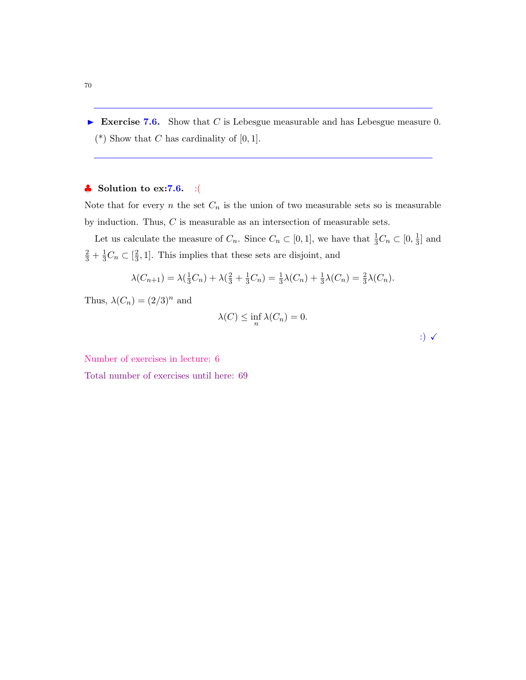Exercise 7.6. Show that C is Lebesgue measurable and has Lebesgue measure 0. (\*) Show that C has cardinality of  $[0, 1]$ .

# $\clubsuit$  Solution to ex:7.6. :(

Note that for every  $n$  the set  $C_n$  is the union of two measurable sets so is measurable by induction. Thus,  $C$  is measurable as an intersection of measurable sets.

Let us calculate the measure of  $C_n$ . Since  $C_n \subset [0,1]$ , we have that  $\frac{1}{3}C_n \subset [0,\frac{1}{3}]$  $\frac{1}{3}$  and  $\frac{2}{3} + \frac{1}{3}C_n \subset [\frac{2}{3}]$  $\frac{2}{3}$ , 1]. This implies that these sets are disjoint, and

$$
\lambda(C_{n+1}) = \lambda(\frac{1}{3}C_n) + \lambda(\frac{2}{3} + \frac{1}{3}C_n) = \frac{1}{3}\lambda(C_n) + \frac{1}{3}\lambda(C_n) = \frac{2}{3}\lambda(C_n).
$$

Thus,  $\lambda(C_n) = (2/3)^n$  and

$$
\lambda(C) \le \inf_n \lambda(C_n) = 0.
$$

:)  $\checkmark$ 

Number of exercises in lecture: 6

Total number of exercises until here: 69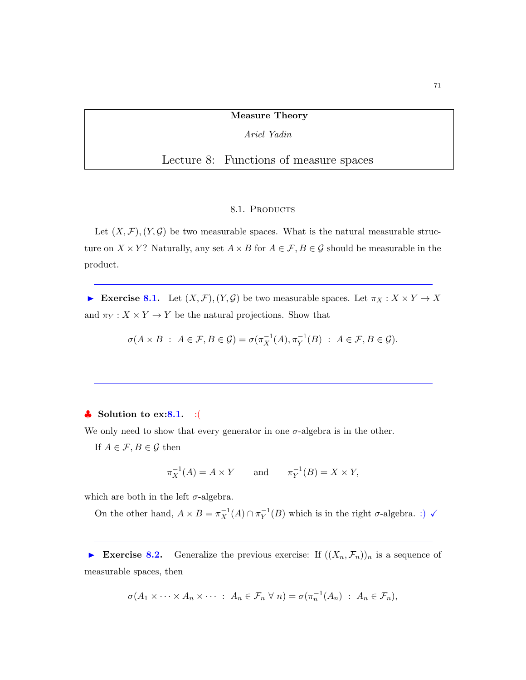## Measure Theory

Ariel Yadin

# Lecture 8: Functions of measure spaces

## 8.1. PRODUCTS

Let  $(X, \mathcal{F}), (Y, \mathcal{G})$  be two measurable spaces. What is the natural measurable structure on  $X \times Y$ ? Naturally, any set  $A \times B$  for  $A \in \mathcal{F}, B \in \mathcal{G}$  should be measurable in the product.

Exercise 8.1. Let  $(X, \mathcal{F}), (Y, \mathcal{G})$  be two measurable spaces. Let  $\pi_X : X \times Y \to X$ and  $\pi_Y: X \times Y \to Y$  be the natural projections. Show that

$$
\sigma(A \times B : A \in \mathcal{F}, B \in \mathcal{G}) = \sigma(\pi_X^{-1}(A), \pi_Y^{-1}(B) : A \in \mathcal{F}, B \in \mathcal{G}).
$$

## $\clubsuit$  Solution to ex:8.1. :

We only need to show that every generator in one  $\sigma$ -algebra is in the other.

If  $A \in \mathcal{F}, B \in \mathcal{G}$  then

$$
\pi_X^{-1}(A) = A \times Y \qquad \text{and} \qquad \pi_Y^{-1}(B) = X \times Y,
$$

which are both in the left  $\sigma$ -algebra.

On the other hand,  $A \times B = \pi_X^{-1}(A) \cap \pi_Y^{-1}(B)$  which is in the right  $\sigma$ -algebra. :)  $\checkmark$ 

Exercise 8.2. Generalize the previous exercise: If  $((X_n, \mathcal{F}_n))_n$  is a sequence of measurable spaces, then

$$
\sigma(A_1 \times \cdots \times A_n \times \cdots : A_n \in \mathcal{F}_n \ \forall \ n) = \sigma(\pi_n^{-1}(A_n) : A_n \in \mathcal{F}_n),
$$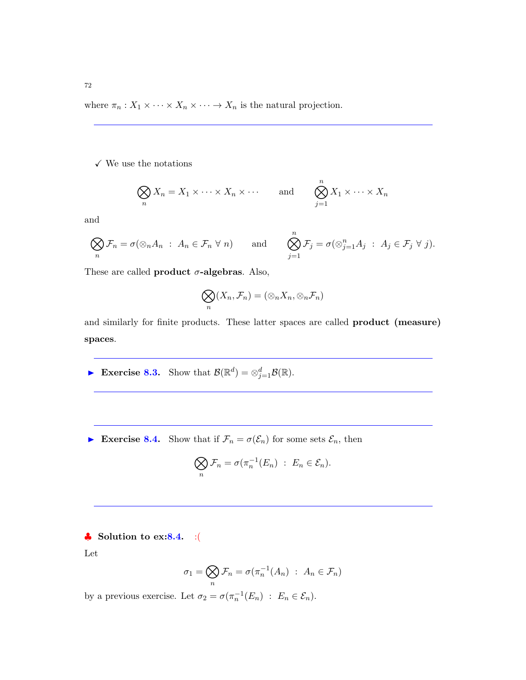where  $\pi_n: X_1 \times \cdots \times X_n \times \cdots \to X_n$  is the natural projection.

 $\checkmark$  We use the notations

$$
\bigotimes_n X_n = X_1 \times \cdots \times X_n \times \cdots \quad \text{and} \quad \bigotimes_{j=1}^n X_1 \times \cdots \times X_n
$$

and

$$
\bigotimes_n \mathcal{F}_n = \sigma(\otimes_n A_n : A_n \in \mathcal{F}_n \ \forall \ n) \qquad \text{and} \qquad \bigotimes_{j=1}^n \mathcal{F}_j = \sigma(\otimes_{j=1}^n A_j : A_j \in \mathcal{F}_j \ \forall \ j).
$$

These are called **product**  $\sigma$ -algebras. Also,

$$
\bigotimes_n (X_n, \mathcal{F}_n) = (\otimes_n X_n, \otimes_n \mathcal{F}_n)
$$

and similarly for finite products. These latter spaces are called product (measure) spaces.

Exercise 8.3. Show that  $\mathcal{B}(\mathbb{R}^d) = \otimes_{j=1}^d \mathcal{B}(\mathbb{R})$ .

Exercise 8.4. Show that if  $\mathcal{F}_n = \sigma(\mathcal{E}_n)$  for some sets  $\mathcal{E}_n$ , then

$$
\bigotimes_n \mathcal{F}_n = \sigma(\pi_n^{-1}(E_n) : E_n \in \mathcal{E}_n).
$$

# ♣ Solution to ex:8.4. :(

Let

$$
\sigma_1 = \bigotimes_n \mathcal{F}_n = \sigma(\pi_n^{-1}(A_n) : A_n \in \mathcal{F}_n)
$$

by a previous exercise. Let  $\sigma_2 = \sigma(\pi_n^{-1}(E_n) : E_n \in \mathcal{E}_n)$ .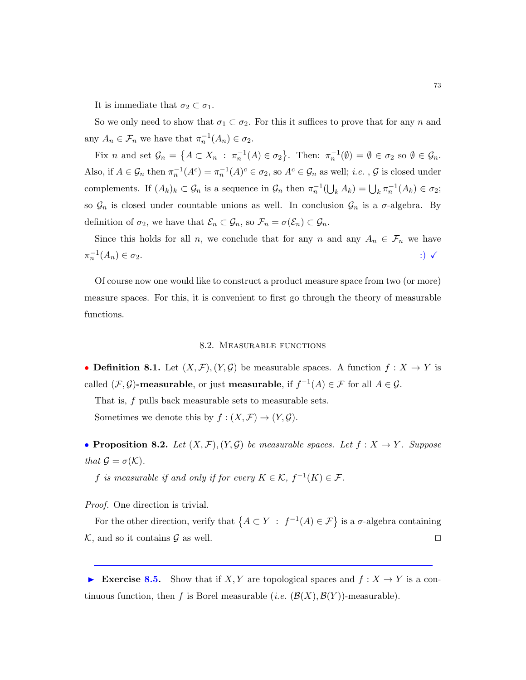It is immediate that  $\sigma_2 \subset \sigma_1$ .

So we only need to show that  $\sigma_1 \subset \sigma_2$ . For this it suffices to prove that for any n and any  $A_n \in \mathcal{F}_n$  we have that  $\pi_n^{-1}(A_n) \in \sigma_2$ .

Fix *n* and set  $\mathcal{G}_n = \{A \subset X_n : \pi_n^{-1}(A) \in \sigma_2\}$ . Then:  $\pi_n^{-1}(\emptyset) = \emptyset \in \sigma_2$  so  $\emptyset \in \mathcal{G}_n$ . Also, if  $A \in \mathcal{G}_n$  then  $\pi_n^{-1}(A^c) = \pi_n^{-1}(A)^c \in \sigma_2$ , so  $A^c \in \mathcal{G}_n$  as well; *i.e.*,  $\mathcal{G}$  is closed under complements. If  $(A_k)_k \subset \mathcal{G}_n$  is a sequence in  $\mathcal{G}_n$  then  $\pi_n^{-1}(\bigcup_k A_k) = \bigcup_k \pi_n^{-1}(A_k) \in \sigma_2$ ; so  $\mathcal{G}_n$  is closed under countable unions as well. In conclusion  $\mathcal{G}_n$  is a  $\sigma$ -algebra. By definition of  $\sigma_2$ , we have that  $\mathcal{E}_n \subset \mathcal{G}_n$ , so  $\mathcal{F}_n = \sigma(\mathcal{E}_n) \subset \mathcal{G}_n$ .

Since this holds for all n, we conclude that for any n and any  $A_n \in \mathcal{F}_n$  we have  $\pi_n^{-1}$  $(A_n) \in \sigma_2.$  :)  $\checkmark$ 

Of course now one would like to construct a product measure space from two (or more) measure spaces. For this, it is convenient to first go through the theory of measurable functions.

#### 8.2. Measurable functions

• **Definition 8.1.** Let  $(X, \mathcal{F}), (Y, \mathcal{G})$  be measurable spaces. A function  $f : X \to Y$  is called  $(\mathcal{F}, \mathcal{G})$ -measurable, or just measurable, if  $f^{-1}(A) \in \mathcal{F}$  for all  $A \in \mathcal{G}$ .

That is, f pulls back measurable sets to measurable sets.

Sometimes we denote this by  $f : (X, \mathcal{F}) \to (Y, \mathcal{G})$ .

• Proposition 8.2. Let  $(X, \mathcal{F}), (Y, \mathcal{G})$  be measurable spaces. Let  $f : X \to Y$ . Suppose that  $\mathcal{G} = \sigma(\mathcal{K})$ .

f is measurable if and only if for every  $K \in \mathcal{K}$ ,  $f^{-1}(K) \in \mathcal{F}$ .

Proof. One direction is trivial.

For the other direction, verify that  $\{A \subset Y : f^{-1}(A) \in \mathcal{F}\}\$ is a  $\sigma$ -algebra containing  $\mathcal{K}$ , and so it contains  $\mathcal{G}$  as well.

Exercise 8.5. Show that if X, Y are topological spaces and  $f: X \to Y$  is a continuous function, then f is Borel measurable (*i.e.*  $(\mathcal{B}(X), \mathcal{B}(Y))$ -measurable).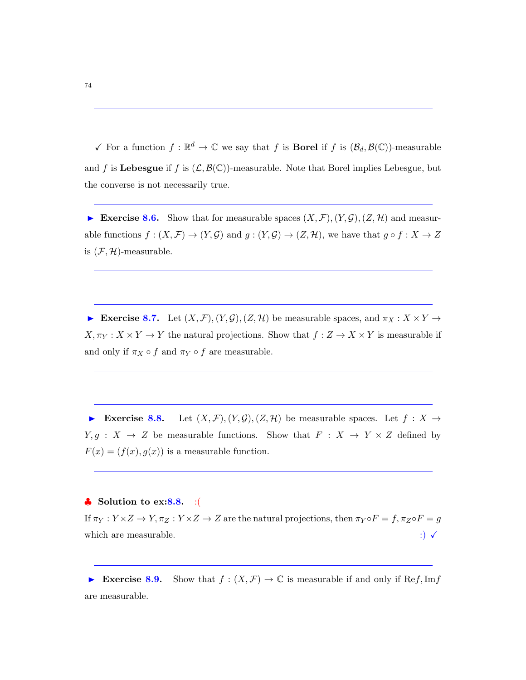$\checkmark$  For a function  $f : \mathbb{R}^d \to \mathbb{C}$  we say that f is **Borel** if f is  $(\mathcal{B}_d, \mathcal{B}(\mathbb{C}))$ -measurable and f is Lebesgue if f is  $(\mathcal{L}, \mathcal{B}(\mathbb{C}))$ -measurable. Note that Borel implies Lebesgue, but the converse is not necessarily true.

Exercise 8.6. Show that for measurable spaces  $(X, \mathcal{F}), (Y, \mathcal{G}), (Z, \mathcal{H})$  and measurable functions  $f:(X,\mathcal{F})\to(Y,\mathcal{G})$  and  $g:(Y,\mathcal{G})\to(Z,\mathcal{H})$ , we have that  $g\circ f:X\to Z$ is  $(\mathcal{F}, \mathcal{H})$ -measurable.

Exercise 8.7. Let  $(X, \mathcal{F}), (Y, \mathcal{G}), (Z, \mathcal{H})$  be measurable spaces, and  $\pi_X : X \times Y \to Y$  $X, \pi_Y: X \times Y \to Y$  the natural projections. Show that  $f: Z \to X \times Y$  is measurable if and only if  $\pi_X \circ f$  and  $\pi_Y \circ f$  are measurable.

Exercise 8.8. Let  $(X, \mathcal{F}), (Y, \mathcal{G}), (Z, \mathcal{H})$  be measurable spaces. Let  $f : X \to Y$  $Y, g : X \rightarrow Z$  be measurable functions. Show that  $F : X \rightarrow Y \times Z$  defined by  $F(x) = (f(x), g(x))$  is a measurable function.

### $\clubsuit$  Solution to ex:8.8. :(

If  $\pi_Y: Y \times Z \to Y, \pi_Z: Y \times Z \to Z$  are the natural projections, then  $\pi_Y \circ F = f, \pi_Z \circ F = g$ which are measurable.  $\hspace{1.6cm}$  :)  $\checkmark$ 

Exercise 8.9. Show that  $f : (X, \mathcal{F}) \to \mathbb{C}$  is measurable if and only if Ref, Imf are measurable.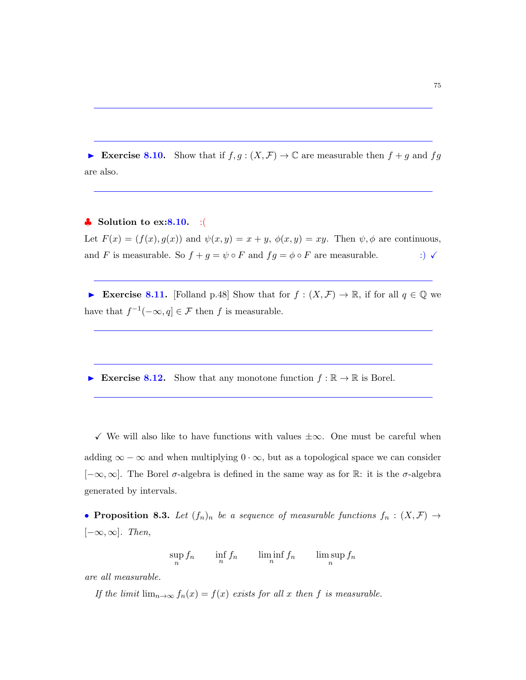Exercise 8.10. Show that if  $f, g: (X, \mathcal{F}) \to \mathbb{C}$  are measurable then  $f + g$  and  $fg$ are also.

## $\clubsuit$  Solution to ex:8.10. :

Let  $F(x) = (f(x), g(x))$  and  $\psi(x, y) = x + y$ ,  $\phi(x, y) = xy$ . Then  $\psi$ ,  $\phi$  are continuous, and F is measurable. So  $f + g = \psi \circ F$  and  $fg = \phi \circ F$  are measurable. :)  $\checkmark$ 

Exercise 8.11. [Folland p.48] Show that for  $f : (X, \mathcal{F}) \to \mathbb{R}$ , if for all  $q \in \mathbb{Q}$  we have that  $f^{-1}(-\infty, q] \in \mathcal{F}$  then f is measurable.

Exercise 8.12. Show that any monotone function  $f : \mathbb{R} \to \mathbb{R}$  is Borel.

 $\checkmark$  We will also like to have functions with values  $\pm \infty$ . One must be careful when adding  $\infty - \infty$  and when multiplying  $0 \cdot \infty$ , but as a topological space we can consider  $[-\infty, \infty]$ . The Borel  $\sigma$ -algebra is defined in the same way as for R: it is the  $\sigma$ -algebra generated by intervals.

• Proposition 8.3. Let  $(f_n)_n$  be a sequence of measurable functions  $f_n : (X, \mathcal{F}) \to$  $[-\infty, \infty]$ . Then,

 $\sup_n f_n$   $\inf_n f_n$   $\liminf_n f_n$   $\limsup_n f_n$ 

are all measurable.

If the limit  $\lim_{n\to\infty} f_n(x) = f(x)$  exists for all x then f is measurable.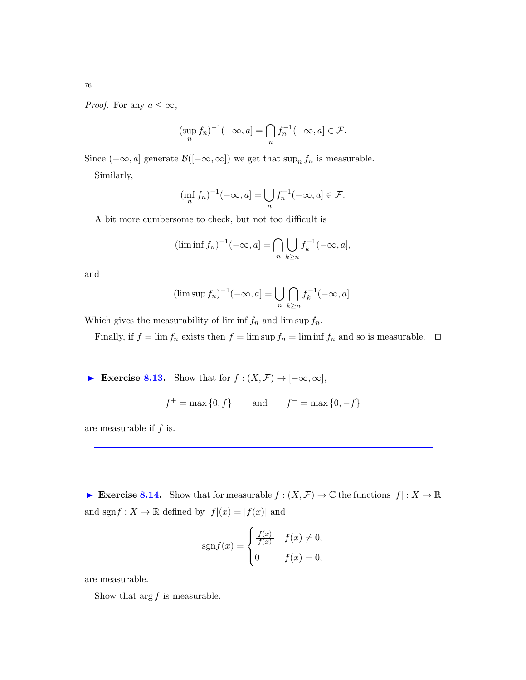*Proof.* For any  $a \leq \infty$ ,

$$
(\sup_n f_n)^{-1}(-\infty, a] = \bigcap_n f_n^{-1}(-\infty, a] \in \mathcal{F}.
$$

Since  $(-\infty, a]$  generate  $\mathcal{B}([-\infty, \infty])$  we get that sup<sub>n</sub>  $f_n$  is measurable.

Similarly,

$$
(\inf_{n} f_n)^{-1}(-\infty, a] = \bigcup_{n} f_n^{-1}(-\infty, a] \in \mathcal{F}.
$$

A bit more cumbersome to check, but not too difficult is

$$
(\liminf f_n)^{-1}(-\infty, a] = \bigcap_n \bigcup_{k \ge n} f_k^{-1}(-\infty, a],
$$

and

$$
(\limsup f_n)^{-1}(-\infty, a] = \bigcup_n \bigcap_{k \ge n} f_k^{-1}(-\infty, a].
$$

Which gives the measurability of lim inf  $f_n$  and lim sup  $f_n$ .

Finally, if  $f = \lim f_n$  exists then  $f = \lim \sup f_n = \lim \inf f_n$  and so is measurable.  $\Box$ 

► Exercise 8.13. Show that for  $f : (X, \mathcal{F}) \to [-\infty, \infty]$ ,

$$
f^+ = \max\{0, f\}
$$
 and  $f^- = \max\{0, -f\}$ 

are measurable if  $f$  is.

Exercise 8.14. Show that for measurable  $f : (X, \mathcal{F}) \to \mathbb{C}$  the functions  $|f| : X \to \mathbb{R}$ and  $\operatorname{sgn} f:X\to\mathbb{R}$  defined by  $|f|(x)=|f(x)|$  and

$$
sgn f(x) = \begin{cases} \frac{f(x)}{|f(x)|} & f(x) \neq 0, \\ 0 & f(x) = 0, \end{cases}
$$

are measurable.

Show that  $\arg f$  is measurable.

76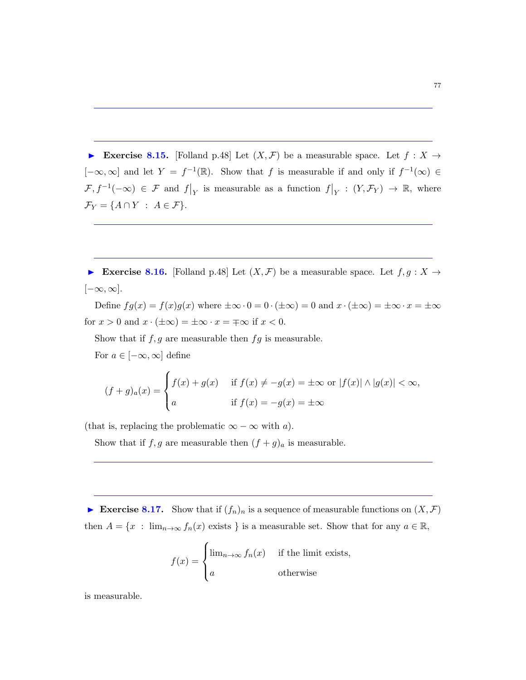Exercise 8.15. [Folland p.48] Let  $(X, \mathcal{F})$  be a measurable space. Let  $f : X \to Y$ [ $-\infty$ ,  $\infty$ ] and let  $Y = f^{-1}(\mathbb{R})$ . Show that f is measurable if and only if  $f^{-1}(\infty) \in$  $\mathcal{F}, f^{-1}(-\infty) \in \mathcal{F}$  and  $f|_{Y}$  is measurable as a function  $f|_{Y} : (Y, \mathcal{F}_{Y}) \to \mathbb{R}$ , where  $\mathcal{F}_Y = \{A \cap Y : A \in \mathcal{F}\}.$ 

Exercise 8.16. [Folland p.48] Let  $(X, \mathcal{F})$  be a measurable space. Let  $f, g: X \to$  $[-\infty, \infty].$ 

Define  $fg(x) = f(x)g(x)$  where  $\pm \infty \cdot 0 = 0 \cdot (\pm \infty) = 0$  and  $x \cdot (\pm \infty) = \pm \infty \cdot x = \pm \infty$ for  $x > 0$  and  $x \cdot (\pm \infty) = \pm \infty \cdot x = \mp \infty$  if  $x < 0$ .

Show that if  $f, g$  are measurable then  $fg$  is measurable.

For  $a \in [-\infty, \infty]$  define

$$
(f+g)_a(x) = \begin{cases} f(x) + g(x) & \text{if } f(x) \neq -g(x) = \pm \infty \text{ or } |f(x)| \wedge |g(x)| < \infty, \\ a & \text{if } f(x) = -g(x) = \pm \infty \end{cases}
$$

(that is, replacing the problematic  $\infty - \infty$  with a).

Show that if f, g are measurable then  $(f + g)_a$  is measurable.

Exercise 8.17. Show that if  $(f_n)_n$  is a sequence of measurable functions on  $(X,\mathcal{F})$ then  $A = \{x : \lim_{n\to\infty} f_n(x) \text{ exists } \}$  is a measurable set. Show that for any  $a \in \mathbb{R}$ ,

$$
f(x) = \begin{cases} \lim_{n \to \infty} f_n(x) & \text{if the limit exists,} \\ a & \text{otherwise} \end{cases}
$$

is measurable.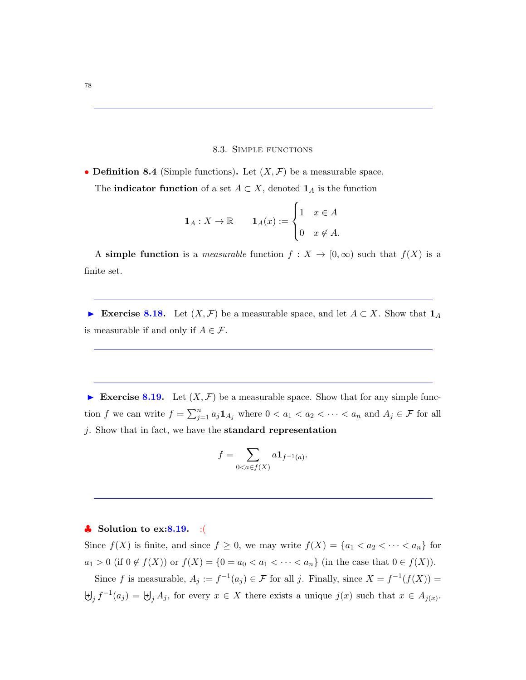#### 8.3. Simple functions

• **Definition 8.4** (Simple functions). Let  $(X, \mathcal{F})$  be a measurable space. The **indicator function** of a set  $A \subset X$ , denoted  $\mathbf{1}_A$  is the function

$$
\mathbf{1}_A: X \to \mathbb{R} \qquad \mathbf{1}_A(x) := \begin{cases} 1 & x \in A \\ 0 & x \notin A. \end{cases}
$$

A simple function is a *measurable* function  $f: X \to [0, \infty)$  such that  $f(X)$  is a finite set.

Exercise 8.18. Let  $(X, \mathcal{F})$  be a measurable space, and let  $A \subset X$ . Show that  $\mathbf{1}_A$ is measurable if and only if  $A \in \mathcal{F}$ .

Exercise 8.19. Let  $(X, \mathcal{F})$  be a measurable space. Show that for any simple function f we can write  $f = \sum_{j=1}^n a_j \mathbf{1}_{A_j}$  where  $0 < a_1 < a_2 < \cdots < a_n$  and  $A_j \in \mathcal{F}$  for all j. Show that in fact, we have the standard representation

$$
f = \sum_{0 < a \in f(X)} a \mathbf{1}_{f^{-1}(a)}.
$$

## $\bullet$  Solution to ex:8.19. :(

Since  $f(X)$  is finite, and since  $f \geq 0$ , we may write  $f(X) = \{a_1 < a_2 < \cdots < a_n\}$  for  $a_1 > 0$  (if  $0 \notin f(X)$ ) or  $f(X) = \{0 = a_0 < a_1 < \cdots < a_n\}$  (in the case that  $0 \in f(X)$ ).

Since f is measurable,  $A_j := f^{-1}(a_j) \in \mathcal{F}$  for all j. Finally, since  $X = f^{-1}(f(X)) =$  $\biguplus_j f^{-1}(a_j) = \biguplus_j A_j$ , for every  $x \in X$  there exists a unique  $j(x)$  such that  $x \in A_{j(x)}$ .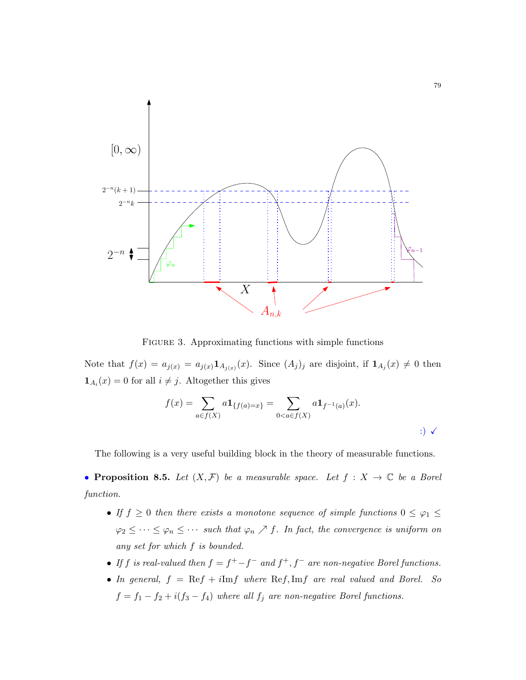

FIGURE 3. Approximating functions with simple functions

Note that  $f(x) = a_{j(x)} = a_{j(x)} \mathbf{1}_{A_{j(x)}}(x)$ . Since  $(A_j)_j$  are disjoint, if  $\mathbf{1}_{A_j}(x) \neq 0$  then  $\mathbf{1}_{A_i}(x) = 0$  for all  $i \neq j$ . Altogether this gives

$$
f(x) = \sum_{a \in f(X)} a \mathbf{1}_{\{f(a) = x\}} = \sum_{0 < a \in f(X)} a \mathbf{1}_{f^{-1}(a)}(x).
$$
\n(a)  $f(x) = \sum_{a \in f(X)} a \mathbf{1}_{\{f(a) = x\}} = \sum_{a \in f(X)} a \mathbf{1}_{\{f^{-1}(a) = x\}}.$ 

The following is a very useful building block in the theory of measurable functions.

• Proposition 8.5. Let  $(X, \mathcal{F})$  be a measurable space. Let  $f : X \to \mathbb{C}$  be a Borel function.

- If  $f \geq 0$  then there exists a monotone sequence of simple functions  $0 \leq \varphi_1 \leq \varphi_2$  $\varphi_2 \leq \cdots \leq \varphi_n \leq \cdots$  such that  $\varphi_n \nearrow f$ . In fact, the convergence is uniform on any set for which f is bounded.
- If f is real-valued then  $f = f^+ f^-$  and  $f^+, f^-$  are non-negative Borel functions.
- In general,  $f = \text{Re}f + i\text{Im}f$  where  $\text{Re}f$ ,  $\text{Im}f$  are real valued and Borel. So  $f = f_1 - f_2 + i(f_3 - f_4)$  where all  $f_j$  are non-negative Borel functions.

79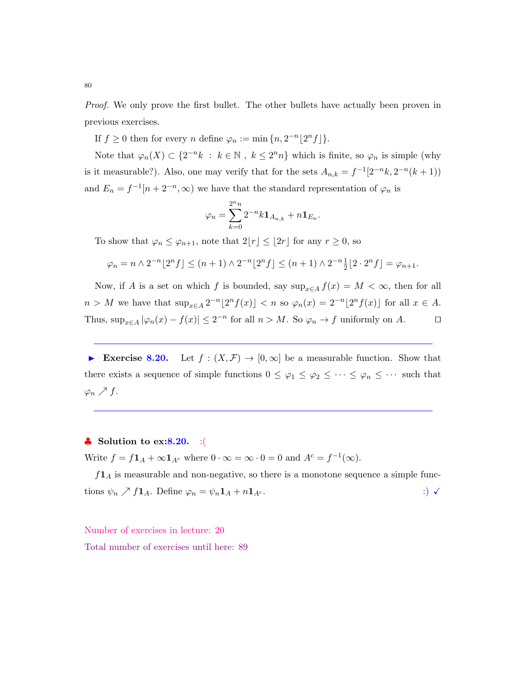Proof. We only prove the first bullet. The other bullets have actually been proven in previous exercises.

If  $f \geq 0$  then for every n define  $\varphi_n := \min\{n, 2^{-n} \lfloor 2^n f \rfloor\}.$ 

Note that  $\varphi_n(X) \subset \{2^{-n}k : k \in \mathbb{N}, k \leq 2^n n\}$  which is finite, so  $\varphi_n$  is simple (why is it measurable?). Also, one may verify that for the sets  $A_{n,k} = f^{-1}[2^{-n}k, 2^{-n}(k+1))$ and  $E_n = f^{-1}[n + 2^{-n}, \infty)$  we have that the standard representation of  $\varphi_n$  is

$$
\varphi_n = \sum_{k=0}^{2^n n} 2^{-n} k \mathbf{1}_{A_{n,k}} + n \mathbf{1}_{E_n}.
$$

To show that  $\varphi_n \leq \varphi_{n+1}$ , note that  $2|r| \leq |2r|$  for any  $r \geq 0$ , so

$$
\varphi_n = n \wedge 2^{-n} \lfloor 2^n f \rfloor \le (n+1) \wedge 2^{-n} \lfloor 2^n f \rfloor \le (n+1) \wedge 2^{-n} \frac{1}{2} \lfloor 2 \cdot 2^n f \rfloor = \varphi_{n+1}.
$$

Now, if A is a set on which f is bounded, say  $\sup_{x \in A} f(x) = M < \infty$ , then for all  $n > M$  we have that  $\sup_{x \in A} 2^{-n} \lfloor 2^n f(x) \rfloor < n$  so  $\varphi_n(x) = 2^{-n} \lfloor 2^n f(x) \rfloor$  for all  $x \in A$ . Thus,  $\sup_{x \in A} |\varphi_n(x) - f(x)| \leq 2^{-n}$  for all  $n > M$ . So  $\varphi_n \to f$  uniformly on A.  $\square$ 

Exercise 8.20. Let  $f : (X, \mathcal{F}) \to [0, \infty]$  be a measurable function. Show that there exists a sequence of simple functions  $0 \leq \varphi_1 \leq \varphi_2 \leq \cdots \leq \varphi_n \leq \cdots$  such that  $\varphi_n \nearrow f$ .

## $\bullet$  Solution to ex:8.20. :(

Write  $f = f\mathbf{1}_A + \infty \mathbf{1}_{A^c}$  where  $0 \cdot \infty = \infty \cdot 0 = 0$  and  $A^c = f^{-1}(\infty)$ .

 $f1_A$  is measurable and non-negative, so there is a monotone sequence a simple functions  $\psi_n \nearrow f\mathbf{1}_A$ . Define  $\varphi_n = \psi_n \mathbf{1}_A + n\mathbf{1}_{A^c}$ . :)  $\checkmark$ 

Number of exercises in lecture: 20

Total number of exercises until here: 89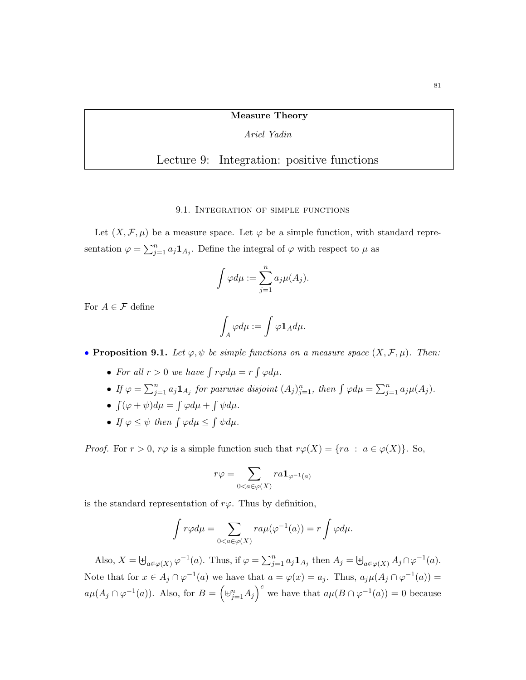### Measure Theory

### Ariel Yadin

# Lecture 9: Integration: positive functions

#### 9.1. Integration of simple functions

Let  $(X, \mathcal{F}, \mu)$  be a measure space. Let  $\varphi$  be a simple function, with standard representation  $\varphi = \sum_{j=1}^n a_j \mathbf{1}_{A_j}$ . Define the integral of  $\varphi$  with respect to  $\mu$  as

$$
\int \varphi d\mu := \sum_{j=1}^n a_j \mu(A_j).
$$

For  $A\in\mathcal{F}$  define

$$
\int_A\varphi d\mu:=\int\varphi{\bf 1}_A d\mu.
$$

• Proposition 9.1. Let  $\varphi, \psi$  be simple functions on a measure space  $(X, \mathcal{F}, \mu)$ . Then:

- For all  $r > 0$  we have  $\int r \varphi d\mu = r \int \varphi d\mu$ .
- If  $\varphi = \sum_{j=1}^n a_j \mathbf{1}_{A_j}$  for pairwise disjoint  $(A_j)_{j=1}^n$ , then  $\int \varphi d\mu = \sum_{j=1}^n a_j \mu(A_j)$ .
- $\int (\varphi + \psi) d\mu = \int \varphi d\mu + \int \psi d\mu.$
- If  $\varphi \leq \psi$  then  $\int \varphi d\mu \leq \int \psi d\mu$ .

*Proof.* For  $r > 0$ ,  $r\varphi$  is a simple function such that  $r\varphi(X) = \{ra : a \in \varphi(X)\}\)$ . So,

$$
r\varphi = \sum_{0 < a \in \varphi(X)} ra \mathbf{1}_{\varphi^{-1}(a)}
$$

is the standard representation of  $r\varphi$ . Thus by definition,

$$
\int r\varphi d\mu = \sum_{0 < a \in \varphi(X)} r a \mu(\varphi^{-1}(a)) = r \int \varphi d\mu.
$$

Also,  $X = \biguplus_{a \in \varphi(X)} \varphi^{-1}(a)$ . Thus, if  $\varphi = \sum_{j=1}^{n} a_j \mathbf{1}_{A_j}$  then  $A_j = \biguplus_{a \in \varphi(X)} A_j \cap \varphi^{-1}(a)$ . Note that for  $x \in A_j \cap \varphi^{-1}(a)$  we have that  $a = \varphi(x) = a_j$ . Thus,  $a_j \mu(A_j \cap \varphi^{-1}(a)) =$  $a\mu(A_j \cap \varphi^{-1}(a))$ . Also, for  $B = (\uplus_{j=1}^n A_j)^c$  we have that  $a\mu(B \cap \varphi^{-1}(a)) = 0$  because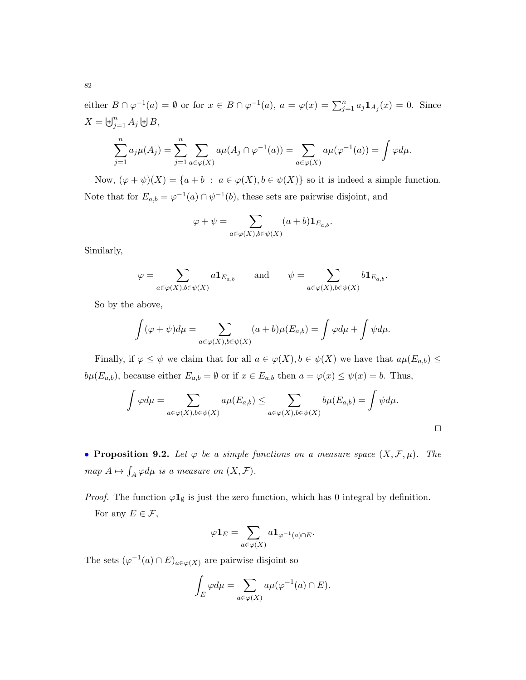either  $B \cap \varphi^{-1}(a) = \emptyset$  or for  $x \in B \cap \varphi^{-1}(a)$ ,  $a = \varphi(x) = \sum_{j=1}^n a_j \mathbf{1}_{A_j}(x) = 0$ . Since  $X = \biguplus_{j=1}^{n} A_j \biguplus B,$ 

$$
\sum_{j=1}^n a_j \mu(A_j) = \sum_{j=1}^n \sum_{a \in \varphi(X)} a \mu(A_j \cap \varphi^{-1}(a)) = \sum_{a \in \varphi(X)} a \mu(\varphi^{-1}(a)) = \int \varphi d\mu.
$$

Now,  $(\varphi + \psi)(X) = \{a + b : a \in \varphi(X), b \in \psi(X)\}\$ so it is indeed a simple function. Note that for  $E_{a,b} = \varphi^{-1}(a) \cap \psi^{-1}(b)$ , these sets are pairwise disjoint, and

$$
\varphi + \psi = \sum_{a \in \varphi(X), b \in \psi(X)} (a+b) \mathbf{1}_{E_{a,b}}.
$$

Similarly,

$$
\varphi = \sum_{a \in \varphi(X), b \in \psi(X)} a \mathbf{1}_{E_{a,b}} \quad \text{and} \quad \psi = \sum_{a \in \varphi(X), b \in \psi(X)} b \mathbf{1}_{E_{a,b}}.
$$

So by the above,

$$
\int (\varphi + \psi) d\mu = \sum_{a \in \varphi(X), b \in \psi(X)} (a + b) \mu(E_{a,b}) = \int \varphi d\mu + \int \psi d\mu.
$$

Finally, if  $\varphi \leq \psi$  we claim that for all  $a \in \varphi(X)$ ,  $b \in \psi(X)$  we have that  $a\mu(E_{a,b}) \leq$  $b\mu(E_{a,b}),$  because either  $E_{a,b} = \emptyset$  or if  $x \in E_{a,b}$  then  $a = \varphi(x) \leq \psi(x) = b$ . Thus,

$$
\int \varphi d\mu = \sum_{a \in \varphi(X), b \in \psi(X)} a\mu(E_{a,b}) \le \sum_{a \in \varphi(X), b \in \psi(X)} b\mu(E_{a,b}) = \int \psi d\mu.
$$

• Proposition 9.2. Let  $\varphi$  be a simple functions on a measure space  $(X, \mathcal{F}, \mu)$ . The  $map A \mapsto \int_A \varphi d\mu$  is a measure on  $(X, \mathcal{F}).$ 

*Proof.* The function  $\varphi \mathbf{1}_{\emptyset}$  is just the zero function, which has 0 integral by definition. For any  $E \in \mathcal{F}$ ,

$$
\varphi {\bf 1}_E = \sum_{a \in \varphi(X)} a {\bf 1}_{\varphi^{-1}(a) \cap E}.
$$

The sets  $(\varphi^{-1}(a) \cap E)_{a \in \varphi(X)}$  are pairwise disjoint so

$$
\int_E \varphi d\mu = \sum_{a \in \varphi(X)} a\mu(\varphi^{-1}(a) \cap E).
$$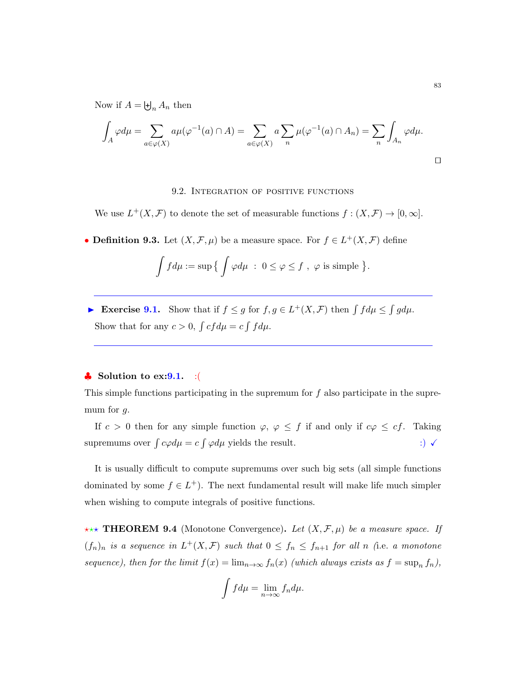Now if  $A = \biguplus_n A_n$  then

$$
\int_A \varphi d\mu = \sum_{a \in \varphi(X)} a\mu(\varphi^{-1}(a) \cap A) = \sum_{a \in \varphi(X)} a \sum_n \mu(\varphi^{-1}(a) \cap A_n) = \sum_n \int_{A_n} \varphi d\mu.
$$

### 9.2. Integration of positive functions

We use  $L^+(X,\mathcal{F})$  to denote the set of measurable functions  $f:(X,\mathcal{F})\to[0,\infty]$ .

• **Definition 9.3.** Let  $(X, \mathcal{F}, \mu)$  be a measure space. For  $f \in L^+(X, \mathcal{F})$  define

$$
\int f d\mu := \sup \big\{ \int \varphi d\mu \ : \ 0 \leq \varphi \leq f \ , \ \varphi \ \text{is simple } \big\}.
$$

Exercise 9.1. Show that if  $f \leq g$  for  $f, g \in L^+(X, \mathcal{F})$  then  $\int f d\mu \leq \int g d\mu$ . Show that for any  $c > 0$ ,  $\int cf d\mu = c \int f d\mu$ .

#### $\bullet$  Solution to ex: 9.1. : (

This simple functions participating in the supremum for  $f$  also participate in the supremum for  $g$ .

If  $c > 0$  then for any simple function  $\varphi, \varphi \leq f$  if and only if  $c\varphi \leq cf$ . Taking supremums over  $\int c\varphi d\mu = c \int \varphi d\mu$  yields the result.  $\qquad \qquad \therefore$ 

It is usually difficult to compute supremums over such big sets (all simple functions dominated by some  $f \in L^+$ ). The next fundamental result will make life much simpler when wishing to compute integrals of positive functions.

\*\*\* **THEOREM 9.4** (Monotone Convergence). Let  $(X, \mathcal{F}, \mu)$  be a measure space. If  $(f_n)_n$  is a sequence in  $L^+(X,\mathcal{F})$  such that  $0 \le f_n \le f_{n+1}$  for all n (i.e. a monotone sequence), then for the limit  $f(x) = \lim_{n \to \infty} f_n(x)$  (which always exists as  $f = \sup_n f_n$ ),

$$
\int f d\mu = \lim_{n \to \infty} f_n d\mu.
$$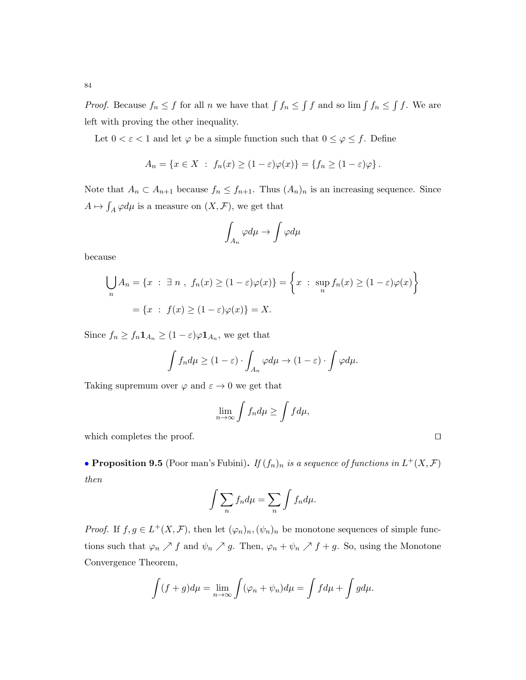84

*Proof.* Because  $f_n \leq f$  for all n we have that  $\int f_n \leq \int f$  and so  $\lim \int f_n \leq \int f$ . We are left with proving the other inequality.

Let  $0 < \varepsilon < 1$  and let  $\varphi$  be a simple function such that  $0 \le \varphi \le f$ . Define

$$
A_n = \{x \in X : f_n(x) \ge (1 - \varepsilon)\varphi(x)\} = \{f_n \ge (1 - \varepsilon)\varphi\}.
$$

Note that  $A_n \subset A_{n+1}$  because  $f_n \leq f_{n+1}$ . Thus  $(A_n)_n$  is an increasing sequence. Since  $A \mapsto \int_A \varphi d\mu$  is a measure on  $(X, \mathcal{F})$ , we get that

$$
\int_{A_n} \varphi d\mu \to \int \varphi d\mu
$$

because

$$
\bigcup_{n} A_{n} = \{x : \exists n , f_{n}(x) \ge (1 - \varepsilon)\varphi(x)\} = \left\{x : \sup_{n} f_{n}(x) \ge (1 - \varepsilon)\varphi(x)\right\}
$$

$$
= \{x : f(x) \ge (1 - \varepsilon)\varphi(x)\} = X.
$$

Since  $f_n \ge f_n \mathbf{1}_{A_n} \ge (1 - \varepsilon) \varphi \mathbf{1}_{A_n}$ , we get that

$$
\int f_n d\mu \ge (1-\varepsilon) \cdot \int_{A_n} \varphi d\mu \to (1-\varepsilon) \cdot \int \varphi d\mu.
$$

Taking supremum over  $\varphi$  and  $\varepsilon\to 0$  we get that

$$
\lim_{n\to\infty}\int f_n d\mu \ge \int f d\mu,
$$

which completes the proof.  $\Box$ 

• Proposition 9.5 (Poor man's Fubini). If  $(f_n)_n$  is a sequence of functions in  $L^+(X,\mathcal{F})$ then

$$
\int \sum_n f_n d\mu = \sum_n \int f_n d\mu.
$$

*Proof.* If  $f, g \in L^+(X, \mathcal{F})$ , then let  $(\varphi_n)_n$ ,  $(\psi_n)_n$  be monotone sequences of simple functions such that  $\varphi_n \nearrow f$  and  $\psi_n \nearrow g$ . Then,  $\varphi_n + \psi_n \nearrow f + g$ . So, using the Monotone Convergence Theorem,

$$
\int (f+g)d\mu = \lim_{n \to \infty} \int (\varphi_n + \psi_n)d\mu = \int f d\mu + \int g d\mu.
$$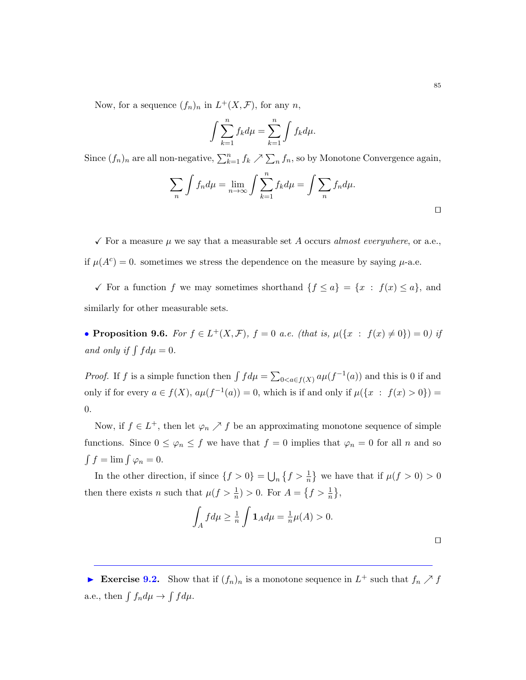Now, for a sequence  $(f_n)_n$  in  $L^+(X, \mathcal{F})$ , for any n,

$$
\int \sum_{k=1}^{n} f_k d\mu = \sum_{k=1}^{n} \int f_k d\mu.
$$

Since  $(f_n)_n$  are all non-negative,  $\sum_{k=1}^n f_k \nearrow \sum_n f_n$ , so by Monotone Convergence again,

$$
\sum_{n} \int f_n d\mu = \lim_{n \to \infty} \int \sum_{k=1}^{n} f_k d\mu = \int \sum_{n} f_n d\mu.
$$

 $\checkmark$  For a measure  $\mu$  we say that a measurable set A occurs almost everywhere, or a.e., if  $\mu(A^c) = 0$ . sometimes we stress the dependence on the measure by saying  $\mu$ -a.e.

√ For a function f we may sometimes shorthand  ${f \le a} = {x : f(x) \le a}$ , and similarly for other measurable sets.

• Proposition 9.6. For  $f \in L^+(X, \mathcal{F})$ ,  $f = 0$  a.e. (that is,  $\mu({x : f(x) \neq 0}) = 0$ ) if and only if  $\int f d\mu = 0$ .

*Proof.* If f is a simple function then  $\int f d\mu = \sum_{0 \le a \in f(X)} a\mu(f^{-1}(a))$  and this is 0 if and only if for every  $a \in f(X)$ ,  $a\mu(f^{-1}(a)) = 0$ , which is if and only if  $\mu({x : f(x) > 0}) =$ 0.

Now, if  $f \in L^+$ , then let  $\varphi_n \nearrow f$  be an approximating monotone sequence of simple functions. Since  $0 \leq \varphi_n \leq f$  we have that  $f = 0$  implies that  $\varphi_n = 0$  for all n and so  $\int f = \lim \int \varphi_n = 0.$ 

In the other direction, if since  $\{f > 0\} = \bigcup_n \{f > \frac{1}{n}\}\$ we have that if  $\mu(f > 0) > 0$ then there exists *n* such that  $\mu(f > \frac{1}{n}) > 0$ . For  $A = \{f > \frac{1}{n}\},\$ 

$$
\int_A f d\mu \ge \frac{1}{n} \int \mathbf{1}_A d\mu = \frac{1}{n} \mu(A) > 0.
$$

Exercise 9.2. Show that if  $(f_n)_n$  is a monotone sequence in  $L^+$  such that  $f_n \nearrow f$ a.e., then  $\int f_n d\mu \to \int f d\mu$ .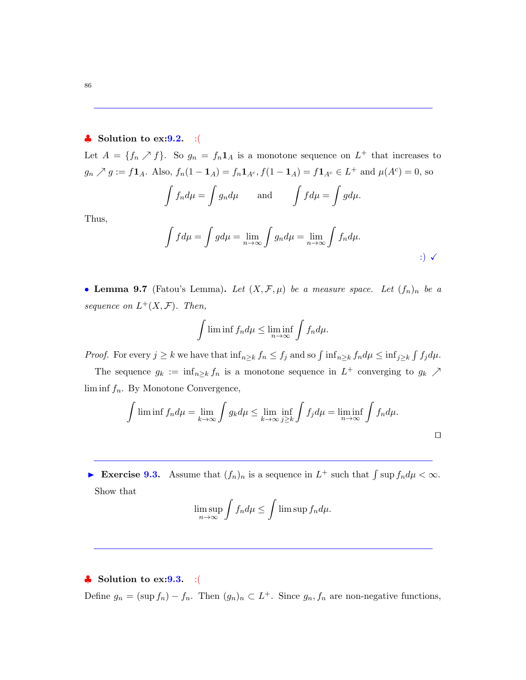## $\bullet$  Solution to ex: 9.2. : (

Let  $A = \{f_n \nearrow f\}$ . So  $g_n = f_n \mathbf{1}_A$  is a monotone sequence on  $L^+$  that increases to  $g_n \nearrow g := f\mathbf{1}_A$ . Also,  $f_n(1-\mathbf{1}_A) = f_n\mathbf{1}_{A^c}, f(1-\mathbf{1}_A) = f\mathbf{1}_{A^c} \in L^+$  and  $\mu(A^c) = 0$ , so

$$
\int f_n d\mu = \int g_n d\mu \quad \text{and} \quad \int f d\mu = \int g d\mu.
$$

Thus,

$$
\int f d\mu = \int g d\mu = \lim_{n \to \infty} \int g_n d\mu = \lim_{n \to \infty} \int f_n d\mu.
$$

• Lemma 9.7 (Fatou's Lemma). Let  $(X, \mathcal{F}, \mu)$  be a measure space. Let  $(f_n)_n$  be a sequence on  $L^+(X,\mathcal{F})$ . Then,

$$
\int \liminf f_n d\mu \le \liminf_{n \to \infty} \int f_n d\mu.
$$

*Proof.* For every  $j \geq k$  we have that  $\inf_{n \geq k} f_n \leq f_j$  and so  $\int \inf_{n \geq k} f_n d\mu \leq \inf_{j \geq k} \int f_j d\mu$ .

The sequence  $g_k := \inf_{n \geq k} f_n$  is a monotone sequence in  $L^+$  converging to  $g_k \nearrow$  $\liminf f_n$ . By Monotone Convergence,

$$
\int \liminf f_n d\mu = \lim_{k \to \infty} \int g_k d\mu \le \lim_{k \to \infty} \inf_{j \ge k} \int f_j d\mu = \liminf_{n \to \infty} \int f_n d\mu.
$$

Exercise 9.3. Assume that  $(f_n)_n$  is a sequence in  $L^+$  such that  $\int \sup f_n d\mu < \infty$ . Show that

$$
\limsup_{n\to\infty}\int f_n d\mu\leq \int \limsup f_n d\mu.
$$

 $\clubsuit$  Solution to ex: 9.3. : ( Define  $g_n = (\sup f_n) - f_n$ . Then  $(g_n)_n \subset L^+$ . Since  $g_n, f_n$  are non-negative functions,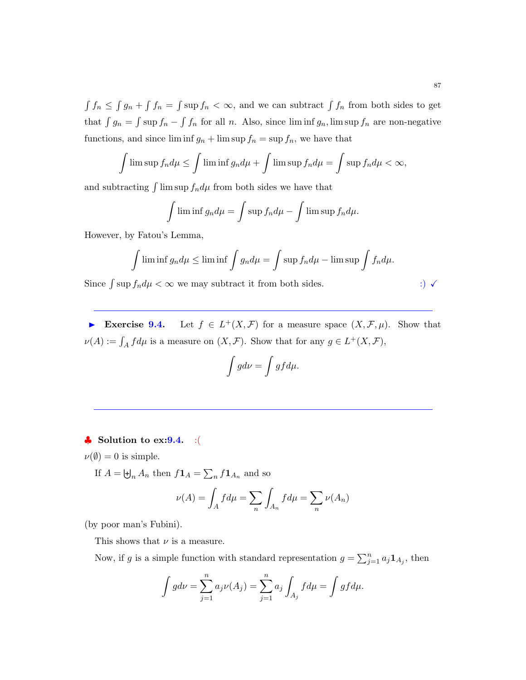$\int f_n \leq \int g_n + \int f_n = \int \sup f_n < \infty$ , and we can subtract  $\int f_n$  from both sides to get that  $\int g_n = \int \sup f_n - \int f_n$  for all n. Also, since lim inf  $g_n$ , lim sup  $f_n$  are non-negative functions, and since  $\liminf g_n + \limsup f_n = \sup f_n$ , we have that

$$
\int \limsup f_n d\mu \le \int \liminf g_n d\mu + \int \limsup f_n d\mu = \int \sup f_n d\mu < \infty,
$$

and subtracting  $\int \limsup f_n d\mu$  from both sides we have that

$$
\int \liminf g_n d\mu = \int \sup f_n d\mu - \int \limsup f_n d\mu.
$$

However, by Fatou's Lemma,

$$
\int \liminf g_n d\mu \le \liminf \int g_n d\mu = \int \sup f_n d\mu - \limsup \int f_n d\mu.
$$

Since  $\int \sup f_n d\mu < \infty$  we may subtract it from both sides. :)  $\checkmark$ 

► Exercise 9.4. Let  $f \in L^+(X,\mathcal{F})$  for a measure space  $(X,\mathcal{F},\mu)$ . Show that  $\nu(A) := \int_A f d\mu$  is a measure on  $(X, \mathcal{F})$ . Show that for any  $g \in L^+(X, \mathcal{F})$ ,

$$
\int g d\nu = \int g f d\mu.
$$

## $\bullet$  Solution to ex: 9.4. : (

## $\nu(\emptyset) = 0$  is simple.

If  $A = \biguplus_n A_n$  then  $f\mathbf{1}_A = \sum_n f\mathbf{1}_{A_n}$  and so

$$
\nu(A) = \int_A f d\mu = \sum_n \int_{A_n} f d\mu = \sum_n \nu(A_n)
$$

(by poor man's Fubini).

This shows that  $\nu$  is a measure.

Now, if g is a simple function with standard representation  $g = \sum_{j=1}^{n} a_j \mathbf{1}_{A_j}$ , then

$$
\int g d\nu = \sum_{j=1}^{n} a_j \nu(A_j) = \sum_{j=1}^{n} a_j \int_{A_j} f d\mu = \int g f d\mu.
$$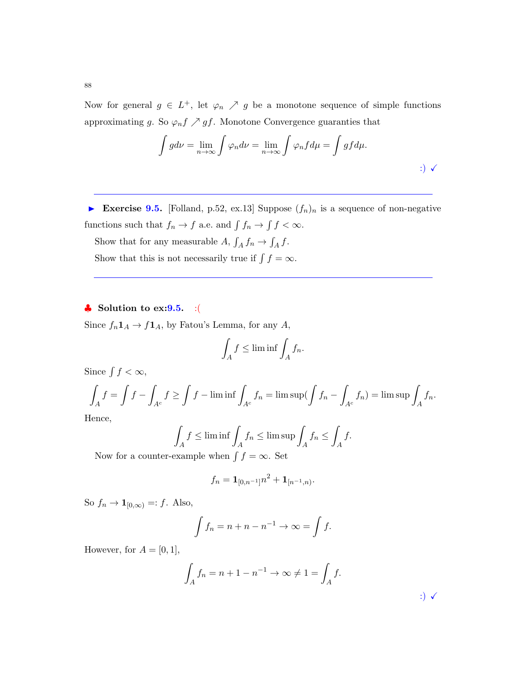Now for general  $g \in L^+$ , let  $\varphi_n \nearrow g$  be a monotone sequence of simple functions approximating g. So  $\varphi_n f \nearrow gf$ . Monotone Convergence guaranties that

$$
\int g d\nu = \lim_{n \to \infty} \int \varphi_n d\nu = \lim_{n \to \infty} \int \varphi_n f d\mu = \int g f d\mu.
$$

Exercise 9.5. [Folland, p.52, ex.13] Suppose  $(f_n)_n$  is a sequence of non-negative functions such that  $f_n \to f$  a.e. and  $\int f_n \to \int f < \infty$ .

Show that for any measurable  $A, \int_A f_n \to \int_A f$ .

Show that this is not necessarily true if  $\int f = \infty$ .

## $\clubsuit$  Solution to ex: 9.5. : (

Since  $f_n \mathbf{1}_A \to f \mathbf{1}_A$ , by Fatou's Lemma, for any  $A$ ,

$$
\int_A f \le \liminf \int_A f_n.
$$

Since  $\int f < \infty$ ,

$$
\int_A f = \int f - \int_{A^c} f \ge \int f - \liminf \int_{A^c} f_n = \limsup (\int f_n - \int_{A^c} f_n) = \limsup \int_A f_n.
$$

Hence,

$$
\int_A f \le \liminf \int_A f_n \le \limsup \int_A f_n \le \int_A f.
$$
  
ex>x when  $\int_A f = \infty$  Set

Now for a counter-example when  $\int f = \infty$ . Set

$$
f_n = \mathbf{1}_{[0,n^{-1}]}n^2 + \mathbf{1}_{[n^{-1},n)}.
$$

So  $f_n \to \mathbf{1}_{[0,\infty)} =: f$ . Also,

$$
\int f_n = n + n - n^{-1} \to \infty = \int f.
$$

However, for  $A = [0, 1]$ ,

$$
\int_{A} f_n = n + 1 - n^{-1} \to \infty \neq 1 = \int_{A} f.
$$
\n
$$
\tag{3}
$$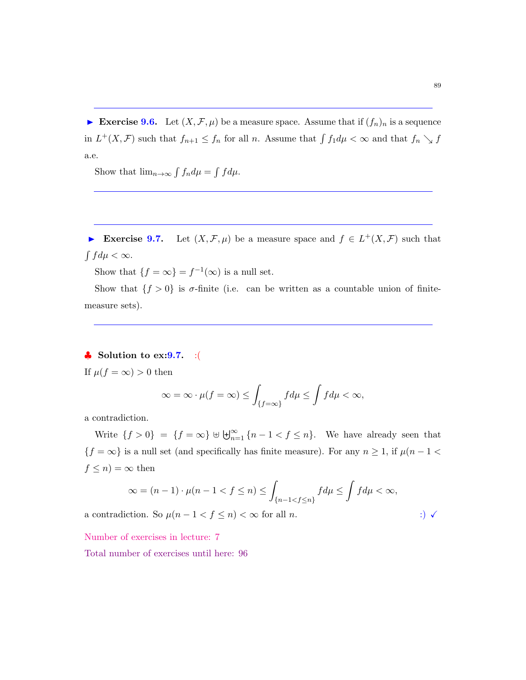Exercise 9.6. Let  $(X, \mathcal{F}, \mu)$  be a measure space. Assume that if  $(f_n)_n$  is a sequence in  $L^+(X,\mathcal{F})$  such that  $f_{n+1} \le f_n$  for all n. Assume that  $\int f_1 d\mu < \infty$  and that  $f_n \searrow f$ a.e.

Show that  $\lim_{n\to\infty} \int f_n d\mu = \int f d\mu$ .

Exercise 9.7. Let  $(X, \mathcal{F}, \mu)$  be a measure space and  $f \in L^+(X, \mathcal{F})$  such that  $\int f d\mu < \infty$ .

Show that  $\{f = \infty\} = f^{-1}(\infty)$  is a null set.

Show that  $\{f > 0\}$  is  $\sigma$ -finite (i.e. can be written as a countable union of finitemeasure sets).

## $\clubsuit$  Solution to ex: 9.7. :(

If  $\mu(f = \infty) > 0$  then

$$
\infty = \infty \cdot \mu(f = \infty) \le \int_{\{f = \infty\}} f d\mu \le \int f d\mu < \infty,
$$

a contradiction.

Write  $\{f > 0\} = \{f = \infty\} \cup \biguplus_{n=1}^{\infty} \{n-1 < f \leq n\}.$  We have already seen that  $\{f=\infty\}$  is a null set (and specifically has finite measure). For any  $n\geq 1,$  if  $\mu(n-1<\infty\})$  $f \leq n$  =  $\infty$  then

$$
\infty = (n-1) \cdot \mu(n-1 < f \le n) \le \int_{\{n-1 < f \le n\}} f d\mu \le \int f d\mu < \infty,
$$

a contradiction. So  $\mu(n-1 < f \leq n) < \infty$  for all *n*. :)  $\checkmark$ 

Number of exercises in lecture: 7

Total number of exercises until here: 96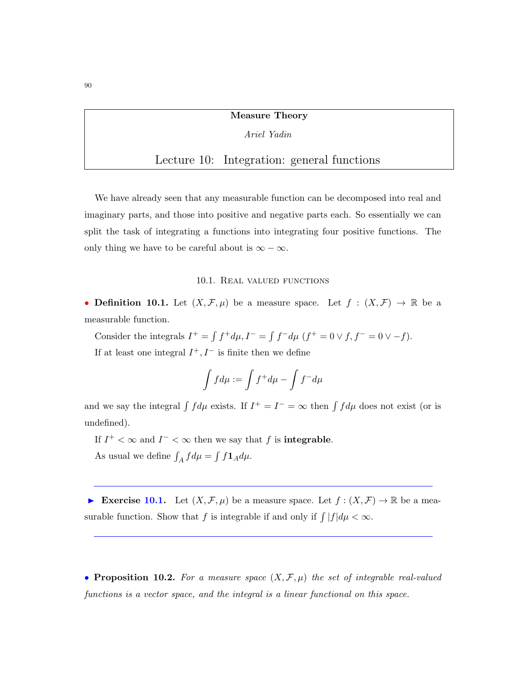## Measure Theory

## Ariel Yadin

# Lecture 10: Integration: general functions

We have already seen that any measurable function can be decomposed into real and imaginary parts, and those into positive and negative parts each. So essentially we can split the task of integrating a functions into integrating four positive functions. The only thing we have to be careful about is  $\infty - \infty$ .

#### 10.1. Real valued functions

• Definition 10.1. Let  $(X, \mathcal{F}, \mu)$  be a measure space. Let  $f : (X, \mathcal{F}) \to \mathbb{R}$  be a measurable function.

Consider the integrals  $I^+ = \int f^+ d\mu$ ,  $I^- = \int f^- d\mu$   $(f^+ = 0 \vee f, f^- = 0 \vee -f)$ . If at least one integral  $I^+, I^-$  is finite then we define

$$
\int f d\mu := \int f^+ d\mu - \int f^- d\mu
$$

and we say the integral  $\int f d\mu$  exists. If  $I^+ = I^- = \infty$  then  $\int f d\mu$  does not exist (or is undefined).

If  $I^+ < \infty$  and  $I^- < \infty$  then we say that f is **integrable**.

As usual we define  $\int_A f d\mu = \int f \mathbf{1}_A d\mu$ .

Exercise 10.1. Let  $(X, \mathcal{F}, \mu)$  be a measure space. Let  $f : (X, \mathcal{F}) \to \mathbb{R}$  be a measurable function. Show that f is integrable if and only if  $\int |f| d\mu < \infty$ .

• Proposition 10.2. For a measure space  $(X, \mathcal{F}, \mu)$  the set of integrable real-valued functions is a vector space, and the integral is a linear functional on this space.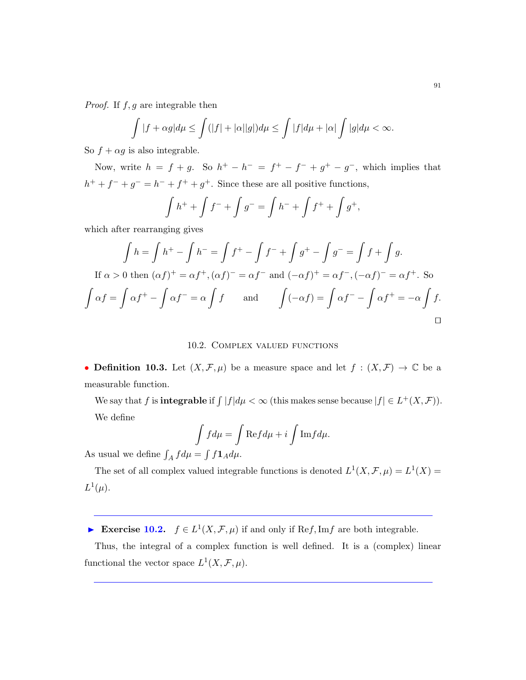*Proof.* If  $f, g$  are integrable then

$$
\int |f + \alpha g| d\mu \le \int (|f| + |\alpha||g|) d\mu \le \int |f| d\mu + |\alpha| \int |g| d\mu < \infty.
$$

So  $f + \alpha g$  is also integrable.

Now, write  $h = f + g$ . So  $h^+ - h^- = f^+ - f^- + g^+ - g^-$ , which implies that  $h^{+} + f^{-} + g^{-} = h^{-} + f^{+} + g^{+}$ . Since these are all positive functions,

$$
\int h^+ + \int f^- + \int g^- = \int h^- + \int f^+ + \int g^+,
$$

which after rearranging gives

$$
\int h = \int h^+ - \int h^- = \int f^+ - \int f^- + \int g^+ - \int g^- = \int f + \int g.
$$
  
If  $\alpha > 0$  then  $(\alpha f)^+ = \alpha f^+, (\alpha f)^- = \alpha f^-$  and  $(-\alpha f)^+ = \alpha f^-, (-\alpha f)^- = \alpha f^+$ . So  

$$
\int \alpha f = \int \alpha f^+ - \int \alpha f^- = \alpha \int f
$$
 and 
$$
\int (-\alpha f) = \int \alpha f^- - \int \alpha f^+ = -\alpha \int f.
$$

## 10.2. Complex valued functions

• Definition 10.3. Let  $(X, \mathcal{F}, \mu)$  be a measure space and let  $f : (X, \mathcal{F}) \to \mathbb{C}$  be a measurable function.

We say that f is **integrable** if  $\int |f|d\mu < \infty$  (this makes sense because  $|f| \in L^+(X, \mathcal{F})$ ). We define

$$
\int f d\mu = \int \text{Re} f d\mu + i \int \text{Im} f d\mu.
$$

As usual we define  $\int_A f d\mu = \int f \mathbf{1}_A d\mu$ .

The set of all complex valued integrable functions is denoted  $L^1(X, \mathcal{F}, \mu) = L^1(X) =$  $L^1(\mu)$ .

Exercise 10.2.  $f \in L^1(X, \mathcal{F}, \mu)$  if and only if Ref, Imf are both integrable.

Thus, the integral of a complex function is well defined. It is a (complex) linear functional the vector space  $L^1(X, \mathcal{F}, \mu)$ .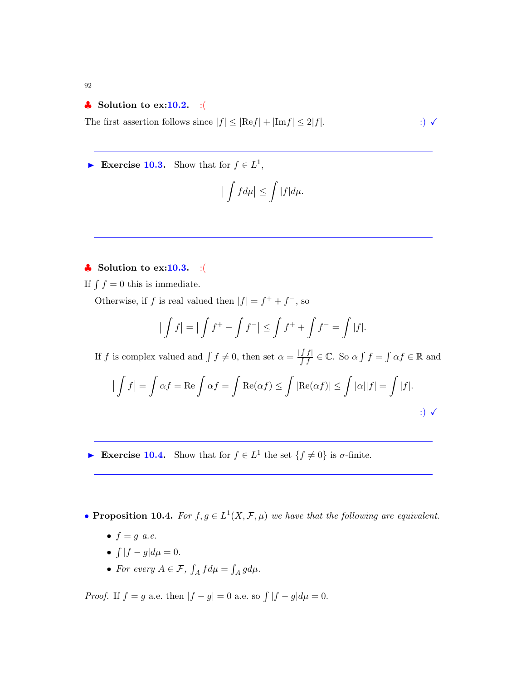92

## $\bullet$  Solution to ex:10.2. :(

The first assertion follows since  $|f| \leq |\text{Re} f| + |\text{Im} f| \leq 2|f|$ . :)  $\checkmark$ 

Exercise 10.3. Show that for  $f \in L^1$ ,

$$
\big|\int f d\mu\big| \leq \int |f| d\mu.
$$

## $\clubsuit$  Solution to ex:10.3. :(

If  $\int f = 0$  this is immediate.

Otherwise, if f is real valued then  $|f| = f^+ + f^-$ , so

$$
\left| \int f \right| = \left| \int f^+ - \int f^- \right| \le \int f^+ + \int f^- = \int |f|.
$$

If f is complex valued and  $\int f \neq 0$ , then set  $\alpha = \frac{|f f|}{\int f} \in \mathbb{C}$ . So  $\alpha \int f = \int \alpha f \in \mathbb{R}$  and

$$
\left| \int f \right| = \int \alpha f = \text{Re} \int \alpha f = \int \text{Re}(\alpha f) \le \int |\text{Re}(\alpha f)| \le \int |\alpha||f| = \int |f|.
$$
  
 
$$
\therefore \qquad \qquad \therefore
$$

Exercise 10.4. Show that for  $f \in L^1$  the set  $\{f \neq 0\}$  is  $\sigma$ -finite.

• **Proposition 10.4.** For  $f, g \in L^1(X, \mathcal{F}, \mu)$  we have that the following are equivalent.

- $f = g$  a.e.
- $\int |f g| d\mu = 0.$
- For every  $A \in \mathcal{F}$ ,  $\int_A f d\mu = \int_A g d\mu$ .

*Proof.* If  $f = g$  a.e. then  $|f - g| = 0$  a.e. so  $\int |f - g| d\mu = 0$ .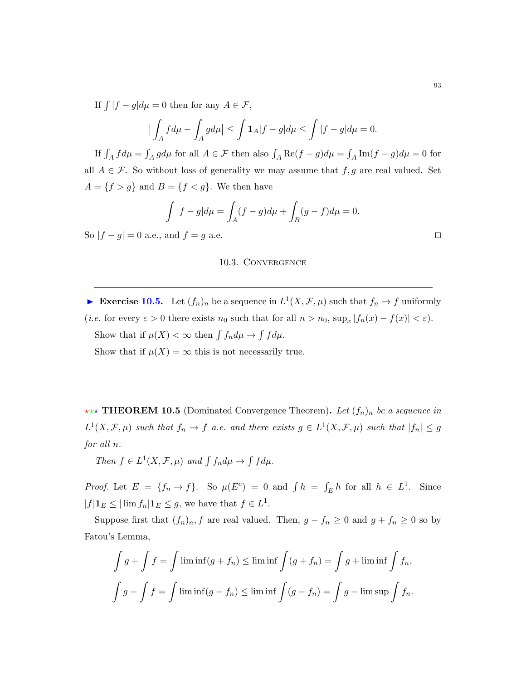If  $\int |f - g| d\mu = 0$  then for any  $A \in \mathcal{F}$ ,

$$
\left|\int_A f d\mu - \int_A g d\mu\right| \le \int \mathbf{1}_A |f - g| d\mu \le \int |f - g| d\mu = 0.
$$

If  $\int_A f d\mu = \int_A g d\mu$  for all  $A \in \mathcal{F}$  then also  $\int_A \text{Re}(f - g) d\mu = \int_A \text{Im}(f - g) d\mu = 0$  for all  $A \in \mathcal{F}$ . So without loss of generality we may assume that  $f, g$  are real valued. Set  $A = \{f > g\}$  and  $B = \{f < g\}$ . We then have

$$
\int |f - g| d\mu = \int_A (f - g) d\mu + \int_B (g - f) d\mu = 0.
$$

So  $|f - g| = 0$  a.e., and  $f = g$  a.e.

#### 10.3. Convergence

Exercise 10.5. Let  $(f_n)_n$  be a sequence in  $L^1(X, \mathcal{F}, \mu)$  such that  $f_n \to f$  uniformly (*i.e.* for every  $\varepsilon > 0$  there exists  $n_0$  such that for all  $n > n_0$ ,  $\sup_x |f_n(x) - f(x)| < \varepsilon$ ). Show that if  $\mu(X) < \infty$  then  $\int f_n d\mu \to \int f d\mu$ . Show that if  $\mu(X) = \infty$  this is not necessarily true.

\*\*\* **THEOREM 10.5** (Dominated Convergence Theorem). Let  $(f_n)_n$  be a sequence in  $L^1(X,\mathcal{F},\mu)$  such that  $f_n \to f$  a.e. and there exists  $g \in L^1(X,\mathcal{F},\mu)$  such that  $|f_n| \leq g$ for all n.

Then  $f \in L^1(X, \mathcal{F}, \mu)$  and  $\int f_n d\mu \to \int f d\mu$ .

*Proof.* Let  $E = \{f_n \to f\}$ . So  $\mu(E^c) = 0$  and  $\int h = \int_E h$  for all  $h \in L^1$ . Since  $|f| \mathbf{1}_E \leq |\lim f_n| \mathbf{1}_E \leq g$ , we have that  $f \in L^1$ .

Suppose first that  $(f_n)_n, f$  are real valued. Then,  $g - f_n \ge 0$  and  $g + f_n \ge 0$  so by Fatou's Lemma,

$$
\int g + \int f = \int \liminf (g + f_n) \le \liminf \int (g + f_n) = \int g + \liminf \int f_n,
$$
  

$$
\int g - \int f = \int \liminf (g - f_n) \le \liminf \int (g - f_n) = \int g - \limsup \int f_n.
$$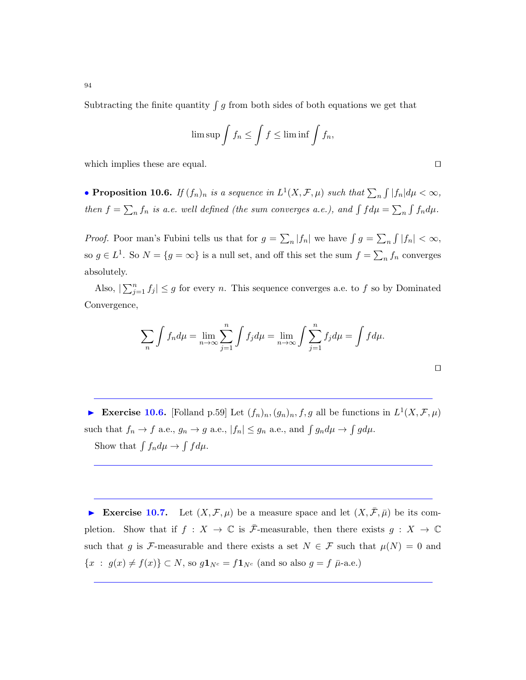Subtracting the finite quantity  $\int g$  from both sides of both equations we get that

$$
\limsup \int f_n \le \int f \le \liminf \int f_n,
$$

which implies these are equal.  $\Box$ 

• Proposition 10.6. If  $(f_n)_n$  is a sequence in  $L^1(X, \mathcal{F}, \mu)$  such that  $\sum_n \int |f_n| d\mu < \infty$ , then  $f = \sum_n f_n$  is a.e. well defined (the sum converges a.e.), and  $\int f d\mu = \sum_n \int f_n d\mu$ .

*Proof.* Poor man's Fubini tells us that for  $g = \sum_n |f_n|$  we have  $\int g = \sum_n \int |f_n| < \infty$ , so  $g \in L^1$ . So  $N = \{g = \infty\}$  is a null set, and off this set the sum  $f = \sum_n f_n$  converges absolutely.

Also,  $|\sum_{j=1}^n f_j| \leq g$  for every *n*. This sequence converges a.e. to f so by Dominated Convergence,

$$
\sum_{n} \int f_n d\mu = \lim_{n \to \infty} \sum_{j=1}^{n} \int f_j d\mu = \lim_{n \to \infty} \int \sum_{j=1}^{n} f_j d\mu = \int f d\mu.
$$

Exercise 10.6. [Folland p.59] Let  $(f_n)_n, (g_n)_n, f, g$  all be functions in  $L^1(X, \mathcal{F}, \mu)$ such that  $f_n \to f$  a.e.,  $g_n \to g$  a.e.,  $|f_n| \leq g_n$  a.e., and  $\int g_n d\mu \to \int g d\mu$ . Show that  $\int f_n d\mu \to \int f d\mu$ .

Exercise 10.7. Let  $(X, \mathcal{F}, \mu)$  be a measure space and let  $(X, \bar{\mathcal{F}}, \bar{\mu})$  be its completion. Show that if  $f : X \to \mathbb{C}$  is  $\overline{\mathcal{F}}$ -measurable, then there exists  $g : X \to \mathbb{C}$ such that g is F-measurable and there exists a set  $N \in \mathcal{F}$  such that  $\mu(N) = 0$  and  ${x : g(x) \neq f(x)} \subset N$ , so  $g\mathbf{1}_{N^c} = f\mathbf{1}_{N^c}$  (and so also  $g = f \bar{\mu}$ -a.e.)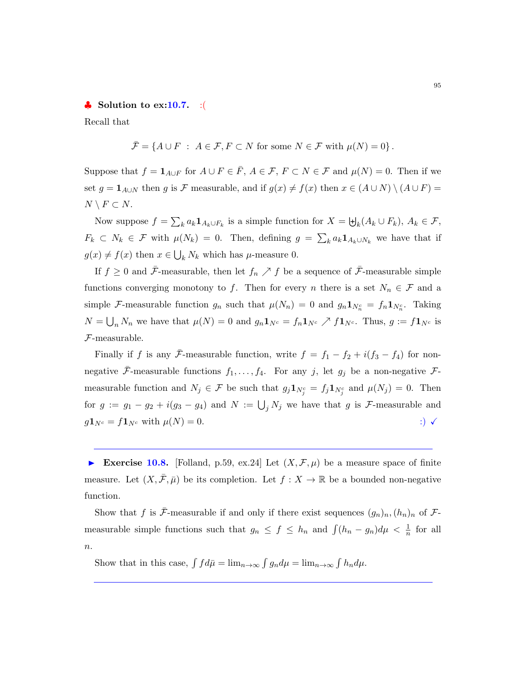#### $\bullet$  Solution to ex:10.7. :

Recall that

$$
\bar{\mathcal{F}} = \{ A \cup F : A \in \mathcal{F}, F \subset N \text{ for some } N \in \mathcal{F} \text{ with } \mu(N) = 0 \}.
$$

Suppose that  $f = \mathbf{1}_{A\cup F}$  for  $A \cup F \in \overline{F}$ ,  $A \in \mathcal{F}$ ,  $F \subset N \in \mathcal{F}$  and  $\mu(N) = 0$ . Then if we set  $g = \mathbf{1}_{A\cup N}$  then g is F measurable, and if  $g(x) \neq f(x)$  then  $x \in (A \cup N) \setminus (A \cup F)$  $N \setminus F \subset N$ .

Now suppose  $f = \sum_k a_k \mathbf{1}_{A_k \cup F_k}$  is a simple function for  $X = \biguplus_k (A_k \cup F_k), A_k \in \mathcal{F}$ ,  $F_k \subset N_k \in \mathcal{F}$  with  $\mu(N_k) = 0$ . Then, defining  $g = \sum_k a_k \mathbf{1}_{A_k \cup N_k}$  we have that if  $g(x) \neq f(x)$  then  $x \in \bigcup_k N_k$  which has  $\mu$ -measure 0.

If  $f \geq 0$  and  $\bar{\mathcal{F}}$ -measurable, then let  $f_n \nearrow f$  be a sequence of  $\bar{\mathcal{F}}$ -measurable simple functions converging monotony to f. Then for every n there is a set  $N_n \in \mathcal{F}$  and a simple F-measurable function  $g_n$  such that  $\mu(N_n) = 0$  and  $g_n \mathbf{1}_{N_n^c} = f_n \mathbf{1}_{N_n^c}$ . Taking  $N = \bigcup_n N_n$  we have that  $\mu(N) = 0$  and  $g_n \mathbf{1}_{N^c} = f_n \mathbf{1}_{N^c} \nearrow f \mathbf{1}_{N^c}$ . Thus,  $g := f \mathbf{1}_{N^c}$  is F-measurable.

Finally if f is any  $\bar{\mathcal{F}}$ -measurable function, write  $f = f_1 - f_2 + i(f_3 - f_4)$  for nonnegative  $\bar{\mathcal{F}}$ -measurable functions  $f_1, \ldots, f_4$ . For any j, let  $g_j$  be a non-negative  $\mathcal{F}$ measurable function and  $N_j \in \mathcal{F}$  be such that  $g_j \mathbf{1}_{N_j^c} = f_j \mathbf{1}_{N_j^c}$  and  $\mu(N_j) = 0$ . Then for  $g := g_1 - g_2 + i(g_3 - g_4)$  and  $N := \bigcup_j N_j$  we have that g is F-measurable and  $g\mathbf{1}_{N^c} = f\mathbf{1}_{N^c}$  with  $\mu(N) = 0$ .  $\qquad \qquad$  :)  $\checkmark$ 

Exercise 10.8. [Folland, p.59, ex.24] Let  $(X, \mathcal{F}, \mu)$  be a measure space of finite measure. Let  $(X, \overline{\mathcal{F}}, \overline{\mu})$  be its completion. Let  $f : X \to \mathbb{R}$  be a bounded non-negative function.

Show that f is  $\bar{\mathcal{F}}$ -measurable if and only if there exist sequences  $(g_n)_n, (h_n)_n$  of  $\mathcal{F}$ measurable simple functions such that  $g_n \leq f \leq h_n$  and  $\int (h_n - g_n) d\mu < \frac{1}{n}$  for all  $\overline{n}$ .

Show that in this case,  $\int f d\bar{\mu} = \lim_{n \to \infty} \int g_n d\mu = \lim_{n \to \infty} \int h_n d\mu$ .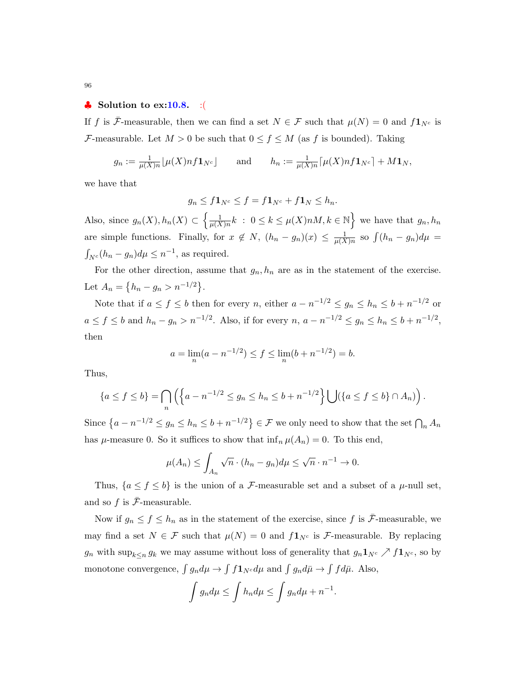## $\bullet$  Solution to ex:10.8. :

If f is  $\bar{\mathcal{F}}$ -measurable, then we can find a set  $N \in \mathcal{F}$  such that  $\mu(N) = 0$  and  $f\mathbf{1}_{N^c}$  is F-measurable. Let  $M > 0$  be such that  $0 \le f \le M$  (as f is bounded). Taking

$$
g_n := \frac{1}{\mu(X)n} \left[ \mu(X)n f \mathbf{1}_{N^c} \right]
$$
 and  $h_n := \frac{1}{\mu(X)n} \left[ \mu(X)n f \mathbf{1}_{N^c} \right] + M \mathbf{1}_N$ ,

we have that

$$
g_n \le f \mathbf{1}_{N^c} \le f = f \mathbf{1}_{N^c} + f \mathbf{1}_N \le h_n.
$$

Also, since  $g_n(X), h_n(X) \subset \left\{\frac{1}{\mu(X)}\right\}$  $\frac{1}{\mu(X)n}k$  :  $0 \leq k \leq \mu(X)nM, k \in \mathbb{N}$  we have that  $g_n, h_n$ are simple functions. Finally, for  $x \notin N$ ,  $(h_n - g_n)(x) \leq \frac{1}{\mu(X)}$  $\frac{1}{\mu(X)n}$  so  $\int (h_n - g_n)d\mu =$  $\int_{N^c} (h_n - g_n) d\mu \leq n^{-1}$ , as required.

For the other direction, assume that  $g_n, h_n$  are as in the statement of the exercise. Let  $A_n = \{h_n - g_n > n^{-1/2}\}.$ 

Note that if  $a \le f \le b$  then for every n, either  $a - n^{-1/2} \le g_n \le h_n \le b + n^{-1/2}$  or  $a \le f \le b$  and  $h_n - g_n > n^{-1/2}$ . Also, if for every  $n, a - n^{-1/2} \le g_n \le h_n \le b + n^{-1/2}$ , then

$$
a = \lim_{n} (a - n^{-1/2}) \le f \le \lim_{n} (b + n^{-1/2}) = b.
$$

Thus,

$$
\{a \le f \le b\} = \bigcap_n \left( \left\{ a - n^{-1/2} \le g_n \le h_n \le b + n^{-1/2} \right\} \bigcup \left( \left\{ a \le f \le b \right\} \cap A_n \right) \right).
$$

Since  $\{a - n^{-1/2} \le g_n \le h_n \le b + n^{-1/2}\}\in \mathcal{F}$  we only need to show that the set  $\bigcap_n A_n$ has  $\mu$ -measure 0. So it suffices to show that  $\inf_n \mu(A_n) = 0$ . To this end,

$$
\mu(A_n) \le \int_{A_n} \sqrt{n} \cdot (h_n - g_n) d\mu \le \sqrt{n} \cdot n^{-1} \to 0.
$$

Thus,  $\{a \le f \le b\}$  is the union of a F-measurable set and a subset of a  $\mu$ -null set, and so f is  $\bar{\mathcal{F}}$ -measurable.

Now if  $g_n \le f \le h_n$  as in the statement of the exercise, since f is  $\bar{\mathcal{F}}$ -measurable, we may find a set  $N \in \mathcal{F}$  such that  $\mu(N) = 0$  and  $f\mathbf{1}_{N^c}$  is  $\mathcal{F}$ -measurable. By replacing  $g_n$  with  $\sup_{k\leq n} g_k$  we may assume without loss of generality that  $g_n \mathbf{1}_{N^c} \nearrow f \mathbf{1}_{N^c}$ , so by monotone convergence,  $\int g_n d\mu \to \int f \mathbf{1}_{N^c} d\mu$  and  $\int g_n d\bar{\mu} \to \int f d\bar{\mu}$ . Also,

$$
\int g_n d\mu \le \int h_n d\mu \le \int g_n d\mu + n^{-1}.
$$

96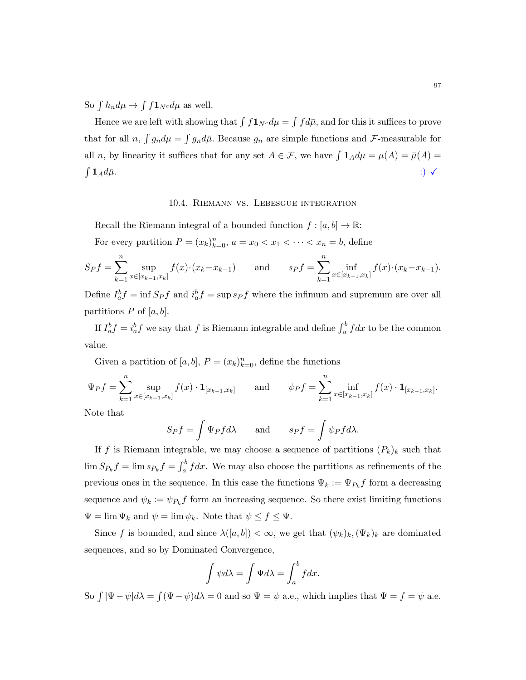So  $\int h_n d\mu \to \int f \mathbf{1}_{N^c} d\mu$  as well.

Hence we are left with showing that  $\int f \mathbf{1}_{N^c} d\mu = \int f d\bar{\mu}$ , and for this it suffices to prove that for all  $n$ ,  $\int g_n d\mu = \int g_n d\bar{\mu}$ . Because  $g_n$  are simple functions and  $\mathcal{F}$ -measurable for all *n*, by linearity it suffices that for any set  $A \in \mathcal{F}$ , we have  $\int \mathbf{1}_A d\mu = \mu(A) = \bar{\mu}(A) =$  $\int {\bf 1}_A d\bar{\mu}.$  $1_A d\bar{\mu}.$  :)  $\checkmark$ 

## 10.4. Riemann vs. Lebesgue integration

Recall the Riemann integral of a bounded function  $f : [a, b] \to \mathbb{R}$ : For every partition  $P = (x_k)_{k=0}^n$ ,  $a = x_0 < x_1 < \cdots < x_n = b$ , define

$$
S_P f = \sum_{k=1}^n \sup_{x \in [x_{k-1}, x_k]} f(x) \cdot (x_k - x_{k-1}) \quad \text{and} \quad s_P f = \sum_{k=1}^n \inf_{x \in [x_{k-1}, x_k]} f(x) \cdot (x_k - x_{k-1}).
$$

Define  $I_a^b f = \inf S_P f$  and  $i_a^b f = \sup s_P f$  where the infimum and supremum are over all partitions  $P$  of  $[a, b]$ .

If  $I_a^b f = i_a^b f$  we say that f is Riemann integrable and define  $\int_a^b f dx$  to be the common value.

Given a partition of  $[a, b], P = (x_k)_{k=0}^n$ , define the functions

$$
\Psi_P f = \sum_{k=1}^n \sup_{x \in [x_{k-1}, x_k]} f(x) \cdot \mathbf{1}_{[x_{k-1}, x_k]} \quad \text{and} \quad \psi_P f = \sum_{k=1}^n \inf_{x \in [x_{k-1}, x_k]} f(x) \cdot \mathbf{1}_{[x_{k-1}, x_k]}.
$$

Note that

$$
S_P f = \int \Psi_P f d\lambda \quad \text{and} \quad s_P f = \int \psi_P f d\lambda.
$$

If f is Riemann integrable, we may choose a sequence of partitions  $(P_k)_k$  such that  $\lim S_{P_k} f = \lim s_{P_k} f = \int_a^b f dx$ . We may also choose the partitions as refinements of the previous ones in the sequence. In this case the functions  $\Psi_k := \Psi_{P_k} f$  form a decreasing sequence and  $\psi_k := \psi_{P_k} f$  form an increasing sequence. So there exist limiting functions  $\Psi = \lim \Psi_k$  and  $\psi = \lim \psi_k$ . Note that  $\psi \le f \le \Psi$ .

Since f is bounded, and since  $\lambda([a, b]) < \infty$ , we get that  $(\psi_k)_k$ ,  $(\Psi_k)_k$  are dominated sequences, and so by Dominated Convergence,

$$
\int \psi d\lambda = \int \Psi d\lambda = \int_a^b f dx.
$$

So  $\int |\Psi - \psi| d\lambda = \int (\Psi - \psi) d\lambda = 0$  and so  $\Psi = \psi$  a.e., which implies that  $\Psi = f = \psi$  a.e.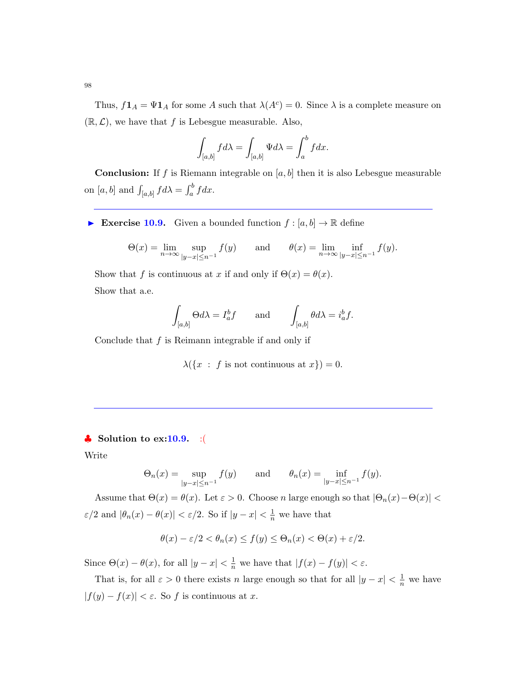Thus,  $f\mathbf{1}_A = \Psi\mathbf{1}_A$  for some A such that  $\lambda(A^c) = 0$ . Since  $\lambda$  is a complete measure on  $(\mathbb{R}, \mathcal{L})$ , we have that f is Lebesgue measurable. Also,

$$
\int_{[a,b]} f d\lambda = \int_{[a,b]} \Psi d\lambda = \int_a^b f dx.
$$

**Conclusion:** If f is Riemann integrable on  $[a, b]$  then it is also Lebesgue measurable on  $[a, b]$  and  $\int_{[a, b]} f d\lambda = \int_a^b f dx$ .

Exercise 10.9. Given a bounded function  $f : [a, b] \to \mathbb{R}$  define

$$
\Theta(x) = \lim_{n \to \infty} \sup_{|y-x| \le n^{-1}} f(y) \quad \text{and} \quad \theta(x) = \lim_{n \to \infty} \inf_{|y-x| \le n^{-1}} f(y).
$$

Show that f is continuous at x if and only if  $\Theta(x) = \theta(x)$ . Show that a.e.

$$
\int_{[a,b]} \Theta d\lambda = I_a^b f \quad \text{and} \quad \int_{[a,b]} \theta d\lambda = i_a^b f.
$$

Conclude that  $f$  is Reimann integrable if and only if

 $\lambda({x : f \text{ is not continuous at } x}) = 0.$ 

## $\clubsuit$  Solution to ex:10.9. :(

Write

$$
\Theta_n(x) = \sup_{|y-x| \le n^{-1}} f(y)
$$
 and  $\theta_n(x) = \inf_{|y-x| \le n^{-1}} f(y).$ 

Assume that  $\Theta(x) = \theta(x)$ . Let  $\varepsilon > 0$ . Choose n large enough so that  $|\Theta_n(x) - \Theta(x)|$  $\varepsilon/2$  and  $|\theta_n(x) - \theta(x)| < \varepsilon/2$ . So if  $|y - x| < \frac{1}{n}$  we have that

$$
\theta(x) - \varepsilon/2 < \theta_n(x) \le f(y) \le \Theta_n(x) < \Theta(x) + \varepsilon/2.
$$

Since  $\Theta(x) - \theta(x)$ , for all  $|y - x| < \frac{1}{n}$  we have that  $|f(x) - f(y)| < \varepsilon$ .

That is, for all  $\varepsilon > 0$  there exists n large enough so that for all  $|y - x| < \frac{1}{n}$  we have  $|f(y) - f(x)| < \varepsilon$ . So f is continuous at x.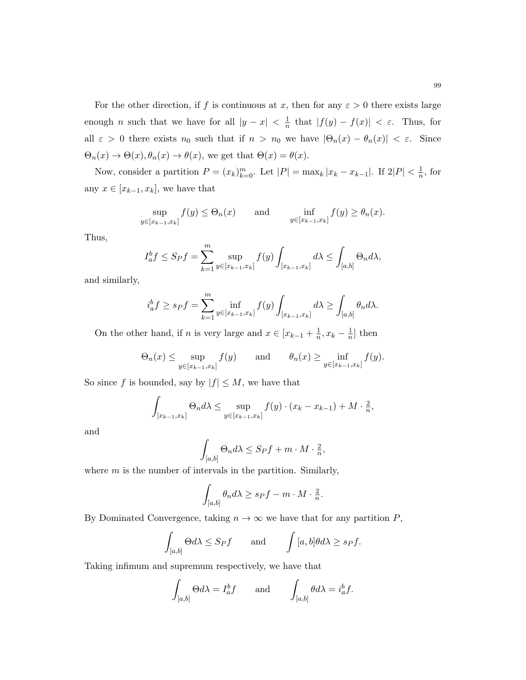For the other direction, if f is continuous at x, then for any  $\varepsilon > 0$  there exists large enough *n* such that we have for all  $|y - x| < \frac{1}{n}$  $\frac{1}{n}$  that  $|f(y) - f(x)| < \varepsilon$ . Thus, for all  $\varepsilon > 0$  there exists  $n_0$  such that if  $n > n_0$  we have  $|\Theta_n(x) - \theta_n(x)| < \varepsilon$ . Since  $\Theta_n(x) \to \Theta(x), \theta_n(x) \to \theta(x)$ , we get that  $\Theta(x) = \theta(x)$ .

Now, consider a partition  $P = (x_k)_{k=0}^m$ . Let  $|P| = \max_k |x_k - x_{k-1}|$ . If  $2|P| < \frac{1}{n}$  $\frac{1}{n}$ , for any  $x \in [x_{k-1}, x_k]$ , we have that

$$
\sup_{y \in [x_{k-1}, x_k]} f(y) \le \Theta_n(x) \quad \text{and} \quad \inf_{y \in [x_{k-1}, x_k]} f(y) \ge \theta_n(x).
$$

Thus,

$$
I_a^b f \le S_P f = \sum_{k=1}^m \sup_{y \in [x_{k-1}, x_k]} f(y) \int_{[x_{k-1}, x_k]} d\lambda \le \int_{[a, b]} \Theta_n d\lambda,
$$

and similarly,

$$
i_a^b f \ge s_P f = \sum_{k=1}^m \inf_{y \in [x_{k-1}, x_k]} f(y) \int_{[x_{k-1}, x_k]} d\lambda \ge \int_{[a, b]} \theta_n d\lambda.
$$

On the other hand, if *n* is very large and  $x \in [x_{k-1} + \frac{1}{n}]$  $\frac{1}{n}, x_k - \frac{1}{n}$  $\frac{1}{n}$  then

$$
\Theta_n(x) \le \sup_{y \in [x_{k-1}, x_k]} f(y) \quad \text{and} \quad \theta_n(x) \ge \inf_{y \in [x_{k-1}, x_k]} f(y).
$$

So since f is bounded, say by  $|f| \leq M$ , we have that

$$
\int_{[x_{k-1},x_k]} \Theta_n d\lambda \le \sup_{y \in [x_{k-1},x_k]} f(y) \cdot (x_k - x_{k-1}) + M \cdot \frac{2}{n},
$$

and

$$
\int_{[a,b]} \Theta_n d\lambda \leq Spf + m \cdot M \cdot \tfrac{2}{n},
$$

where  $m$  is the number of intervals in the partition. Similarly,

$$
\int_{[a,b]} \theta_n d\lambda \ge s_P f - m \cdot M \cdot \frac{2}{n}.
$$

By Dominated Convergence, taking  $n \to \infty$  we have that for any partition P,

$$
\int_{[a,b]} \Theta d\lambda \le S_P f \quad \text{and} \quad \int [a,b] \theta d\lambda \ge s_P f.
$$

Taking infimum and supremum respectively, we have that

$$
\int_{[a,b]} \Theta d\lambda = I_a^b f \quad \text{and} \quad \int_{[a,b]} \theta d\lambda = i_a^b f.
$$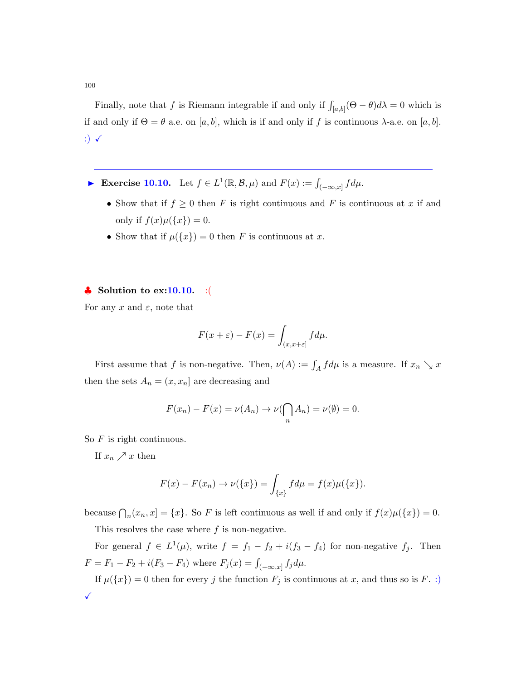100

Finally, note that f is Riemann integrable if and only if  $\int_{[a,b]} (\Theta - \theta) d\lambda = 0$  which is if and only if  $\Theta = \theta$  a.e. on [a, b], which is if and only if f is continuous  $\lambda$ -a.e. on [a, b]. :)  $\checkmark$ 

- ► Exercise 10.10. Let  $f \in L^1(\mathbb{R}, \mathcal{B}, \mu)$  and  $F(x) := \int_{(-\infty, x]} f d\mu$ .
	- Show that if  $f \geq 0$  then F is right continuous and F is continuous at x if and only if  $f(x)\mu({x}) = 0$ .
	- Show that if  $\mu({x}) = 0$  then F is continuous at x.

## $\bullet$  Solution to ex:10.10. :(

For any x and  $\varepsilon$ , note that

$$
F(x+\varepsilon) - F(x) = \int_{(x,x+\varepsilon]} f d\mu.
$$

First assume that f is non-negative. Then,  $\nu(A) := \int_A f d\mu$  is a measure. If  $x_n \searrow x$ then the sets  $A_n = (x, x_n]$  are decreasing and

$$
F(x_n) - F(x) = \nu(A_n) \to \nu(\bigcap_n A_n) = \nu(\emptyset) = 0.
$$

So  $F$  is right continuous.

If  $x_n \nearrow x$  then

$$
F(x) - F(x_n) \to \nu({x}) = \int_{\{x\}} f d\mu = f(x)\mu({x}).
$$

because  $\bigcap_n(x_n, x] = \{x\}$ . So F is left continuous as well if and only if  $f(x)\mu(\{x\}) = 0$ .

This resolves the case where  $f$  is non-negative.

For general  $f \in L^1(\mu)$ , write  $f = f_1 - f_2 + i(f_3 - f_4)$  for non-negative  $f_j$ . Then  $F = F_1 - F_2 + i(F_3 - F_4)$  where  $F_j(x) = \int_{(-\infty, x]} f_j d\mu$ .

If  $\mu({x}) = 0$  then for every j the function  $F_j$  is continuous at x, and thus so is F. :)  $\checkmark$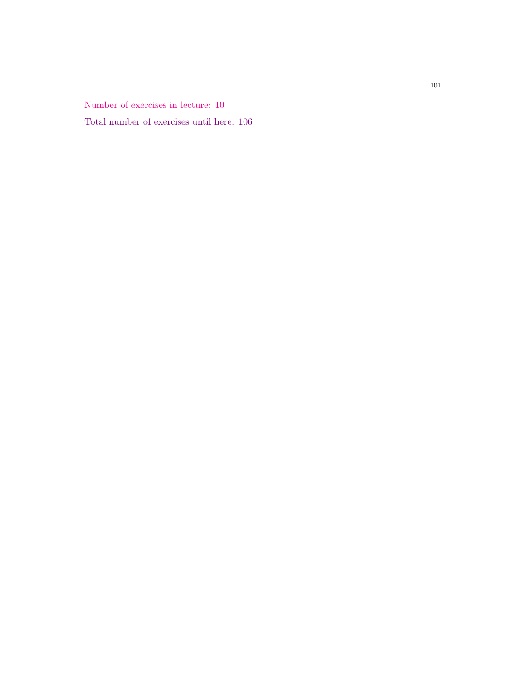Number of exercises in lecture: 10 Total number of exercises until here: 106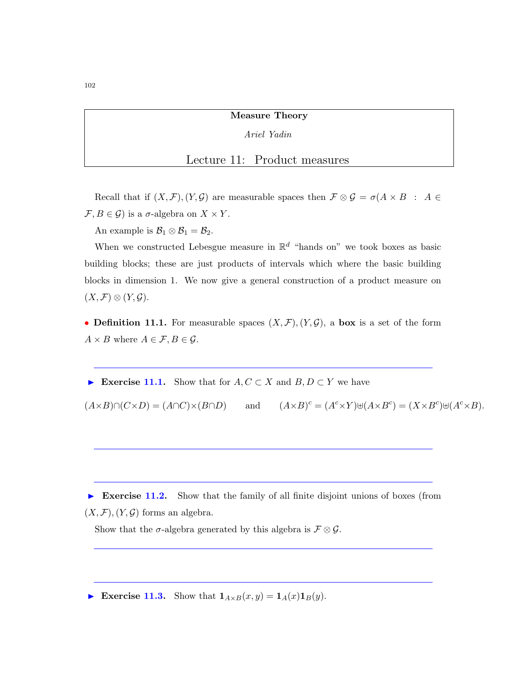Measure Theory

Ariel Yadin

## Lecture 11: Product measures

Recall that if  $(X, \mathcal{F}), (Y, \mathcal{G})$  are measurable spaces then  $\mathcal{F} \otimes \mathcal{G} = \sigma(A \times B : A \in$  $\mathcal{F}, B \in \mathcal{G}$  is a  $\sigma$ -algebra on  $X \times Y$ .

An example is  $\mathcal{B}_1 \otimes \mathcal{B}_1 = \mathcal{B}_2$ .

When we constructed Lebesgue measure in  $\mathbb{R}^d$  "hands on" we took boxes as basic building blocks; these are just products of intervals which where the basic building blocks in dimension 1. We now give a general construction of a product measure on  $(X, \mathcal{F}) \otimes (Y, \mathcal{G}).$ 

• **Definition 11.1.** For measurable spaces  $(X, \mathcal{F}), (Y, \mathcal{G}),$  a box is a set of the form  $A \times B$  where  $A \in \mathcal{F}, B \in \mathcal{G}$ .

Exercise 11.1. Show that for  $A, C \subset X$  and  $B, D \subset Y$  we have

 $(A\times B)\cap(C\times D) = (A\cap C)\times(B\cap D)$  and  $c = (A^c \times Y) \oplus (A \times B^c) = (X \times B^c) \oplus (A^c \times B).$ 

**Exercise 11.2.** Show that the family of all finite disjoint unions of boxes (from  $(X, \mathcal{F}), (Y, \mathcal{G})$  forms an algebra.

Show that the  $\sigma$ -algebra generated by this algebra is  $\mathcal{F} \otimes \mathcal{G}$ .

Exercise 11.3. Show that  $1_{A\times B}(x, y) = 1_A(x)1_B(y)$ .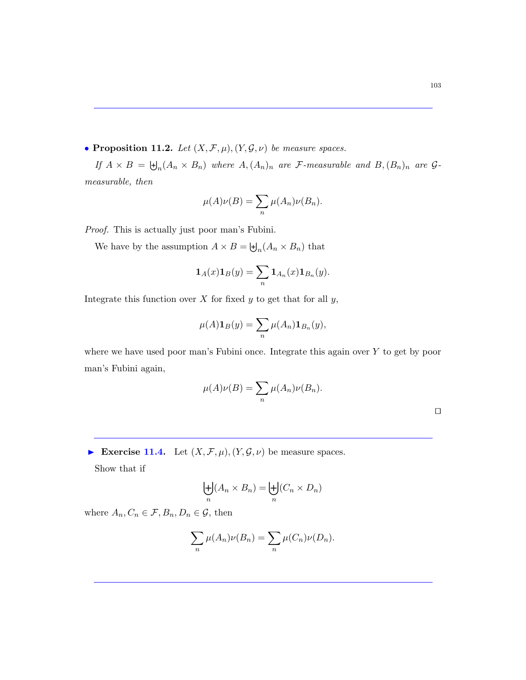• Proposition 11.2. Let  $(X, \mathcal{F}, \mu), (Y, \mathcal{G}, \nu)$  be measure spaces.

If  $A \times B = \biguplus_n (A_n \times B_n)$  where  $A, (A_n)_n$  are  $\mathcal{F}\text{-}measurable$  and  $B, (B_n)_n$  are  $\mathcal{G}\text{-}$ measurable, then

$$
\mu(A)\nu(B) = \sum_{n} \mu(A_n)\nu(B_n).
$$

Proof. This is actually just poor man's Fubini.

We have by the assumption  $A \times B = \biguplus_n (A_n \times B_n)$  that

$$
\mathbf{1}_A(x)\mathbf{1}_B(y) = \sum_n \mathbf{1}_{A_n}(x)\mathbf{1}_{B_n}(y).
$$

Integrate this function over  $X$  for fixed  $y$  to get that for all  $y$ ,

$$
\mu(A)\mathbf{1}_B(y) = \sum_n \mu(A_n)\mathbf{1}_{B_n}(y),
$$

where we have used poor man's Fubini once. Integrate this again over Y to get by poor man's Fubini again,

$$
\mu(A)\nu(B) = \sum_{n} \mu(A_n)\nu(B_n).
$$

Exercise 11.4. Let  $(X, \mathcal{F}, \mu), (Y, \mathcal{G}, \nu)$  be measure spaces.

Show that if

$$
\biguplus_n (A_n \times B_n) = \biguplus_n (C_n \times D_n)
$$

where  $A_n, C_n \in \mathcal{F}, B_n, D_n \in \mathcal{G}$ , then

$$
\sum_{n} \mu(A_n)\nu(B_n) = \sum_{n} \mu(C_n)\nu(D_n).
$$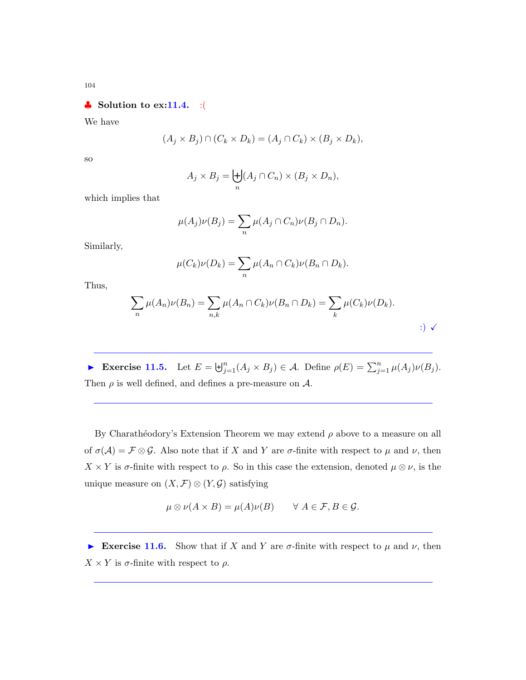104

## $\clubsuit$  Solution to ex:11.4. :(

We have

$$
(A_j \times B_j) \cap (C_k \times D_k) = (A_j \cap C_k) \times (B_j \times D_k),
$$

so

$$
A_j \times B_j = \biguplus_n (A_j \cap C_n) \times (B_j \times D_n),
$$

which implies that

$$
\mu(A_j)\nu(B_j) = \sum_n \mu(A_j \cap C_n)\nu(B_j \cap D_n).
$$

Similarly,

$$
\mu(C_k)\nu(D_k) = \sum_n \mu(A_n \cap C_k)\nu(B_n \cap D_k).
$$

Thus,

$$
\sum_{n} \mu(A_n)\nu(B_n) = \sum_{n,k} \mu(A_n \cap C_k)\nu(B_n \cap D_k) = \sum_{k} \mu(C_k)\nu(D_k).
$$

Exercise 11.5. Let  $E = \biguplus_{j=1}^{n} (A_j \times B_j) \in \mathcal{A}$ . Define  $\rho(E) = \sum_{j=1}^{n} \mu(A_j) \nu(B_j)$ . Then  $\rho$  is well defined, and defines a pre-measure on  $\mathcal{A}$ .

By Charathéodory's Extension Theorem we may extend  $\rho$  above to a measure on all of  $\sigma(\mathcal{A}) = \mathcal{F} \otimes \mathcal{G}$ . Also note that if X and Y are  $\sigma$ -finite with respect to  $\mu$  and  $\nu$ , then  $X \times Y$  is  $\sigma$ -finite with respect to  $\rho$ . So in this case the extension, denoted  $\mu \otimes \nu$ , is the unique measure on  $(X, \mathcal{F}) \otimes (Y, \mathcal{G})$  satisfying

$$
\mu \otimes \nu(A \times B) = \mu(A)\nu(B) \qquad \forall A \in \mathcal{F}, B \in \mathcal{G}.
$$

Exercise 11.6. Show that if X and Y are  $\sigma$ -finite with respect to  $\mu$  and  $\nu$ , then  $X \times Y$  is  $\sigma$ -finite with respect to  $\rho$ .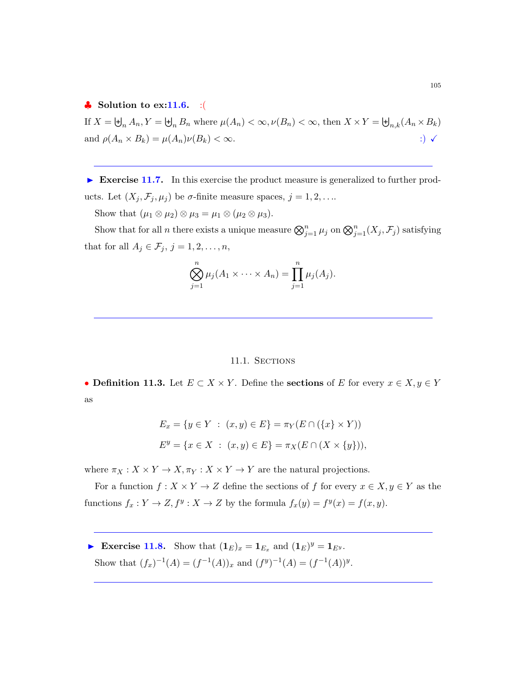### $\bullet$  Solution to ex:11.6. :(

If  $X = \biguplus_n A_n, Y = \biguplus_n B_n$  where  $\mu(A_n) < \infty, \nu(B_n) < \infty$ , then  $X \times Y = \biguplus_{n,k} (A_n \times B_k)$ and  $\rho(A_n \times B_k) = \mu(A_n)\nu(B_k) < \infty$ . :)  $\checkmark$ 

 Exercise 11.7. In this exercise the product measure is generalized to further products. Let  $(X_j, \mathcal{F}_j, \mu_j)$  be  $\sigma$ -finite measure spaces,  $j = 1, 2, \ldots$ 

Show that  $(\mu_1 \otimes \mu_2) \otimes \mu_3 = \mu_1 \otimes (\mu_2 \otimes \mu_3)$ .

Show that for all *n* there exists a unique measure  $\bigotimes_{j=1}^{n} \mu_j$  on  $\bigotimes_{j=1}^{n} (X_j, \mathcal{F}_j)$  satisfying that for all  $A_j \in \mathcal{F}_j$ ,  $j = 1, 2, \ldots, n$ ,

$$
\bigotimes_{j=1}^n \mu_j(A_1 \times \cdots \times A_n) = \prod_{j=1}^n \mu_j(A_j).
$$

### 11.1. SECTIONS

• Definition 11.3. Let  $E \subset X \times Y$ . Define the sections of E for every  $x \in X, y \in Y$ as

$$
E_x = \{ y \in Y : (x, y) \in E \} = \pi_Y(E \cap (\{x\} \times Y))
$$
  

$$
E^y = \{ x \in X : (x, y) \in E \} = \pi_X(E \cap (X \times \{y\})),
$$

where  $\pi_X : X \times Y \to X, \pi_Y : X \times Y \to Y$  are the natural projections.

For a function  $f: X \times Y \to Z$  define the sections of f for every  $x \in X, y \in Y$  as the functions  $f_x: Y \to Z, f^y: X \to Z$  by the formula  $f_x(y) = f^y(x) = f(x, y)$ .

Exercise 11.8. Show that  $(\mathbf{1}_E)_x = \mathbf{1}_{E_x}$  and  $(\mathbf{1}_E)^y = \mathbf{1}_{E^y}$ . Show that  $(f_x)^{-1}(A) = (f^{-1}(A))_x$  and  $(f^y)^{-1}(A) = (f^{-1}(A))^y$ .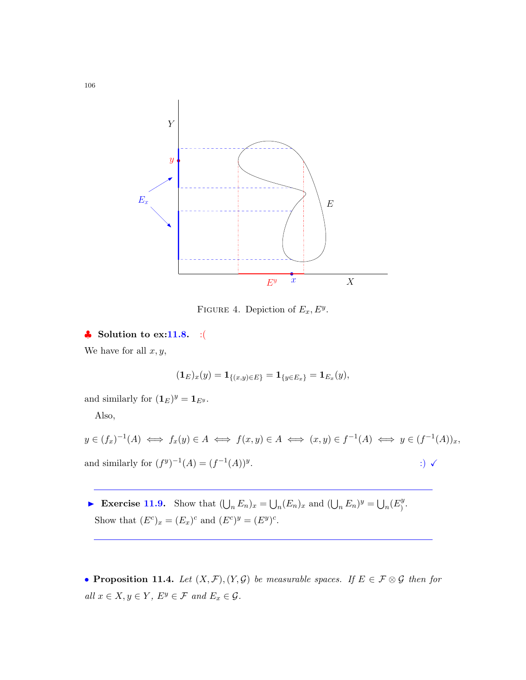

FIGURE 4. Depiction of  $E_x, E^y$ .

 $\clubsuit$  Solution to ex:11.8. :(

We have for all  $x, y$ ,

$$
(\mathbf{1}_E)_x(y) = \mathbf{1}_{\{(x,y)\in E\}} = \mathbf{1}_{\{y\in E_x\}} = \mathbf{1}_{E_x}(y),
$$

and similarly for  $(\mathbf{1}_E)^y = \mathbf{1}_{E^y}$ .

Also,

 $y \in (f_x)^{-1}(A) \iff f_x(y) \in A \iff f(x, y) \in A \iff (x, y) \in f^{-1}(A) \iff y \in (f^{-1}(A))_x,$ and similarly for  $(f^y)^{-1}(A) = (f^{-1}(A))^y$ .  $\qquad \qquad ;) \; \checkmark$ 

Exercise 11.9. Show that  $(\bigcup_n E_n)_x = \bigcup_n (E_n)_x$  and  $(\bigcup_n E_n)^y = \bigcup_n (E_1^y)$  $\frac{y}{)}$ . Show that  $(E^c)_x = (E_x)^c$  and  $(E^c)^y = (E^y)^c$ .

• Proposition 11.4. Let  $(X, \mathcal{F}), (Y, \mathcal{G})$  be measurable spaces. If  $E \in \mathcal{F} \otimes \mathcal{G}$  then for  $\label{eq:all} all \; x \in X, y \in Y, \; E^y \in \mathcal{F} \; \; and \; E_x \in \mathcal{G}.$ 

106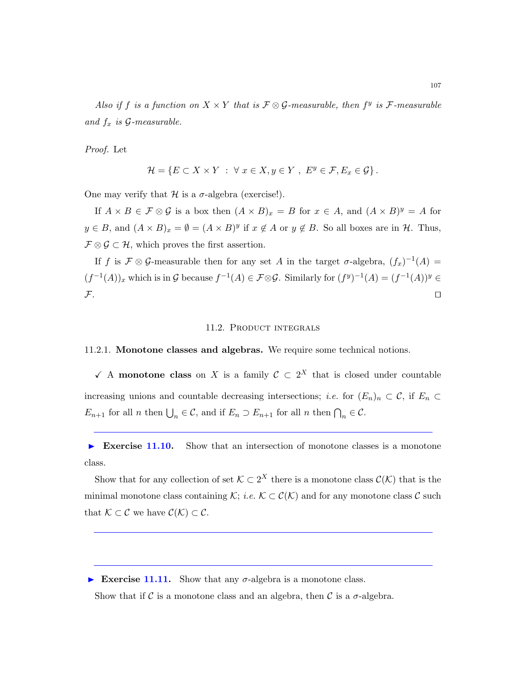Also if f is a function on  $X \times Y$  that is  $\mathcal{F} \otimes \mathcal{G}$ -measurable, then  $f^y$  is  $\mathcal{F}$ -measurable and  $f_x$  is  $\mathcal{G}\text{-}measurable.$ 

Proof. Let

$$
\mathcal{H} = \{ E \subset X \times Y \; : \; \forall \; x \in X, y \in Y \; , \; E^y \in \mathcal{F}, E_x \in \mathcal{G} \} \, .
$$

One may verify that  $\mathcal H$  is a  $\sigma$ -algebra (exercise!).

If  $A \times B \in \mathcal{F} \otimes \mathcal{G}$  is a box then  $(A \times B)_x = B$  for  $x \in A$ , and  $(A \times B)^y = A$  for  $y \in B$ , and  $(A \times B)_x = \emptyset = (A \times B)^y$  if  $x \notin A$  or  $y \notin B$ . So all boxes are in  $H$ . Thus,  $\mathcal{F} \otimes \mathcal{G} \subset \mathcal{H}$ , which proves the first assertion.

If f is  $\mathcal{F} \otimes \mathcal{G}$ -measurable then for any set A in the target  $\sigma$ -algebra,  $(f_x)^{-1}(A) =$  $(f^{-1}(A))_x$  which is in G because  $f^{-1}(A) \in \mathcal{F} \otimes \mathcal{G}$ . Similarly for  $(f^y)^{-1}(A) = (f^{-1}(A))^y \in$  $\mathcal{F}$ .

#### 11.2. PRODUCT INTEGRALS

### 11.2.1. Monotone classes and algebras. We require some technical notions.

 $\checkmark$  A monotone class on X is a family  $\mathcal{C} \subset 2^X$  that is closed under countable increasing unions and countable decreasing intersections; *i.e.* for  $(E_n)_n \subset \mathcal{C}$ , if  $E_n \subset$  $E_{n+1}$  for all n then  $\bigcup_n \in \mathcal{C}$ , and if  $E_n \supset E_{n+1}$  for all n then  $\bigcap_n \in \mathcal{C}$ .

Exercise 11.10. Show that an intersection of monotone classes is a monotone class.

Show that for any collection of set  $\mathcal{K} \subset 2^X$  there is a monotone class  $\mathcal{C}(\mathcal{K})$  that is the minimal monotone class containing K; *i.e.*  $\mathcal{K} \subset \mathcal{C}(\mathcal{K})$  and for any monotone class C such that  $\mathcal{K} \subset \mathcal{C}$  we have  $\mathcal{C}(\mathcal{K}) \subset \mathcal{C}$ .

Exercise 11.11. Show that any  $\sigma$ -algebra is a monotone class.

Show that if C is a monotone class and an algebra, then C is a  $\sigma$ -algebra.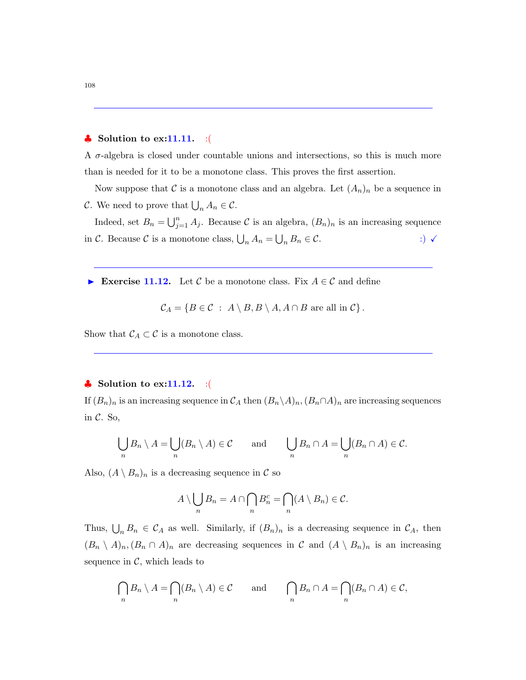## $\clubsuit$  Solution to ex:11.11. :(

A  $\sigma$ -algebra is closed under countable unions and intersections, so this is much more than is needed for it to be a monotone class. This proves the first assertion.

Now suppose that C is a monotone class and an algebra. Let  $(A_n)_n$  be a sequence in C. We need to prove that  $\bigcup_n A_n \in \mathcal{C}$ .

Indeed, set  $B_n = \bigcup_{j=1}^n A_j$ . Because C is an algebra,  $(B_n)_n$  is an increasing sequence in C. Because C is a monotone class,  $\bigcup_n A_n = \bigcup_n B_n \in \mathcal{C}$ . :)  $\checkmark$ 

Exercise 11.12. Let C be a monotone class. Fix  $A \in \mathcal{C}$  and define

$$
\mathcal{C}_A = \{ B \in \mathcal{C} : A \setminus B, B \setminus A, A \cap B \text{ are all in } \mathcal{C} \}.
$$

Show that  $C_A \subset C$  is a monotone class.

### $\bullet$  Solution to ex:11.12. :(

If  $(B_n)_n$  is an increasing sequence in  $\mathcal{C}_A$  then  $(B_n \setminus A)_n$ ,  $(B_n \cap A)_n$  are increasing sequences in  $C$ . So,

$$
\bigcup_n B_n \setminus A = \bigcup_n (B_n \setminus A) \in \mathcal{C} \quad \text{and} \quad \bigcup_n B_n \cap A = \bigcup_n (B_n \cap A) \in \mathcal{C}.
$$

Also,  $(A \setminus B_n)_n$  is a decreasing sequence in C so

$$
A \setminus \bigcup_n B_n = A \cap \bigcap_n B_n^c = \bigcap_n (A \setminus B_n) \in \mathcal{C}.
$$

Thus,  $\bigcup_n B_n \in C_A$  as well. Similarly, if  $(B_n)_n$  is a decreasing sequence in  $C_A$ , then  $(B_n \setminus A)_n, (B_n \cap A)_n$  are decreasing sequences in C and  $(A \setminus B_n)_n$  is an increasing sequence in  $\mathcal{C}$ , which leads to

$$
\bigcap_n B_n \setminus A = \bigcap_n (B_n \setminus A) \in \mathcal{C} \quad \text{and} \quad \bigcap_n B_n \cap A = \bigcap_n (B_n \cap A) \in \mathcal{C},
$$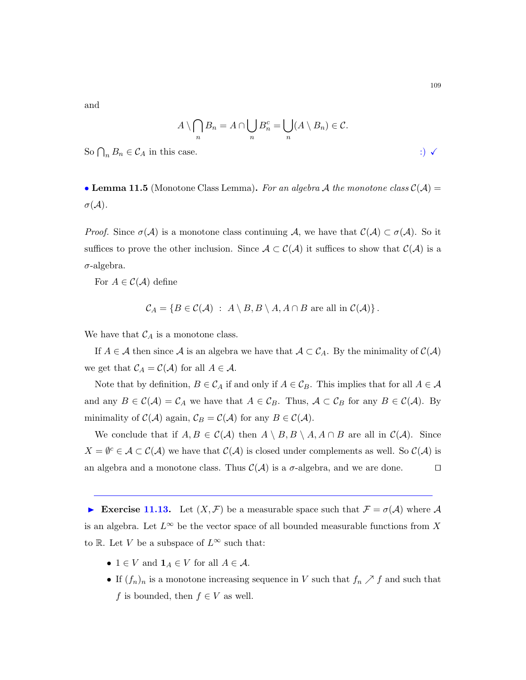and

$$
A \setminus \bigcap_n B_n = A \cap \bigcup_n B_n^c = \bigcup_n (A \setminus B_n) \in \mathcal{C}.
$$

So  $\bigcap_n B_n \in \mathcal{C}_A$  in this case.  $\therefore$ 

• Lemma 11.5 (Monotone Class Lemma). For an algebra A the monotone class  $\mathcal{C}(\mathcal{A}) =$  $\sigma(\mathcal{A})$ .

*Proof.* Since  $\sigma(\mathcal{A})$  is a monotone class continuing A, we have that  $\mathcal{C}(\mathcal{A}) \subset \sigma(\mathcal{A})$ . So it suffices to prove the other inclusion. Since  $A \subset C(\mathcal{A})$  it suffices to show that  $C(\mathcal{A})$  is a  $\sigma$ -algebra.

For  $A \in \mathcal{C}(\mathcal{A})$  define

$$
C_A = \{ B \in C(\mathcal{A}) \; : \; A \setminus B, B \setminus A, A \cap B \text{ are all in } C(\mathcal{A}) \}.
$$

We have that  $C_A$  is a monotone class.

If  $A \in \mathcal{A}$  then since  $\mathcal{A}$  is an algebra we have that  $\mathcal{A} \subset \mathcal{C}_A$ . By the minimality of  $\mathcal{C}(\mathcal{A})$ we get that  $C_A = C(\mathcal{A})$  for all  $A \in \mathcal{A}$ .

Note that by definition,  $B \in C_A$  if and only if  $A \in C_B$ . This implies that for all  $A \in \mathcal{A}$ and any  $B \in \mathcal{C}(\mathcal{A}) = \mathcal{C}_A$  we have that  $A \in \mathcal{C}_B$ . Thus,  $\mathcal{A} \subset \mathcal{C}_B$  for any  $B \in \mathcal{C}(\mathcal{A})$ . By minimality of  $\mathcal{C}(\mathcal{A})$  again,  $\mathcal{C}_B = \mathcal{C}(\mathcal{A})$  for any  $B \in \mathcal{C}(\mathcal{A})$ .

We conclude that if  $A, B \in \mathcal{C}(\mathcal{A})$  then  $A \setminus B, B \setminus A, A \cap B$  are all in  $\mathcal{C}(\mathcal{A})$ . Since  $X = \emptyset^c \in \mathcal{A} \subset \mathcal{C}(\mathcal{A})$  we have that  $\mathcal{C}(\mathcal{A})$  is closed under complements as well. So  $\mathcal{C}(\mathcal{A})$  is an algebra and a monotone class. Thus  $\mathcal{C}(\mathcal{A})$  is a  $\sigma$ -algebra, and we are done.

Exercise 11.13. Let  $(X, \mathcal{F})$  be a measurable space such that  $\mathcal{F} = \sigma(\mathcal{A})$  where  $\mathcal{A}$ is an algebra. Let  $L^{\infty}$  be the vector space of all bounded measurable functions from X to R. Let V be a subspace of  $L^{\infty}$  such that:

- 1  $\in$  V and  $\mathbf{1}_A \in V$  for all  $A \in \mathcal{A}$ .
- If  $(f_n)_n$  is a monotone increasing sequence in V such that  $f_n \nearrow f$  and such that f is bounded, then  $f \in V$  as well.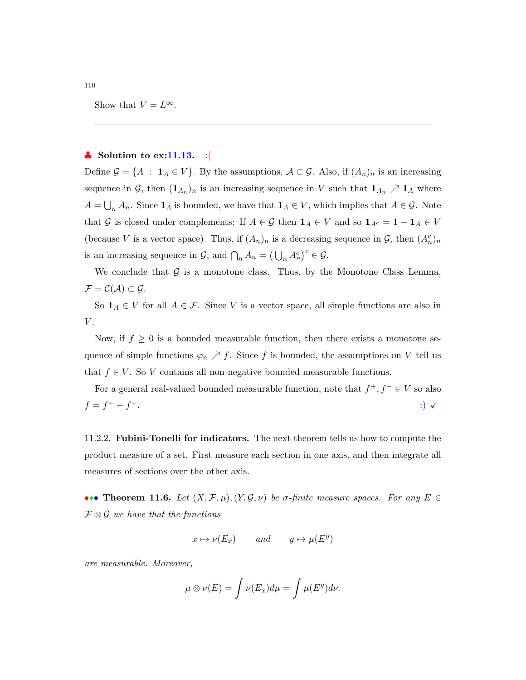Show that  $V = L^{\infty}$ .

## $\clubsuit$  Solution to ex:11.13. :(

Define  $\mathcal{G} = \{A : \mathbf{1}_A \in V\}$ . By the assumptions,  $\mathcal{A} \subset \mathcal{G}$ . Also, if  $(A_n)_n$  is an increasing sequence in  $\mathcal{G}$ , then  $(1_{A_n})_n$  is an increasing sequence in V such that  $1_{A_n} \nearrow 1_A$  where  $A = \bigcup_n A_n$ . Since  $\mathbf{1}_A$  is bounded, we have that  $\mathbf{1}_A \in V$ , which implies that  $A \in \mathcal{G}$ . Note that G is closed under complements: If  $A \in \mathcal{G}$  then  $\mathbf{1}_A \in V$  and so  $\mathbf{1}_{A^c} = 1 - \mathbf{1}_A \in V$ (because V is a vector space). Thus, if  $(A_n)_n$  is a decreasing sequence in  $\mathcal{G}$ , then  $(A_n^c)_n$ is an increasing sequence in  $\mathcal{G}$ , and  $\bigcap_n A_n = (\bigcup_n A_n^c)^c \in \mathcal{G}$ .

We conclude that  $G$  is a monotone class. Thus, by the Monotone Class Lemma,  $\mathcal{F} = \mathcal{C}(\mathcal{A}) \subset \mathcal{G}.$ 

So  $\mathbf{1}_A \in V$  for all  $A \in \mathcal{F}$ . Since V is a vector space, all simple functions are also in  $V$ .

Now, if  $f \geq 0$  is a bounded measurable function, then there exists a monotone sequence of simple functions  $\varphi_n \nearrow f$ . Since f is bounded, the assumptions on V tell us that  $f \in V$ . So V contains all non-negative bounded measurable functions.

For a general real-valued bounded measurable function, note that  $f^+, f^- \in V$  so also  $f = f^+ - f$ −. :)  $\checkmark$  :)  $\checkmark$ 

11.2.2. Fubini-Tonelli for indicators. The next theorem tells us how to compute the product measure of a set. First measure each section in one axis, and then integrate all measures of sections over the other axis.

••• Theorem 11.6. Let  $(X, \mathcal{F}, \mu), (Y, \mathcal{G}, \nu)$  be  $\sigma$ -finite measure spaces. For any  $E \in$  $\mathcal{F} \otimes \mathcal{G}$  we have that the functions

$$
x\mapsto \nu(E_x)\qquad and \qquad y\mapsto \mu(E^y)
$$

are measurable. Moreover,

$$
\mu \otimes \nu(E) = \int \nu(E_x) d\mu = \int \mu(E^y) d\nu.
$$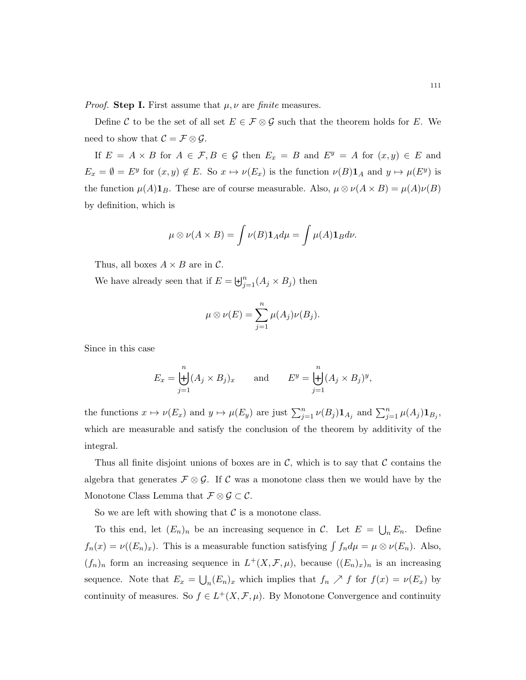*Proof.* Step I. First assume that  $\mu$ ,  $\nu$  are finite measures.

Define C to be the set of all set  $E \in \mathcal{F} \otimes \mathcal{G}$  such that the theorem holds for E. We need to show that  $C = \mathcal{F} \otimes \mathcal{G}$ .

If  $E = A \times B$  for  $A \in \mathcal{F}, B \in \mathcal{G}$  then  $E_x = B$  and  $E^y = A$  for  $(x, y) \in E$  and  $E_x = \emptyset = E^y$  for  $(x, y) \notin E$ . So  $x \mapsto \nu(E_x)$  is the function  $\nu(B) \mathbf{1}_A$  and  $y \mapsto \mu(E^y)$  is the function  $\mu(A)\mathbf{1}_B$ . These are of course measurable. Also,  $\mu \otimes \nu(A \times B) = \mu(A)\nu(B)$ by definition, which is

$$
\mu \otimes \nu(A \times B) = \int \nu(B) \mathbf{1}_A d\mu = \int \mu(A) \mathbf{1}_B d\nu.
$$

Thus, all boxes  $A \times B$  are in C.

We have already seen that if  $E = \biguplus_{j=1}^{n} (A_j \times B_j)$  then

$$
\mu \otimes \nu(E) = \sum_{j=1}^n \mu(A_j) \nu(B_j).
$$

Since in this case

$$
E_x = \biguplus_{j=1}^n (A_j \times B_j)_x \quad \text{and} \quad E^y = \biguplus_{j=1}^n (A_j \times B_j)^y,
$$

the functions  $x \mapsto \nu(E_x)$  and  $y \mapsto \mu(E_y)$  are just  $\sum_{j=1}^n \nu(B_j) \mathbf{1}_{A_j}$  and  $\sum_{j=1}^n \mu(A_j) \mathbf{1}_{B_j}$ , which are measurable and satisfy the conclusion of the theorem by additivity of the integral.

Thus all finite disjoint unions of boxes are in  $\mathcal{C}$ , which is to say that  $\mathcal{C}$  contains the algebra that generates  $\mathcal{F} \otimes \mathcal{G}$ . If C was a monotone class then we would have by the Monotone Class Lemma that  $\mathcal{F} \otimes \mathcal{G} \subset \mathcal{C}$ .

So we are left with showing that  $\mathcal C$  is a monotone class.

To this end, let  $(E_n)_n$  be an increasing sequence in C. Let  $E = \bigcup_n E_n$ . Define  $f_n(x) = \nu((E_n)_x)$ . This is a measurable function satisfying  $\int f_n d\mu = \mu \otimes \nu(E_n)$ . Also,  $(f_n)_n$  form an increasing sequence in  $L^+(X, \mathcal{F}, \mu)$ , because  $((E_n)_x)_n$  is an increasing sequence. Note that  $E_x = \bigcup_n (E_n)_x$  which implies that  $f_n \nearrow f$  for  $f(x) = \nu(E_x)$  by continuity of measures. So  $f \in L^+(X, \mathcal{F}, \mu)$ . By Monotone Convergence and continuity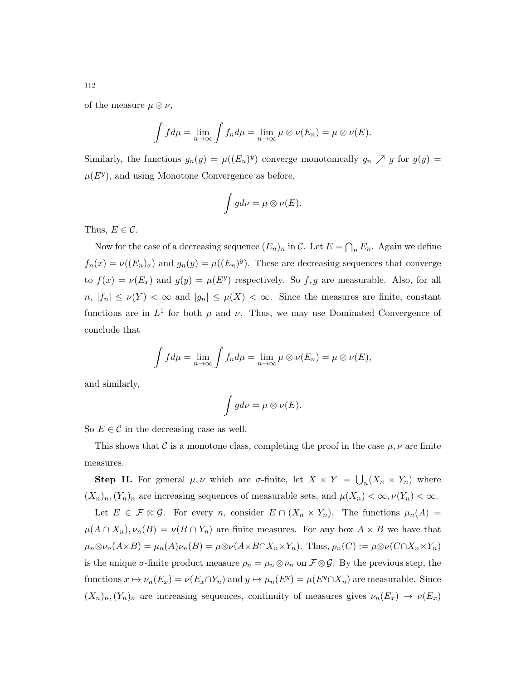of the measure  $\mu \otimes \nu$ ,

$$
\int f d\mu = \lim_{n \to \infty} \int f_n d\mu = \lim_{n \to \infty} \mu \otimes \nu(E_n) = \mu \otimes \nu(E).
$$

Similarly, the functions  $g_n(y) = \mu((E_n)^y)$  converge monotonically  $g_n \nearrow g$  for  $g(y) =$  $\mu(E^y)$ , and using Monotone Convergence as before,

$$
\int g d\nu = \mu \otimes \nu(E).
$$

Thus,  $E \in \mathcal{C}$ .

Now for the case of a decreasing sequence  $(E_n)_n$  in C. Let  $E = \bigcap_n E_n$ . Again we define  $f_n(x) = \nu((E_n)_x)$  and  $g_n(y) = \mu((E_n)^y)$ . These are decreasing sequences that converge to  $f(x) = \nu(E_x)$  and  $g(y) = \mu(E^y)$  respectively. So f, g are measurable. Also, for all  $n, |f_n| \leq \nu(Y) < \infty$  and  $|g_n| \leq \mu(X) < \infty$ . Since the measures are finite, constant functions are in  $L^1$  for both  $\mu$  and  $\nu$ . Thus, we may use Dominated Convergence of conclude that

$$
\int f d\mu = \lim_{n \to \infty} \int f_n d\mu = \lim_{n \to \infty} \mu \otimes \nu(E_n) = \mu \otimes \nu(E),
$$

and similarly,

$$
\int g d\nu = \mu \otimes \nu(E).
$$

So  $E \in \mathcal{C}$  in the decreasing case as well.

This shows that C is a monotone class, completing the proof in the case  $\mu$ ,  $\nu$  are finite measures.

**Step II.** For general  $\mu, \nu$  which are  $\sigma$ -finite, let  $X \times Y = \bigcup_n (X_n \times Y_n)$  where  $(X_n)_n,(Y_n)_n$  are increasing sequences of measurable sets, and  $\mu(X_n) < \infty, \nu(Y_n) < \infty$ .

Let  $E \in \mathcal{F} \otimes \mathcal{G}$ . For every *n*, consider  $E \cap (X_n \times Y_n)$ . The functions  $\mu_n(A) =$  $\mu(A \cap X_n), \nu_n(B) = \nu(B \cap Y_n)$  are finite measures. For any box  $A \times B$  we have that  $\mu_n \otimes \nu_n(A \times B) = \mu_n(A)\nu_n(B) = \mu \otimes \nu(A \times B \cap X_n \times Y_n)$ . Thus,  $\rho_n(C) := \mu \otimes \nu(C \cap X_n \times Y_n)$ is the unique  $\sigma$ -finite product measure  $\rho_n = \mu_n \otimes \nu_n$  on  $\mathcal{F} \otimes \mathcal{G}$ . By the previous step, the functions  $x \mapsto \nu_n(E_x) = \nu(E_x \cap Y_n)$  and  $y \mapsto \mu_n(E^y) = \mu(E^y \cap X_n)$  are measurable. Since  $(X_n)_n,(Y_n)_n$  are increasing sequences, continuity of measures gives  $\nu_n(E_x) \to \nu(E_x)$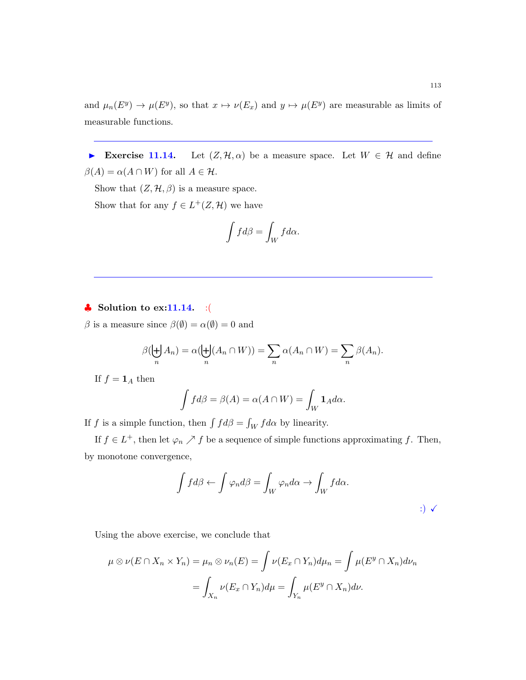and  $\mu_n(E^y) \to \mu(E^y)$ , so that  $x \mapsto \nu(E_x)$  and  $y \mapsto \mu(E^y)$  are measurable as limits of measurable functions.

Exercise 11.14. Let  $(Z, \mathcal{H}, \alpha)$  be a measure space. Let  $W \in \mathcal{H}$  and define  $\beta(A) = \alpha(A \cap W)$  for all  $A \in \mathcal{H}$ .

Show that  $(Z, \mathcal{H}, \beta)$  is a measure space.

Show that for any  $f \in L^+(Z, \mathcal{H})$  we have

$$
\int f d\beta = \int_W f d\alpha.
$$

## $\bullet$  Solution to ex:11.14. :(

β is a measure since  $β($ emptyset) = α(empty) = 0 and

$$
\beta(\biguplus_n A_n) = \alpha(\biguplus_n (A_n \cap W)) = \sum_n \alpha(A_n \cap W) = \sum_n \beta(A_n).
$$

If  $f = \mathbf{1}_A$  then

$$
\int f d\beta = \beta(A) = \alpha(A \cap W) = \int_W \mathbf{1}_A d\alpha.
$$

If f is a simple function, then  $\int f d\beta = \int_W f d\alpha$  by linearity.

If  $f \in L^+$ , then let  $\varphi_n \nearrow f$  be a sequence of simple functions approximating f. Then, by monotone convergence,

$$
\int f d\beta \leftarrow \int \varphi_n d\beta = \int_W \varphi_n d\alpha \rightarrow \int_W f d\alpha.
$$
  
 
$$
\qquad \qquad ; \qquad \checkmark
$$

Using the above exercise, we conclude that

$$
\mu \otimes \nu(E \cap X_n \times Y_n) = \mu_n \otimes \nu_n(E) = \int \nu(E_x \cap Y_n) d\mu_n = \int \mu(E^y \cap X_n) d\nu_n
$$

$$
= \int_{X_n} \nu(E_x \cap Y_n) d\mu = \int_{Y_n} \mu(E^y \cap X_n) d\nu.
$$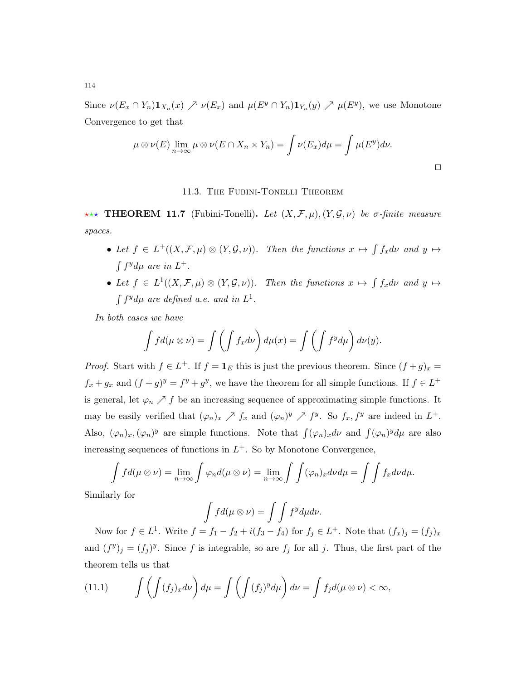Since  $\nu(E_x \cap Y_n) \mathbf{1}_{X_n}(x) \nearrow \nu(E_x)$  and  $\mu(E^y \cap Y_n) \mathbf{1}_{Y_n}(y) \nearrow \mu(E^y)$ , we use Monotone Convergence to get that

$$
\mu \otimes \nu(E) \lim_{n \to \infty} \mu \otimes \nu(E \cap X_n \times Y_n) = \int \nu(E_x) d\mu = \int \mu(E^y) d\nu.
$$

 $\Box$ 

## 11.3. The Fubini-Tonelli Theorem

**\*\*\* THEOREM 11.7** (Fubini-Tonelli). Let  $(X, \mathcal{F}, \mu), (Y, \mathcal{G}, \nu)$  be  $\sigma$ -finite measure spaces.

- Let  $f \in L^+((X,\mathcal{F},\mu) \otimes (Y,\mathcal{G},\nu))$ . Then the functions  $x \mapsto \int f_x d\nu$  and  $y \mapsto$  $\int f^y d\mu$  are in  $L^+$ .
- Let  $f \in L^1((X, \mathcal{F}, \mu) \otimes (Y, \mathcal{G}, \nu))$ . Then the functions  $x \mapsto \int f_x d\nu$  and  $y \mapsto$  $\int f^y d\mu$  are defined a.e. and in  $L^1$ .

In both cases we have

$$
\int f d(\mu \otimes \nu) = \int \left( \int f_x d\nu \right) d\mu(x) = \int \left( \int f^y d\mu \right) d\nu(y).
$$

*Proof.* Start with  $f \in L^+$ . If  $f = \mathbf{1}_E$  this is just the previous theorem. Since  $(f + g)_x =$  $f_x + g_x$  and  $(f + g)^y = f^y + g^y$ , we have the theorem for all simple functions. If  $f \in L^+$ is general, let  $\varphi_n \nearrow f$  be an increasing sequence of approximating simple functions. It may be easily verified that  $(\varphi_n)_x \nearrow f_x$  and  $(\varphi_n)^y \nearrow f^y$ . So  $f_x, f^y$  are indeed in  $L^+$ . Also,  $(\varphi_n)_x, (\varphi_n)^y$  are simple functions. Note that  $\int (\varphi_n)_x d\nu$  and  $\int (\varphi_n)^y d\mu$  are also increasing sequences of functions in  $L^+$ . So by Monotone Convergence,

$$
\int f d(\mu \otimes \nu) = \lim_{n \to \infty} \int \varphi_n d(\mu \otimes \nu) = \lim_{n \to \infty} \int \int (\varphi_n)_x d\nu d\mu = \int \int f_x d\nu d\mu.
$$

Similarly for

$$
\int f d(\mu \otimes \nu) = \int \int f^y d\mu d\nu.
$$

Now for  $f \in L^1$ . Write  $f = f_1 - f_2 + i(f_3 - f_4)$  for  $f_j \in L^+$ . Note that  $(f_x)_j = (f_j)_x$ and  $(f^y)_j = (f_j)^y$ . Since f is integrable, so are  $f_j$  for all j. Thus, the first part of the theorem tells us that

<span id="page-113-0"></span>(11.1) 
$$
\int \left( \int (f_j)_x d\nu \right) d\mu = \int \left( \int (f_j)^y d\mu \right) d\nu = \int f_j d(\mu \otimes \nu) < \infty,
$$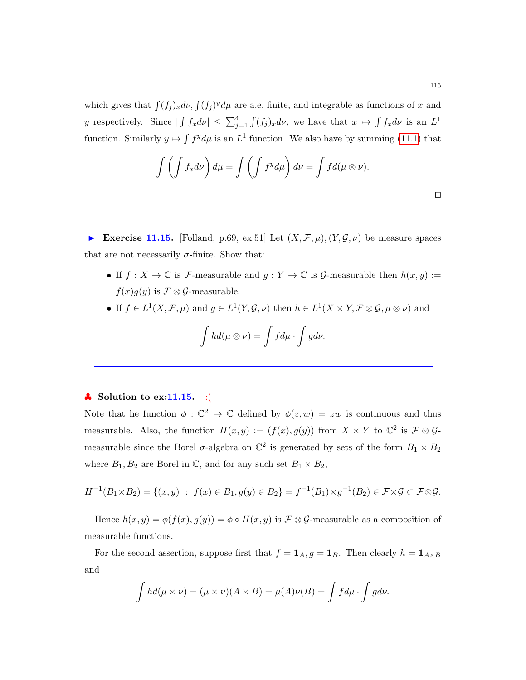which gives that  $\int (f_j)_x d\nu$ ,  $\int (f_j)^y d\mu$  are a.e. finite, and integrable as functions of x and y respectively. Since  $|\int f_x d\nu| \leq \sum_{j=1}^4 \int (f_j)_x d\nu$ , we have that  $x \mapsto \int f_x d\nu$  is an  $L^1$ function. Similarly  $y \mapsto \int f^y d\mu$  is an  $L^1$  function. We also have by summing [\(11.1\)](#page-113-0) that

$$
\int \left( \int f_x d\nu \right) d\mu = \int \left( \int f^y d\mu \right) d\nu = \int f d(\mu \otimes \nu).
$$

Exercise 11.15. [Folland, p.69, ex.51] Let  $(X, \mathcal{F}, \mu), (Y, \mathcal{G}, \nu)$  be measure spaces that are not necessarily  $\sigma$ -finite. Show that:

- If  $f: X \to \mathbb{C}$  is F-measurable and  $g: Y \to \mathbb{C}$  is G-measurable then  $h(x, y) :=$  $f(x)g(y)$  is  $\mathcal{F} \otimes \mathcal{G}$ -measurable.
- If  $f \in L^1(X, \mathcal{F}, \mu)$  and  $g \in L^1(Y, \mathcal{G}, \nu)$  then  $h \in L^1(X \times Y, \mathcal{F} \otimes \mathcal{G}, \mu \otimes \nu)$  and

$$
\int hd(\mu\otimes\nu)=\int fd\mu\cdot\int gd\nu.
$$

## $\clubsuit$  Solution to ex:11.15. :(

Note that he function  $\phi : \mathbb{C}^2 \to \mathbb{C}$  defined by  $\phi(z, w) = zw$  is continuous and thus measurable. Also, the function  $H(x, y) := (f(x), g(y))$  from  $X \times Y$  to  $\mathbb{C}^2$  is  $\mathcal{F} \otimes \mathcal{G}$ measurable since the Borel  $\sigma$ -algebra on  $\mathbb{C}^2$  is generated by sets of the form  $B_1 \times B_2$ where  $B_1, B_2$  are Borel in  $\mathbb{C}$ , and for any such set  $B_1 \times B_2$ ,

$$
H^{-1}(B_1 \times B_2) = \{(x, y) : f(x) \in B_1, g(y) \in B_2\} = f^{-1}(B_1) \times g^{-1}(B_2) \in \mathcal{F} \times \mathcal{G} \subset \mathcal{F} \otimes \mathcal{G}.
$$

Hence  $h(x, y) = \phi(f(x), g(y)) = \phi \circ H(x, y)$  is  $\mathcal{F} \otimes \mathcal{G}$ -measurable as a composition of measurable functions.

For the second assertion, suppose first that  $f = 1_A$ ,  $g = 1_B$ . Then clearly  $h = 1_{A \times B}$ and

$$
\int hd(\mu \times \nu) = (\mu \times \nu)(A \times B) = \mu(A)\nu(B) = \int f d\mu \cdot \int g d\nu.
$$

 $\Box$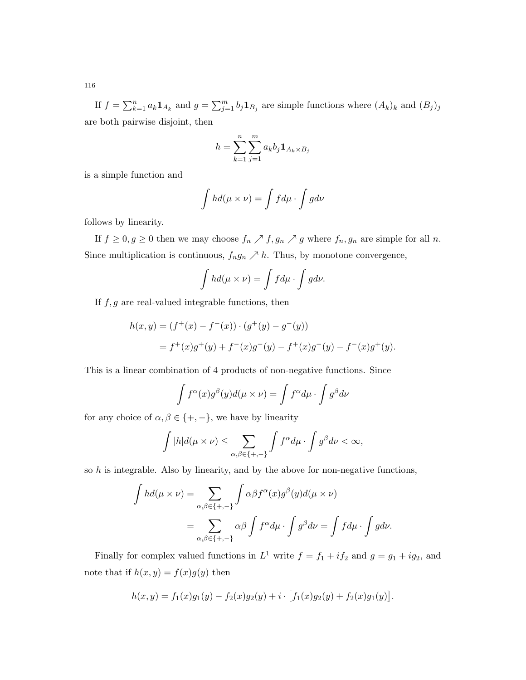If  $f = \sum_{k=1}^n a_k \mathbf{1}_{A_k}$  and  $g = \sum_{j=1}^m b_j \mathbf{1}_{B_j}$  are simple functions where  $(A_k)_k$  and  $(B_j)_j$ are both pairwise disjoint, then

$$
h = \sum_{k=1}^{n} \sum_{j=1}^{m} a_k b_j \mathbf{1}_{A_k \times B_j}
$$

is a simple function and

$$
\int hd(\mu \times \nu) = \int fd\mu \cdot \int gd\nu
$$

follows by linearity.

If  $f \ge 0, g \ge 0$  then we may choose  $f_n \nearrow f, g_n \nearrow g$  where  $f_n, g_n$  are simple for all n. Since multiplication is continuous,  $f_n g_n \nearrow h$ . Thus, by monotone convergence,

$$
\int hd(\mu \times \nu) = \int fd\mu \cdot \int gd\nu.
$$

If  $f, g$  are real-valued integrable functions, then

$$
h(x,y) = (f^+(x) - f^-(x)) \cdot (g^+(y) - g^-(y))
$$
  
=  $f^+(x)g^+(y) + f^-(x)g^-(y) - f^+(x)g^-(y) - f^-(x)g^+(y)$ .

This is a linear combination of 4 products of non-negative functions. Since

$$
\int f^{\alpha}(x)g^{\beta}(y)d(\mu \times \nu) = \int f^{\alpha}d\mu \cdot \int g^{\beta}d\nu
$$

for any choice of  $\alpha,\beta\in\{+,-\},$  we have by linearity

$$
\int |h|d(\mu \times \nu) \leq \sum_{\alpha,\beta \in \{+, -\}} \int f^{\alpha} d\mu \cdot \int g^{\beta} d\nu < \infty,
$$

so  $h$  is integrable. Also by linearity, and by the above for non-negative functions,

$$
\int hd(\mu \times \nu) = \sum_{\alpha,\beta \in \{+, -\}} \int \alpha\beta f^{\alpha}(x) g^{\beta}(y) d(\mu \times \nu)
$$
  
= 
$$
\sum_{\alpha,\beta \in \{+, -\}} \alpha\beta \int f^{\alpha} d\mu \cdot \int g^{\beta} d\nu = \int f d\mu \cdot \int g d\nu.
$$

Finally for complex valued functions in  $L^1$  write  $f = f_1 + if_2$  and  $g = g_1 + ig_2$ , and note that if  $h(x, y) = f(x)g(y)$  then

$$
h(x,y) = f_1(x)g_1(y) - f_2(x)g_2(y) + i \cdot [f_1(x)g_2(y) + f_2(x)g_1(y)].
$$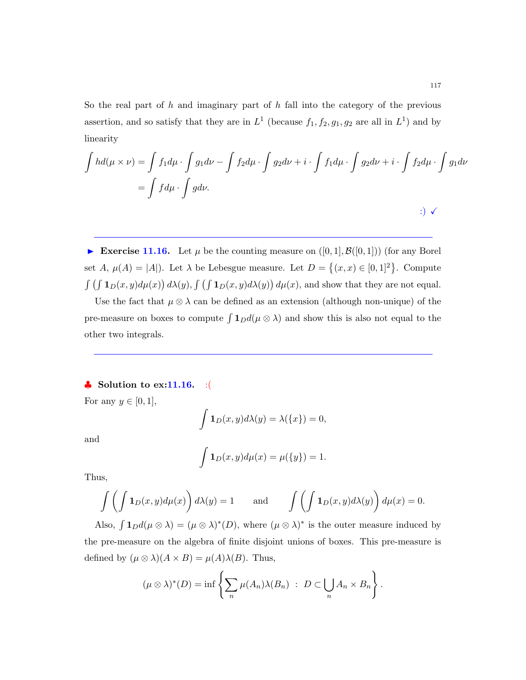So the real part of  $h$  and imaginary part of  $h$  fall into the category of the previous assertion, and so satisfy that they are in  $L^1$  (because  $f_1, f_2, g_1, g_2$  are all in  $L^1$ ) and by linearity

$$
\int hd(\mu \times \nu) = \int f_1 d\mu \cdot \int g_1 d\nu - \int f_2 d\mu \cdot \int g_2 d\nu + i \cdot \int f_1 d\mu \cdot \int g_2 d\nu + i \cdot \int f_2 d\mu \cdot \int g_1 d\nu
$$

$$
= \int f d\mu \cdot \int g d\nu.
$$

Exercise 11.16. Let  $\mu$  be the counting measure on  $([0,1], \mathcal{B}([0,1]))$  (for any Borel set A,  $\mu(A) = |A|$ ). Let  $\lambda$  be Lebesgue measure. Let  $D = \{(x, x) \in [0, 1]^2\}$ . Compute  $\int \left(\int \mathbf{1}_D(x,y)d\mu(x)\right)d\lambda(y)$ ,  $\int \left(\int \mathbf{1}_D(x,y)d\lambda(y)\right)d\mu(x)$ , and show that they are not equal.

Use the fact that  $\mu \otimes \lambda$  can be defined as an extension (although non-unique) of the pre-measure on boxes to compute  $\int \mathbf{1}_D d(\mu \otimes \lambda)$  and show this is also not equal to the other two integrals.

# $\clubsuit$  Solution to ex:11.16. :(

For any  $y \in [0, 1]$ ,

$$
\int \mathbf{1}_D(x,y)d\lambda(y) = \lambda(\{x\}) = 0,
$$

and

$$
\int \mathbf{1}_D(x,y)d\mu(x) = \mu({y}) = 1.
$$

Thus,

$$
\int \left( \int \mathbf{1}_D(x, y) d\mu(x) \right) d\lambda(y) = 1 \quad \text{and} \quad \int \left( \int \mathbf{1}_D(x, y) d\lambda(y) \right) d\mu(x) = 0.
$$

Also,  $\int \mathbf{1}_D d(\mu \otimes \lambda) = (\mu \otimes \lambda)^*(D)$ , where  $(\mu \otimes \lambda)^*$  is the outer measure induced by the pre-measure on the algebra of finite disjoint unions of boxes. This pre-measure is defined by  $(\mu \otimes \lambda)(A \times B) = \mu(A)\lambda(B)$ . Thus,

$$
(\mu \otimes \lambda)^*(D) = \inf \left\{ \sum_n \mu(A_n) \lambda(B_n) : D \subset \bigcup_n A_n \times B_n \right\}.
$$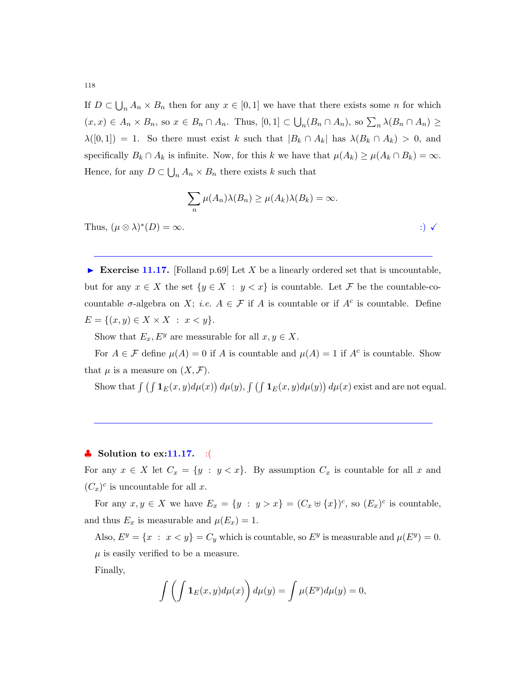If  $D \subset \bigcup_n A_n \times B_n$  then for any  $x \in [0,1]$  we have that there exists some n for which  $(x, x) \in A_n \times B_n$ , so  $x \in B_n \cap A_n$ . Thus,  $[0, 1] \subset \bigcup_n (B_n \cap A_n)$ , so  $\sum_n \lambda(B_n \cap A_n) \ge$  $\lambda([0,1]) = 1$ . So there must exist k such that  $|B_k \cap A_k|$  has  $\lambda(B_k \cap A_k) > 0$ , and specifically  $B_k \cap A_k$  is infinite. Now, for this k we have that  $\mu(A_k) \geq \mu(A_k \cap B_k) = \infty$ . Hence, for any  $D \subset \bigcup_n A_n \times B_n$  there exists k such that

$$
\sum_{n} \mu(A_n)\lambda(B_n) \ge \mu(A_k)\lambda(B_k) = \infty.
$$
  
Thus,  $(\mu \otimes \lambda)^*(D) = \infty$ .

Exercise 11.17. [Folland p.69] Let X be a linearly ordered set that is uncountable, but for any  $x \in X$  the set  $\{y \in X : y < x\}$  is countable. Let F be the countable-cocountable  $\sigma$ -algebra on X; *i.e.*  $A \in \mathcal{F}$  if A is countable or if  $A^c$  is countable. Define  $E = \{(x, y) \in X \times X : x < y\}.$ 

Show that  $E_x, E^y$  are measurable for all  $x, y \in X$ .

For  $A \in \mathcal{F}$  define  $\mu(A) = 0$  if A is countable and  $\mu(A) = 1$  if  $A^c$  is countable. Show that  $\mu$  is a measure on  $(X, \mathcal{F})$ .

Show that  $\int \left( \int \mathbf{1}_E(x, y) d\mu(x) \right) d\mu(y)$ ,  $\int \left( \int \mathbf{1}_E(x, y) d\mu(y) \right) d\mu(x)$  exist and are not equal.

## $\bullet$  Solution to ex:11.17. :(

For any  $x \in X$  let  $C_x = \{y : y < x\}$ . By assumption  $C_x$  is countable for all x and  $(C_x)^c$  is uncountable for all x.

For any  $x, y \in X$  we have  $E_x = \{y : y > x\} = (C_x \oplus \{x\})^c$ , so  $(E_x)^c$  is countable, and thus  $E_x$  is measurable and  $\mu(E_x) = 1$ .

Also,  $E^y = \{x : x < y\} = C_y$  which is countable, so  $E^y$  is measurable and  $\mu(E^y) = 0$ .  $\mu$  is easily verified to be a measure.

Finally,

$$
\int \left( \int \mathbf{1}_E(x, y) d\mu(x) \right) d\mu(y) = \int \mu(E^y) d\mu(y) = 0,
$$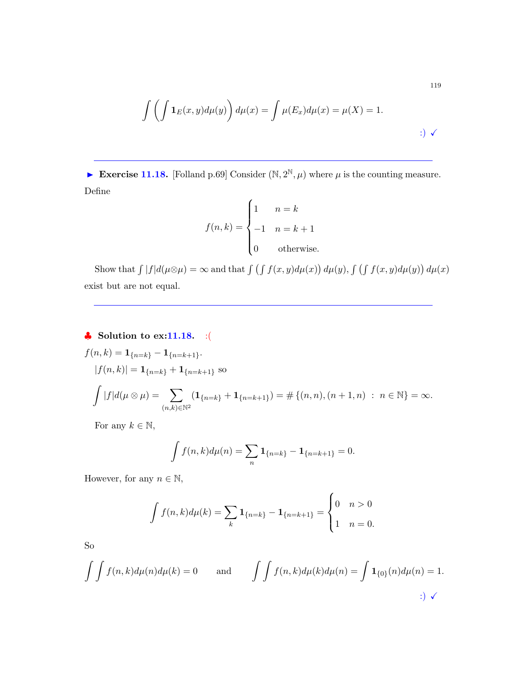$$
\int \left( \int \mathbf{1}_E(x, y) d\mu(y) \right) d\mu(x) = \int \mu(E_x) d\mu(x) = \mu(X) = 1.
$$
\n
$$
\tag{3}
$$

Exercise 11.18. [Folland p.69] Consider  $(\mathbb{N}, 2^{\mathbb{N}}, \mu)$  where  $\mu$  is the counting measure. Define

$$
f(n,k) = \begin{cases} 1 & n = k \\ -1 & n = k + 1 \\ 0 & \text{otherwise.} \end{cases}
$$

Show that  $\int |f|d(\mu\otimes\mu) = \infty$  and that  $\int (\int f(x, y)d\mu(x)) d\mu(y)$ ,  $\int (\int f(x, y)d\mu(y)) d\mu(x)$ exist but are not equal.

♣ Solution to ex:11.18. :(

$$
f(n,k) = \mathbf{1}_{\{n=k\}} - \mathbf{1}_{\{n=k+1\}}.
$$
  
\n
$$
|f(n,k)| = \mathbf{1}_{\{n=k\}} + \mathbf{1}_{\{n=k+1\}} \text{ so}
$$
  
\n
$$
\int |f| d(\mu \otimes \mu) = \sum_{(n,k) \in \mathbb{N}^2} (\mathbf{1}_{\{n=k\}} + \mathbf{1}_{\{n=k+1\}}) = \# \{(n,n), (n+1,n) : n \in \mathbb{N}\} = \infty.
$$

For any  $k \in \mathbb{N}$ ,

$$
\int f(n,k)d\mu(n) = \sum_{n} \mathbf{1}_{\{n=k\}} - \mathbf{1}_{\{n=k+1\}} = 0.
$$

However, for any  $n \in \mathbb{N}$ ,

$$
\int f(n,k)d\mu(k) = \sum_{k} \mathbf{1}_{\{n=k\}} - \mathbf{1}_{\{n=k+1\}} = \begin{cases} 0 & n > 0 \\ 1 & n = 0. \end{cases}
$$

So

$$
\int \int f(n,k)d\mu(n)d\mu(k) = 0 \quad \text{and} \quad \int \int f(n,k)d\mu(k)d\mu(n) = \int \mathbf{1}_{\{0\}}(n)d\mu(n) = 1.
$$
  
 
$$
\int \int f(n,k)d\mu(n)d\mu(k) = 0 \quad \text{and} \quad \int \int f(n,k)d\mu(k)d\mu(n) = \int \mathbf{1}_{\{0\}}(n)d\mu(n) = 1.
$$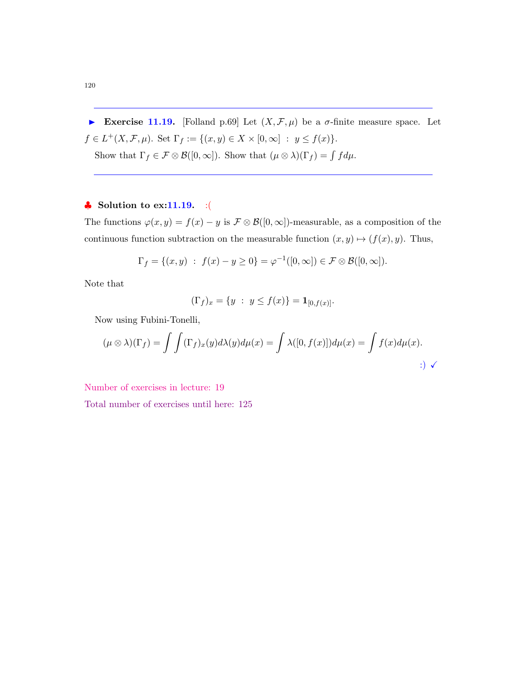Exercise 11.19. [Folland p.69] Let  $(X, \mathcal{F}, \mu)$  be a  $\sigma$ -finite measure space. Let  $f \in L^+(X, \mathcal{F}, \mu)$ . Set  $\Gamma_f := \{(x, y) \in X \times [0, \infty] : y \le f(x)\}.$ Show that  $\Gamma_f \in \mathcal{F} \otimes \mathcal{B}([0,\infty])$ . Show that  $(\mu \otimes \lambda)(\Gamma_f) = \int f d\mu$ .

## $\clubsuit$  Solution to ex:11.19. :(

The functions  $\varphi(x, y) = f(x) - y$  is  $\mathcal{F} \otimes \mathcal{B}([0, \infty])$ -measurable, as a composition of the continuous function subtraction on the measurable function  $(x, y) \mapsto (f(x), y)$ . Thus,

$$
\Gamma_f = \{(x, y) : f(x) - y \ge 0\} = \varphi^{-1}([0, \infty]) \in \mathcal{F} \otimes \mathcal{B}([0, \infty]).
$$

Note that

$$
(\Gamma_f)_x = \{ y \; : \; y \le f(x) \} = \mathbf{1}_{[0, f(x)]}.
$$

Now using Fubini-Tonelli,

$$
(\mu \otimes \lambda)(\Gamma_f) = \int \int (\Gamma_f)_x(y) d\lambda(y) d\mu(x) = \int \lambda([0, f(x)]) d\mu(x) = \int f(x) d\mu(x).
$$
  
...

Number of exercises in lecture: 19

Total number of exercises until here: 125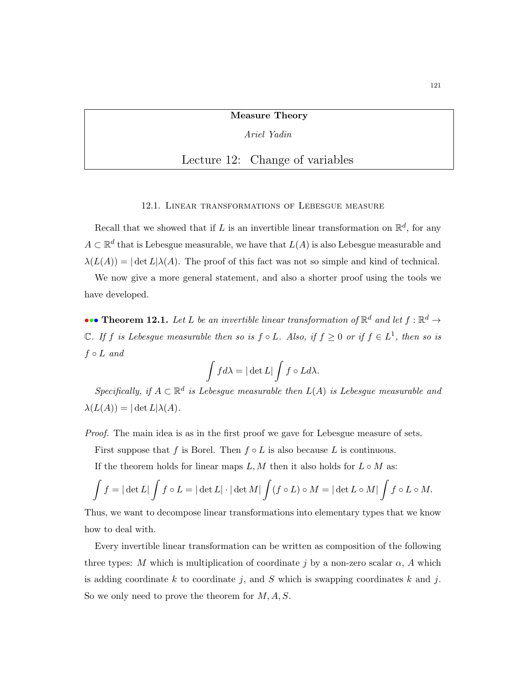Measure Theory

Ariel Yadin

# Lecture 12: Change of variables

12.1. Linear transformations of Lebesgue measure

Recall that we showed that if L is an invertible linear transformation on  $\mathbb{R}^d$ , for any  $A \subset \mathbb{R}^d$  that is Lebesgue measurable, we have that  $L(A)$  is also Lebesgue measurable and  $\lambda(L(A)) = |\det L|\lambda(A)$ . The proof of this fact was not so simple and kind of technical.

We now give a more general statement, and also a shorter proof using the tools we have developed.

••• Theorem 12.1. Let L be an invertible linear transformation of  $\mathbb{R}^d$  and let  $f : \mathbb{R}^d \to$  $\mathbb C$ . If f is Lebesgue measurable then so is  $f \circ L$ . Also, if  $f \geq 0$  or if  $f \in L^1$ , then so is  $f \circ L$  and

$$
\int f d\lambda = |\det L| \int f \circ L d\lambda.
$$

Specifically, if  $A \subset \mathbb{R}^d$  is Lebesgue measurable then  $L(A)$  is Lebesgue measurable and  $\lambda(L(A)) = |\det L|\lambda(A).$ 

Proof. The main idea is as in the first proof we gave for Lebesgue measure of sets.

First suppose that f is Borel. Then  $f \circ L$  is also because L is continuous.

If the theorem holds for linear maps  $L, M$  then it also holds for  $L \circ M$  as:

$$
\int f = |\det L| \int f \circ L = |\det L| \cdot |\det M| \int (f \circ L) \circ M = |\det L \circ M| \int f \circ L \circ M.
$$

Thus, we want to decompose linear transformations into elementary types that we know how to deal with.

Every invertible linear transformation can be written as composition of the following three types: M which is multiplication of coordinate j by a non-zero scalar  $\alpha$ , A which is adding coordinate k to coordinate j, and S which is swapping coordinates k and j. So we only need to prove the theorem for  $M, A, S$ .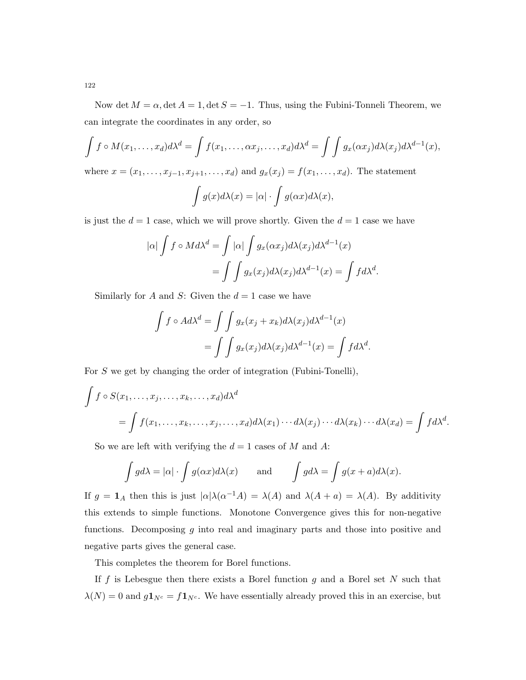Now det  $M = \alpha$ , det  $A = 1$ , det  $S = -1$ . Thus, using the Fubini-Tonneli Theorem, we can integrate the coordinates in any order, so

$$
\int f \circ M(x_1,\ldots,x_d) d\lambda^d = \int f(x_1,\ldots,\alpha x_j,\ldots,x_d) d\lambda^d = \int \int g_x(\alpha x_j) d\lambda(x_j) d\lambda^{d-1}(x),
$$

where  $x = (x_1, ..., x_{j-1}, x_{j+1}, ..., x_d)$  and  $g_x(x_j) = f(x_1, ..., x_d)$ . The statement

$$
\int g(x)d\lambda(x) = |\alpha| \cdot \int g(\alpha x)d\lambda(x),
$$

is just the  $d = 1$  case, which we will prove shortly. Given the  $d = 1$  case we have

$$
|\alpha| \int f \circ M d\lambda^{d} = \int |\alpha| \int g_x(\alpha x_j) d\lambda(x_j) d\lambda^{d-1}(x)
$$
  
= 
$$
\int \int g_x(x_j) d\lambda(x_j) d\lambda^{d-1}(x) = \int f d\lambda^{d}.
$$

Similarly for A and S: Given the  $d = 1$  case we have

$$
\int f \circ Ad\lambda^d = \int \int g_x(x_j + x_k) d\lambda(x_j) d\lambda^{d-1}(x)
$$

$$
= \int \int g_x(x_j) d\lambda(x_j) d\lambda^{d-1}(x) = \int f d\lambda^d.
$$

For S we get by changing the order of integration (Fubini-Tonelli),

$$
\int f \circ S(x_1, \dots, x_j, \dots, x_k, \dots, x_d) d\lambda^d
$$
  
= 
$$
\int f(x_1, \dots, x_k, \dots, x_j, \dots, x_d) d\lambda(x_1) \cdots d\lambda(x_j) \cdots d\lambda(x_k) \cdots d\lambda(x_d) = \int f d\lambda^d.
$$

So we are left with verifying the  $d = 1$  cases of M and A:

$$
\int g d\lambda = |\alpha| \cdot \int g(\alpha x) d\lambda(x)
$$
 and  $\int g d\lambda = \int g(x+a) d\lambda(x)$ .

If  $g = \mathbf{1}_A$  then this is just  $|\alpha| \lambda(\alpha^{-1} A) = \lambda(A)$  and  $\lambda(A + a) = \lambda(A)$ . By additivity this extends to simple functions. Monotone Convergence gives this for non-negative functions. Decomposing  $g$  into real and imaginary parts and those into positive and negative parts gives the general case.

This completes the theorem for Borel functions.

If f is Lebesgue then there exists a Borel function g and a Borel set  $N$  such that  $\lambda(N) = 0$  and  $g\mathbf{1}_{N^c} = f\mathbf{1}_{N^c}$ . We have essentially already proved this in an exercise, but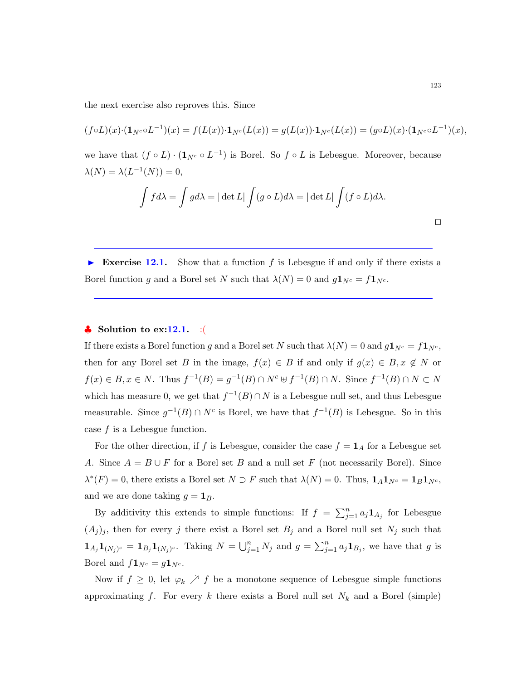the next exercise also reproves this. Since

$$
(f \circ L)(x) \cdot (\mathbf{1}_{N^c} \circ L^{-1})(x) = f(L(x)) \cdot \mathbf{1}_{N^c}(L(x)) = g(L(x)) \cdot \mathbf{1}_{N^c}(L(x)) = (g \circ L)(x) \cdot (\mathbf{1}_{N^c} \circ L^{-1})(x),
$$

we have that  $(f \circ L) \cdot (\mathbf{1}_{N^c} \circ L^{-1})$  is Borel. So  $f \circ L$  is Lebesgue. Moreover, because  $\lambda(N) = \lambda(L^{-1}(N)) = 0,$ 

$$
\int f d\lambda = \int g d\lambda = |\det L| \int (g \circ L) d\lambda = |\det L| \int (f \circ L) d\lambda.
$$

Exercise 12.1. Show that a function f is Lebesgue if and only if there exists a Borel function g and a Borel set N such that  $\lambda(N) = 0$  and  $g\mathbf{1}_{N^c} = f\mathbf{1}_{N^c}$ .

## $\bullet$  Solution to ex:12.1. : (

If there exists a Borel function g and a Borel set N such that  $\lambda(N) = 0$  and  $g\mathbf{1}_{N^c} = f\mathbf{1}_{N^c}$ , then for any Borel set B in the image,  $f(x) \in B$  if and only if  $g(x) \in B, x \notin N$  or  $f(x) \in B, x \in N$ . Thus  $f^{-1}(B) = g^{-1}(B) \cap N^c \cup f^{-1}(B) \cap N$ . Since  $f^{-1}(B) \cap N \subset N$ which has measure 0, we get that  $f^{-1}(B) \cap N$  is a Lebesgue null set, and thus Lebesgue measurable. Since  $g^{-1}(B) \cap N^c$  is Borel, we have that  $f^{-1}(B)$  is Lebesgue. So in this case  $f$  is a Lebesgue function.

For the other direction, if f is Lebesgue, consider the case  $f = \mathbf{1}_A$  for a Lebesgue set A. Since  $A = B \cup F$  for a Borel set B and a null set F (not necessarily Borel). Since  $\lambda^*(F) = 0$ , there exists a Borel set  $N \supset F$  such that  $\lambda(N) = 0$ . Thus,  $\mathbf{1}_A \mathbf{1}_{N^c} = \mathbf{1}_B \mathbf{1}_{N^c}$ , and we are done taking  $g = \mathbf{1}_B$ .

By additivity this extends to simple functions: If  $f = \sum_{j=1}^n a_j \mathbf{1}_{A_j}$  for Lebesgue  $(A_j)_j$ , then for every j there exist a Borel set  $B_j$  and a Borel null set  $N_j$  such that  $\mathbf{1}_{A_j}\mathbf{1}_{(N_j)^c} = \mathbf{1}_{B_j}\mathbf{1}_{(N_j)^c}$ . Taking  $N = \bigcup_{j=1}^n N_j$  and  $g = \sum_{j=1}^n a_j\mathbf{1}_{B_j}$ , we have that g is Borel and  $f\mathbf{1}_{N^c} = g\mathbf{1}_{N^c}$ .

Now if  $f \geq 0$ , let  $\varphi_k \nearrow f$  be a monotone sequence of Lebesgue simple functions approximating f. For every k there exists a Borel null set  $N_k$  and a Borel (simple)

 $\Box$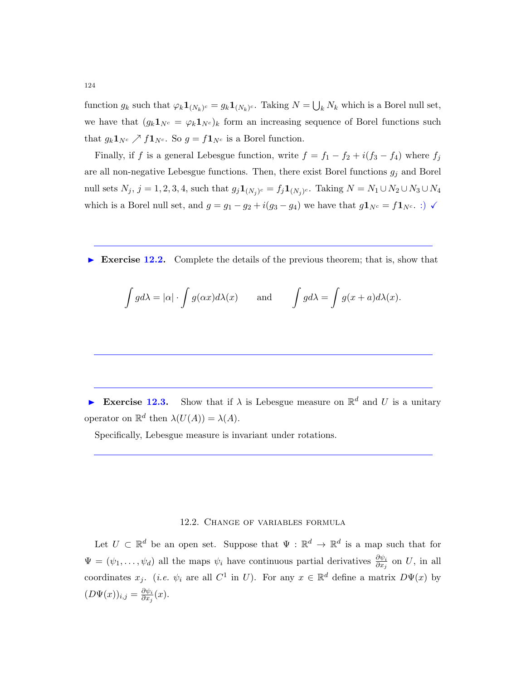function  $g_k$  such that  $\varphi_k \mathbf{1}_{(N_k)^c} = g_k \mathbf{1}_{(N_k)^c}$ . Taking  $N = \bigcup_k N_k$  which is a Borel null set, we have that  $(g_k 1_{N^c} = \varphi_k 1_{N^c})_k$  form an increasing sequence of Borel functions such that  $g_k \mathbf{1}_{N^c} \nearrow f \mathbf{1}_{N^c}$ . So  $g = f \mathbf{1}_{N^c}$  is a Borel function.

Finally, if f is a general Lebesgue function, write  $f = f_1 - f_2 + i(f_3 - f_4)$  where  $f_j$ are all non-negative Lebesgue functions. Then, there exist Borel functions  $g_j$  and Borel null sets  $N_j$ ,  $j = 1, 2, 3, 4$ , such that  $g_j \mathbf{1}_{(N_j)^c} = f_j \mathbf{1}_{(N_j)^c}$ . Taking  $N = N_1 \cup N_2 \cup N_3 \cup N_4$ which is a Borel null set, and  $g = g_1 - g_2 + i(g_3 - g_4)$  we have that  $g\mathbf{1}_{N^c} = f\mathbf{1}_{N^c}$ . :)  $\checkmark$ 

Exercise 12.2. Complete the details of the previous theorem; that is, show that

$$
\int g d\lambda = |\alpha| \cdot \int g(\alpha x) d\lambda(x)
$$
 and  $\int g d\lambda = \int g(x+a) d\lambda(x)$ .

Exercise 12.3. Show that if  $\lambda$  is Lebesgue measure on  $\mathbb{R}^d$  and U is a unitary operator on  $\mathbb{R}^d$  then  $\lambda(U(A)) = \lambda(A)$ .

Specifically, Lebesgue measure is invariant under rotations.

#### 12.2. Change of variables formula

Let  $U \subset \mathbb{R}^d$  be an open set. Suppose that  $\Psi : \mathbb{R}^d \to \mathbb{R}^d$  is a map such that for  $\Psi = (\psi_1, \dots, \psi_d)$  all the maps  $\psi_i$  have continuous partial derivatives  $\frac{\partial \psi_i}{\partial x_j}$  on U, in all coordinates  $x_j$ . (*i.e.*  $\psi_i$  are all  $C^1$  in U). For any  $x \in \mathbb{R}^d$  define a matrix  $D\Psi(x)$  by  $(D\Psi(x))_{i,j} = \frac{\partial \psi_i}{\partial x_i}$  $\frac{\partial \psi_i}{\partial x_j}(x).$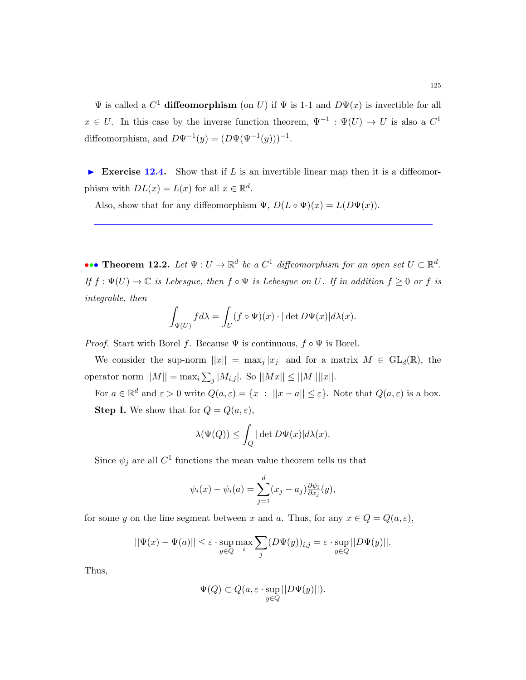$\Psi$  is called a  $C^1$  diffeomorphism (on U) if  $\Psi$  is 1-1 and  $D\Psi(x)$  is invertible for all  $x \in U$ . In this case by the inverse function theorem,  $\Psi^{-1} : \Psi(U) \to U$  is also a  $C^1$ diffeomorphism, and  $D\Psi^{-1}(y) = (D\Psi(\Psi^{-1}(y)))^{-1}$ .

Exercise 12.4. Show that if  $L$  is an invertible linear map then it is a diffeomorphism with  $DL(x) = L(x)$  for all  $x \in \mathbb{R}^d$ .

Also, show that for any diffeomorphism  $\Psi$ ,  $D(L \circ \Psi)(x) = L(D\Psi(x))$ .

••• Theorem 12.2. Let  $\Psi: U \to \mathbb{R}^d$  be a  $C^1$  diffeomorphism for an open set  $U \subset \mathbb{R}^d$ . If  $f: \Psi(U) \to \mathbb{C}$  is Lebesgue, then  $f \circ \Psi$  is Lebesgue on U. If in addition  $f \geq 0$  or f is integrable, then

$$
\int_{\Psi(U)} f d\lambda = \int_U (f \circ \Psi)(x) \cdot |\det D\Psi(x)| d\lambda(x).
$$

*Proof.* Start with Borel f. Because  $\Psi$  is continuous,  $f \circ \Psi$  is Borel.

We consider the sup-norm  $||x|| = \max_j |x_j|$  and for a matrix  $M \in GL_d(\mathbb{R})$ , the operator norm  $||M|| = \max_i \sum_j |M_{i,j}|$ . So  $||Mx|| \le ||M|| ||x||$ .

For  $a \in \mathbb{R}^d$  and  $\varepsilon > 0$  write  $Q(a, \varepsilon) = \{x : ||x - a|| \le \varepsilon\}$ . Note that  $Q(a, \varepsilon)$  is a box. **Step I.** We show that for  $Q = Q(a, \varepsilon)$ ,

$$
\lambda(\Psi(Q)) \le \int_Q |\det D\Psi(x)| d\lambda(x).
$$

Since  $\psi_j$  are all  $C^1$  functions the mean value theorem tells us that

$$
\psi_i(x) - \psi_i(a) = \sum_{j=1}^d (x_j - a_j) \frac{\partial \psi_i}{\partial x_j}(y),
$$

for some y on the line segment between x and a. Thus, for any  $x \in Q = Q(a, \varepsilon)$ ,

$$
||\Psi(x) - \Psi(a)|| \le \varepsilon \cdot \sup_{y \in Q} \max_{i} \sum_{j} (D\Psi(y))_{i,j} = \varepsilon \cdot \sup_{y \in Q} ||D\Psi(y)||.
$$

Thus,

$$
\Psi(Q) \subset Q(a, \varepsilon \cdot \sup_{y \in Q} ||D\Psi(y)||).
$$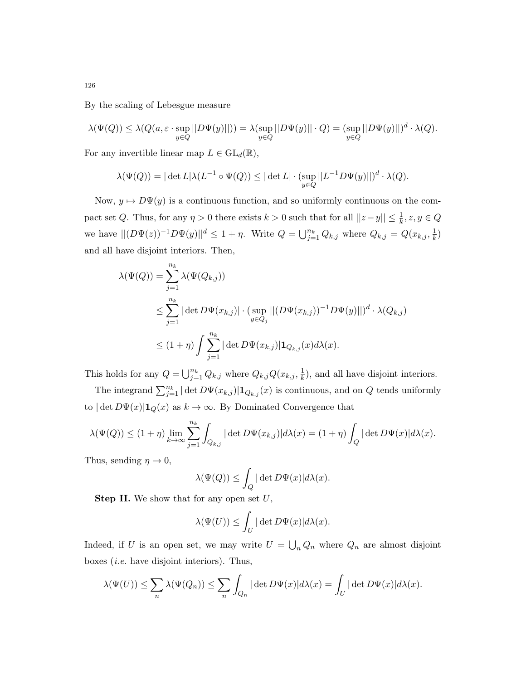By the scaling of Lebesgue measure

$$
\lambda(\Psi(Q)) \leq \lambda(Q(a,\varepsilon\cdot \sup_{y\in Q}||D\Psi(y)||)) = \lambda(\sup_{y\in Q}||D\Psi(y)||\cdot Q) = (\sup_{y\in Q}||D\Psi(y)||)^d\cdot \lambda(Q).
$$

For any invertible linear map  $L \in GL_d(\mathbb{R}),$ 

$$
\lambda(\Psi(Q)) = |\det L|\lambda(L^{-1} \circ \Psi(Q)) \leq |\det L| \cdot (\sup_{y \in Q} ||L^{-1}D\Psi(y)||)^d \cdot \lambda(Q).
$$

Now,  $y \mapsto D\Psi(y)$  is a continuous function, and so uniformly continuous on the compact set Q. Thus, for any  $\eta > 0$  there exists  $k > 0$  such that for all  $||z - y|| \leq \frac{1}{k}$ ,  $z, y \in Q$ we have  $||(D\Psi(z))^{-1}D\Psi(y)||^d \leq 1 + \eta$ . Write  $Q = \bigcup_{j=1}^{n_k} Q_{k,j}$  where  $Q_{k,j} = Q(x_{k,j}, \frac{1}{k})$  $\frac{1}{k}$ and all have disjoint interiors. Then,

$$
\lambda(\Psi(Q)) = \sum_{j=1}^{n_k} \lambda(\Psi(Q_{k,j}))
$$
  
\n
$$
\leq \sum_{j=1}^{n_k} |\det D\Psi(x_{k,j})| \cdot (\sup_{y \in Q_j} || (D\Psi(x_{k,j}))^{-1} D\Psi(y) ||)^{d} \cdot \lambda(Q_{k,j})
$$
  
\n
$$
\leq (1 + \eta) \int \sum_{j=1}^{n_k} |\det D\Psi(x_{k,j})| \mathbf{1}_{Q_{k,j}}(x) d\lambda(x).
$$

This holds for any  $Q = \bigcup_{j=1}^{n_k} Q_{k,j}$  where  $Q_{k,j} Q(x_{k,j}, \frac{1}{k})$  $(\frac{1}{k})$ , and all have disjoint interiors.

The integrand  $\sum_{j=1}^{n_k} |\det D\Psi(x_{k,j})| \mathbf{1}_{Q_{k,j}}(x)$  is continuous, and on  $Q$  tends uniformly to  $|\det D\Psi(x)|\mathbf{1}_Q(x)$  as  $k \to \infty$ . By Dominated Convergence that

$$
\lambda(\Psi(Q)) \le (1+\eta)\lim_{k\to\infty}\sum_{j=1}^{n_k}\int_{Q_{k,j}}|\det D\Psi(x_{k,j})|d\lambda(x) = (1+\eta)\int_Q|\det D\Psi(x)|d\lambda(x).
$$

Thus, sending  $\eta \to 0$ ,

$$
\lambda(\Psi(Q)) \le \int_Q |\det D\Psi(x)| d\lambda(x).
$$

**Step II.** We show that for any open set  $U$ ,

$$
\lambda(\Psi(U)) \le \int_U |\det D\Psi(x)| d\lambda(x).
$$

Indeed, if U is an open set, we may write  $U = \bigcup_n Q_n$  where  $Q_n$  are almost disjoint boxes (i.e. have disjoint interiors). Thus,

$$
\lambda(\Psi(U)) \leq \sum_{n} \lambda(\Psi(Q_n)) \leq \sum_{n} \int_{Q_n} |\det D\Psi(x)| d\lambda(x) = \int_U |\det D\Psi(x)| d\lambda(x).
$$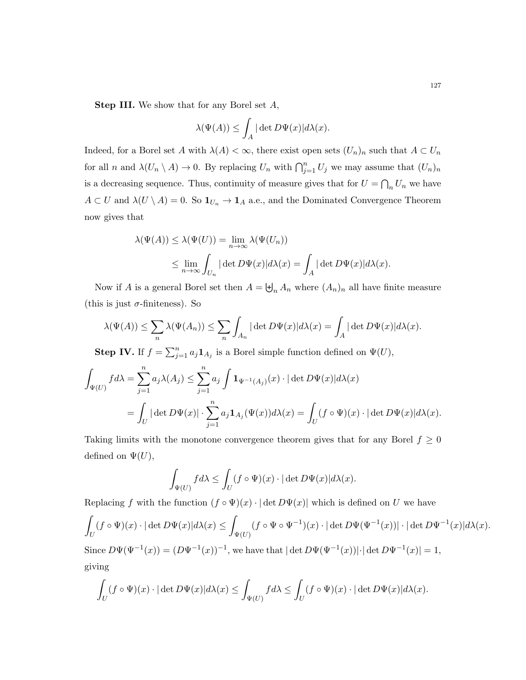Step III. We show that for any Borel set A,

$$
\lambda(\Psi(A)) \le \int_A |\det D\Psi(x)| d\lambda(x).
$$

Indeed, for a Borel set A with  $\lambda(A) < \infty$ , there exist open sets  $(U_n)_n$  such that  $A \subset U_n$ for all n and  $\lambda(U_n \setminus A) \to 0$ . By replacing  $U_n$  with  $\bigcap_{j=1}^n U_j$  we may assume that  $(U_n)_n$ is a decreasing sequence. Thus, continuity of measure gives that for  $U = \bigcap_n U_n$  we have  $A \subset U$  and  $\lambda(U \setminus A) = 0$ . So  $\mathbf{1}_{U_n} \to \mathbf{1}_A$  a.e., and the Dominated Convergence Theorem now gives that

$$
\lambda(\Psi(A)) \le \lambda(\Psi(U)) = \lim_{n \to \infty} \lambda(\Psi(U_n))
$$
  

$$
\le \lim_{n \to \infty} \int_{U_n} |\det D\Psi(x)| d\lambda(x) = \int_A |\det D\Psi(x)| d\lambda(x).
$$

Now if A is a general Borel set then  $A = \biguplus_n A_n$  where  $(A_n)_n$  all have finite measure (this is just  $\sigma$ -finiteness). So

$$
\lambda(\Psi(A)) \leq \sum_{n} \lambda(\Psi(A_n)) \leq \sum_{n} \int_{A_n} |\det D\Psi(x)| d\lambda(x) = \int_A |\det D\Psi(x)| d\lambda(x).
$$

**Step IV.** If  $f = \sum_{j=1}^n a_j \mathbf{1}_{A_j}$  is a Borel simple function defined on  $\Psi(U)$ ,

$$
\int_{\Psi(U)} f d\lambda = \sum_{j=1}^n a_j \lambda(A_j) \le \sum_{j=1}^n a_j \int \mathbf{1}_{\Psi^{-1}(A_j)}(x) \cdot |\det D\Psi(x)| d\lambda(x)
$$
  
= 
$$
\int_U |\det D\Psi(x)| \cdot \sum_{j=1}^n a_j \mathbf{1}_{A_j}(\Psi(x)) d\lambda(x) = \int_U (f \circ \Psi)(x) \cdot |\det D\Psi(x)| d\lambda(x).
$$

Taking limits with the monotone convergence theorem gives that for any Borel  $f \geq 0$ defined on  $\Psi(U)$ ,

$$
\int_{\Psi(U)} f d\lambda \le \int_U (f \circ \Psi)(x) \cdot |\det D\Psi(x)| d\lambda(x).
$$

Replacing f with the function  $(f \circ \Psi)(x) \cdot |\det D\Psi(x)|$  which is defined on U we have

$$
\int_{U} (f \circ \Psi)(x) \cdot |\det D\Psi(x)| d\lambda(x) \le \int_{\Psi(U)} (f \circ \Psi \circ \Psi^{-1})(x) \cdot |\det D\Psi(\Psi^{-1}(x))| \cdot |\det D\Psi^{-1}(x)| d\lambda(x).
$$

Since  $D\Psi(\Psi^{-1}(x)) = (D\Psi^{-1}(x))^{-1}$ , we have that  $|\det D\Psi(\Psi^{-1}(x))| \cdot |\det D\Psi^{-1}(x)| = 1$ , giving

$$
\int_U (f \circ \Psi)(x) \cdot |\det D\Psi(x)| d\lambda(x) \le \int_{\Psi(U)} f d\lambda \le \int_U (f \circ \Psi)(x) \cdot |\det D\Psi(x)| d\lambda(x).
$$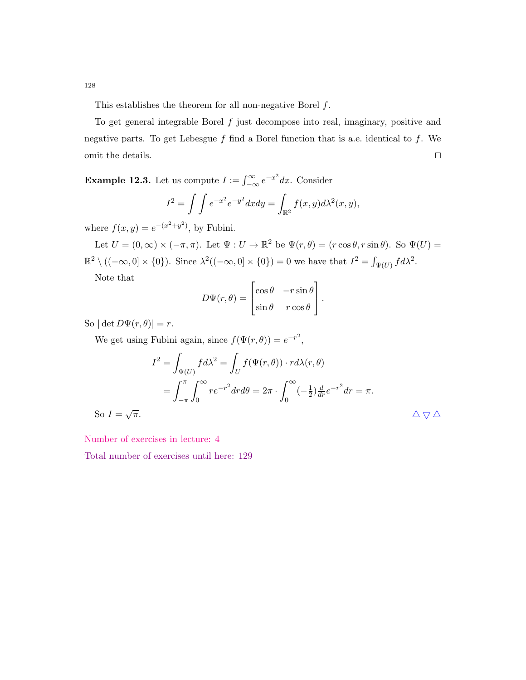This establishes the theorem for all non-negative Borel  $f$ .

To get general integrable Borel  $f$  just decompose into real, imaginary, positive and negative parts. To get Lebesgue  $f$  find a Borel function that is a.e. identical to  $f$ . We omit the details.  $\hfill\Box$ 

**Example 12.3.** Let us compute  $I := \int_{-\infty}^{\infty} e^{-x^2} dx$ . Consider

$$
I2 = \int \int e^{-x^2} e^{-y^2} dx dy = \int_{\mathbb{R}^2} f(x, y) d\lambda^2(x, y),
$$

where  $f(x, y) = e^{-(x^2+y^2)}$ , by Fubini.

Let  $U = (0, \infty) \times (-\pi, \pi)$ . Let  $\Psi : U \to \mathbb{R}^2$  be  $\Psi(r, \theta) = (r \cos \theta, r \sin \theta)$ . So  $\Psi(U) =$  $\mathbb{R}^2 \setminus ((-\infty,0] \times \{0\})$ . Since  $\lambda^2((-\infty,0] \times \{0\}) = 0$  we have that  $I^2 = \int_{\Psi(U)} f d\lambda^2$ . Note that

$$
D\Psi(r,\theta) = \begin{bmatrix} \cos\theta & -r\sin\theta \\ \sin\theta & r\cos\theta \end{bmatrix}.
$$

So  $|\det D\Psi(r, \theta)| = r$ .

So  $I = \sqrt{ }$ 

We get using Fubini again, since  $f(\Psi(r, \theta)) = e^{-r^2}$ ,

$$
I^{2} = \int_{\Psi(U)} f d\lambda^{2} = \int_{U} f(\Psi(r, \theta)) \cdot r d\lambda(r, \theta)
$$
  
= 
$$
\int_{-\pi}^{\pi} \int_{0}^{\infty} r e^{-r^{2}} dr d\theta = 2\pi \cdot \int_{0}^{\infty} (-\frac{1}{2}) \frac{d}{dr} e^{-r^{2}} dr = \pi.
$$
  

$$
\overline{\pi}.
$$

Number of exercises in lecture: 4

Total number of exercises until here: 129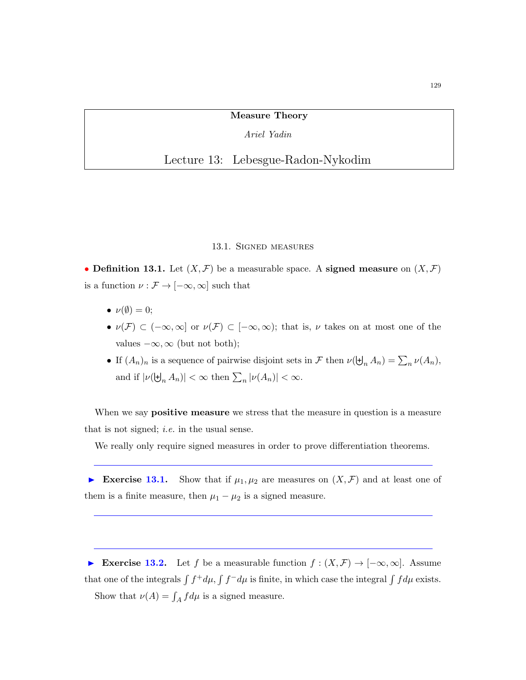Measure Theory

Ariel Yadin

Lecture 13: Lebesgue-Radon-Nykodim

#### 13.1. Signed measures

• Definition 13.1. Let  $(X, \mathcal{F})$  be a measurable space. A signed measure on  $(X, \mathcal{F})$ is a function  $\nu: \mathcal{F} \rightarrow [-\infty,\infty]$  such that

- $\nu(\emptyset) = 0$ ;
- $\nu(\mathcal{F}) \subset (-\infty,\infty]$  or  $\nu(\mathcal{F}) \subset [-\infty,\infty)$ ; that is,  $\nu$  takes on at most one of the values  $-\infty$ ,  $\infty$  (but not both);
- If  $(A_n)_n$  is a sequence of pairwise disjoint sets in F then  $\nu(\biguplus_n A_n) = \sum_n \nu(A_n)$ , and if  $|\nu(\mathbf{H}_n, A_n)| < \infty$  then  $\sum_n |\nu(A_n)| < \infty$ .

When we say **positive measure** we stress that the measure in question is a measure that is not signed; i.e. in the usual sense.

We really only require signed measures in order to prove differentiation theorems.

Exercise 13.1. Show that if  $\mu_1, \mu_2$  are measures on  $(X, \mathcal{F})$  and at least one of them is a finite measure, then  $\mu_1 - \mu_2$  is a signed measure.

► Exercise 13.2. Let f be a measurable function  $f : (X, \mathcal{F}) \to [-\infty, \infty]$ . Assume that one of the integrals  $\int f^+d\mu$ ,  $\int f^-d\mu$  is finite, in which case the integral  $\int f d\mu$  exists. Show that  $\nu(A) = \int_A f d\mu$  is a signed measure.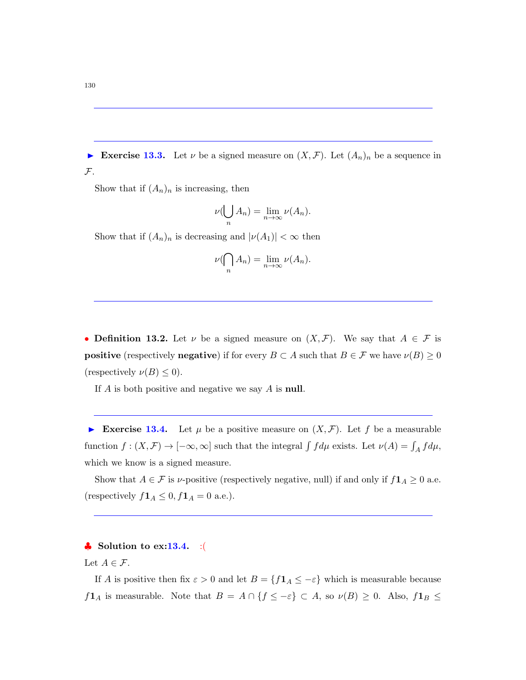Exercise 13.3. Let  $\nu$  be a signed measure on  $(X,\mathcal{F})$ . Let  $(A_n)_n$  be a sequence in  $\mathcal{F}.$ 

Show that if  $(A_n)_n$  is increasing, then

$$
\nu(\bigcup_n A_n) = \lim_{n \to \infty} \nu(A_n).
$$

Show that if  $(A_n)_n$  is decreasing and  $|\nu(A_1)| < \infty$  then

$$
\nu(\bigcap_n A_n) = \lim_{n \to \infty} \nu(A_n).
$$

• Definition 13.2. Let  $\nu$  be a signed measure on  $(X,\mathcal{F})$ . We say that  $A \in \mathcal{F}$  is **positive** (respectively **negative**) if for every  $B \subset A$  such that  $B \in \mathcal{F}$  we have  $\nu(B) \ge 0$ (respectively  $\nu(B) \leq 0$ ).

If  $A$  is both positive and negative we say  $A$  is **null**.

Exercise 13.4. Let  $\mu$  be a positive measure on  $(X, \mathcal{F})$ . Let f be a measurable function  $f:(X,\mathcal{F})\to [-\infty,\infty]$  such that the integral  $\int f d\mu$  exists. Let  $\nu(A)=\int_A f d\mu$ , which we know is a signed measure.

Show that  $A \in \mathcal{F}$  is *v*-positive (respectively negative, null) if and only if  $f\mathbf{1}_A \geq 0$  a.e. (respectively  $f\mathbf{1}_A \leq 0, f\mathbf{1}_A = 0$  a.e.).

## $\bullet$  Solution to ex:13.4. :(

## Let  $A \in \mathcal{F}$ .

If A is positive then fix  $\varepsilon > 0$  and let  $B = \{f \mathbf{1}_A \leq -\varepsilon\}$  which is measurable because  $f1_A$  is measurable. Note that  $B = A \cap \{f \leq -\varepsilon\} \subset A$ , so  $\nu(B) \geq 0$ . Also,  $f1_B \leq$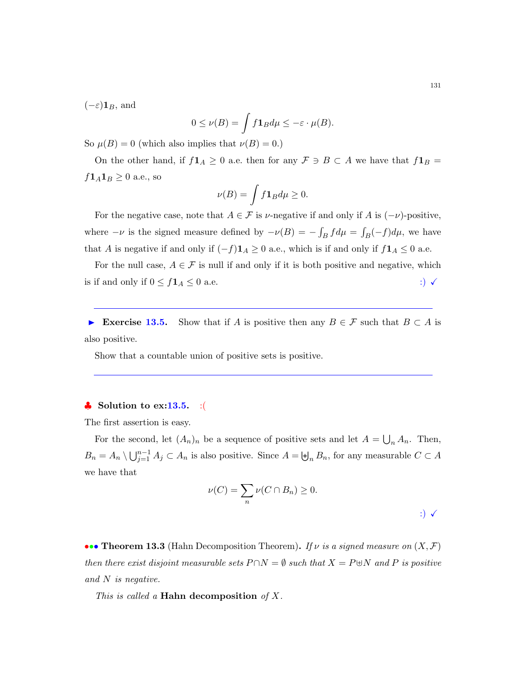$(-\varepsilon)$ **1**<sub>B</sub>, and

$$
0 \le \nu(B) = \int f \mathbf{1}_B d\mu \le -\varepsilon \cdot \mu(B).
$$

So  $\mu(B) = 0$  (which also implies that  $\nu(B) = 0$ .)

On the other hand, if  $f\mathbf{1}_A \geq 0$  a.e. then for any  $\mathcal{F} \ni B \subset A$  we have that  $f\mathbf{1}_B =$  $f1_A1_B \geq 0$  a.e., so

$$
\nu(B) = \int f \mathbf{1}_B d\mu \ge 0.
$$

For the negative case, note that  $A \in \mathcal{F}$  is  $\nu$ -negative if and only if A is  $(-\nu)$ -positive, where  $-\nu$  is the signed measure defined by  $-\nu(B) = -\int_B f d\mu = \int_B (-f) d\mu$ , we have that A is negative if and only if  $(-f)\mathbf{1}_A \geq 0$  a.e., which is if and only if  $f\mathbf{1}_A \leq 0$  a.e.

For the null case,  $A \in \mathcal{F}$  is null if and only if it is both positive and negative, which is if and only if  $0 \le f \mathbf{1}_A \le 0$  a.e.  $\therefore$ 

Exercise 13.5. Show that if A is positive then any  $B \in \mathcal{F}$  such that  $B \subset A$  is also positive.

Show that a countable union of positive sets is positive.

## $\bullet$  Solution to ex:13.5. :(

The first assertion is easy.

For the second, let  $(A_n)_n$  be a sequence of positive sets and let  $A = \bigcup_n A_n$ . Then,  $B_n = A_n \setminus \bigcup_{j=1}^{n-1} A_j \subset A_n$  is also positive. Since  $A = \biguplus_n B_n$ , for any measurable  $C \subset A$ we have that

$$
\nu(C) = \sum_{n} \nu(C \cap B_n) \ge 0.
$$

••• Theorem 13.3 (Hahn Decomposition Theorem). If v is a signed measure on  $(X, \mathcal{F})$ then there exist disjoint measurable sets  $P \cap N = \emptyset$  such that  $X = P \oplus N$  and P is positive and N is negative.

This is called a **Hahn decomposition** of X.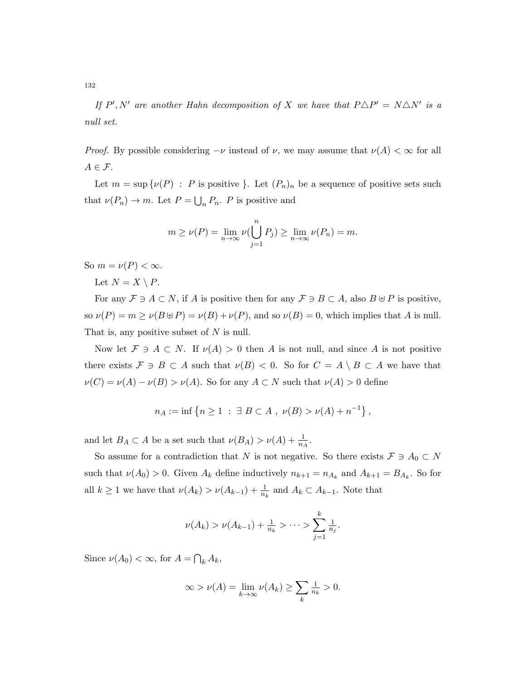If  $P', N'$  are another Hahn decomposition of X we have that  $P \triangle P' = N \triangle N'$  is a null set.

*Proof.* By possible considering  $-\nu$  instead of  $\nu$ , we may assume that  $\nu(A) < \infty$  for all  $A \in \mathcal{F}$ .

Let  $m = \sup \{ \nu(P) : P \text{ is positive } \}.$  Let  $(P_n)_n$  be a sequence of positive sets such that  $\nu(P_n) \to m$ . Let  $P = \bigcup_n P_n$ . P is positive and

$$
m \ge \nu(P) = \lim_{n \to \infty} \nu(\bigcup_{j=1}^{n} P_j) \ge \lim_{n \to \infty} \nu(P_n) = m.
$$

So  $m = \nu(P) < \infty$ .

Let  $N = X \setminus P$ .

For any  $\mathcal{F} \ni A \subset N$ , if A is positive then for any  $\mathcal{F} \ni B \subset A$ , also  $B \cup P$  is positive, so  $\nu(P) = m \ge \nu(B \oplus P) = \nu(B) + \nu(P)$ , and so  $\nu(B) = 0$ , which implies that A is null. That is, any positive subset of N is null.

Now let  $\mathcal{F} \ni A \subset N$ . If  $\nu(A) > 0$  then A is not null, and since A is not positive there exists  $\mathcal{F} \ni B \subset A$  such that  $\nu(B) < 0$ . So for  $C = A \setminus B \subset A$  we have that  $\nu(C) = \nu(A) - \nu(B) > \nu(A)$ . So for any  $A \subset N$  such that  $\nu(A) > 0$  define

$$
n_A := \inf \{ n \ge 1 \; : \; \exists \; B \subset A , \; \nu(B) > \nu(A) + n^{-1} \},
$$

and let  $B_A \subset A$  be a set such that  $\nu(B_A) > \nu(A) + \frac{1}{n_A}$ .

So assume for a contradiction that N is not negative. So there exists  $\mathcal{F} \ni A_0 \subset N$ such that  $\nu(A_0) > 0$ . Given  $A_k$  define inductively  $n_{k+1} = n_{A_k}$  and  $A_{k+1} = B_{A_k}$ . So for all  $k \geq 1$  we have that  $\nu(A_k) > \nu(A_{k-1}) + \frac{1}{n_k}$  and  $A_k \subset A_{k-1}$ . Note that

$$
\nu(A_k) > \nu(A_{k-1}) + \frac{1}{n_k} > \cdots > \sum_{j=1}^k \frac{1}{n_j}.
$$

Since  $\nu(A_0) < \infty$ , for  $A = \bigcap_k A_k$ ,

$$
\infty > \nu(A) = \lim_{k \to \infty} \nu(A_k) \ge \sum_k \frac{1}{n_k} > 0.
$$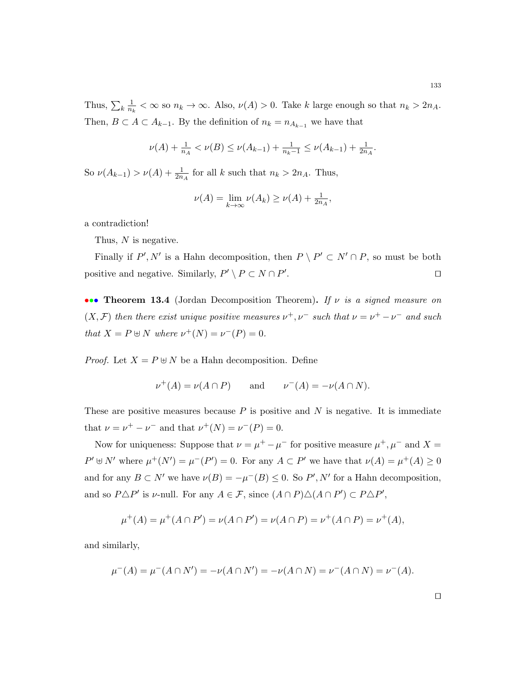Thus,  $\sum_k \frac{1}{n_l}$  $\frac{1}{n_k} < \infty$  so  $n_k \to \infty$ . Also,  $\nu(A) > 0$ . Take k large enough so that  $n_k > 2n_A$ . Then,  $B \subset A \subset A_{k-1}$ . By the definition of  $n_k = n_{A_{k-1}}$  we have that

$$
\nu(A) + \frac{1}{n_A} < \nu(B) \le \nu(A_{k-1}) + \frac{1}{n_k - 1} \le \nu(A_{k-1}) + \frac{1}{2n_A}.
$$

So  $\nu(A_{k-1}) > \nu(A) + \frac{1}{2n_A}$  for all k such that  $n_k > 2n_A$ . Thus,

$$
\nu(A) = \lim_{k \to \infty} \nu(A_k) \ge \nu(A) + \frac{1}{2n_A},
$$

a contradiction!

Thus, N is negative.

Finally if  $P', N'$  is a Hahn decomposition, then  $P \setminus P' \subset N' \cap P$ , so must be both positive and negative. Similarly,  $P' \setminus P \subset N \cap P'$ .  $\Box$ 

••• Theorem 13.4 (Jordan Decomposition Theorem). If  $\nu$  is a signed measure on  $(X, \mathcal{F})$  then there exist unique positive measures  $\nu^+, \nu^-$  such that  $\nu = \nu^+ - \nu^-$  and such that  $X = P \oplus N$  where  $\nu^+(N) = \nu^-(P) = 0$ .

*Proof.* Let  $X = P \oplus N$  be a Hahn decomposition. Define

$$
\nu^+(A) = \nu(A \cap P) \qquad \text{and} \qquad \nu^-(A) = -\nu(A \cap N).
$$

These are positive measures because  $P$  is positive and  $N$  is negative. It is immediate that  $\nu = \nu^{+} - \nu^{-}$  and that  $\nu^{+}(N) = \nu^{-}(P) = 0$ .

Now for uniqueness: Suppose that  $\nu = \mu^+ - \mu^-$  for positive measure  $\mu^+, \mu^-$  and  $X =$  $P' \oplus N'$  where  $\mu^+(N') = \mu^-(P') = 0$ . For any  $A \subset P'$  we have that  $\nu(A) = \mu^+(A) \ge 0$ and for any  $B \subset N'$  we have  $\nu(B) = -\mu^-(B) \leq 0$ . So P', N' for a Hahn decomposition, and so  $P \triangle P'$  is v-null. For any  $A \in \mathcal{F}$ , since  $(A \cap P) \triangle (A \cap P') \subset P \triangle P'$ ,

$$
\mu^+(A) = \mu^+(A \cap P') = \nu(A \cap P') = \nu(A \cap P) = \nu^+(A \cap P) = \nu^+(A),
$$

and similarly,

$$
\mu^-(A) = \mu^-(A \cap N') = -\nu(A \cap N') = -\nu(A \cap N) = \nu^-(A \cap N) = \nu^-(A).
$$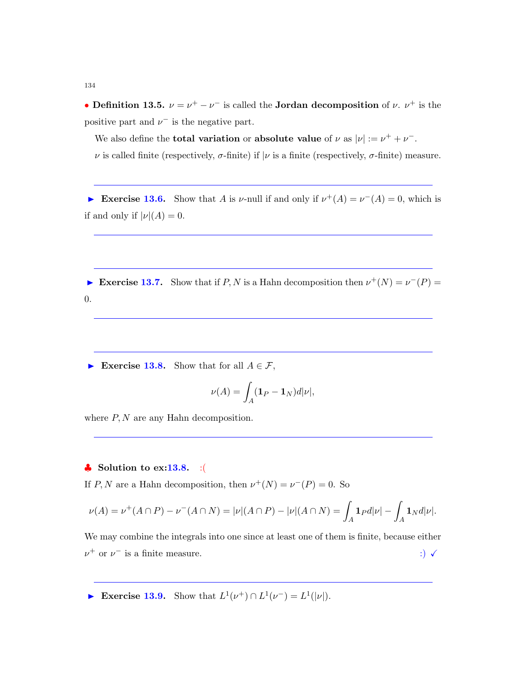• Definition 13.5.  $\nu = \nu^+ - \nu^-$  is called the Jordan decomposition of  $\nu$ .  $\nu^+$  is the positive part and  $\nu^-$  is the negative part.

We also define the **total variation** or **absolute value** of  $\nu$  as  $|\nu| := \nu^+ + \nu^-$ .  $\nu$  is called finite (respectively,  $\sigma$ -finite) if  $|\nu$  is a finite (respectively,  $\sigma$ -finite) measure.

► Exercise 13.6. Show that A is  $\nu$ -null if and only if  $\nu^+(A) = \nu^-(A) = 0$ , which is if and only if  $|\nu|(A) = 0$ .

► Exercise 13.7. Show that if  $P, N$  is a Hahn decomposition then  $\nu^+(N) = \nu^-(P) =$ 0.

Exercise 13.8. Show that for all  $A \in \mathcal{F}$ ,

$$
\nu(A) = \int_A (\mathbf{1}_P - \mathbf{1}_N) d|\nu|,
$$

where  $P, N$  are any Hahn decomposition.

## $\bullet$  Solution to ex:13.8. :(

If  $P, N$  are a Hahn decomposition, then  $\nu^+(N) = \nu^-(P) = 0$ . So

$$
\nu(A) = \nu^{+}(A \cap P) - \nu^{-}(A \cap N) = |\nu|(A \cap P) - |\nu|(A \cap N) = \int_{A} \mathbf{1}_{P} d|\nu| - \int_{A} \mathbf{1}_{N} d|\nu|.
$$

We may combine the integrals into one since at least one of them is finite, because either  $\nu^+$  or  $\nu^-$  is a finite measure.  $\therefore$ 

► Exercise 13.9. Show that  $L^1(\nu^+) \cap L^1(\nu^-) = L^1(|\nu|)$ .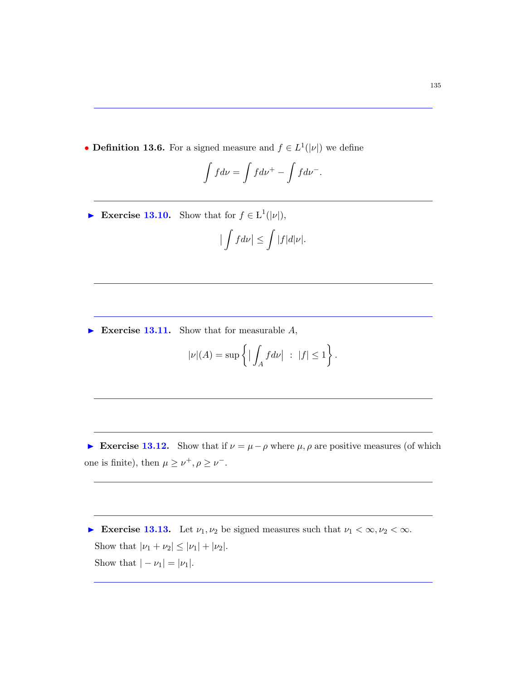• **Definition 13.6.** For a signed measure and  $f \in L^1(|\nu|)$  we define

$$
\int f d\nu = \int f d\nu^+ - \int f d\nu^-.
$$

Exercise 13.10. Show that for  $f \in L^1(|\nu|)$ ,

$$
\left|\int f d\nu\right| \leq \int |f| d|\nu|.
$$

Exercise 13.11. Show that for measurable  $A$ ,

$$
|\nu|(A) = \sup \left\{ \left| \int_A f d\nu \right| \ : \ |f| \le 1 \right\}.
$$

Exercise 13.12. Show that if  $\nu = \mu - \rho$  where  $\mu$ ,  $\rho$  are positive measures (of which one is finite), then  $\mu \geq \nu^+, \rho \geq \nu^-$ .

Exercise 13.13. Let  $\nu_1, \nu_2$  be signed measures such that  $\nu_1 < \infty, \nu_2 < \infty$ . Show that  $|\nu_1 + \nu_2| \leq |\nu_1| + |\nu_2|$ . Show that  $|- \nu_1| = |\nu_1|$ .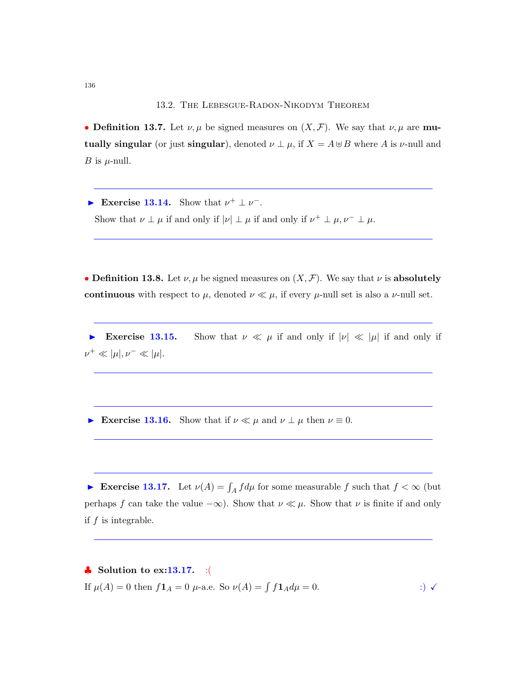• Definition 13.7. Let  $\nu, \mu$  be signed measures on  $(X, \mathcal{F})$ . We say that  $\nu, \mu$  are mutually singular (or just singular), denoted  $\nu \perp \mu$ , if  $X = A \oplus B$  where A is  $\nu$ -null and *B* is  $\mu$ -null.

Exercise 13.14. Show that  $\nu^+ \perp \nu^-$ . Show that  $\nu \perp \mu$  if and only if  $|\nu| \perp \mu$  if and only if  $\nu^+ \perp \mu$ ,  $\nu^- \perp \mu$ .

• Definition 13.8. Let  $\nu, \mu$  be signed measures on  $(X, \mathcal{F})$ . We say that  $\nu$  is absolutely continuous with respect to  $\mu$ , denoted  $\nu \ll \mu$ , if every  $\mu$ -null set is also a  $\nu$ -null set.

Exercise 13.15. Show that  $\nu \ll \mu$  if and only if  $|\nu| \ll |\mu|$  if and only if  $\nu^+ \ll |\mu|, \nu^- \ll |\mu|.$ 

Exercise 13.16. Show that if  $\nu \ll \mu$  and  $\nu \perp \mu$  then  $\nu \equiv 0$ .

Exercise 13.17. Let  $\nu(A) = \int_A f d\mu$  for some measurable f such that  $f < \infty$  (but perhaps f can take the value  $-\infty$ ). Show that  $\nu \ll \mu$ . Show that  $\nu$  is finite if and only if  $f$  is integrable.

 $\clubsuit$  Solution to ex:13.17. :( If  $\mu(A) = 0$  then  $f\mathbf{1}_A = 0$   $\mu$ -a.e. So  $\nu(A) = \int f\mathbf{1}_A d\mu = 0$ . :)  $\checkmark$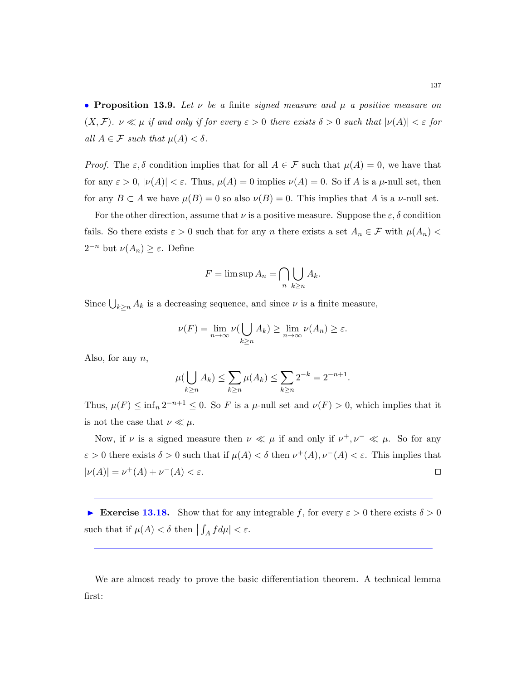• Proposition 13.9. Let  $\nu$  be a finite signed measure and  $\mu$  a positive measure on  $(X, \mathcal{F})$ .  $\nu \ll \mu$  if and only if for every  $\varepsilon > 0$  there exists  $\delta > 0$  such that  $|\nu(A)| < \varepsilon$  for all  $A \in \mathcal{F}$  such that  $\mu(A) < \delta$ .

*Proof.* The  $\varepsilon, \delta$  condition implies that for all  $A \in \mathcal{F}$  such that  $\mu(A) = 0$ , we have that for any  $\varepsilon > 0$ ,  $|\nu(A)| < \varepsilon$ . Thus,  $\mu(A) = 0$  implies  $\nu(A) = 0$ . So if A is a  $\mu$ -null set, then for any  $B \subset A$  we have  $\mu(B) = 0$  so also  $\nu(B) = 0$ . This implies that A is a *v*-null set.

For the other direction, assume that  $\nu$  is a positive measure. Suppose the  $\varepsilon, \delta$  condition fails. So there exists  $\varepsilon > 0$  such that for any n there exists a set  $A_n \in \mathcal{F}$  with  $\mu(A_n)$  $2^{-n}$  but  $\nu(A_n) \geq \varepsilon$ . Define

$$
F = \limsup A_n = \bigcap_{n} \bigcup_{k \ge n} A_k.
$$

Since  $\bigcup_{k\geq n} A_k$  is a decreasing sequence, and since  $\nu$  is a finite measure,

$$
\nu(F) = \lim_{n \to \infty} \nu(\bigcup_{k \ge n} A_k) \ge \lim_{n \to \infty} \nu(A_n) \ge \varepsilon.
$$

Also, for any  $n$ ,

$$
\mu(\bigcup_{k\geq n} A_k) \leq \sum_{k\geq n} \mu(A_k) \leq \sum_{k\geq n} 2^{-k} = 2^{-n+1}.
$$

Thus,  $\mu(F) \le \inf_n 2^{-n+1} \le 0$ . So F is a  $\mu$ -null set and  $\nu(F) > 0$ , which implies that it is not the case that  $\nu \ll \mu$ .

Now, if  $\nu$  is a signed measure then  $\nu \ll \mu$  if and only if  $\nu^+, \nu^- \ll \mu$ . So for any  $\varepsilon > 0$  there exists  $\delta > 0$  such that if  $\mu(A) < \delta$  then  $\nu^+(A), \nu^-(A) < \varepsilon$ . This implies that  $|\nu(A)| = \nu^+(A) + \nu^-(A) < \varepsilon.$ 

Exercise 13.18. Show that for any integrable f, for every  $\varepsilon > 0$  there exists  $\delta > 0$ such that if  $\mu(A) < \delta$  then  $| \int_A f d\mu | < \varepsilon$ .

We are almost ready to prove the basic differentiation theorem. A technical lemma first: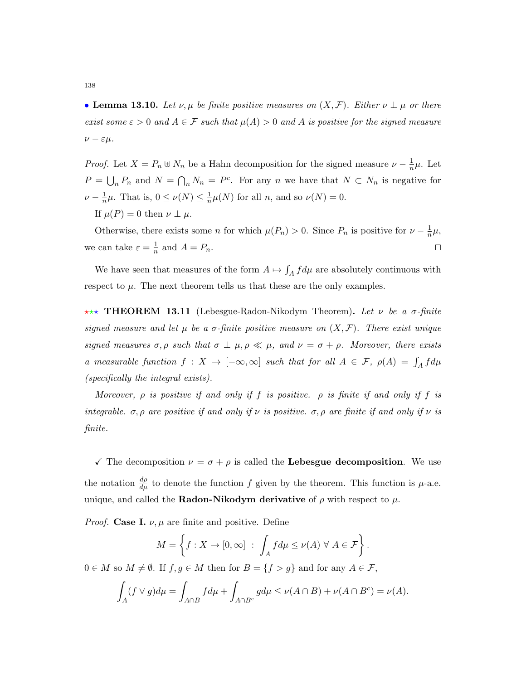• Lemma 13.10. Let  $\nu, \mu$  be finite positive measures on  $(X, \mathcal{F})$ . Either  $\nu \perp \mu$  or there exist some  $\varepsilon > 0$  and  $A \in \mathcal{F}$  such that  $\mu(A) > 0$  and A is positive for the signed measure  $\nu - \varepsilon \mu$ .

*Proof.* Let  $X = P_n \oplus N_n$  be a Hahn decomposition for the signed measure  $\nu - \frac{1}{n}$  $\frac{1}{n}\mu$ . Let  $P = \bigcup_n P_n$  and  $N = \bigcap_n N_n = P^c$ . For any n we have that  $N \subset N_n$  is negative for  $\nu - \frac{1}{n}$  $\frac{1}{n}\mu$ . That is,  $0 \leq \nu(N) \leq \frac{1}{n}$  $\frac{1}{n}\mu(N)$  for all *n*, and so  $\nu(N) = 0$ .

If  $\mu(P) = 0$  then  $\nu \perp \mu$ .

Otherwise, there exists some n for which  $\mu(P_n) > 0$ . Since  $P_n$  is positive for  $\nu - \frac{1}{n}$  $\frac{1}{n}\mu,$ we can take  $\varepsilon = \frac{1}{n}$  $\frac{1}{n}$  and  $A = P_n$ .

We have seen that measures of the form  $A \mapsto \int_A f d\mu$  are absolutely continuous with respect to  $\mu$ . The next theorem tells us that these are the only examples.

**\*\*\* THEOREM 13.11** (Lebesgue-Radon-Nikodym Theorem). Let  $\nu$  be a  $\sigma$ -finite signed measure and let  $\mu$  be a  $\sigma$ -finite positive measure on  $(X,\mathcal{F})$ . There exist unique signed measures  $\sigma$ ,  $\rho$  such that  $\sigma \perp \mu$ ,  $\rho \ll \mu$ , and  $\nu = \sigma + \rho$ . Moreover, there exists a measurable function  $f: X \to [-\infty, \infty]$  such that for all  $A \in \mathcal{F}$ ,  $\rho(A) = \int_A f d\mu$ (specifically the integral exists).

Moreover,  $\rho$  is positive if and only if f is positive.  $\rho$  is finite if and only if f is integrable.  $\sigma$ ,  $\rho$  are positive if and only if  $\nu$  is positive.  $\sigma$ ,  $\rho$  are finite if and only if  $\nu$  is finite.

 $\checkmark$  The decomposition  $\nu = \sigma + \rho$  is called the **Lebesgue decomposition**. We use the notation  $\frac{d\rho}{d\mu}$  to denote the function f given by the theorem. This function is  $\mu$ -a.e. unique, and called the **Radon-Nikodym derivative** of  $\rho$  with respect to  $\mu$ .

*Proof.* Case I.  $\nu$ ,  $\mu$  are finite and positive. Define

$$
M = \left\{ f : X \to [0, \infty] \ : \ \int_A f d\mu \le \nu(A) \ \forall \ A \in \mathcal{F} \right\}.
$$

 $0 \in M$  so  $M \neq \emptyset$ . If  $f, g \in M$  then for  $B = \{f > g\}$  and for any  $A \in \mathcal{F}$ ,

$$
\int_A (f \vee g) d\mu = \int_{A \cap B} f d\mu + \int_{A \cap B^c} g d\mu \le \nu(A \cap B) + \nu(A \cap B^c) = \nu(A).
$$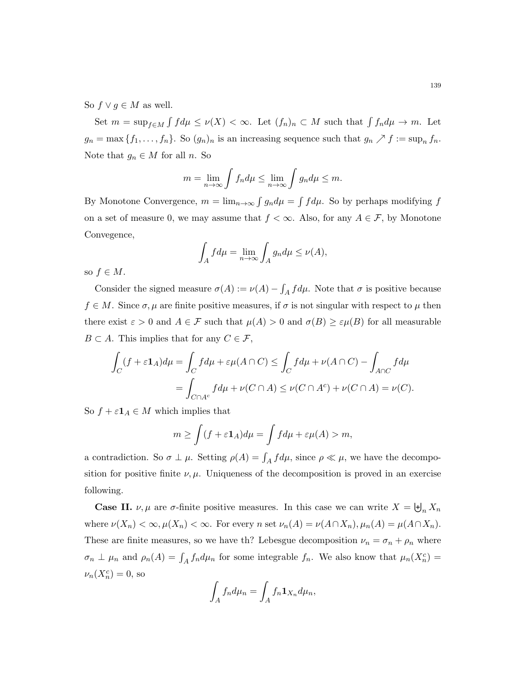So  $f \vee g \in M$  as well.

Set  $m = \sup_{f \in M} \int f d\mu \le \nu(X) < \infty$ . Let  $(f_n)_n \subset M$  such that  $\int f_n d\mu \to m$ . Let  $g_n = \max\{f_1, \ldots, f_n\}$ . So  $(g_n)_n$  is an increasing sequence such that  $g_n \nearrow f := \sup_n f_n$ . Note that  $g_n \in M$  for all n. So

$$
m = \lim_{n \to \infty} \int f_n d\mu \le \lim_{n \to \infty} \int g_n d\mu \le m.
$$

By Monotone Convergence,  $m = \lim_{n \to \infty} \int g_n d\mu = \int f d\mu$ . So by perhaps modifying f on a set of measure 0, we may assume that  $f < \infty$ . Also, for any  $A \in \mathcal{F}$ , by Monotone Convegence,

$$
\int_A f d\mu = \lim_{n \to \infty} \int_A g_n d\mu \le \nu(A),
$$

so  $f \in M$ .

Consider the signed measure  $\sigma(A) := \nu(A) - \int_A f d\mu$ . Note that  $\sigma$  is positive because  $f \in M$ . Since  $\sigma, \mu$  are finite positive measures, if  $\sigma$  is not singular with respect to  $\mu$  then there exist  $\varepsilon > 0$  and  $A \in \mathcal{F}$  such that  $\mu(A) > 0$  and  $\sigma(B) \geq \varepsilon \mu(B)$  for all measurable  $B \subset A$ . This implies that for any  $C \in \mathcal{F}$ ,

$$
\int_C (f + \varepsilon \mathbf{1}_A) d\mu = \int_C f d\mu + \varepsilon \mu(A \cap C) \le \int_C f d\mu + \nu(A \cap C) - \int_{A \cap C} f d\mu
$$

$$
= \int_{C \cap A^c} f d\mu + \nu(C \cap A) \le \nu(C \cap A^c) + \nu(C \cap A) = \nu(C).
$$

So  $f + \varepsilon \mathbf{1}_A \in M$  which implies that

$$
m \ge \int (f + \varepsilon \mathbf{1}_A) d\mu = \int f d\mu + \varepsilon \mu(A) > m,
$$

a contradiction. So  $\sigma \perp \mu$ . Setting  $\rho(A) = \int_A f d\mu$ , since  $\rho \ll \mu$ , we have the decomposition for positive finite  $\nu, \mu$ . Uniqueness of the decomposition is proved in an exercise following.

**Case II.**  $\nu, \mu$  are  $\sigma$ -finite positive measures. In this case we can write  $X = \biguplus_n X_n$ where  $\nu(X_n) < \infty$ ,  $\mu(X_n) < \infty$ . For every n set  $\nu_n(A) = \nu(A \cap X_n)$ ,  $\mu_n(A) = \mu(A \cap X_n)$ . These are finite measures, so we have th? Lebesgue decomposition  $\nu_n = \sigma_n + \rho_n$  where  $\sigma_n \perp \mu_n$  and  $\rho_n(A) = \int_A f_n d\mu_n$  for some integrable  $f_n$ . We also know that  $\mu_n(X_n^c)$  $\nu_n(X_n^c) = 0$ , so

$$
\int_A f_n d\mu_n = \int_A f_n \mathbf{1}_{X_n} d\mu_n,
$$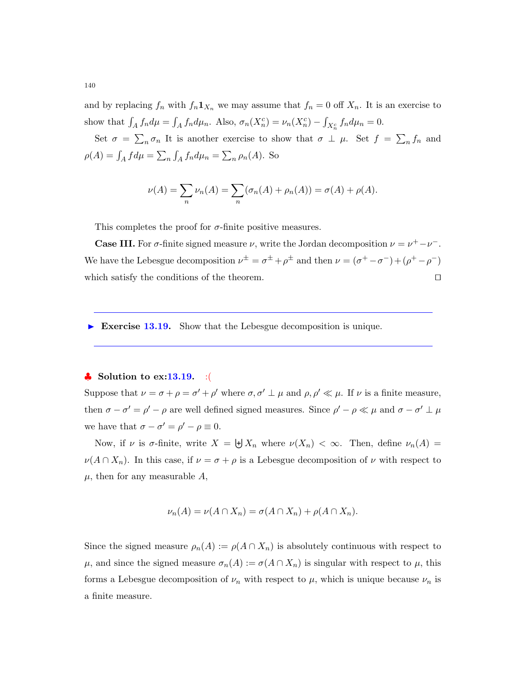and by replacing  $f_n$  with  $f_n \mathbf{1}_{X_n}$  we may assume that  $f_n = 0$  off  $X_n$ . It is an exercise to show that  $\int_A f_n d\mu = \int_A f_n d\mu_n$ . Also,  $\sigma_n(X_n^c) = \nu_n(X_n^c) - \int_{X_n^c} f_n d\mu_n = 0$ .

Set  $\sigma = \sum_{n} \sigma_n$  It is another exercise to show that  $\sigma \perp \mu$ . Set  $f = \sum_{n} f_n$  and  $\rho(A) = \int_A f d\mu = \sum_n \int_A f_n d\mu_n = \sum_n \rho_n(A)$ . So

$$
\nu(A) = \sum_{n} \nu_n(A) = \sum_{n} (\sigma_n(A) + \rho_n(A)) = \sigma(A) + \rho(A).
$$

This completes the proof for  $\sigma$ -finite positive measures.

**Case III.** For  $\sigma$ -finite signed measure  $\nu$ , write the Jordan decomposition  $\nu = \nu^+ - \nu^-$ . We have the Lebesgue decomposition  $\nu^{\pm} = \sigma^{\pm} + \rho^{\pm}$  and then  $\nu = (\sigma^+ - \sigma^-) + (\rho^+ - \rho^-)$ which satisfy the conditions of the theorem.  $\Box$ 

Exercise 13.19. Show that the Lebesgue decomposition is unique.

#### $\bullet$  Solution to ex:13.19. :(

Suppose that  $\nu = \sigma + \rho = \sigma' + \rho'$  where  $\sigma, \sigma' \perp \mu$  and  $\rho, \rho' \ll \mu$ . If  $\nu$  is a finite measure, then  $\sigma - \sigma' = \rho' - \rho$  are well defined signed measures. Since  $\rho' - \rho \ll \mu$  and  $\sigma - \sigma' \perp \mu$ we have that  $\sigma - \sigma' = \rho' - \rho \equiv 0$ .

Now, if  $\nu$  is  $\sigma$ -finite, write  $X = \biguplus X_n$  where  $\nu(X_n) < \infty$ . Then, define  $\nu_n(A) =$  $\nu(A \cap X_n)$ . In this case, if  $\nu = \sigma + \rho$  is a Lebesgue decomposition of  $\nu$  with respect to  $\mu$ , then for any measurable  $A$ ,

$$
\nu_n(A) = \nu(A \cap X_n) = \sigma(A \cap X_n) + \rho(A \cap X_n).
$$

Since the signed measure  $\rho_n(A) := \rho(A \cap X_n)$  is absolutely continuous with respect to  $\mu$ , and since the signed measure  $\sigma_n(A) := \sigma(A \cap X_n)$  is singular with respect to  $\mu$ , this forms a Lebesgue decomposition of  $\nu_n$  with respect to  $\mu$ , which is unique because  $\nu_n$  is a finite measure.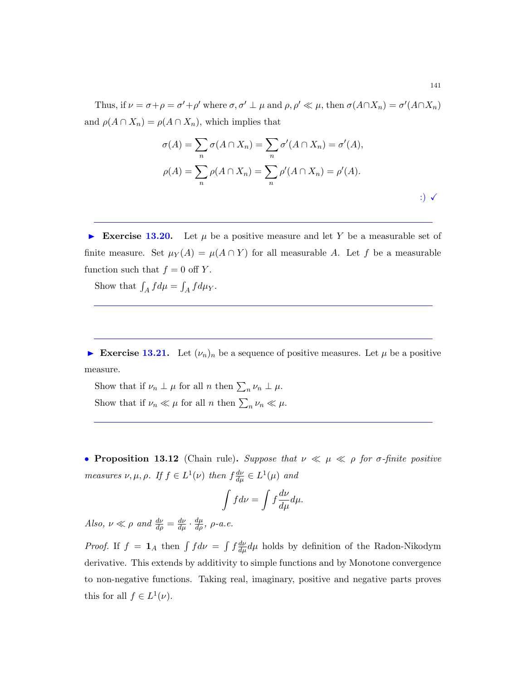Thus, if  $\nu = \sigma + \rho = \sigma' + \rho'$  where  $\sigma, \sigma' \perp \mu$  and  $\rho, \rho' \ll \mu$ , then  $\sigma(A \cap X_n) = \sigma'(A \cap X_n)$ and  $\rho(A \cap X_n) = \rho(A \cap X_n)$ , which implies that

$$
\sigma(A) = \sum_{n} \sigma(A \cap X_n) = \sum_{n} \sigma'(A \cap X_n) = \sigma'(A),
$$

$$
\rho(A) = \sum_{n} \rho(A \cap X_n) = \sum_{n} \rho'(A \cap X_n) = \rho'(A).
$$

Exercise 13.20. Let  $\mu$  be a positive measure and let Y be a measurable set of finite measure. Set  $\mu_Y(A) = \mu(A \cap Y)$  for all measurable A. Let f be a measurable function such that  $f = 0$  off Y.

Show that  $\int_A f d\mu = \int_A f d\mu_Y$ .

Exercise 13.21. Let  $(\nu_n)_n$  be a sequence of positive measures. Let  $\mu$  be a positive measure.

Show that if  $\nu_n \perp \mu$  for all n then  $\sum_n \nu_n \perp \mu$ . Show that if  $\nu_n \ll \mu$  for all n then  $\sum_n \nu_n \ll \mu$ .

• Proposition 13.12 (Chain rule). Suppose that  $\nu \ll \mu \ll \rho$  for  $\sigma$ -finite positive measures  $\nu, \mu, \rho$ . If  $f \in L^1(\nu)$  then  $f \frac{d\nu}{d\mu} \in L^1(\mu)$  and

$$
\int f d\nu = \int f \frac{d\nu}{d\mu} d\mu.
$$

Also,  $\nu \ll \rho$  and  $\frac{d\nu}{d\rho} = \frac{d\nu}{d\mu} \cdot \frac{d\mu}{d\rho}$ ,  $\rho$ -a.e.

*Proof.* If  $f = \mathbf{1}_A$  then  $\int f d\nu = \int f \frac{d\nu}{d\mu} d\mu$  holds by definition of the Radon-Nikodym derivative. This extends by additivity to simple functions and by Monotone convergence to non-negative functions. Taking real, imaginary, positive and negative parts proves this for all  $f \in L^1(\nu)$ .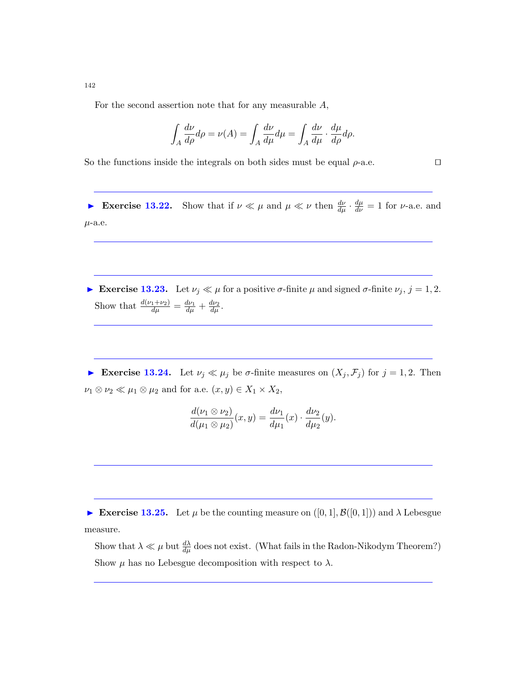For the second assertion note that for any measurable  $A$ ,

$$
\int_A \frac{d\nu}{d\rho} d\rho = \nu(A) = \int_A \frac{d\nu}{d\mu} d\mu = \int_A \frac{d\nu}{d\mu} \cdot \frac{d\mu}{d\rho} d\rho.
$$

So the functions inside the integrals on both sides must be equal  $\rho$ -a.e.  $\Box$ 

Exercise 13.22. Show that if  $\nu \ll \mu$  and  $\mu \ll \nu$  then  $\frac{d\nu}{d\mu} \cdot \frac{d\mu}{d\nu} = 1$  for  $\nu$ -a.e. and  $\mu$ -a.e.

Exercise 13.23. Let  $\nu_j \ll \mu$  for a positive  $\sigma$ -finite  $\mu$  and signed  $\sigma$ -finite  $\nu_j$ ,  $j = 1, 2$ . Show that  $\frac{d(\nu_1+\nu_2)}{d\mu} = \frac{d\nu_1}{d\mu} + \frac{d\nu_2}{d\mu}.$ 

Exercise 13.24. Let  $\nu_j \ll \mu_j$  be  $\sigma$ -finite measures on  $(X_j, \mathcal{F}_j)$  for  $j = 1, 2$ . Then  $\nu_1\otimes\nu_2\ll\mu_1\otimes\mu_2$  and for a.e.  $(x,y)\in X_1\times X_2,$ 

$$
\frac{d(\nu_1 \otimes \nu_2)}{d(\mu_1 \otimes \mu_2)}(x,y) = \frac{d\nu_1}{d\mu_1}(x) \cdot \frac{d\nu_2}{d\mu_2}(y).
$$

Exercise 13.25. Let  $\mu$  be the counting measure on  $([0,1], \mathcal{B}([0,1])$  and  $\lambda$  Lebesgue measure.

Show that  $\lambda \ll \mu$  but  $\frac{d\lambda}{d\mu}$  does not exist. (What fails in the Radon-Nikodym Theorem?) Show  $\mu$  has no Lebesgue decomposition with respect to  $\lambda$ .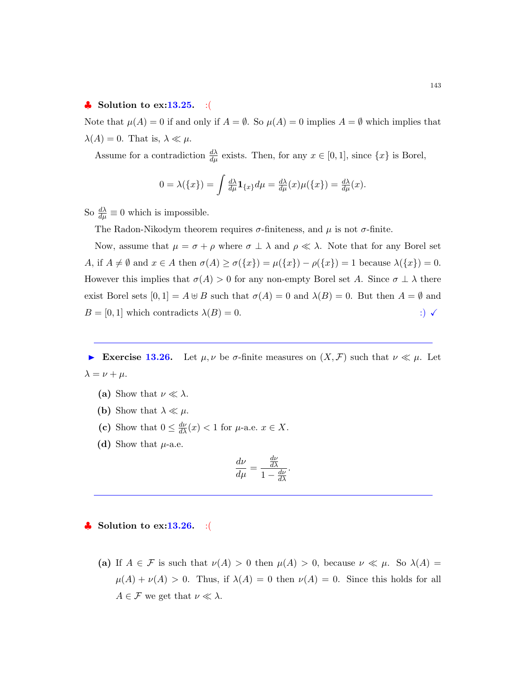## $\bullet$  Solution to ex:13.25. :(

Note that  $\mu(A) = 0$  if and only if  $A = \emptyset$ . So  $\mu(A) = 0$  implies  $A = \emptyset$  which implies that  $\lambda(A) = 0$ . That is,  $\lambda \ll \mu$ .

Assume for a contradiction  $\frac{d\lambda}{d\mu}$  exists. Then, for any  $x \in [0,1]$ , since  $\{x\}$  is Borel,

$$
0 = \lambda(\lbrace x \rbrace) = \int \frac{d\lambda}{d\mu} \mathbf{1}_{\lbrace x \rbrace} d\mu = \frac{d\lambda}{d\mu}(x) \mu(\lbrace x \rbrace) = \frac{d\lambda}{d\mu}(x).
$$

So  $\frac{d\lambda}{d\mu} \equiv 0$  which is impossible.

The Radon-Nikodym theorem requires  $\sigma$ -finiteness, and  $\mu$  is not  $\sigma$ -finite.

Now, assume that  $\mu = \sigma + \rho$  where  $\sigma \perp \lambda$  and  $\rho \ll \lambda$ . Note that for any Borel set A, if  $A \neq \emptyset$  and  $x \in A$  then  $\sigma(A) \geq \sigma(\lbrace x \rbrace) = \mu(\lbrace x \rbrace) - \rho(\lbrace x \rbrace) = 1$  because  $\lambda(\lbrace x \rbrace) = 0$ . However this implies that  $\sigma(A) > 0$  for any non-empty Borel set A. Since  $\sigma \perp \lambda$  there exist Borel sets  $[0,1] = A \oplus B$  such that  $\sigma(A) = 0$  and  $\lambda(B) = 0$ . But then  $A = \emptyset$  and  $B = [0, 1]$  which contradicts  $\lambda(B) = 0$ . :)  $\checkmark$ 

Exercise 13.26. Let  $\mu, \nu$  be  $\sigma$ -finite measures on  $(X, \mathcal{F})$  such that  $\nu \ll \mu$ . Let  $\lambda = \nu + \mu$ .

- (a) Show that  $\nu \ll \lambda$ .
- (b) Show that  $\lambda \ll \mu$ .
- (c) Show that  $0 \leq \frac{d\nu}{d\lambda}(x) < 1$  for  $\mu$ -a.e.  $x \in X$ .
- (d) Show that  $\mu$ -a.e.

$$
\frac{d\nu}{d\mu} = \frac{\frac{d\nu}{d\lambda}}{1 - \frac{d\nu}{d\lambda}}
$$

.

Solution to  $ex:13.26.$  :

(a) If  $A \in \mathcal{F}$  is such that  $\nu(A) > 0$  then  $\mu(A) > 0$ , because  $\nu \ll \mu$ . So  $\lambda(A) =$  $\mu(A) + \nu(A) > 0$ . Thus, if  $\lambda(A) = 0$  then  $\nu(A) = 0$ . Since this holds for all  $A \in \mathcal{F}$  we get that  $\nu \ll \lambda$ .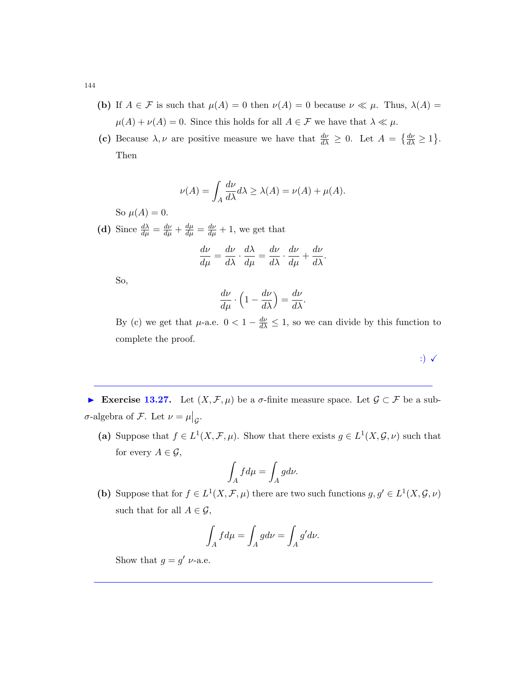- (b) If  $A \in \mathcal{F}$  is such that  $\mu(A) = 0$  then  $\nu(A) = 0$  because  $\nu \ll \mu$ . Thus,  $\lambda(A) =$  $\mu(A) + \nu(A) = 0$ . Since this holds for all  $A \in \mathcal{F}$  we have that  $\lambda \ll \mu$ .
- (c) Because  $\lambda, \nu$  are positive measure we have that  $\frac{d\nu}{d\lambda} \geq 0$ . Let  $A = \left\{ \frac{d\nu}{d\lambda} \geq 1 \right\}$ . Then

$$
\nu(A) = \int_A \frac{d\nu}{d\lambda} d\lambda \ge \lambda(A) = \nu(A) + \mu(A).
$$

So  $\mu(A) = 0$ .

(d) Since  $\frac{d\lambda}{d\mu} = \frac{d\nu}{d\mu} + \frac{d\mu}{d\mu} = \frac{d\nu}{d\mu} + 1$ , we get that

$$
\frac{d\nu}{d\mu} = \frac{d\nu}{d\lambda} \cdot \frac{d\lambda}{d\mu} = \frac{d\nu}{d\lambda} \cdot \frac{d\nu}{d\mu} + \frac{d\nu}{d\lambda}.
$$

So,

$$
\frac{d\nu}{d\mu} \cdot \left(1 - \frac{d\nu}{d\lambda}\right) = \frac{d\nu}{d\lambda}.
$$

By (c) we get that  $\mu$ -a.e.  $0 < 1 - \frac{d\nu}{d\lambda} \leq 1$ , so we can divide by this function to complete the proof.

:)  $\checkmark$ 

Exercise 13.27. Let  $(X, \mathcal{F}, \mu)$  be a  $\sigma$ -finite measure space. Let  $\mathcal{G} \subset \mathcal{F}$  be a subσ-algebra of *F*. Let  $\nu = \mu|_{\mathcal{G}}$ .

(a) Suppose that  $f \in L^1(X, \mathcal{F}, \mu)$ . Show that there exists  $g \in L^1(X, \mathcal{G}, \nu)$  such that for every  $A \in \mathcal{G}$ ,

$$
\int_A f d\mu = \int_A g d\nu.
$$

(b) Suppose that for  $f \in L^1(X, \mathcal{F}, \mu)$  there are two such functions  $g, g' \in L^1(X, \mathcal{G}, \nu)$ such that for all  $A \in \mathcal{G}$ ,

$$
\int_A f d\mu = \int_A g d\nu = \int_A g' d\nu.
$$

Show that  $g = g' \nu$ -a.e.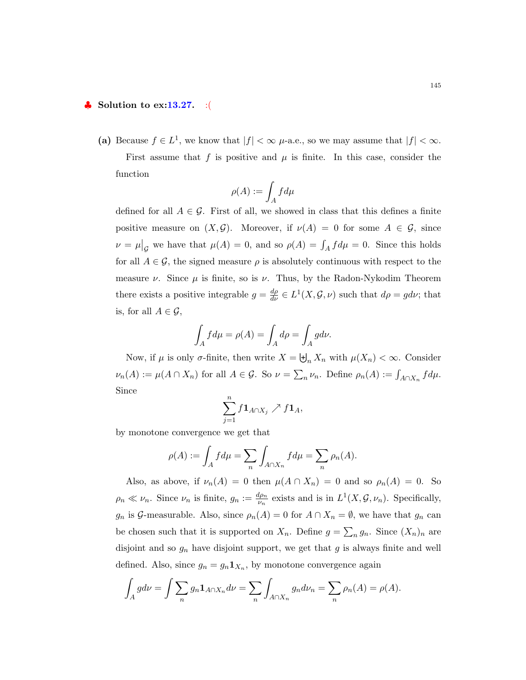## $\bullet$  Solution to ex:13.27. :(

(a) Because  $f \in L^1$ , we know that  $|f| < \infty$   $\mu$ -a.e., so we may assume that  $|f| < \infty$ . First assume that f is positive and  $\mu$  is finite. In this case, consider the function

$$
\rho(A):=\int_A f d\mu
$$

defined for all  $A \in \mathcal{G}$ . First of all, we showed in class that this defines a finite positive measure on  $(X, \mathcal{G})$ . Moreover, if  $\nu(A) = 0$  for some  $A \in \mathcal{G}$ , since  $\nu = \mu|_{\mathcal{G}}$  we have that  $\mu(A) = 0$ , and so  $\rho(A) = \int_A f d\mu = 0$ . Since this holds for all  $A \in \mathcal{G}$ , the signed measure  $\rho$  is absolutely continuous with respect to the measure  $\nu$ . Since  $\mu$  is finite, so is  $\nu$ . Thus, by the Radon-Nykodim Theorem there exists a positive integrable  $g = \frac{d\rho}{d\nu} \in L^1(X, \mathcal{G}, \nu)$  such that  $d\rho = g d\nu$ ; that is, for all  $A \in \mathcal{G}$ ,

$$
\int_A f d\mu = \rho(A) = \int_A d\rho = \int_A g d\nu.
$$

Now, if  $\mu$  is only  $\sigma$ -finite, then write  $X = \biguplus_n X_n$  with  $\mu(X_n) < \infty$ . Consider  $\nu_n(A) := \mu(A \cap X_n)$  for all  $A \in \mathcal{G}$ . So  $\nu = \sum_n \nu_n$ . Define  $\rho_n(A) := \int_{A \cap X_n} f d\mu$ . Since

$$
\sum_{j=1}^n f\mathbf{1}_{A\cap X_j} \nearrow f\mathbf{1}_A,
$$

by monotone convergence we get that

$$
\rho(A) := \int_A f d\mu = \sum_n \int_{A \cap X_n} f d\mu = \sum_n \rho_n(A).
$$

Also, as above, if  $\nu_n(A) = 0$  then  $\mu(A \cap X_n) = 0$  and so  $\rho_n(A) = 0$ . So  $\rho_n \ll \nu_n$ . Since  $\nu_n$  is finite,  $g_n := \frac{d\rho_n}{\nu_n}$  $\frac{\mu_{\rho_n}}{\nu_n}$  exists and is in  $L^1(X, \mathcal{G}, \nu_n)$ . Specifically,  $g_n$  is G-measurable. Also, since  $\rho_n(A) = 0$  for  $A \cap X_n = \emptyset$ , we have that  $g_n$  can be chosen such that it is supported on  $X_n$ . Define  $g = \sum_n g_n$ . Since  $(X_n)_n$  are disjoint and so  $g_n$  have disjoint support, we get that g is always finite and well defined. Also, since  $g_n = g_n \mathbf{1}_{X_n}$ , by monotone convergence again

$$
\int_A g d\nu = \int \sum_n g_n \mathbf{1}_{A \cap X_n} d\nu = \sum_n \int_{A \cap X_n} g_n d\nu_n = \sum_n \rho_n(A) = \rho(A).
$$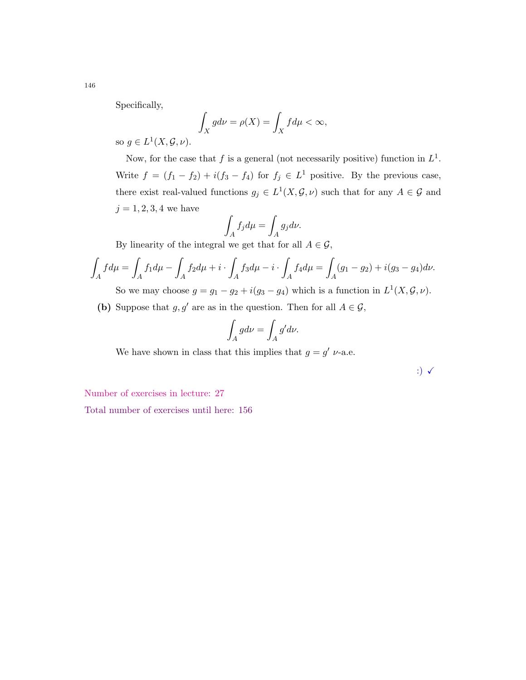Specifically,

$$
\int_X g d\nu = \rho(X) = \int_X f d\mu < \infty,
$$

so  $g \in L^1(X, \mathcal{G}, \nu)$ .

Now, for the case that f is a general (not necessarily positive) function in  $L^1$ . Write  $f = (f_1 - f_2) + i(f_3 - f_4)$  for  $f_j \in L^1$  positive. By the previous case, there exist real-valued functions  $g_j \in L^1(X, \mathcal{G}, \nu)$  such that for any  $A \in \mathcal{G}$  and  $j = 1, 2, 3, 4$  we have

$$
\int_A f_j d\mu = \int_A g_j d\nu.
$$

By linearity of the integral we get that for all  $A \in \mathcal{G}$ ,

$$
\int_{A} f d\mu = \int_{A} f_{1} d\mu - \int_{A} f_{2} d\mu + i \cdot \int_{A} f_{3} d\mu - i \cdot \int_{A} f_{4} d\mu = \int_{A} (g_{1} - g_{2}) + i(g_{3} - g_{4}) d\nu.
$$

So we may choose  $g = g_1 - g_2 + i(g_3 - g_4)$  which is a function in  $L^1(X, \mathcal{G}, \nu)$ .

(b) Suppose that  $g, g'$  are as in the question. Then for all  $A \in \mathcal{G}$ ,

$$
\int_A g d\nu = \int_A g' d\nu.
$$

We have shown in class that this implies that  $g = g' \nu$ -a.e.

:)  $\checkmark$ 

Number of exercises in lecture: 27

Total number of exercises until here: 156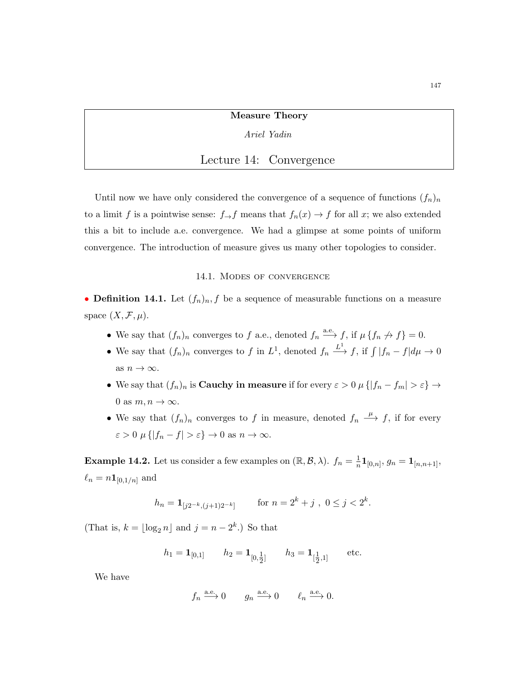Measure Theory

#### Ariel Yadin

## Lecture 14: Convergence

Until now we have only considered the convergence of a sequence of functions  $(f_n)_n$ to a limit f is a pointwise sense:  $f \rightarrow f$  means that  $f_n(x) \rightarrow f$  for all x; we also extended this a bit to include a.e. convergence. We had a glimpse at some points of uniform convergence. The introduction of measure gives us many other topologies to consider.

#### 14.1. Modes of convergence

• **Definition 14.1.** Let  $(f_n)_n, f$  be a sequence of measurable functions on a measure space  $(X, \mathcal{F}, \mu)$ .

- We say that  $(f_n)_n$  converges to f a.e., denoted  $f_n \stackrel{\text{a.e.}}{\longrightarrow} f$ , if  $\mu \{f_n \nrightarrow f\} = 0$ .
- We say that  $(f_n)_n$  converges to f in  $L^1$ , denoted  $f_n \stackrel{L^1}{\longrightarrow} f$ , if  $\int |f_n f| d\mu \to 0$ as  $n \to \infty$ .
- We say that  $(f_n)_n$  is **Cauchy in measure** if for every  $\varepsilon > 0$   $\mu\{|f_n f_m| > \varepsilon\} \to$ 0 as  $m, n \to \infty$ .
- We say that  $(f_n)_n$  converges to f in measure, denoted  $f_n \stackrel{\mu}{\longrightarrow} f$ , if for every  $\varepsilon > 0$   $\mu \{ |f_n - f| > \varepsilon \} \to 0$  as  $n \to \infty$ .

**Example 14.2.** Let us consider a few examples on  $(\mathbb{R}, \mathcal{B}, \lambda)$ .  $f_n = \frac{1}{n}$  $\frac{1}{n} {\bf 1}_{[0,n]}, \, g_n = {\bf 1}_{[n,n+1]},$  $\ell_n = n \mathbf{1}_{[0,1/n]}$  and

$$
h_n = \mathbf{1}_{[j2^{-k}, (j+1)2^{-k}]} \qquad \text{for } n = 2^k + j \text{ , } 0 \le j < 2^k.
$$

(That is,  $k = \lfloor \log_2 n \rfloor$  and  $j = n - 2^k$ .) So that

$$
h_1 = \mathbf{1}_{[0,1]}
$$
  $h_2 = \mathbf{1}_{[0,\frac{1}{2}]}$   $h_3 = \mathbf{1}_{[\frac{1}{2},1]}$  etc.

We have

$$
f_n \xrightarrow{\text{a.e.}} 0
$$
  $g_n \xrightarrow{\text{a.e.}} 0$   $\ell_n \xrightarrow{\text{a.e.}} 0.$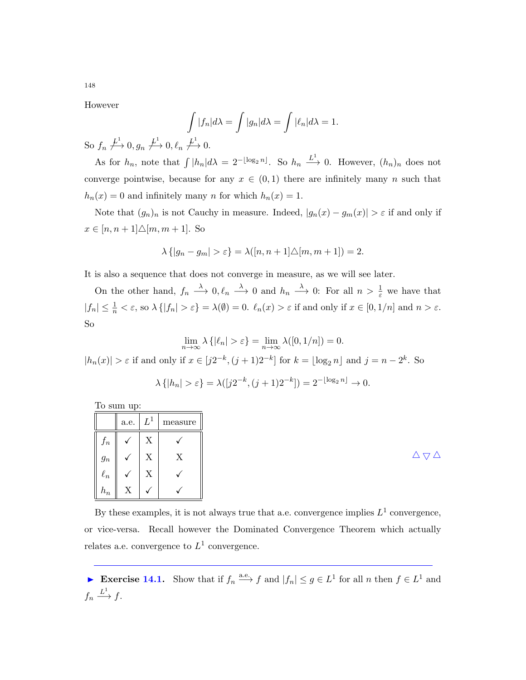However

$$
\int_{L^1} |f_n| d\lambda = \int |g_n| d\lambda = \int |\ell_n| d\lambda = 1.
$$

So  $f_n \not\stackrel{L^1}{\longrightarrow} 0, g_n \not\stackrel{L^1}{\longrightarrow} 0, \ell_n \not\stackrel{L^1}{\longrightarrow} 0.$ 

As for  $h_n$ , note that  $\int |h_n|d\lambda = 2^{-\lfloor \log_2 n \rfloor}$ . So  $h_n \stackrel{L^1}{\longrightarrow} 0$ . However,  $(h_n)_n$  does not converge pointwise, because for any  $x \in (0,1)$  there are infinitely many n such that  $h_n(x) = 0$  and infinitely many n for which  $h_n(x) = 1$ .

Note that  $(g_n)_n$  is not Cauchy in measure. Indeed,  $|g_n(x) - g_m(x)| > \varepsilon$  if and only if  $x \in [n, n+1] \triangle [m, m+1]$ . So

$$
\lambda \{|g_n - g_m| > \varepsilon\} = \lambda([n, n+1]\triangle[m, m+1]) = 2.
$$

It is also a sequence that does not converge in measure, as we will see later.

On the other hand,  $f_n \longrightarrow 0, \ell_n \longrightarrow 0$  and  $h_n \longrightarrow 0$ : For all  $n > \frac{1}{\varepsilon}$  we have that  $|f_n| \leq \frac{1}{n} < \varepsilon$ , so  $\lambda \{ |f_n| > \varepsilon \} = \lambda(\emptyset) = 0$ .  $\ell_n(x) > \varepsilon$  if and only if  $x \in [0, 1/n]$  and  $n > \varepsilon$ . So

$$
\lim_{n \to \infty} \lambda \left\{ |\ell_n| > \varepsilon \right\} = \lim_{n \to \infty} \lambda([0, 1/n]) = 0.
$$
\n
$$
|h_n(x)| > \varepsilon \text{ if and only if } x \in [j2^{-k}, (j+1)2^{-k}] \text{ for } k = \lfloor \log_2 n \rfloor \text{ and } j = n - 2^k. \text{ So}
$$
\n
$$
\lambda \left\{ |h_n| > \varepsilon \right\} = \lambda([j2^{-k}, (j+1)2^{-k}]) = 2^{-\lfloor \log_2 n \rfloor} \to 0.
$$

To sum up:

|          | a.e.                      | $L^1$                     | $\operatorname{measure}$ |
|----------|---------------------------|---------------------------|--------------------------|
| $f_n$    |                           | X                         |                          |
| $g_n$    |                           | X                         | $\mathbf X$              |
| $\ell_n$ |                           | $\boldsymbol{\mathrm{X}}$ |                          |
| $h_n$    | $\mathbf{v}$<br>$\Lambda$ |                           | v                        |

By these examples, it is not always true that a.e. convergence implies  $L^1$  convergence, or vice-versa. Recall however the Dominated Convergence Theorem which actually relates a.e. convergence to  $L^1$  convergence.

Exercise 14.1. Show that if  $f_n \stackrel{\text{a.e.}}{\longrightarrow} f$  and  $|f_n| \leq g \in L^1$  for all n then  $f \in L^1$  and  $f_n \xrightarrow{L^1} f.$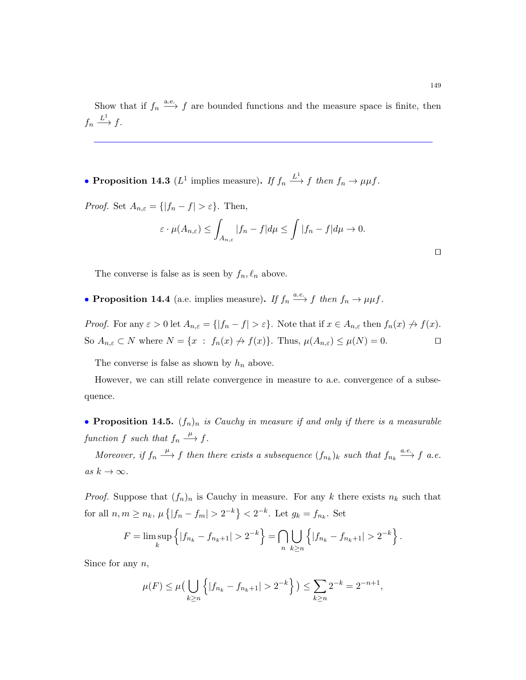Show that if  $f_n \stackrel{\text{a.e.}}{\longrightarrow} f$  are bounded functions and the measure space is finite, then  $f_n \xrightarrow{L^1} f.$ 

• Proposition 14.3 ( $L^1$  implies measure). If  $f_n \stackrel{L^1}{\longrightarrow} f$  then  $f_n \to \mu \mu f$ .

*Proof.* Set  $A_{n,\varepsilon} = \{ |f_n - f| > \varepsilon \}.$  Then,

$$
\varepsilon \cdot \mu(A_{n,\varepsilon}) \le \int_{A_{n,\varepsilon}} |f_n - f| d\mu \le \int |f_n - f| d\mu \to 0.
$$

The converse is false as is seen by  $f_n, \ell_n$  above.

• Proposition 14.4 (a.e. implies measure). If  $f_n \xrightarrow{a.e.} f$  then  $f_n \to \mu \mu f$ .

*Proof.* For any  $\varepsilon > 0$  let  $A_{n,\varepsilon} = \{ |f_n - f| > \varepsilon \}$ . Note that if  $x \in A_{n,\varepsilon}$  then  $f_n(x) \nrightarrow f(x)$ . So  $A_{n,\varepsilon} \subset N$  where  $N = \{x : f_n(x) \not\rightarrow f(x)\}$ . Thus,  $\mu(A_{n,\varepsilon}) \leq \mu(N) = 0$ .

The converse is false as shown by  $h_n$  above.

However, we can still relate convergence in measure to a.e. convergence of a subsequence.

• Proposition 14.5.  $(f_n)_n$  is Cauchy in measure if and only if there is a measurable function f such that  $f_n \stackrel{\mu}{\longrightarrow} f$ .

Moreover, if  $f_n \stackrel{\mu}{\longrightarrow} f$  then there exists a subsequence  $(f_{n_k})_k$  such that  $f_{n_k} \stackrel{a.e.}{\longrightarrow} f$  a.e. as  $k \to \infty$ .

*Proof.* Suppose that  $(f_n)_n$  is Cauchy in measure. For any k there exists  $n_k$  such that for all  $n, m \ge n_k$ ,  $\mu\{|f_n - f_m| > 2^{-k}\} < 2^{-k}$ . Let  $g_k = f_{n_k}$ . Set

$$
F = \limsup_{k} \left\{ |f_{n_k} - f_{n_k+1}| > 2^{-k} \right\} = \bigcap_{n} \bigcup_{k \ge n} \left\{ |f_{n_k} - f_{n_k+1}| > 2^{-k} \right\}.
$$

Since for any  $n$ ,

$$
\mu(F) \le \mu\left(\bigcup_{k\ge n} \left\{|f_{n_k} - f_{n_k+1}| > 2^{-k}\right\}\right) \le \sum_{k\ge n} 2^{-k} = 2^{-n+1},
$$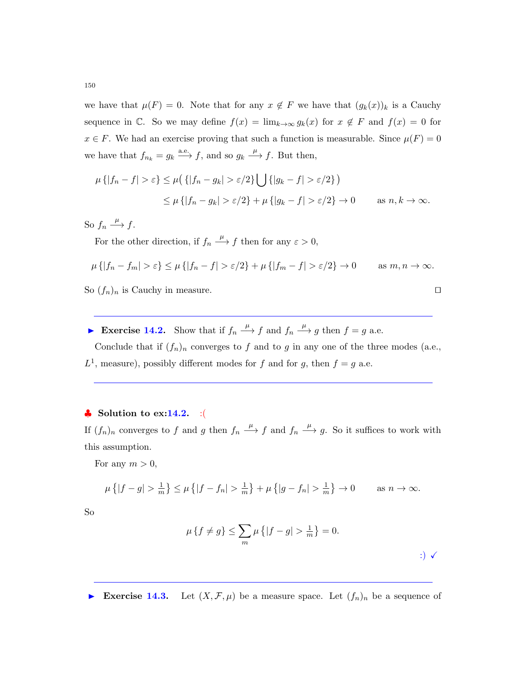we have that  $\mu(F) = 0$ . Note that for any  $x \notin F$  we have that  $(g_k(x))_k$  is a Cauchy sequence in C. So we may define  $f(x) = \lim_{k\to\infty} g_k(x)$  for  $x \notin F$  and  $f(x) = 0$  for  $x \in F$ . We had an exercise proving that such a function is measurable. Since  $\mu(F) = 0$ we have that  $f_{n_k} = g_k \xrightarrow{a.e.} f$ , and so  $g_k \xrightarrow{\mu} f$ . But then,

$$
\mu\{|f_n - f| > \varepsilon\} \le \mu\big(\{|f_n - g_k| > \varepsilon/2\}\bigcup\{|g_k - f| > \varepsilon/2\}\big)
$$
  

$$
\le \mu\{|f_n - g_k| > \varepsilon/2\} + \mu\{|g_k - f| > \varepsilon/2\} \to 0 \quad \text{as } n, k \to \infty.
$$

So  $f_n \xrightarrow{\mu} f$ .

For the other direction, if  $f_n \xrightarrow{\mu} f$  then for any  $\varepsilon > 0$ ,

$$
\mu\{|f_n - f_m| > \varepsilon\} \le \mu\{|f_n - f| > \varepsilon/2\} + \mu\{|f_m - f| > \varepsilon/2\} \to 0 \quad \text{as } m, n \to \infty.
$$

So  $(f_n)_n$  is Cauchy in measure.

► Exercise 14.2. Show that if  $f_n \xrightarrow{\mu} f$  and  $f_n \xrightarrow{\mu} g$  then  $f = g$  a.e.

Conclude that if  $(f_n)_n$  converges to f and to g in any one of the three modes (a.e.,  $L^1$ , measure), possibly different modes for f and for g, then  $f = g$  a.e.

#### $\bullet$  Solution to ex:14.2. :(

If  $(f_n)_n$  converges to f and g then  $f_n \stackrel{\mu}{\longrightarrow} f$  and  $f_n \stackrel{\mu}{\longrightarrow} g$ . So it suffices to work with this assumption.

For any  $m > 0$ ,

$$
\mu\left\{|f-g| > \frac{1}{m}\right\} \le \mu\left\{|f-f_n| > \frac{1}{m}\right\} + \mu\left\{|g-f_n| > \frac{1}{m}\right\} \to 0 \quad \text{as } n \to \infty.
$$

So

$$
\mu\left\{f \neq g\right\} \le \sum_{m} \mu\left\{|f - g| > \frac{1}{m}\right\} = 0.
$$
\n
$$
\tag{3}
$$

Exercise 14.3. Let  $(X, \mathcal{F}, \mu)$  be a measure space. Let  $(f_n)_n$  be a sequence of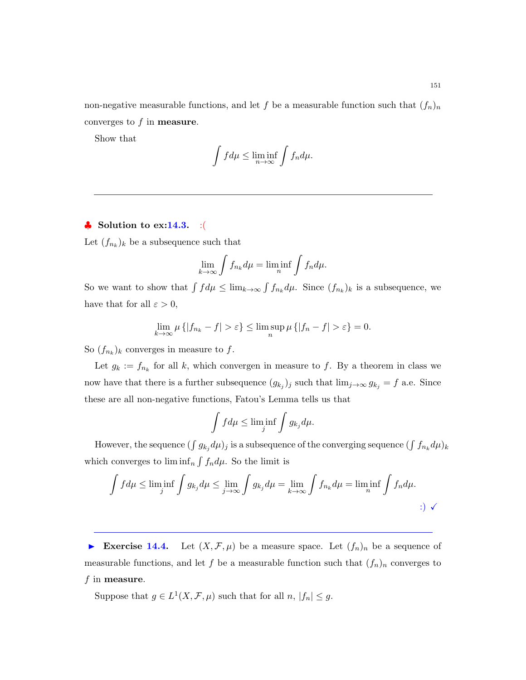non-negative measurable functions, and let f be a measurable function such that  $(f_n)_n$ converges to  $f$  in **measure**.

Show that

$$
\int f d\mu \le \liminf_{n \to \infty} \int f_n d\mu.
$$

# $\bullet$  Solution to ex:14.3. :(

Let  $(f_{n_k})_k$  be a subsequence such that

$$
\lim_{k \to \infty} \int f_{n_k} d\mu = \liminf_n \int f_n d\mu.
$$

So we want to show that  $\int f d\mu \leq \lim_{k \to \infty} \int f_{n_k} d\mu$ . Since  $(f_{n_k})_k$  is a subsequence, we have that for all  $\varepsilon > 0$ ,

$$
\lim_{k \to \infty} \mu \{|f_{n_k} - f| > \varepsilon\} \le \limsup_n \mu \{|f_n - f| > \varepsilon\} = 0.
$$

So  $(f_{n_k})_k$  converges in measure to f.

Let  $g_k := f_{n_k}$  for all k, which convergen in measure to f. By a theorem in class we now have that there is a further subsequence  $(g_{k_j})_j$  such that  $\lim_{j\to\infty} g_{k_j} = f$  a.e. Since these are all non-negative functions, Fatou's Lemma tells us that

$$
\int f d\mu \le \liminf_j \int g_{k_j} d\mu.
$$

However, the sequence  $(\int g_{k_j} d\mu)_j$  is a subsequence of the converging sequence  $(\int f_{n_k} d\mu)_k$ which converges to  $\liminf_{n} \int f_n d\mu$ . So the limit is

$$
\int f d\mu \le \liminf_{j} \int g_{k_j} d\mu \le \lim_{j \to \infty} \int g_{k_j} d\mu = \lim_{k \to \infty} \int f_{n_k} d\mu = \liminf_{n} \int f_n d\mu.
$$

Exercise 14.4. Let  $(X, \mathcal{F}, \mu)$  be a measure space. Let  $(f_n)_n$  be a sequence of measurable functions, and let f be a measurable function such that  $(f_n)_n$  converges to  $f$  in measure.

Suppose that  $g \in L^1(X, \mathcal{F}, \mu)$  such that for all  $n, |f_n| \leq g$ .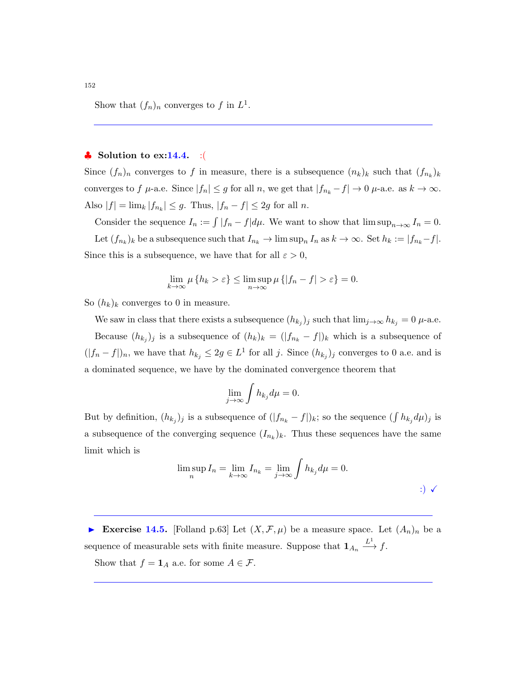Show that  $(f_n)_n$  converges to f in  $L^1$ .

#### $\bullet$  Solution to ex:14.4. : (

Since  $(f_n)_n$  converges to f in measure, there is a subsequence  $(n_k)_k$  such that  $(f_{n_k})_k$ converges to f  $\mu$ -a.e. Since  $|f_n| \leq g$  for all n, we get that  $|f_{n_k} - f| \to 0$   $\mu$ -a.e. as  $k \to \infty$ . Also  $|f| = \lim_{k} |f_{n_k}| \leq g$ . Thus,  $|f_n - f| \leq 2g$  for all n.

Consider the sequence  $I_n := \int |f_n - f| d\mu$ . We want to show that  $\limsup_{n \to \infty} I_n = 0$ . Let  $(f_{n_k})_k$  be a subsequence such that  $I_{n_k} \to \limsup_n I_n$  as  $k \to \infty$ . Set  $h_k := |f_{n_k} - f|$ . Since this is a subsequence, we have that for all  $\varepsilon > 0$ ,

$$
\lim_{k \to \infty} \mu \{ h_k > \varepsilon \} \le \limsup_{n \to \infty} \mu \{ |f_n - f| > \varepsilon \} = 0.
$$

So  $(h_k)_k$  converges to 0 in measure.

We saw in class that there exists a subsequence  $(h_{k_j})_j$  such that  $\lim_{j\to\infty} h_{k_j} = 0$   $\mu$ -a.e. Because  $(h_{k_j})_j$  is a subsequence of  $(h_k)_k = (|f_{n_k} - f|)_k$  which is a subsequence of  $(|f_n - f|)_n$ , we have that  $h_{k_j} \leq 2g \in L^1$  for all j. Since  $(h_{k_j})_j$  converges to 0 a.e. and is a dominated sequence, we have by the dominated convergence theorem that

$$
\lim_{j \to \infty} \int h_{k_j} d\mu = 0.
$$

But by definition,  $(h_{k_j})_j$  is a subsequence of  $(|f_{n_k} - f|)_k$ ; so the sequence  $(\int h_{k_j} d\mu)_j$  is a subsequence of the converging sequence  $(I_{n_k})_k$ . Thus these sequences have the same limit which is

$$
\limsup_{n} I_n = \lim_{k \to \infty} I_{n_k} = \lim_{j \to \infty} \int h_{k_j} d\mu = 0.
$$

Exercise 14.5. [Folland p.63] Let  $(X, \mathcal{F}, \mu)$  be a measure space. Let  $(A_n)_n$  be a sequence of measurable sets with finite measure. Suppose that  $1_{A_n} \stackrel{L^1}{\longrightarrow} f$ .

Show that  $f = \mathbf{1}_A$  a.e. for some  $A \in \mathcal{F}$ .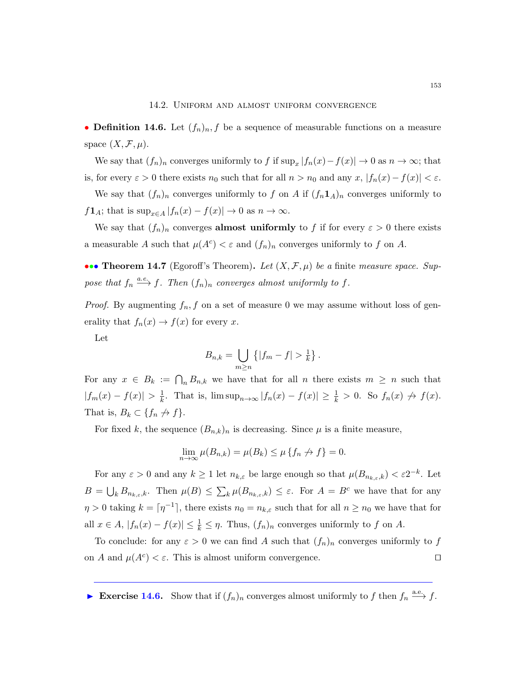#### 14.2. Uniform and almost uniform convergence

• **Definition 14.6.** Let  $(f_n)_n, f$  be a sequence of measurable functions on a measure space  $(X, \mathcal{F}, \mu)$ .

We say that  $(f_n)_n$  converges uniformly to f if  $\sup_x |f_n(x) - f(x)| \to 0$  as  $n \to \infty$ ; that is, for every  $\varepsilon > 0$  there exists  $n_0$  such that for all  $n > n_0$  and any  $x, |f_n(x) - f(x)| < \varepsilon$ .

We say that  $(f_n)_n$  converges uniformly to f on A if  $(f_n 1_A)_n$  converges uniformly to  $f\mathbf{1}_A$ ; that is  $\sup_{x\in A}|f_n(x)-f(x)|\to 0$  as  $n\to\infty$ .

We say that  $(f_n)_n$  converges **almost uniformly** to f if for every  $\varepsilon > 0$  there exists a measurable A such that  $\mu(A^c) < \varepsilon$  and  $(f_n)_n$  converges uniformly to f on A.

••• Theorem 14.7 (Egoroff's Theorem). Let  $(X, \mathcal{F}, \mu)$  be a finite measure space. Suppose that  $f_n \stackrel{a.e.}{\longrightarrow} f$ . Then  $(f_n)_n$  converges almost uniformly to f.

*Proof.* By augmenting  $f_n$ , f on a set of measure 0 we may assume without loss of generality that  $f_n(x) \to f(x)$  for every x.

Let

$$
B_{n,k} = \bigcup_{m \ge n} \left\{ |f_m - f| > \frac{1}{k} \right\}.
$$

For any  $x \in B_k := \bigcap_n B_{n,k}$  we have that for all n there exists  $m \geq n$  such that  $|f_m(x) - f(x)| > \frac{1}{k}$  $\frac{1}{k}$ . That is,  $\limsup_{n\to\infty} |f_n(x) - f(x)| \geq \frac{1}{k} > 0$ . So  $f_n(x) \nrightarrow f(x)$ . That is,  $B_k \subset \{f_n \nrightarrow f\}.$ 

For fixed k, the sequence  $(B_{n,k})_n$  is decreasing. Since  $\mu$  is a finite measure,

$$
\lim_{n \to \infty} \mu(B_{n,k}) = \mu(B_k) \le \mu \{ f_n \nrightarrow f \} = 0.
$$

For any  $\varepsilon > 0$  and any  $k \ge 1$  let  $n_{k,\varepsilon}$  be large enough so that  $\mu(B_{n_{k,\varepsilon},k}) < \varepsilon 2^{-k}$ . Let  $B = \bigcup_k B_{n_{k,\varepsilon},k}$ . Then  $\mu(B) \leq \sum_k \mu(B_{n_{k,\varepsilon},k}) \leq \varepsilon$ . For  $A = B^c$  we have that for any  $\eta > 0$  taking  $k = \lceil \eta^{-1} \rceil$ , there exists  $n_0 = n_{k,\varepsilon}$  such that for all  $n \ge n_0$  we have that for all  $x \in A$ ,  $|f_n(x) - f(x)| \leq \frac{1}{k} \leq \eta$ . Thus,  $(f_n)_n$  converges uniformly to f on A.

To conclude: for any  $\varepsilon > 0$  we can find A such that  $(f_n)_n$  converges uniformly to f on A and  $\mu(A^c) < \varepsilon$ . This is almost uniform convergence.

Exercise 14.6. Show that if  $(f_n)_n$  converges almost uniformly to f then  $f_n \xrightarrow{a.e.} f$ .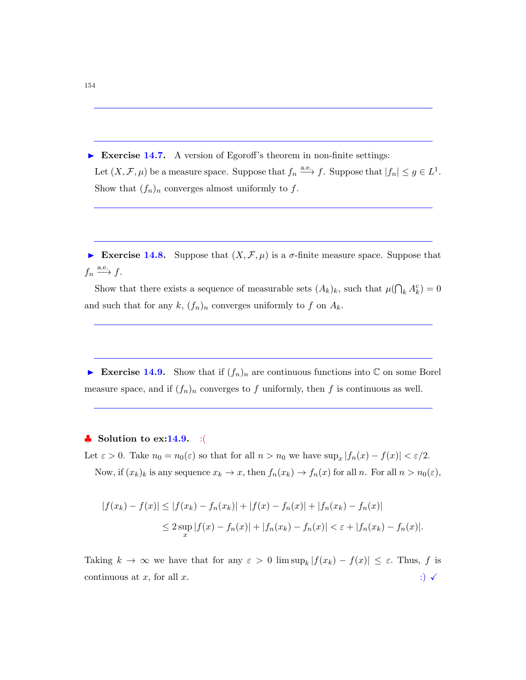Exercise 14.7. A version of Egoroff's theorem in non-finite settings: Let  $(X, \mathcal{F}, \mu)$  be a measure space. Suppose that  $f_n \xrightarrow{a.e.} f$ . Suppose that  $|f_n| \le g \in L^1$ . Show that  $(f_n)_n$  converges almost uniformly to f.

Exercise 14.8. Suppose that  $(X, \mathcal{F}, \mu)$  is a  $\sigma$ -finite measure space. Suppose that  $f_n \xrightarrow{\text{a.e.}} f.$ 

Show that there exists a sequence of measurable sets  $(A_k)_k$ , such that  $\mu(\bigcap_k A_k^c) = 0$ and such that for any  $k$ ,  $(f_n)_n$  converges uniformly to f on  $A_k$ .

Exercise 14.9. Show that if  $(f_n)_n$  are continuous functions into C on some Borel measure space, and if  $(f_n)_n$  converges to f uniformly, then f is continuous as well.

## $\bullet$  Solution to ex:14.9. :(

Let  $\varepsilon > 0$ . Take  $n_0 = n_0(\varepsilon)$  so that for all  $n > n_0$  we have  $\sup_x |f_n(x) - f(x)| < \varepsilon/2$ . Now, if  $(x_k)_k$  is any sequence  $x_k \to x$ , then  $f_n(x_k) \to f_n(x)$  for all n. For all  $n > n_0(\varepsilon)$ ,

$$
|f(x_k) - f(x)| \le |f(x_k) - f_n(x_k)| + |f(x) - f_n(x)| + |f_n(x_k) - f_n(x)|
$$
  

$$
\le 2 \sup_x |f(x) - f_n(x)| + |f_n(x_k) - f_n(x)| < \varepsilon + |f_n(x_k) - f_n(x)|.
$$

Taking  $k \to \infty$  we have that for any  $\varepsilon > 0$  lim  $\sup_k |f(x_k) - f(x)| \leq \varepsilon$ . Thus, f is continuous at x, for all x.  $\hspace{1cm}$  :)  $\checkmark$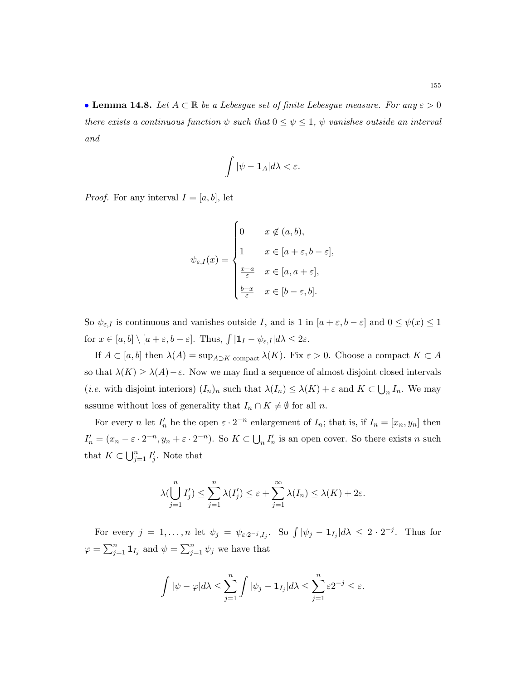• Lemma 14.8. Let  $A \subset \mathbb{R}$  be a Lebesgue set of finite Lebesgue measure. For any  $\varepsilon > 0$ there exists a continuous function  $\psi$  such that  $0 \leq \psi \leq 1$ ,  $\psi$  vanishes outside an interval and

$$
\int |\psi - \mathbf{1}_A| d\lambda < \varepsilon.
$$

*Proof.* For any interval  $I = [a, b]$ , let

$$
\psi_{\varepsilon,I}(x) = \begin{cases}\n0 & x \notin (a,b), \\
1 & x \in [a+\varepsilon, b-\varepsilon], \\
\frac{x-a}{\varepsilon} & x \in [a, a+\varepsilon], \\
\frac{b-x}{\varepsilon} & x \in [b-\varepsilon, b].\n\end{cases}
$$

So  $\psi_{\varepsilon,I}$  is continuous and vanishes outside I, and is 1 in  $[a+\varepsilon,b-\varepsilon]$  and  $0 \le \psi(x) \le 1$ for  $x \in [a, b] \setminus [a + \varepsilon, b - \varepsilon]$ . Thus,  $\int |1_I - \psi_{\varepsilon, I}| d\lambda \leq 2\varepsilon$ .

If  $A \subset [a, b]$  then  $\lambda(A) = \sup_{A \supset K} \text{ compact } \lambda(K)$ . Fix  $\varepsilon > 0$ . Choose a compact  $K \subset A$ so that  $\lambda(K) \geq \lambda(A) - \varepsilon$ . Now we may find a sequence of almost disjoint closed intervals (*i.e.* with disjoint interiors)  $(I_n)_n$  such that  $\lambda(I_n) \leq \lambda(K) + \varepsilon$  and  $K \subset \bigcup_n I_n$ . We may assume without loss of generality that  $I_n \cap K \neq \emptyset$  for all n.

For every *n* let  $I'_n$  be the open  $\varepsilon \cdot 2^{-n}$  enlargement of  $I_n$ ; that is, if  $I_n = [x_n, y_n]$  then  $I'_n = (x_n - \varepsilon \cdot 2^{-n}, y_n + \varepsilon \cdot 2^{-n})$ . So  $K \subset \bigcup_n I'_n$  is an open cover. So there exists n such that  $K \subset \bigcup_{j=1}^n I'_j$ . Note that

$$
\lambda(\bigcup_{j=1}^n I'_j) \le \sum_{j=1}^n \lambda(I'_j) \le \varepsilon + \sum_{j=1}^\infty \lambda(I_n) \le \lambda(K) + 2\varepsilon.
$$

For every  $j = 1, ..., n$  let  $\psi_j = \psi_{\varepsilon \cdot 2^{-j}, I_j}$ . So  $\int |\psi_j - \mathbf{1}_{I_j}| d\lambda \leq 2 \cdot 2^{-j}$ . Thus for  $\varphi = \sum_{j=1}^n \mathbf{1}_{I_j}$  and  $\psi = \sum_{j=1}^n \psi_j$  we have that

$$
\int |\psi - \varphi| d\lambda \le \sum_{j=1}^n \int |\psi_j - \mathbf{1}_{I_j}| d\lambda \le \sum_{j=1}^n \varepsilon 2^{-j} \le \varepsilon.
$$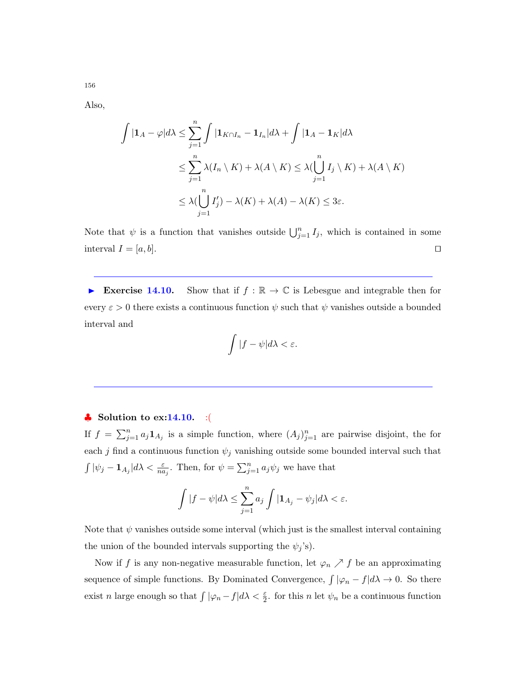Also,

$$
\int |\mathbf{1}_A - \varphi| d\lambda \le \sum_{j=1}^n \int |\mathbf{1}_{K \cap I_n} - \mathbf{1}_{I_n}| d\lambda + \int |\mathbf{1}_A - \mathbf{1}_K| d\lambda
$$
  

$$
\le \sum_{j=1}^n \lambda(I_n \setminus K) + \lambda(A \setminus K) \le \lambda(\bigcup_{j=1}^n I_j \setminus K) + \lambda(A \setminus K)
$$
  

$$
\le \lambda(\bigcup_{j=1}^n I'_j) - \lambda(K) + \lambda(A) - \lambda(K) \le 3\varepsilon.
$$

Note that  $\psi$  is a function that vanishes outside  $\bigcup_{j=1}^n I_j$ , which is contained in some interval  $I = [a, b]$ .

Exercise 14.10. Show that if  $f : \mathbb{R} \to \mathbb{C}$  is Lebesgue and integrable then for every  $\varepsilon > 0$  there exists a continuous function  $\psi$  such that  $\psi$  vanishes outside a bounded interval and

$$
\int |f-\psi|d\lambda < \varepsilon.
$$

#### $\bullet$  Solution to ex:14.10. :(

If  $f = \sum_{j=1}^n a_j \mathbf{1}_{A_j}$  is a simple function, where  $(A_j)_{j=1}^n$  are pairwise disjoint, the for each j find a continuous function  $\psi_j$  vanishing outside some bounded interval such that  $\int |\psi_j - \mathbf{1}_{A_j}| d\lambda < \frac{\varepsilon}{na_j}$ . Then, for  $\psi = \sum_{j=1}^n a_j \psi_j$  we have that

$$
\int |f - \psi| d\lambda \le \sum_{j=1}^n a_j \int |{\bf 1}_{A_j} - \psi_j| d\lambda < \varepsilon.
$$

Note that  $\psi$  vanishes outside some interval (which just is the smallest interval containing the union of the bounded intervals supporting the  $\psi_j$ 's).

Now if f is any non-negative measurable function, let  $\varphi_n \nearrow f$  be an approximating sequence of simple functions. By Dominated Convergence,  $\int |\varphi_n - f| d\lambda \to 0$ . So there exist n large enough so that  $\int |\varphi_n - f| d\lambda < \frac{\varepsilon}{2}$ , for this n let  $\psi_n$  be a continuous function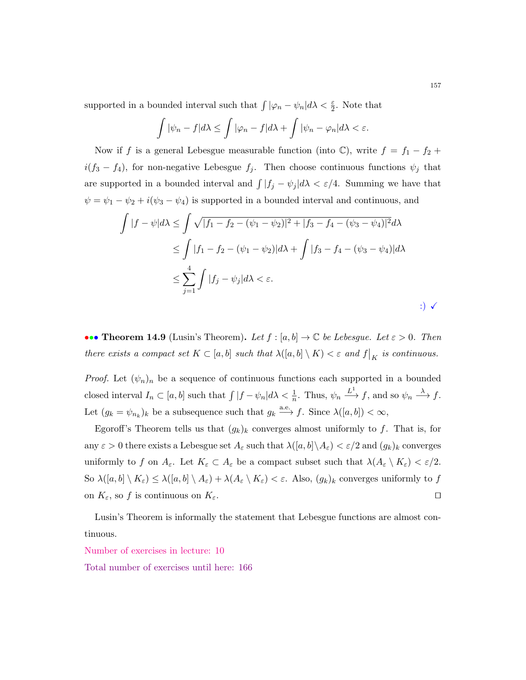supported in a bounded interval such that  $\int |\varphi_n - \psi_n| d\lambda < \frac{\varepsilon}{2}$ . Note that

$$
\int |\psi_n - f| d\lambda \le \int |\varphi_n - f| d\lambda + \int |\psi_n - \varphi_n| d\lambda < \varepsilon.
$$

Now if f is a general Lebesgue measurable function (into  $\mathbb{C}$ ), write  $f = f_1 - f_2 +$  $i(f_3 - f_4)$ , for non-negative Lebesgue  $f_j$ . Then choose continuous functions  $\psi_j$  that are supported in a bounded interval and  $\int |f_j - \psi_j| d\lambda < \varepsilon/4$ . Summing we have that  $\psi = \psi_1 - \psi_2 + i(\psi_3 - \psi_4)$  is supported in a bounded interval and continuous, and

$$
\int |f - \psi| d\lambda \le \int \sqrt{|f_1 - f_2 - (\psi_1 - \psi_2)|^2 + |f_3 - f_4 - (\psi_3 - \psi_4)|^2} d\lambda
$$
  
\n
$$
\le \int |f_1 - f_2 - (\psi_1 - \psi_2)| d\lambda + \int |f_3 - f_4 - (\psi_3 - \psi_4)| d\lambda
$$
  
\n
$$
\le \sum_{j=1}^4 \int |f_j - \psi_j| d\lambda < \varepsilon.
$$
  
\n
$$
\therefore \quad \sqrt{\frac{2\pi}{\sqrt{2}}}
$$

••• Theorem 14.9 (Lusin's Theorem). Let  $f : [a, b] \to \mathbb{C}$  be Lebesgue. Let  $\varepsilon > 0$ . Then there exists a compact set  $K \subset [a, b]$  such that  $\lambda([a, b] \setminus K) < \varepsilon$  and  $f|_K$  is continuous.

*Proof.* Let  $(\psi_n)_n$  be a sequence of continuous functions each supported in a bounded closed interval  $I_n \subset [a, b]$  such that  $\int |f - \psi_n| d\lambda < \frac{1}{n}$ . Thus,  $\psi_n \xrightarrow{L^1} f$ , and so  $\psi_n \xrightarrow{\lambda} f$ . Let  $(g_k = \psi_{n_k})_k$  be a subsequence such that  $g_k \stackrel{\text{a.e.}}{\longrightarrow} f$ . Since  $\lambda([a, b]) < \infty$ ,

Egoroff's Theorem tells us that  $(g_k)_k$  converges almost uniformly to f. That is, for any  $\varepsilon > 0$  there exists a Lebesgue set  $A_{\varepsilon}$  such that  $\lambda([a, b]\setminus A_{\varepsilon}) < \varepsilon/2$  and  $(g_k)_k$  converges uniformly to f on  $A_{\varepsilon}$ . Let  $K_{\varepsilon} \subset A_{\varepsilon}$  be a compact subset such that  $\lambda(A_{\varepsilon} \setminus K_{\varepsilon}) < \varepsilon/2$ . So  $\lambda([a, b] \setminus K_{\varepsilon}) \leq \lambda([a, b] \setminus A_{\varepsilon}) + \lambda(A_{\varepsilon} \setminus K_{\varepsilon}) < \varepsilon$ . Also,  $(g_k)_k$  converges uniformly to  $f$ on  $K_{\varepsilon}$ , so f is continuous on  $K_{\varepsilon}$ .

Lusin's Theorem is informally the statement that Lebesgue functions are almost continuous.

Number of exercises in lecture: 10

Total number of exercises until here: 166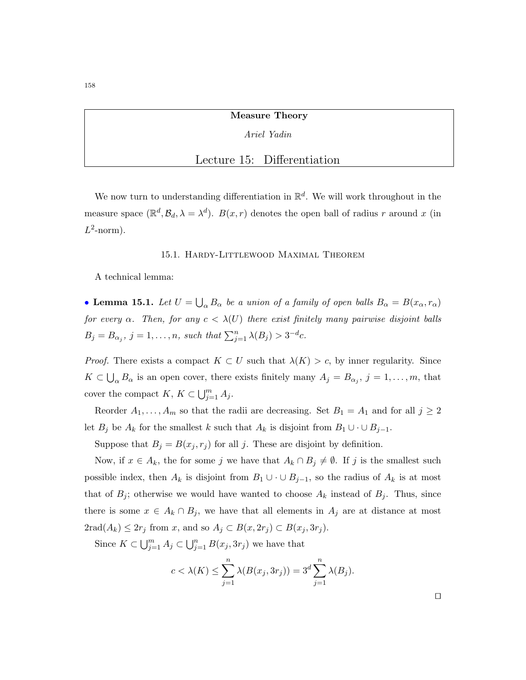Measure Theory

## Ariel Yadin

# Lecture 15: Differentiation

We now turn to understanding differentiation in  $\mathbb{R}^d$ . We will work throughout in the measure space  $(\mathbb{R}^d, \mathcal{B}_d, \lambda = \lambda^d)$ .  $B(x, r)$  denotes the open ball of radius r around x (in  $L^2$ -norm).

#### 15.1. Hardy-Littlewood Maximal Theorem

A technical lemma:

• Lemma 15.1. Let  $U = \bigcup_{\alpha} B_{\alpha}$  be a union of a family of open balls  $B_{\alpha} = B(x_{\alpha}, r_{\alpha})$ for every  $\alpha$ . Then, for any  $c < \lambda(U)$  there exist finitely many pairwise disjoint balls  $B_j = B_{\alpha_j}, j = 1, \ldots, n$ , such that  $\sum_{j=1}^n \lambda(B_j) > 3^{-d}c$ .

*Proof.* There exists a compact  $K \subset U$  such that  $\lambda(K) > c$ , by inner regularity. Since  $K \subset \bigcup_{\alpha} B_{\alpha}$  is an open cover, there exists finitely many  $A_j = B_{\alpha_j}, j = 1, \ldots, m$ , that cover the compact  $K, K \subset \bigcup_{j=1}^m A_j$ .

Reorder  $A_1, \ldots, A_m$  so that the radii are decreasing. Set  $B_1 = A_1$  and for all  $j \geq 2$ let  $B_j$  be  $A_k$  for the smallest k such that  $A_k$  is disjoint from  $B_1 \cup \cdots \cup B_{j-1}$ .

Suppose that  $B_j = B(x_j, r_j)$  for all j. These are disjoint by definition.

Now, if  $x \in A_k$ , the for some j we have that  $A_k \cap B_j \neq \emptyset$ . If j is the smallest such possible index, then  $A_k$  is disjoint from  $B_1 \cup \cdots \cup B_{j-1}$ , so the radius of  $A_k$  is at most that of  $B_j$ ; otherwise we would have wanted to choose  $A_k$  instead of  $B_j$ . Thus, since there is some  $x \in A_k \cap B_j$ , we have that all elements in  $A_j$  are at distance at most  $2\text{rad}(A_k) \leq 2r_j \text{ from } x, \text{ and so } A_j \subset B(x, 2r_j) \subset B(x_j, 3r_j).$ 

Since  $K \subset \bigcup_{j=1}^m A_j \subset \bigcup_{j=1}^n B(x_j, 3r_j)$  we have that

$$
c < \lambda(K) \le \sum_{j=1}^n \lambda(B(x_j, 3r_j)) = 3^d \sum_{j=1}^n \lambda(B_j).
$$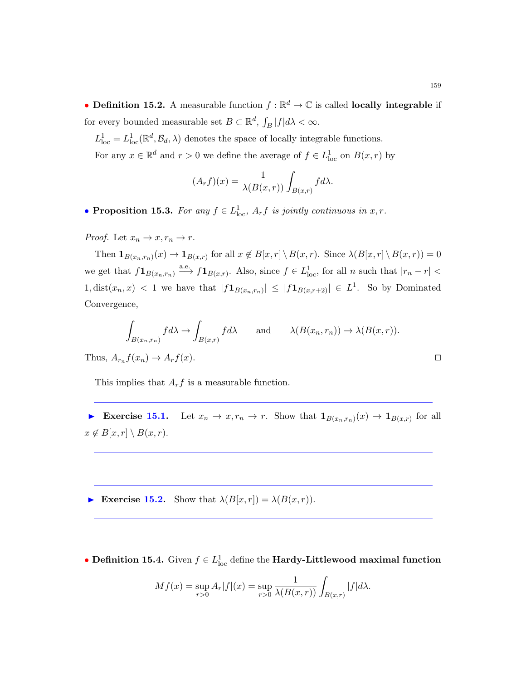- Definition 15.2. A measurable function  $f : \mathbb{R}^d \to \mathbb{C}$  is called locally integrable if for every bounded measurable set  $B \subset \mathbb{R}^d$ ,  $\int_B |f| d\lambda < \infty$ .
	- $L^1_{\text{loc}} = L^1_{\text{loc}}(\mathbb{R}^d, \mathcal{B}_d, \lambda)$  denotes the space of locally integrable functions. For any  $x \in \mathbb{R}^d$  and  $r > 0$  we define the average of  $f \in L^1_{loc}$  on  $B(x,r)$  by

$$
(A_r f)(x) = \frac{1}{\lambda(B(x,r))} \int_{B(x,r)} f d\lambda.
$$

• Proposition 15.3. For any  $f \in L^1_{loc}$ ,  $A_r f$  is jointly continuous in  $x, r$ .

*Proof.* Let  $x_n \to x, r_n \to r$ .

Then  $\mathbf{1}_{B(x_n,r_n)}(x) \to \mathbf{1}_{B(x,r)}$  for all  $x \notin B[x,r] \setminus B(x,r)$ . Since  $\lambda(B[x,r] \setminus B(x,r)) = 0$ we get that  $f\mathbf{1}_{B(x_n,r_n)} \stackrel{\text{a.e.}}{\longrightarrow} f\mathbf{1}_{B(x,r)}$ . Also, since  $f \in L^1_{loc}$ , for all n such that  $|r_n - r|$  $1, dist(x_n, x) < 1$  we have that  $|f\mathbf{1}_{B(x_n,r_n)}| \leq |f\mathbf{1}_{B(x,r+2)}| \in L^1$ . So by Dominated Convergence,

$$
\int_{B(x_n,r_n)} f d\lambda \to \int_{B(x,r)} f d\lambda \quad \text{and} \quad \lambda(B(x_n,r_n)) \to \lambda(B(x,r)).
$$

Thus,  $A_{r_n} f(x_n) \to A_r f(x)$ .

This implies that  $A_r f$  is a measurable function.

Exercise 15.1. Let  $x_n \to x, r_n \to r$ . Show that  $\mathbf{1}_{B(x_n,r_n)}(x) \to \mathbf{1}_{B(x,r)}$  for all  $x \notin B[x, r] \setminus B(x, r).$ 

Exercise 15.2. Show that  $\lambda(B[x, r]) = \lambda(B(x, r)).$ 

• Definition 15.4. Given  $f \in L^1_{loc}$  define the Hardy-Littlewood maximal function

$$
Mf(x) = \sup_{r>0} A_r |f|(x) = \sup_{r>0} \frac{1}{\lambda(B(x,r))} \int_{B(x,r)} |f| d\lambda.
$$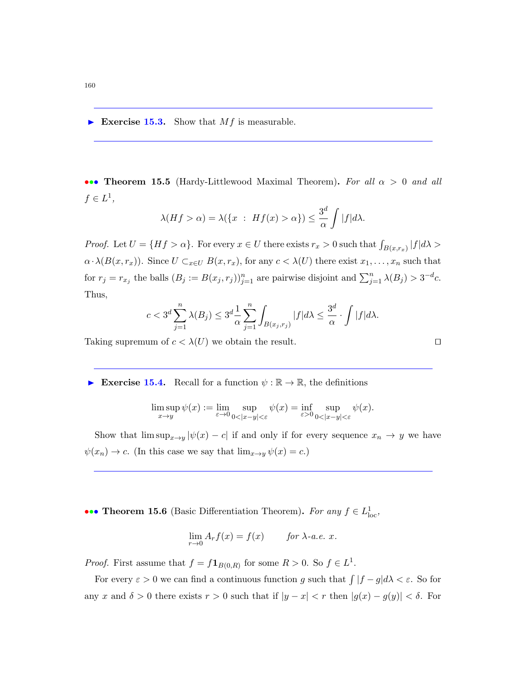Exercise 15.3. Show that  $Mf$  is measurable.

••• Theorem 15.5 (Hardy-Littlewood Maximal Theorem). For all  $\alpha > 0$  and all  $f \in L^1$ ,

$$
\lambda(Hf > \alpha) = \lambda(\{x : Hf(x) > \alpha\}) \le \frac{3^d}{\alpha} \int |f| d\lambda.
$$

*Proof.* Let  $U = \{Hf > \alpha\}$ . For every  $x \in U$  there exists  $r_x > 0$  such that  $\int_{B(x,r_x)} |f| d\lambda >$  $\alpha \cdot \lambda(B(x,r_x))$ . Since  $U \subset_{x \in U} B(x,r_x)$ , for any  $c < \lambda(U)$  there exist  $x_1, \ldots, x_n$  such that for  $r_j = r_{x_j}$  the balls  $(B_j := B(x_j, r_j))_{j=1}^n$  are pairwise disjoint and  $\sum_{j=1}^n \lambda(B_j) > 3^{-d}c$ . Thus,

$$
c < 3^d \sum_{j=1}^n \lambda(B_j) \le 3^d \frac{1}{\alpha} \sum_{j=1}^n \int_{B(x_j, r_j)} |f| d\lambda \le \frac{3^d}{\alpha} \cdot \int |f| d\lambda.
$$

Taking supremum of  $c < \lambda(U)$  we obtain the result.

Exercise 15.4. Recall for a function  $\psi : \mathbb{R} \to \mathbb{R}$ , the definitions

$$
\limsup_{x \to y} \psi(x) := \lim_{\varepsilon \to 0} \sup_{0 < |x - y| < \varepsilon} \psi(x) = \inf_{\varepsilon > 0} \sup_{0 < |x - y| < \varepsilon} \psi(x).
$$

Show that  $\limsup_{x\to y} |\psi(x)-c|$  if and only if for every sequence  $x_n \to y$  we have  $\psi(x_n) \to c$ . (In this case we say that  $\lim_{x \to y} \psi(x) = c$ .)

••• Theorem 15.6 (Basic Differentiation Theorem). For any  $f \in L^1_{loc}$ ,

$$
\lim_{r \to 0} A_r f(x) = f(x) \qquad \text{for } \lambda \text{-a.e. } x.
$$

*Proof.* First assume that  $f = f\mathbf{1}_{B(0,R)}$  for some  $R > 0$ . So  $f \in L^1$ .

For every  $\varepsilon > 0$  we can find a continuous function g such that  $\int |f - g| d\lambda < \varepsilon$ . So for any x and  $\delta > 0$  there exists  $r > 0$  such that if  $|y - x| < r$  then  $|g(x) - g(y)| < \delta$ . For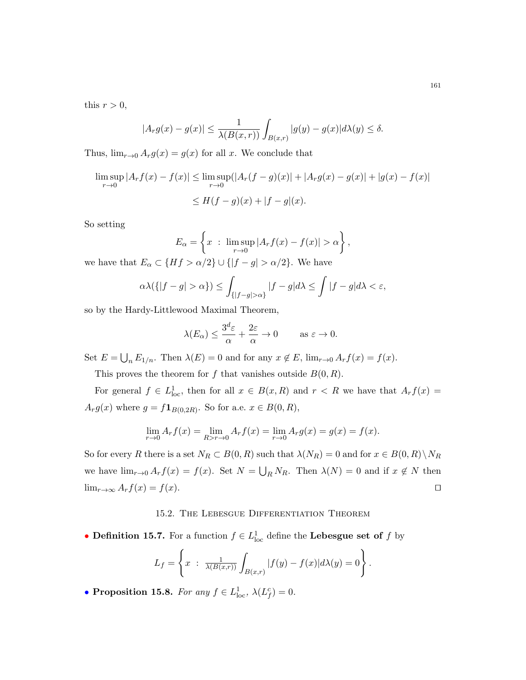this  $r > 0$ ,

$$
|A_r g(x) - g(x)| \le \frac{1}{\lambda(B(x,r))} \int_{B(x,r)} |g(y) - g(x)| d\lambda(y) \le \delta.
$$

Thus,  $\lim_{r\to 0} A_r g(x) = g(x)$  for all x. We conclude that

$$
\limsup_{r \to 0} |A_r f(x) - f(x)| \le \limsup_{r \to 0} (|A_r(f - g)(x)| + |A_r g(x) - g(x)| + |g(x) - f(x)|
$$
  

$$
\le H(f - g)(x) + |f - g|(x).
$$

So setting

$$
E_{\alpha} = \left\{ x : \limsup_{r \to 0} |A_r f(x) - f(x)| > \alpha \right\},\,
$$

we have that  $E_{\alpha} \subset \{Hf > \alpha/2\} \cup \{|f - g| > \alpha/2\}$ . We have

$$
\alpha \lambda(\{|f-g| > \alpha\}) \le \int_{\{|f-g| > \alpha\}} |f-g| d\lambda \le \int |f-g| d\lambda < \varepsilon,
$$

so by the Hardy-Littlewood Maximal Theorem,

$$
\lambda(E_{\alpha}) \le \frac{3^d \varepsilon}{\alpha} + \frac{2\varepsilon}{\alpha} \to 0 \quad \text{as } \varepsilon \to 0.
$$

Set  $E = \bigcup_n E_{1/n}$ . Then  $\lambda(E) = 0$  and for any  $x \notin E$ ,  $\lim_{r \to 0} A_r f(x) = f(x)$ .

This proves the theorem for f that vanishes outside  $B(0, R)$ .

For general  $f \in L^1_{loc}$ , then for all  $x \in B(x, R)$  and  $r < R$  we have that  $A_r f(x) =$  $A_r g(x)$  where  $g = f \mathbf{1}_{B(0,2R)}$ . So for a.e.  $x \in B(0,R)$ ,

$$
\lim_{r \to 0} A_r f(x) = \lim_{R > r \to 0} A_r f(x) = \lim_{r \to 0} A_r g(x) = g(x) = f(x).
$$

So for every R there is a set  $N_R \subset B(0, R)$  such that  $\lambda(N_R) = 0$  and for  $x \in B(0, R) \setminus N_R$ we have  $\lim_{r\to 0} A_r f(x) = f(x)$ . Set  $N = \bigcup_R N_R$ . Then  $\lambda(N) = 0$  and if  $x \notin N$  then  $\lim_{r\to\infty} A_r f(x) = f(x).$ 

#### 15.2. The Lebesgue Differentiation Theorem

• Definition 15.7. For a function  $f \in L^1_{loc}$  define the Lebesgue set of f by

$$
L_f = \left\{ x \; : \; \frac{1}{\lambda(B(x,r))} \int_{B(x,r)} |f(y) - f(x)| d\lambda(y) = 0 \right\}.
$$

• Proposition 15.8. For any  $f \in L^1_{loc}$ ,  $\lambda(L_f^c) = 0$ .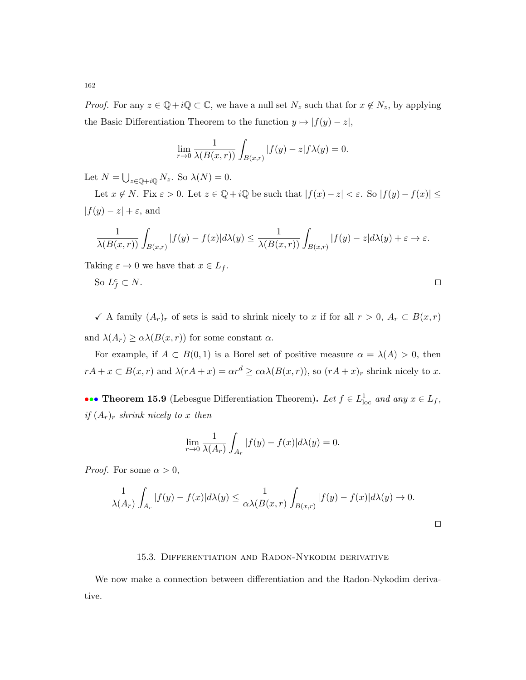*Proof.* For any  $z \in \mathbb{Q} + i\mathbb{Q} \subset \mathbb{C}$ , we have a null set  $N_z$  such that for  $x \notin N_z$ , by applying the Basic Differentiation Theorem to the function  $y \mapsto |f(y) - z|$ ,

$$
\lim_{r \to 0} \frac{1}{\lambda(B(x,r))} \int_{B(x,r)} |f(y) - z| f \lambda(y) = 0.
$$

Let  $N = \bigcup_{z \in \mathbb{Q} + i\mathbb{Q}} N_z$ . So  $\lambda(N) = 0$ .

Let  $x \notin N$ . Fix  $\varepsilon > 0$ . Let  $z \in \mathbb{Q} + i\mathbb{Q}$  be such that  $|f(x) - z| < \varepsilon$ . So  $|f(y) - f(x)| \le$  $|f(y) - z| + \varepsilon$ , and

$$
\frac{1}{\lambda(B(x,r))}\int_{B(x,r)}|f(y)-f(x)|d\lambda(y)\leq \frac{1}{\lambda(B(x,r))}\int_{B(x,r)}|f(y)-z|d\lambda(y)+\varepsilon\to\varepsilon.
$$

Taking  $\varepsilon \to 0$  we have that  $x \in L_f$ .

So 
$$
L_f^c \subset N
$$
.

 $\checkmark$  A family  $(A_r)_r$  of sets is said to shrink nicely to x if for all  $r > 0$ ,  $A_r \subset B(x,r)$ and  $\lambda(A_r) \geq \alpha \lambda(B(x,r))$  for some constant  $\alpha$ .

For example, if  $A \subset B(0,1)$  is a Borel set of positive measure  $\alpha = \lambda(A) > 0$ , then  $rA + x \subset B(x,r)$  and  $\lambda (rA + x) = \alpha r^d \geq \alpha \lambda (B(x,r))$ , so  $(rA + x)_r$  shrink nicely to x.

••• Theorem 15.9 (Lebesgue Differentiation Theorem). Let  $f \in L^1_{loc}$  and any  $x \in L_f$ , if  $(A_r)_r$  shrink nicely to x then

$$
\lim_{r \to 0} \frac{1}{\lambda(A_r)} \int_{A_r} |f(y) - f(x)| d\lambda(y) = 0.
$$

*Proof.* For some  $\alpha > 0$ ,

$$
\frac{1}{\lambda(A_r)}\int_{A_r}|f(y)-f(x)|d\lambda(y)\leq \frac{1}{\alpha\lambda(B(x,r)}\int_{B(x,r)}|f(y)-f(x)|d\lambda(y)\to 0.
$$

 $\Box$ 

#### 15.3. Differentiation and Radon-Nykodim derivative

We now make a connection between differentiation and the Radon-Nykodim derivative.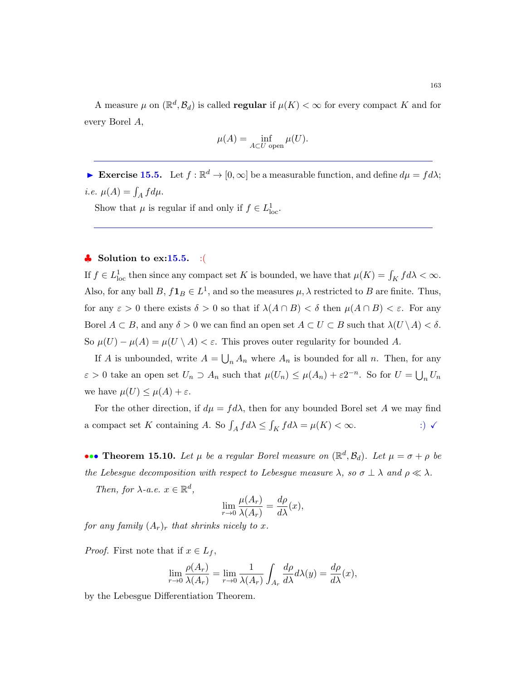A measure  $\mu$  on  $(\mathbb{R}^d, \mathcal{B}_d)$  is called **regular** if  $\mu(K) < \infty$  for every compact K and for every Borel A,

$$
\mu(A) = \inf_{A \subset U \text{ open}} \mu(U).
$$

Exercise 15.5. Let  $f : \mathbb{R}^d \to [0, \infty]$  be a measurable function, and define  $d\mu = fd\lambda$ ; *i.e.*  $\mu(A) = \int_A f d\mu$ .

Show that  $\mu$  is regular if and only if  $f \in L^1_{loc}$ .

#### $\bullet$  Solution to ex:15.5. :

If  $f \in L^1_{loc}$  then since any compact set K is bounded, we have that  $\mu(K) = \int_K f d\lambda < \infty$ . Also, for any ball  $B, f\mathbf{1}_B \in L^1$ , and so the measures  $\mu$ ,  $\lambda$  restricted to  $B$  are finite. Thus, for any  $\varepsilon > 0$  there exists  $\delta > 0$  so that if  $\lambda(A \cap B) < \delta$  then  $\mu(A \cap B) < \varepsilon$ . For any Borel  $A \subset B$ , and any  $\delta > 0$  we can find an open set  $A \subset U \subset B$  such that  $\lambda(U \setminus A) < \delta$ . So  $\mu(U) - \mu(A) = \mu(U \setminus A) < \varepsilon$ . This proves outer regularity for bounded A.

If A is unbounded, write  $A = \bigcup_n A_n$  where  $A_n$  is bounded for all n. Then, for any  $\varepsilon > 0$  take an open set  $U_n \supset A_n$  such that  $\mu(U_n) \leq \mu(A_n) + \varepsilon 2^{-n}$ . So for  $U = \bigcup_n U_n$ we have  $\mu(U) \leq \mu(A) + \varepsilon$ .

For the other direction, if  $d\mu = fd\lambda$ , then for any bounded Borel set A we may find a compact set K containing A. So  $\int_A f d\lambda \le \int_K f d\lambda = \mu(K) < \infty$ . :)  $\checkmark$ 

••• Theorem 15.10. Let  $\mu$  be a regular Borel measure on  $(\mathbb{R}^d, \mathcal{B}_d)$ . Let  $\mu = \sigma + \rho$  be the Lebesgue decomposition with respect to Lebesgue measure  $\lambda$ , so  $\sigma \perp \lambda$  and  $\rho \ll \lambda$ . Then, for  $\lambda$ -a.e.  $x \in \mathbb{R}^d$ ,

$$
\lim_{r \to 0} \frac{\mu(A_r)}{\lambda(A_r)} = \frac{d\rho}{d\lambda}(x),
$$

for any family  $(A_r)_r$  that shrinks nicely to x.

*Proof.* First note that if  $x \in L_f$ ,

$$
\lim_{r \to 0} \frac{\rho(A_r)}{\lambda(A_r)} = \lim_{r \to 0} \frac{1}{\lambda(A_r)} \int_{A_r} \frac{d\rho}{d\lambda} d\lambda(y) = \frac{d\rho}{d\lambda}(x),
$$

by the Lebesgue Differentiation Theorem.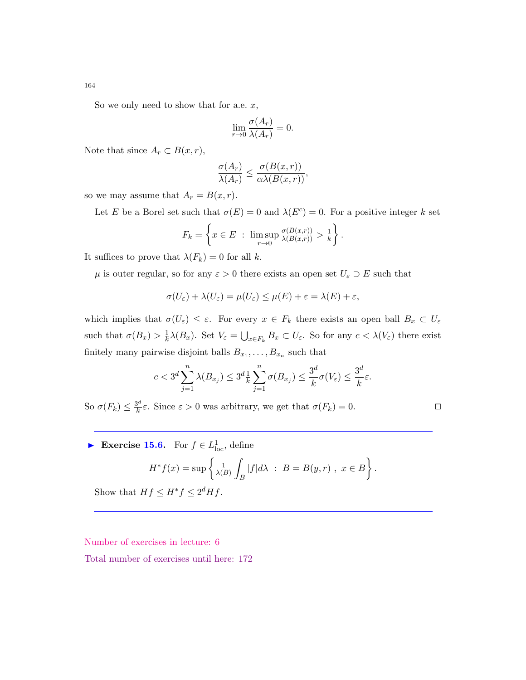So we only need to show that for a.e.  $x$ ,

$$
\lim_{r \to 0} \frac{\sigma(A_r)}{\lambda(A_r)} = 0.
$$

Note that since  $A_r \subset B(x,r)$ ,

$$
\frac{\sigma(A_r)}{\lambda(A_r)} \leq \frac{\sigma(B(x,r))}{\alpha \lambda(B(x,r))},
$$

so we may assume that  $A_r = B(x, r)$ .

Let E be a Borel set such that  $\sigma(E) = 0$  and  $\lambda(E^c) = 0$ . For a positive integer k set

$$
F_k = \left\{ x \in E : \limsup_{r \to 0} \frac{\sigma(B(x,r))}{\lambda(B(x,r))} > \frac{1}{k} \right\}.
$$

It suffices to prove that  $\lambda(F_k) = 0$  for all k.

 $\mu$  is outer regular, so for any  $\varepsilon > 0$  there exists an open set  $U_{\varepsilon} \supset E$  such that

$$
\sigma(U_{\varepsilon}) + \lambda(U_{\varepsilon}) = \mu(U_{\varepsilon}) \leq \mu(E) + \varepsilon = \lambda(E) + \varepsilon,
$$

which implies that  $\sigma(U_{\varepsilon}) \leq \varepsilon$ . For every  $x \in F_k$  there exists an open ball  $B_x \subset U_{\varepsilon}$ such that  $\sigma(B_x) > \frac{1}{k}$  $\frac{1}{k}\lambda(B_x)$ . Set  $V_{\varepsilon} = \bigcup_{x \in F_k} B_x \subset U_{\varepsilon}$ . So for any  $c < \lambda(V_{\varepsilon})$  there exist finitely many pairwise disjoint balls  $B_{x_1}, \ldots, B_{x_n}$  such that

$$
c < 3^d \sum_{j=1}^n \lambda(B_{x_j}) \le 3^d \frac{1}{k} \sum_{j=1}^n \sigma(B_{x_j}) \le \frac{3^d}{k} \sigma(V_{\varepsilon}) \le \frac{3^d}{k} \varepsilon.
$$

So  $\sigma(F_k) \leq \frac{3^d}{k}$  $\frac{\partial^2 E}{\partial k \varepsilon} \varepsilon$ . Since  $\varepsilon > 0$  was arbitrary, we get that  $\sigma(F_k) = 0$ .

$$
\Box
$$

Exercise 15.6. For  $f \in L^1_{loc}$ , define

$$
H^* f(x) = \sup \left\{ \frac{1}{\lambda(B)} \int_B |f| d\lambda \; : \; B = B(y, r) \; , \; x \in B \right\}.
$$

Show that  $Hf \leq H^*f \leq 2^d Hf$ .

Number of exercises in lecture: 6

Total number of exercises until here: 172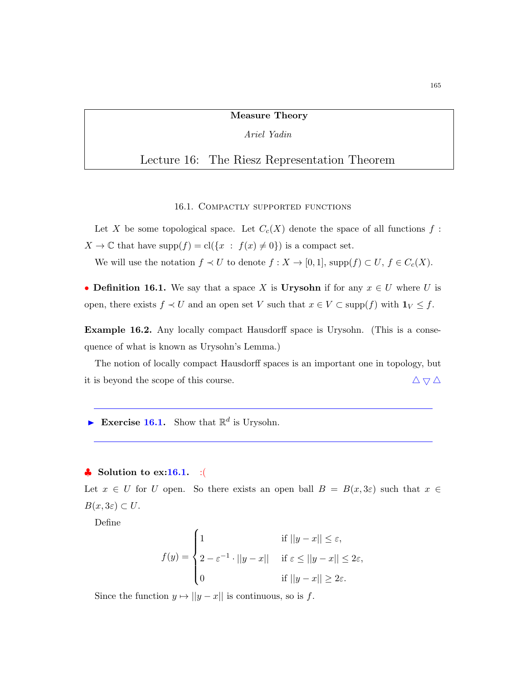#### Measure Theory

#### Ariel Yadin

# Lecture 16: The Riesz Representation Theorem

#### 16.1. Compactly supported functions

Let X be some topological space. Let  $C_c(X)$  denote the space of all functions  $f$ :  $X \to \mathbb{C}$  that have supp $(f) = cl({x : f(x) \neq 0})$  is a compact set.

We will use the notation  $f \prec U$  to denote  $f : X \to [0,1]$ ,  $\text{supp}(f) \subset U$ ,  $f \in C_c(X)$ .

• Definition 16.1. We say that a space X is Urysohn if for any  $x \in U$  where U is open, there exists  $f \prec U$  and an open set V such that  $x \in V \subset \text{supp}(f)$  with  $1_V \leq f$ .

Example 16.2. Any locally compact Hausdorff space is Urysohn. (This is a consequence of what is known as Urysohn's Lemma.)

The notion of locally compact Hausdorff spaces is an important one in topology, but it is beyond the scope of this course.  $\Delta \nabla \Delta$ 

Exercise 16.1. Show that  $\mathbb{R}^d$  is Urysohn.

## $\bullet$  Solution to ex:16.1. :

Let  $x \in U$  for U open. So there exists an open ball  $B = B(x, 3\varepsilon)$  such that  $x \in$  $B(x, 3\varepsilon) \subset U$ .

Define

$$
f(y) = \begin{cases} 1 & \text{if } ||y - x|| \le \varepsilon, \\ 2 - \varepsilon^{-1} \cdot ||y - x|| & \text{if } \varepsilon \le ||y - x|| \le 2\varepsilon, \\ 0 & \text{if } ||y - x|| \ge 2\varepsilon. \end{cases}
$$

Since the function  $y \mapsto ||y - x||$  is continuous, so is f.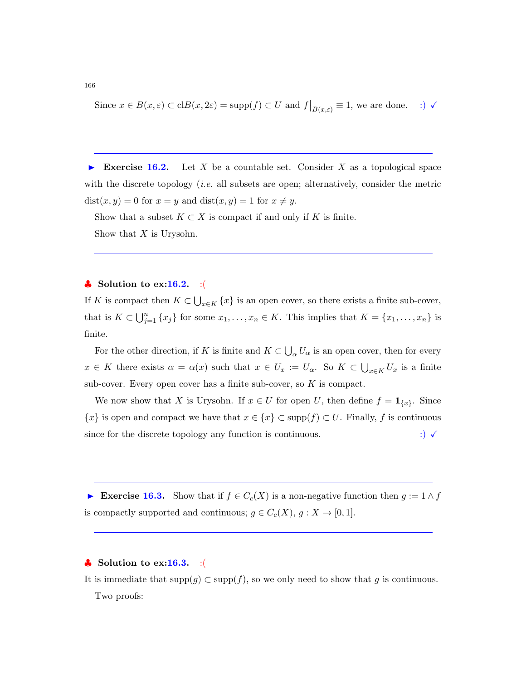Since 
$$
x \in B(x, \varepsilon) \subset \text{cl}B(x, 2\varepsilon) = \text{supp}(f) \subset U
$$
 and  $f|_{B(x, \varepsilon)} \equiv 1$ , we are done. :)  $\checkmark$ 

Exercise 16.2. Let X be a countable set. Consider X as a topological space with the discrete topology (*i.e.* all subsets are open; alternatively, consider the metric  $dist(x, y) = 0$  for  $x = y$  and  $dist(x, y) = 1$  for  $x \neq y$ .

Show that a subset  $K \subset X$  is compact if and only if K is finite. Show that  $X$  is Urysohn.

#### ♦ Solution to  $ex:16.2.$  :(

If K is compact then  $K \subset \bigcup_{x \in K} \{x\}$  is an open cover, so there exists a finite sub-cover, that is  $K \subset \bigcup_{j=1}^n \{x_j\}$  for some  $x_1, \ldots, x_n \in K$ . This implies that  $K = \{x_1, \ldots, x_n\}$  is finite.

For the other direction, if K is finite and  $K \subset \bigcup_{\alpha} U_{\alpha}$  is an open cover, then for every  $x \in K$  there exists  $\alpha = \alpha(x)$  such that  $x \in U_x := U_\alpha$ . So  $K \subset \bigcup_{x \in K} U_x$  is a finite sub-cover. Every open cover has a finite sub-cover, so  $K$  is compact.

We now show that X is Urysohn. If  $x \in U$  for open U, then define  $f = \mathbf{1}_{\{x\}}$ . Since  ${x}$  is open and compact we have that  $x \in {x} \subset \text{supp}(f) \subset U$ . Finally, f is continuous since for the discrete topology any function is continuous.  $\qquad \qquad :\qquad \qquad$ 

Exercise 16.3. Show that if  $f \in C_c(X)$  is a non-negative function then  $g := 1 \wedge f$ is compactly supported and continuous;  $g \in C_c(X)$ ,  $g: X \to [0,1]$ .

#### $\clubsuit$  Solution to ex:16.3. :

It is immediate that  $\text{supp}(g) \subset \text{supp}(f)$ , so we only need to show that g is continuous. Two proofs: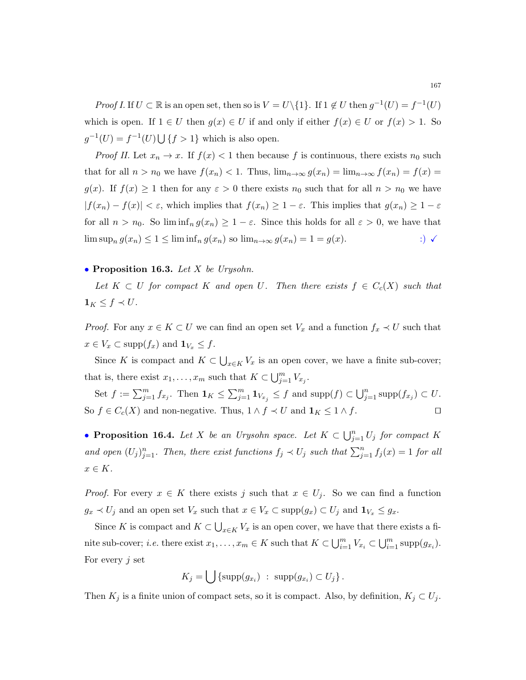*Proof I.* If  $U \subset \mathbb{R}$  is an open set, then so is  $V = U \setminus \{1\}$ . If  $1 \notin U$  then  $g^{-1}(U) = f^{-1}(U)$ which is open. If  $1 \in U$  then  $g(x) \in U$  if and only if either  $f(x) \in U$  or  $f(x) > 1$ . So  $g^{-1}(U) = f^{-1}(U) \bigcup \{f > 1\}$  which is also open.

*Proof II.* Let  $x_n \to x$ . If  $f(x) < 1$  then because f is continuous, there exists  $n_0$  such that for all  $n > n_0$  we have  $f(x_n) < 1$ . Thus,  $\lim_{n \to \infty} g(x_n) = \lim_{n \to \infty} f(x_n) = f(x) =$  $g(x)$ . If  $f(x) \ge 1$  then for any  $\varepsilon > 0$  there exists  $n_0$  such that for all  $n > n_0$  we have  $|f(x_n) - f(x)| < \varepsilon$ , which implies that  $f(x_n) \geq 1 - \varepsilon$ . This implies that  $g(x_n) \geq 1 - \varepsilon$ for all  $n > n_0$ . So  $\liminf_n g(x_n) \geq 1 - \varepsilon$ . Since this holds for all  $\varepsilon > 0$ , we have that  $\limsup_n g(x_n) \leq 1 \leq \liminf_n g(x_n)$  so  $\lim_{n \to \infty} g(x_n) = 1 = g(x)$ . :)  $\checkmark$ 

#### • Proposition 16.3. Let X be Urysohn.

Let  $K \subset U$  for compact K and open U. Then there exists  $f \in C_c(X)$  such that  $\mathbf{1}_K \leq f \prec U$ .

*Proof.* For any  $x \in K \subset U$  we can find an open set  $V_x$  and a function  $f_x \prec U$  such that  $x \in V_x \subset \text{supp}(f_x)$  and  $\mathbf{1}_{V_x} \leq f$ .

Since K is compact and  $K \subset \bigcup_{x \in K} V_x$  is an open cover, we have a finite sub-cover; that is, there exist  $x_1, \ldots, x_m$  such that  $K \subset \bigcup_{j=1}^m V_{x_j}$ .

Set  $f := \sum_{j=1}^m f_{x_j}$ . Then  $\mathbf{1}_K \leq \sum_{j=1}^m \mathbf{1}_{V_{x_j}} \leq f$  and  $\text{supp}(f) \subset \bigcup_{j=1}^n \text{supp}(f_{x_j}) \subset U$ . So  $f \in C_c(X)$  and non-negative. Thus,  $1 \wedge f \prec U$  and  $1_K \leq 1 \wedge f$ .

• Proposition 16.4. Let X be an Urysohn space. Let  $K \subset \bigcup_{j=1}^n U_j$  for compact K and open  $(U_j)_{j=1}^n$ . Then, there exist functions  $f_j \prec U_j$  such that  $\sum_{j=1}^n f_j(x) = 1$  for all  $x \in K$ .

*Proof.* For every  $x \in K$  there exists j such that  $x \in U_j$ . So we can find a function  $g_x \prec U_j$  and an open set  $V_x$  such that  $x \in V_x \subset \text{supp}(g_x) \subset U_j$  and  $\mathbf{1}_{V_x} \leq g_x$ .

Since K is compact and  $K \subset \bigcup_{x \in K} V_x$  is an open cover, we have that there exists a finite sub-cover; *i.e.* there exist  $x_1, \ldots, x_m \in K$  such that  $K \subset \bigcup_{i=1}^m V_{x_i} \subset \bigcup_{i=1}^m \text{supp}(g_{x_i})$ . For every  $j$  set

$$
K_j = \bigcup \{ \operatorname{supp}(g_{x_i}) \ : \ \operatorname{supp}(g_{x_i}) \subset U_j \}.
$$

Then  $K_j$  is a finite union of compact sets, so it is compact. Also, by definition,  $K_j \subset U_j$ .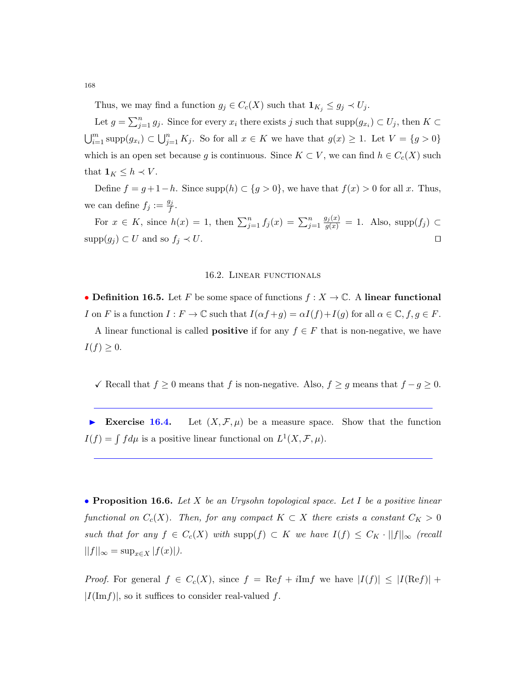Thus, we may find a function  $g_j \in C_c(X)$  such that  $\mathbf{1}_{K_j} \leq g_j \prec U_j$ .

Let  $g = \sum_{j=1}^n g_j$ . Since for every  $x_i$  there exists j such that  $\text{supp}(g_{x_i}) \subset U_j$ , then  $K \subset$  $\bigcup_{i=1}^m \text{supp}(g_{x_i}) \subset \bigcup_{j=1}^n K_j$ . So for all  $x \in K$  we have that  $g(x) \geq 1$ . Let  $V = \{g > 0\}$ which is an open set because g is continuous. Since  $K \subset V$ , we can find  $h \in C_c(X)$  such that  $\mathbf{1}_K \leq h \prec V$ .

Define  $f = g + 1 - h$ . Since supp $(h) \subset \{g > 0\}$ , we have that  $f(x) > 0$  for all x. Thus, we can define  $f_j := \frac{g_j}{f}$  $\frac{g_j}{f}$  .

For  $x \in K$ , since  $h(x) = 1$ , then  $\sum_{j=1}^{n} f_j(x) = \sum_{j=1}^{n}$  $\frac{g_j(x)}{g(x)} = 1$ . Also, supp $(f_j) \subset$  $\text{supp}(g_j) \subset U$  and so  $f_j \prec U$ .

#### 16.2. Linear functionals

• Definition 16.5. Let F be some space of functions  $f: X \to \mathbb{C}$ . A linear functional I on F is a function  $I : F \to \mathbb{C}$  such that  $I(\alpha f + g) = \alpha I(f) + I(g)$  for all  $\alpha \in \mathbb{C}$ ,  $f, g \in F$ .

A linear functional is called **positive** if for any  $f \in F$  that is non-negative, we have  $I(f) \geq 0.$ 

 $\checkmark$  Recall that  $f \geq 0$  means that f is non-negative. Also,  $f \geq g$  means that  $f - g \geq 0$ .

Exercise 16.4. Let  $(X, \mathcal{F}, \mu)$  be a measure space. Show that the function  $I(f) = \int f d\mu$  is a positive linear functional on  $L^1(X, \mathcal{F}, \mu)$ .

• Proposition 16.6. Let X be an Urysohn topological space. Let I be a positive linear functional on  $C_c(X)$ . Then, for any compact  $K \subset X$  there exists a constant  $C_K > 0$ such that for any  $f \in C_c(X)$  with  $\text{supp}(f) \subset K$  we have  $I(f) \leq C_K \cdot ||f||_{\infty}$  (recall  $||f||_{\infty} = \sup_{x \in X} |f(x)|$ .

*Proof.* For general  $f \in C_c(X)$ , since  $f = \text{Re}f + i\text{Im}f$  we have  $|I(f)| \leq |I(\text{Re}f)| +$  $|I(\mathrm{Im} f)|$ , so it suffices to consider real-valued f.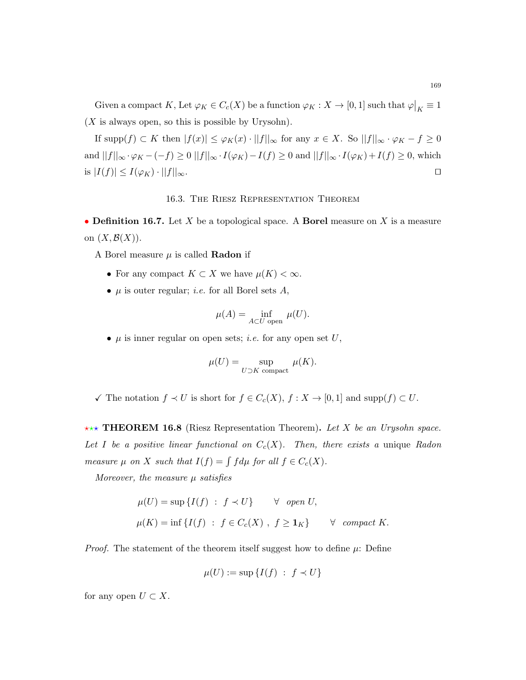Given a compact K, Let  $\varphi_K \in C_c(X)$  be a function  $\varphi_K : X \to [0,1]$  such that  $\varphi|_K \equiv 1$  $(X$  is always open, so this is possible by Urysohn).

If  $\text{supp}(f) \subset K$  then  $|f(x)| \leq \varphi_K(x) \cdot ||f||_{\infty}$  for any  $x \in X$ . So  $||f||_{\infty} \cdot \varphi_K - f \geq 0$ and  $||f||_{\infty} \cdot \varphi_K - (-f) \ge 0$   $||f||_{\infty} \cdot I(\varphi_K) - I(f) \ge 0$  and  $||f||_{\infty} \cdot I(\varphi_K) + I(f) \ge 0$ , which is  $|I(f)| \leq I(\varphi_K) \cdot ||f||_{\infty}$ .

#### 16.3. The Riesz Representation Theorem

• Definition 16.7. Let X be a topological space. A Borel measure on X is a measure on  $(X,\mathcal{B}(X))$ .

A Borel measure  $\mu$  is called **Radon** if

- For any compact  $K \subset X$  we have  $\mu(K) < \infty$ .
- $\mu$  is outer regular; *i.e.* for all Borel sets  $A$ ,

$$
\mu(A) = \inf_{A \subset U \text{ open}} \mu(U).
$$

•  $\mu$  is inner regular on open sets; *i.e.* for any open set U,

$$
\mu(U) = \sup_{U \supset K \text{ compact}} \mu(K).
$$

 $\checkmark$  The notation  $f \checkmark U$  is short for  $f \in C_c(X)$ ,  $f : X \to [0,1]$  and supp $(f) \subset U$ .

**\*\*\* THEOREM 16.8** (Riesz Representation Theorem). Let X be an Urysohn space. Let I be a positive linear functional on  $C_c(X)$ . Then, there exists a unique Radon measure  $\mu$  on X such that  $I(f) = \int f d\mu$  for all  $f \in C_c(X)$ .

Moreover, the measure  $\mu$  satisfies

$$
\mu(U) = \sup \{ I(f) : f \prec U \} \qquad \forall \quad open \ U,
$$
  

$$
\mu(K) = \inf \{ I(f) : f \in C_c(X) , f \geq \mathbf{1}_K \} \qquad \forall \quad compact \ K.
$$

*Proof.* The statement of the theorem itself suggest how to define  $\mu$ : Define

$$
\mu(U) := \sup \{ I(f) \ : \ f \prec U \}
$$

for any open  $U \subset X$ .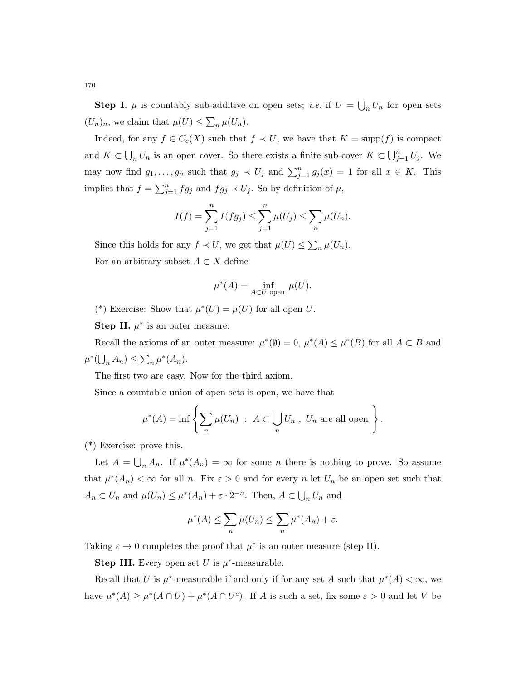**Step I.**  $\mu$  is countably sub-additive on open sets; *i.e.* if  $U = \bigcup_n U_n$  for open sets  $(U_n)_n$ , we claim that  $\mu(U) \leq \sum_n \mu(U_n)$ .

Indeed, for any  $f \in C_c(X)$  such that  $f \prec U$ , we have that  $K = \text{supp}(f)$  is compact and  $K \subset \bigcup_n U_n$  is an open cover. So there exists a finite sub-cover  $K \subset \bigcup_{j=1}^n U_j$ . We may now find  $g_1, \ldots, g_n$  such that  $g_j \prec U_j$  and  $\sum_{j=1}^n g_j(x) = 1$  for all  $x \in K$ . This implies that  $f = \sum_{j=1}^n fg_j$  and  $fg_j \prec U_j$ . So by definition of  $\mu$ ,

$$
I(f) = \sum_{j=1}^{n} I(fg_j) \le \sum_{j=1}^{n} \mu(U_j) \le \sum_{n} \mu(U_n).
$$

Since this holds for any  $f \prec U$ , we get that  $\mu(U) \leq \sum_{n} \mu(U_n)$ . For an arbitrary subset  $A \subset X$  define

$$
\mu^*(A) = \inf_{A \subset U \text{ open}} \mu(U).
$$

(\*) Exercise: Show that  $\mu^*(U) = \mu(U)$  for all open U.

Step II.  $\mu^*$  is an outer measure.

Recall the axioms of an outer measure:  $\mu^*(\emptyset) = 0$ ,  $\mu^*(A) \leq \mu^*(B)$  for all  $A \subset B$  and  $\mu^*(\bigcup_n A_n) \leq \sum_n \mu^*(A_n).$ 

The first two are easy. Now for the third axiom.

Since a countable union of open sets is open, we have that

$$
\mu^*(A) = \inf \left\{ \sum_n \mu(U_n) \ : \ A \subset \bigcup_n U_n \ , \ U_n \ \text{are all open} \right\}.
$$

(\*) Exercise: prove this.

Let  $A = \bigcup_n A_n$ . If  $\mu^*(A_n) = \infty$  for some *n* there is nothing to prove. So assume that  $\mu^*(A_n) < \infty$  for all n. Fix  $\varepsilon > 0$  and for every n let  $U_n$  be an open set such that  $A_n \subset U_n$  and  $\mu(U_n) \leq \mu^*(A_n) + \varepsilon \cdot 2^{-n}$ . Then,  $A \subset \bigcup_n U_n$  and

$$
\mu^*(A) \le \sum_n \mu(U_n) \le \sum_n \mu^*(A_n) + \varepsilon.
$$

Taking  $\varepsilon \to 0$  completes the proof that  $\mu^*$  is an outer measure (step II).

**Step III.** Every open set U is  $\mu^*$ -measurable.

Recall that U is  $\mu^*$ -measurable if and only if for any set A such that  $\mu^*(A) < \infty$ , we have  $\mu^*(A) \ge \mu^*(A \cap U) + \mu^*(A \cap U^c)$ . If A is such a set, fix some  $\varepsilon > 0$  and let V be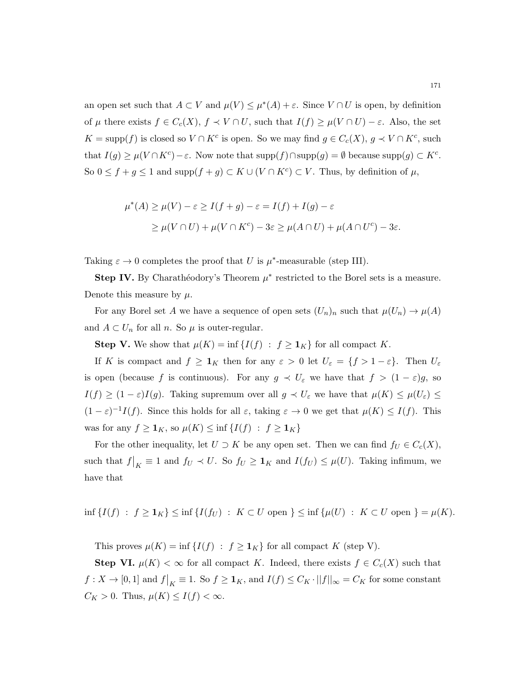an open set such that  $A \subset V$  and  $\mu(V) \leq \mu^*(A) + \varepsilon$ . Since  $V \cap U$  is open, by definition of  $\mu$  there exists  $f \in C_c(X)$ ,  $f \prec V \cap U$ , such that  $I(f) \geq \mu(V \cap U) - \varepsilon$ . Also, the set  $K = \text{supp}(f)$  is closed so  $V \cap K^c$  is open. So we may find  $g \in C_c(X)$ ,  $g \prec V \cap K^c$ , such that  $I(g) \geq \mu(V \cap K^c) - \varepsilon$ . Now note that  $\text{supp}(f) \cap \text{supp}(g) = \emptyset$  because  $\text{supp}(g) \subset K^c$ . So  $0 \le f + g \le 1$  and  $\text{supp}(f + g) \subset K \cup (V \cap K^c) \subset V$ . Thus, by definition of  $\mu$ ,

$$
\mu^*(A) \ge \mu(V) - \varepsilon \ge I(f + g) - \varepsilon = I(f) + I(g) - \varepsilon
$$
  
 
$$
\ge \mu(V \cap U) + \mu(V \cap K^c) - 3\varepsilon \ge \mu(A \cap U) + \mu(A \cap U^c) - 3\varepsilon.
$$

Taking  $\varepsilon \to 0$  completes the proof that U is  $\mu^*$ -measurable (step III).

**Step IV.** By Charathéodory's Theorem  $\mu^*$  restricted to the Borel sets is a measure. Denote this measure by  $\mu$ .

For any Borel set A we have a sequence of open sets  $(U_n)_n$  such that  $\mu(U_n) \to \mu(A)$ and  $A \subset U_n$  for all n. So  $\mu$  is outer-regular.

**Step V.** We show that  $\mu(K) = \inf \{I(f) : f \geq 1_K\}$  for all compact K.

If K is compact and  $f \geq 1_K$  then for any  $\varepsilon > 0$  let  $U_{\varepsilon} = \{f > 1 - \varepsilon\}$ . Then  $U_{\varepsilon}$ is open (because f is continuous). For any  $g \prec U_{\varepsilon}$  we have that  $f > (1 - \varepsilon)g$ , so  $I(f) \geq (1 - \varepsilon)I(g)$ . Taking supremum over all  $g \prec U_{\varepsilon}$  we have that  $\mu(K) \leq \mu(U_{\varepsilon}) \leq$  $(1 - \varepsilon)^{-1} I(f)$ . Since this holds for all  $\varepsilon$ , taking  $\varepsilon \to 0$  we get that  $\mu(K) \leq I(f)$ . This was for any  $f \geq \mathbf{1}_K$ , so  $\mu(K) \leq \inf \{I(f) : f \geq \mathbf{1}_K\}$ 

For the other inequality, let  $U \supset K$  be any open set. Then we can find  $f_U \in C_c(X)$ , such that  $f|_K \equiv 1$  and  $f_U \prec U$ . So  $f_U \geq 1_K$  and  $I(f_U) \leq \mu(U)$ . Taking infimum, we have that

 $\inf \{I(f) : f \geq 1_K\} \leq \inf \{I(f_U) : K \subset U \text{ open }\} \leq \inf \{\mu(U) : K \subset U \text{ open }\} = \mu(K).$ 

This proves  $\mu(K) = \inf \{ I(f) : f \geq 1_K \}$  for all compact K (step V).

**Step VI.**  $\mu(K) < \infty$  for all compact K. Indeed, there exists  $f \in C_c(X)$  such that  $f: X \to [0,1]$  and  $f|_K \equiv 1$ . So  $f \geq \mathbf{1}_K$ , and  $I(f) \leq C_K \cdot ||f||_{\infty} = C_K$  for some constant  $C_K > 0$ . Thus,  $\mu(K) \leq I(f) < \infty$ .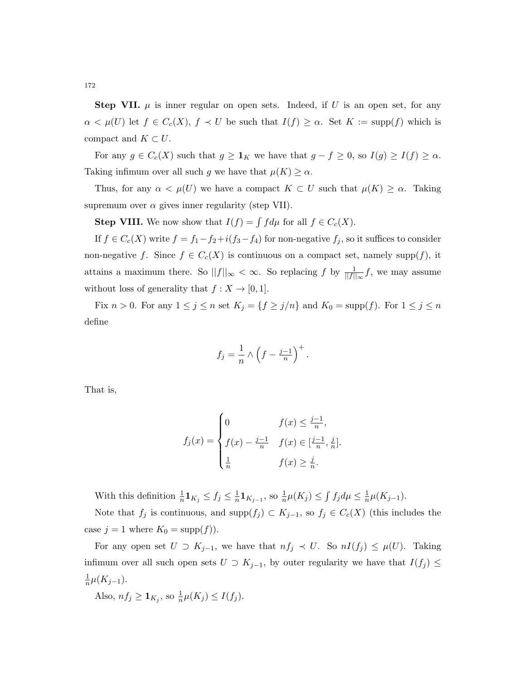**Step VII.**  $\mu$  is inner regular on open sets. Indeed, if U is an open set, for any  $\alpha < \mu(U)$  let  $f \in C_c(X)$ ,  $f \prec U$  be such that  $I(f) \geq \alpha$ . Set  $K := \text{supp}(f)$  which is compact and  $K \subset U$ .

For any  $g \in C_c(X)$  such that  $g \geq \mathbf{1}_K$  we have that  $g - f \geq 0$ , so  $I(g) \geq I(f) \geq \alpha$ . Taking infimum over all such g we have that  $\mu(K) \ge \alpha$ .

Thus, for any  $\alpha < \mu(U)$  we have a compact  $K \subset U$  such that  $\mu(K) \geq \alpha$ . Taking supremum over  $\alpha$  gives inner regularity (step VII).

**Step VIII.** We now show that  $I(f) = \int f d\mu$  for all  $f \in C_c(X)$ .

If  $f \in C_c(X)$  write  $f = f_1 - f_2 + i(f_3 - f_4)$  for non-negative  $f_j$ , so it suffices to consider non-negative f. Since  $f \in C_c(X)$  is continuous on a compact set, namely supp $(f)$ , it attains a maximum there. So  $||f||_{\infty} < \infty$ . So replacing f by  $\frac{1}{||f||_{\infty}}f$ , we may assume without loss of generality that  $f : X \to [0,1]$ .

Fix  $n > 0$ . For any  $1 \le j \le n$  set  $K_j = \{f \ge j/n\}$  and  $K_0 = \text{supp}(f)$ . For  $1 \le j \le n$ define

$$
f_j = \frac{1}{n} \wedge \left(f - \frac{j-1}{n}\right)^+.
$$

That is,

$$
f_j(x) = \begin{cases} 0 & f(x) \le \frac{j-1}{n}, \\ f(x) - \frac{j-1}{n} & f(x) \in [\frac{j-1}{n}, \frac{j}{n}]. \\ \frac{1}{n} & f(x) \ge \frac{j}{n}. \end{cases}
$$

With this definition  $\frac{1}{n} \mathbf{1}_{K_j} \leq f_j \leq \frac{1}{n}$  $\frac{1}{n}$ **1** $_{K_{j-1}}$ , so  $\frac{1}{n}\mu(K_j) \leq \int f_j d\mu \leq \frac{1}{n}$  $\frac{1}{n}\mu(K_{j-1}).$ 

Note that  $f_j$  is continuous, and supp $(f_j) \subset K_{j-1}$ , so  $f_j \in C_c(X)$  (this includes the case  $j = 1$  where  $K_0 = \text{supp}(f)$ .

For any open set  $U \supset K_{j-1}$ , we have that  $nf_j \prec U$ . So  $nI(f_j) \leq \mu(U)$ . Taking infimum over all such open sets  $U \supset K_{j-1}$ , by outer regularity we have that  $I(f_j) \leq$ 1  $\frac{1}{n}\mu(K_{j-1}).$ 

Also,  $nf_j \ge \mathbf{1}_{K_j}$ , so  $\frac{1}{n}\mu(K_j) \le I(f_j)$ .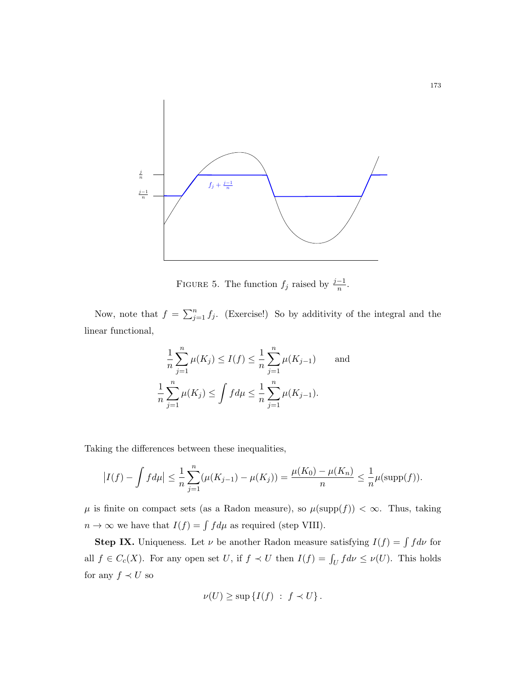

FIGURE 5. The function  $f_j$  raised by  $\frac{j-1}{n}$ .

Now, note that  $f = \sum_{j=1}^n f_j$ . (Exercise!) So by additivity of the integral and the linear functional,

$$
\frac{1}{n}\sum_{j=1}^{n}\mu(K_j) \le I(f) \le \frac{1}{n}\sum_{j=1}^{n}\mu(K_{j-1}) \quad \text{and}
$$
  

$$
\frac{1}{n}\sum_{j=1}^{n}\mu(K_j) \le \int f d\mu \le \frac{1}{n}\sum_{j=1}^{n}\mu(K_{j-1}).
$$

Taking the differences between these inequalities,

$$
\left| I(f) - \int f d\mu \right| \leq \frac{1}{n} \sum_{j=1}^{n} (\mu(K_{j-1}) - \mu(K_j)) = \frac{\mu(K_0) - \mu(K_n)}{n} \leq \frac{1}{n} \mu(\text{supp}(f)).
$$

 $\mu$  is finite on compact sets (as a Radon measure), so  $\mu(\mathrm{supp}(f)) < \infty$ . Thus, taking  $n \to \infty$  we have that  $I(f) = \int f d\mu$  as required (step VIII).

**Step IX.** Uniqueness. Let  $\nu$  be another Radon measure satisfying  $I(f) = \int f d\nu$  for all  $f \in C_c(X)$ . For any open set U, if  $f \prec U$  then  $I(f) = \int_U f d\nu \leq \nu(U)$ . This holds for any  $f\prec U$  so

$$
\nu(U) \geq \sup \{ I(f) \; : \; f \prec U \} \, .
$$